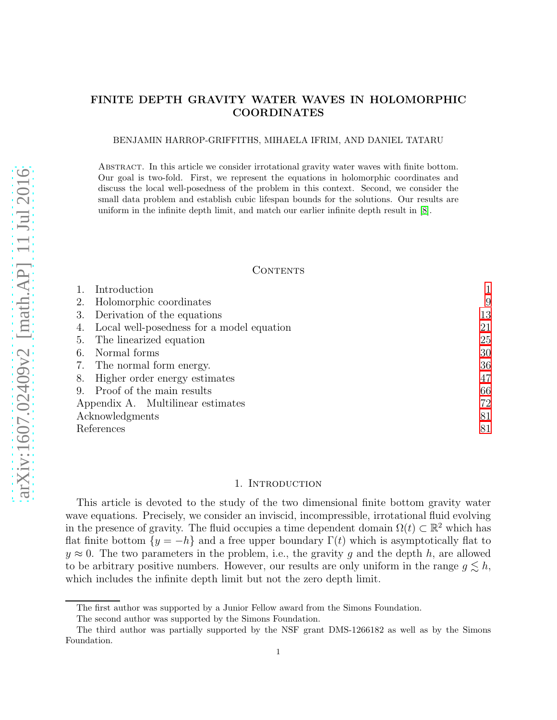# FINITE DEPTH GRAVITY WATER WAVES IN HOLOMORPHIC COORDINATES

BENJAMIN HARROP-GRIFFITHS, MIHAELA IFRIM, AND DANIEL TATARU

Abstract. In this article we consider irrotational gravity water waves with finite bottom. Our goal is two-fold. First, we represent the equations in holomorphic coordinates and discuss the local well-posedness of the problem in this context. Second, we consider the small data problem and establish cubic lifespan bounds for the solutions. Our results are uniform in the infinite depth limit, and match our earlier infinite depth result in [\[8\]](#page-81-0).

## CONTENTS

|                                   | Introduction                              |    |
|-----------------------------------|-------------------------------------------|----|
| 2.                                | Holomorphic coordinates                   | 9  |
| 3.                                | Derivation of the equations               | 13 |
|                                   | Local well-posedness for a model equation | 21 |
|                                   | 5. The linearized equation                | 25 |
| 6.                                | Normal forms                              | 30 |
|                                   | 7. The normal form energy.                | 36 |
|                                   | 8. Higher order energy estimates          | 47 |
|                                   | 9. Proof of the main results              | 66 |
| Appendix A. Multilinear estimates |                                           | 72 |
| Acknowledgments                   |                                           | 81 |
| References                        |                                           | 81 |

#### 1. Introduction

<span id="page-0-0"></span>This article is devoted to the study of the two dimensional finite bottom gravity water wave equations. Precisely, we consider an inviscid, incompressible, irrotational fluid evolving in the presence of gravity. The fluid occupies a time dependent domain  $\Omega(t) \subset \mathbb{R}^2$  which has flat finite bottom  $\{y = -h\}$  and a free upper boundary  $\Gamma(t)$  which is asymptotically flat to  $y \approx 0$ . The two parameters in the problem, i.e., the gravity g and the depth h, are allowed to be arbitrary positive numbers. However, our results are only uniform in the range  $g \lesssim h$ , which includes the infinite depth limit but not the zero depth limit.

The first author was supported by a Junior Fellow award from the Simons Foundation.

The second author was supported by the Simons Foundation.

The third author was partially supported by the NSF grant DMS-1266182 as well as by the Simons Foundation.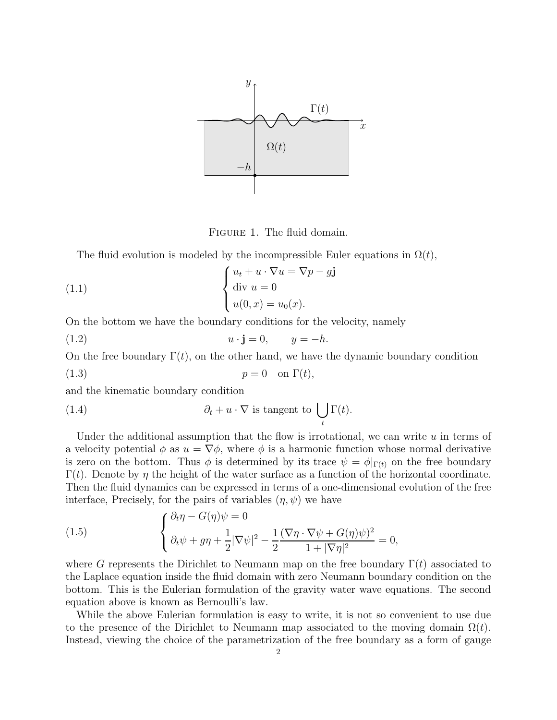

<span id="page-1-2"></span><span id="page-1-1"></span><span id="page-1-0"></span>FIGURE 1. The fluid domain.

The fluid evolution is modeled by the incompressible Euler equations in  $\Omega(t)$ ,

(1.1) 
$$
\begin{cases} u_t + u \cdot \nabla u = \nabla p - g\mathbf{j} \\ \text{div } u = 0 \\ u(0, x) = u_0(x). \end{cases}
$$

On the bottom we have the boundary conditions for the velocity, namely

$$
(1.2) \t\t u \cdot \mathbf{j} = 0, \t y = -h.
$$

On the free boundary  $\Gamma(t)$ , on the other hand, we have the dynamic boundary condition

$$
(1.3) \t\t\t p = 0 \t\t \text{on } \Gamma(t),
$$

and the kinematic boundary condition

<span id="page-1-3"></span>(1.4) 
$$
\partial_t + u \cdot \nabla \text{ is tangent to } \bigcup_t \Gamma(t).
$$

Under the additional assumption that the flow is irrotational, we can write  $u$  in terms of a velocity potential  $\phi$  as  $u = \nabla \phi$ , where  $\phi$  is a harmonic function whose normal derivative is zero on the bottom. Thus  $\phi$  is determined by its trace  $\psi = \phi|_{\Gamma(t)}$  on the free boundary  $\Gamma(t)$ . Denote by  $\eta$  the height of the water surface as a function of the horizontal coordinate. Then the fluid dynamics can be expressed in terms of a one-dimensional evolution of the free interface, Precisely, for the pairs of variables  $(\eta, \psi)$  we have

(1.5) 
$$
\begin{cases} \partial_t \eta - G(\eta)\psi = 0\\ \partial_t \psi + g\eta + \frac{1}{2}|\nabla \psi|^2 - \frac{1}{2}\frac{(\nabla \eta \cdot \nabla \psi + G(\eta)\psi)^2}{1 + |\nabla \eta|^2} = 0, \end{cases}
$$

where G represents the Dirichlet to Neumann map on the free boundary  $\Gamma(t)$  associated to the Laplace equation inside the fluid domain with zero Neumann boundary condition on the bottom. This is the Eulerian formulation of the gravity water wave equations. The second equation above is known as Bernoulli's law.

While the above Eulerian formulation is easy to write, it is not so convenient to use due to the presence of the Dirichlet to Neumann map associated to the moving domain  $\Omega(t)$ . Instead, viewing the choice of the parametrization of the free boundary as a form of gauge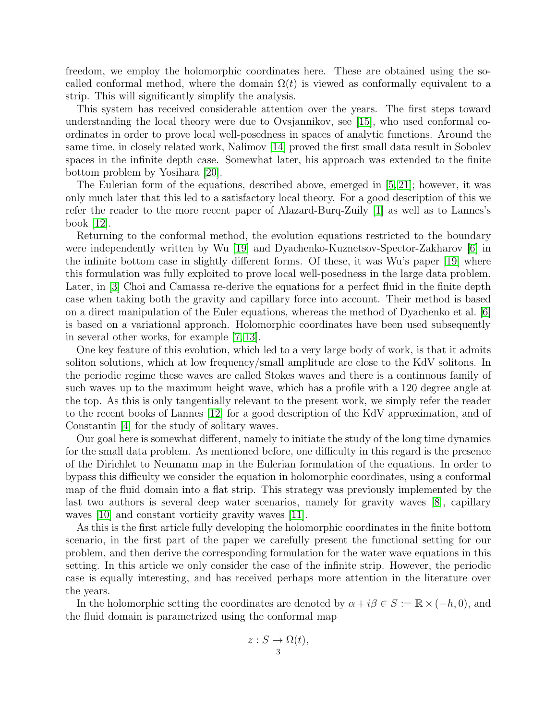freedom, we employ the holomorphic coordinates here. These are obtained using the socalled conformal method, where the domain  $\Omega(t)$  is viewed as conformally equivalent to a strip. This will significantly simplify the analysis.

This system has received considerable attention over the years. The first steps toward understanding the local theory were due to Ovsjannikov, see [\[15\]](#page-81-1), who used conformal coordinates in order to prove local well-posedness in spaces of analytic functions. Around the same time, in closely related work, Nalimov [\[14\]](#page-81-2) proved the first small data result in Sobolev spaces in the infinite depth case. Somewhat later, his approach was extended to the finite bottom problem by Yosihara [\[20\]](#page-81-3).

The Eulerian form of the equations, described above, emerged in [\[5,](#page-81-4) [21\]](#page-81-5); however, it was only much later that this led to a satisfactory local theory. For a good description of this we refer the reader to the more recent paper of Alazard-Burq-Zuily [\[1\]](#page-80-2) as well as to Lannes's book [\[12\]](#page-81-6).

Returning to the conformal method, the evolution equations restricted to the boundary were independently written by Wu [\[19\]](#page-81-7) and Dyachenko-Kuznetsov-Spector-Zakharov [\[6\]](#page-81-8) in the infinite bottom case in slightly different forms. Of these, it was Wu's paper [\[19\]](#page-81-7) where this formulation was fully exploited to prove local well-posedness in the large data problem. Later, in [\[3\]](#page-80-3) Choi and Camassa re-derive the equations for a perfect fluid in the finite depth case when taking both the gravity and capillary force into account. Their method is based on a direct manipulation of the Euler equations, whereas the method of Dyachenko et al. [\[6\]](#page-81-8) is based on a variational approach. Holomorphic coordinates have been used subsequently in several other works, for example [\[7,](#page-81-9) [13\]](#page-81-10).

One key feature of this evolution, which led to a very large body of work, is that it admits soliton solutions, which at low frequency/small amplitude are close to the KdV solitons. In the periodic regime these waves are called Stokes waves and there is a continuous family of such waves up to the maximum height wave, which has a profile with a 120 degree angle at the top. As this is only tangentially relevant to the present work, we simply refer the reader to the recent books of Lannes [\[12\]](#page-81-6) for a good description of the KdV approximation, and of Constantin [\[4\]](#page-80-4) for the study of solitary waves.

Our goal here is somewhat different, namely to initiate the study of the long time dynamics for the small data problem. As mentioned before, one difficulty in this regard is the presence of the Dirichlet to Neumann map in the Eulerian formulation of the equations. In order to bypass this difficulty we consider the equation in holomorphic coordinates, using a conformal map of the fluid domain into a flat strip. This strategy was previously implemented by the last two authors is several deep water scenarios, namely for gravity waves [\[8\]](#page-81-0), capillary waves [\[10\]](#page-81-11) and constant vorticity gravity waves [\[11\]](#page-81-12).

As this is the first article fully developing the holomorphic coordinates in the finite bottom scenario, in the first part of the paper we carefully present the functional setting for our problem, and then derive the corresponding formulation for the water wave equations in this setting. In this article we only consider the case of the infinite strip. However, the periodic case is equally interesting, and has received perhaps more attention in the literature over the years.

In the holomorphic setting the coordinates are denoted by  $\alpha + i\beta \in S := \mathbb{R} \times (-h, 0)$ , and the fluid domain is parametrized using the conformal map

$$
z: S \to \Omega(t),
$$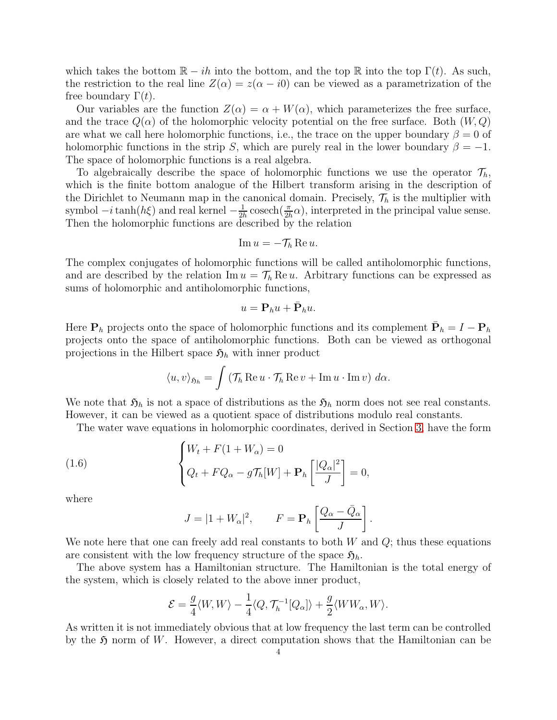which takes the bottom  $\mathbb{R} - ih$  into the bottom, and the top  $\mathbb{R}$  into the top  $\Gamma(t)$ . As such, the restriction to the real line  $Z(\alpha) = z(\alpha - i0)$  can be viewed as a parametrization of the free boundary  $\Gamma(t)$ .

Our variables are the function  $Z(\alpha) = \alpha + W(\alpha)$ , which parameterizes the free surface, and the trace  $Q(\alpha)$  of the holomorphic velocity potential on the free surface. Both  $(W,Q)$ are what we call here holomorphic functions, i.e., the trace on the upper boundary  $\beta = 0$  of holomorphic functions in the strip S, which are purely real in the lower boundary  $\beta = -1$ . The space of holomorphic functions is a real algebra.

To algebraically describe the space of holomorphic functions we use the operator  $\mathcal{T}_h$ , which is the finite bottom analogue of the Hilbert transform arising in the description of the Dirichlet to Neumann map in the canonical domain. Precisely,  $\mathcal{T}_h$  is the multiplier with symbol  $-i$  tanh $(h\xi)$  and real kernel  $-\frac{1}{2h}$  $\frac{1}{2h}$  cosech $\left(\frac{\pi}{2h}\alpha\right)$ , interpreted in the principal value sense. Then the holomorphic functions are described by the relation

$$
\operatorname{Im} u = -\mathcal{T}_h \operatorname{Re} u.
$$

The complex conjugates of holomorphic functions will be called antiholomorphic functions, and are described by the relation  $\text{Im } u = \mathcal{T}_h \text{Re } u$ . Arbitrary functions can be expressed as sums of holomorphic and antiholomorphic functions,

$$
u = \mathbf{P}_h u + \bar{\mathbf{P}}_h u.
$$

Here  $\mathbf{P}_h$  projects onto the space of holomorphic functions and its complement  $\bar{\mathbf{P}}_h = I - \mathbf{P}_h$ projects onto the space of antiholomorphic functions. Both can be viewed as orthogonal projections in the Hilbert space  $\mathfrak{H}_h$  with inner product

$$
\langle u, v \rangle_{\mathfrak{H}_h} = \int \left( \mathcal{T}_h \operatorname{Re} u \cdot \mathcal{T}_h \operatorname{Re} v + \operatorname{Im} u \cdot \operatorname{Im} v \right) d\alpha.
$$

We note that  $\mathfrak{H}_h$  is not a space of distributions as the  $\mathfrak{H}_h$  norm does not see real constants. However, it can be viewed as a quotient space of distributions modulo real constants.

The water wave equations in holomorphic coordinates, derived in Section [3,](#page-12-0) have the form

(1.6) 
$$
\begin{cases} W_t + F(1 + W_\alpha) = 0 \\ Q_t + FQ_\alpha - g\mathcal{T}_h[W] + \mathbf{P}_h \left[ \frac{|Q_\alpha|^2}{J} \right] = 0, \end{cases}
$$

where

<span id="page-3-0"></span>
$$
J = |1 + W_{\alpha}|^2, \qquad F = \mathbf{P}_h \left[ \frac{Q_{\alpha} - \bar{Q}_{\alpha}}{J} \right].
$$

We note here that one can freely add real constants to both  $W$  and  $Q$ ; thus these equations are consistent with the low frequency structure of the space  $\mathfrak{H}_h$ .

The above system has a Hamiltonian structure. The Hamiltonian is the total energy of the system, which is closely related to the above inner product,

$$
\mathcal{E} = \frac{g}{4} \langle W, W \rangle - \frac{1}{4} \langle Q, \mathcal{T}_h^{-1}[Q_\alpha] \rangle + \frac{g}{2} \langle WW_\alpha, W \rangle.
$$

As written it is not immediately obvious that at low frequency the last term can be controlled by the  $\mathfrak H$  norm of W. However, a direct computation shows that the Hamiltonian can be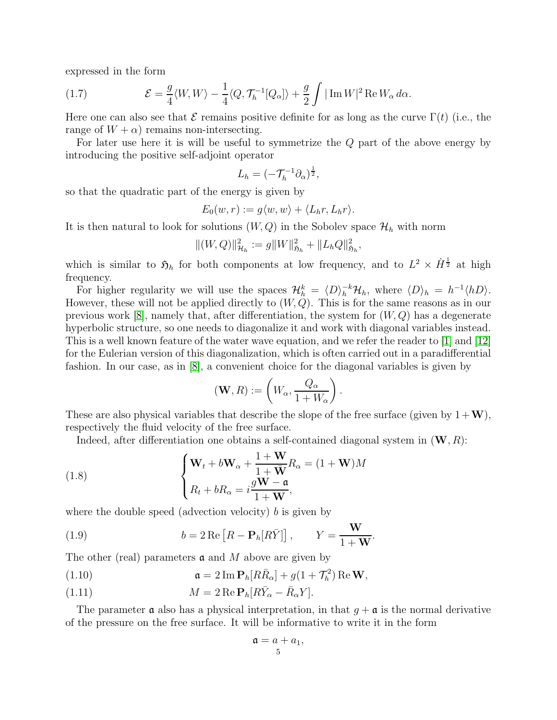expressed in the form

(1.7) 
$$
\mathcal{E} = \frac{g}{4} \langle W, W \rangle - \frac{1}{4} \langle Q, \mathcal{T}_h^{-1}[Q_\alpha] \rangle + \frac{g}{2} \int |\operatorname{Im} W|^2 \operatorname{Re} W_\alpha \, d\alpha.
$$

Here one can also see that  $\mathcal E$  remains positive definite for as long as the curve  $\Gamma(t)$  (i.e., the range of  $W + \alpha$ ) remains non-intersecting.

For later use here it is will be useful to symmetrize the Q part of the above energy by introducing the positive self-adjoint operator

$$
L_h = \left(-\mathcal{T}_h^{-1}\partial_\alpha\right)^{\frac{1}{2}},
$$

so that the quadratic part of the energy is given by

$$
E_0(w,r) := g\langle w, w \rangle + \langle L_h r, L_h r \rangle.
$$

It is then natural to look for solutions  $(W, Q)$  in the Sobolev space  $\mathcal{H}_h$  with norm

$$
\|(W,Q)\|_{\mathcal{H}_h}^2 := g\|W\|_{\mathfrak{H}_h}^2 + \|L_hQ\|_{\mathfrak{H}_h}^2,
$$

which is similar to  $\mathfrak{H}_h$  for both components at low frequency, and to  $L^2 \times \dot{H}^{\frac{1}{2}}$  at high frequency.

For higher regularity we will use the spaces  $\mathcal{H}_h^k = \langle D \rangle_h^{-k} \mathcal{H}_h$ , where  $\langle D \rangle_h = h^{-1} \langle hD \rangle$ . However, these will not be applied directly to  $(W, \ddot{Q})$ . This is for the same reasons as in our previous work [\[8\]](#page-81-0), namely that, after differentiation, the system for  $(W, Q)$  has a degenerate hyperbolic structure, so one needs to diagonalize it and work with diagonal variables instead. This is a well known feature of the water wave equation, and we refer the reader to [\[1\]](#page-80-2) and [\[12\]](#page-81-6) for the Eulerian version of this diagonalization, which is often carried out in a paradifferential fashion. In our case, as in [\[8\]](#page-81-0), a convenient choice for the diagonal variables is given by

<span id="page-4-0"></span>
$$
(\mathbf{W}, R) := \left(W_{\alpha}, \frac{Q_{\alpha}}{1 + W_{\alpha}}\right).
$$

These are also physical variables that describe the slope of the free surface (given by  $1+\mathbf{W}$ ), respectively the fluid velocity of the free surface.

Indeed, after differentiation one obtains a self-contained diagonal system in  $(\mathbf{W}, R)$ :

(1.8) 
$$
\begin{cases} \mathbf{W}_t + b\mathbf{W}_\alpha + \frac{1+\mathbf{W}}{1+\bar{\mathbf{W}}}R_\alpha = (1+\mathbf{W})M\\ R_t + bR_\alpha = i\frac{g\mathbf{W}-\mathfrak{a}}{1+\mathbf{W}}, \end{cases}
$$

where the double speed (advection velocity)  $b$  is given by

<span id="page-4-1"></span>(1.9) 
$$
b = 2 \operatorname{Re} \left[ R - \mathbf{P}_h [R \bar{Y}] \right], \qquad Y = \frac{\mathbf{W}}{1 + \mathbf{W}}.
$$

The other (real) parameters  $\mathfrak a$  and M above are given by

<span id="page-4-2"></span>(1.10) 
$$
\mathfrak{a} = 2 \operatorname{Im} \mathbf{P}_h[R\bar{R}_\alpha] + g(1 + \mathcal{T}_h^2) \operatorname{Re} \mathbf{W},
$$

(1.11) 
$$
M = 2 \operatorname{Re} \mathbf{P}_h [R\bar{Y}_\alpha - \bar{R}_\alpha Y].
$$

The parameter  $\alpha$  also has a physical interpretation, in that  $g + \alpha$  is the normal derivative of the pressure on the free surface. It will be informative to write it in the form

$$
\mathfrak{a} = a + a_1,
$$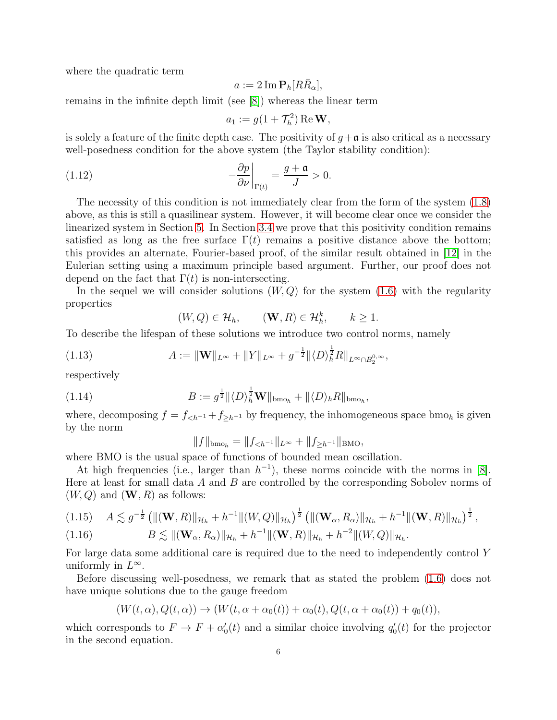where the quadratic term

$$
a := 2 \operatorname{Im} \mathbf{P}_h[R \bar{R}_\alpha],
$$

remains in the infinite depth limit (see [\[8\]](#page-81-0)) whereas the linear term

<span id="page-5-0"></span>
$$
a_1 := g(1 + \mathcal{T}_h^2) \operatorname{Re} \mathbf{W},
$$

is solely a feature of the finite depth case. The positivity of  $g + \mathfrak{a}$  is also critical as a necessary well-posedness condition for the above system (the Taylor stability condition):

(1.12) 
$$
-\frac{\partial p}{\partial \nu}\Big|_{\Gamma(t)} = \frac{g + \mathfrak{a}}{J} > 0.
$$

The necessity of this condition is not immediately clear from the form of the system [\(1.8\)](#page-4-0) above, as this is still a quasilinear system. However, it will become clear once we consider the linearized system in Section [5.](#page-24-0) In Section [3.4](#page-16-0) we prove that this positivity condition remains satisfied as long as the free surface  $\Gamma(t)$  remains a positive distance above the bottom; this provides an alternate, Fourier-based proof, of the similar result obtained in [\[12\]](#page-81-6) in the Eulerian setting using a maximum principle based argument. Further, our proof does not depend on the fact that  $\Gamma(t)$  is non-intersecting.

In the sequel we will consider solutions  $(W, Q)$  for the system  $(1.6)$  with the regularity properties

$$
(W, Q) \in \mathcal{H}_h, \qquad (\mathbf{W}, R) \in \mathcal{H}_h^k, \qquad k \ge 1.
$$

To describe the lifespan of these solutions we introduce two control norms, namely

(1.13) 
$$
A := \|\mathbf{W}\|_{L^{\infty}} + \|Y\|_{L^{\infty}} + g^{-\frac{1}{2}} \|\langle D \rangle_R^{\frac{1}{2}} R\|_{L^{\infty} \cap B_2^{0,\infty}},
$$

respectively

(1.14) 
$$
B := g^{\frac{1}{2}} \|\langle D \rangle_h^{\frac{1}{2}} \mathbf{W} \|_{bmo_h} + \|\langle D \rangle_h R \|_{bmo_h},
$$

where, decomposing  $f = f_{\leq h^{-1}} + f_{\geq h^{-1}}$  by frequency, the inhomogeneous space bmo<sub>h</sub> is given by the norm

$$
||f||_{bmo_h} = ||f_{< h^{-1}}||_{L^{\infty}} + ||f_{\geq h^{-1}}||_{\text{BMO}},
$$

where BMO is the usual space of functions of bounded mean oscillation.

At high frequencies (i.e., larger than  $h^{-1}$ ), these norms coincide with the norms in [\[8\]](#page-81-0). Here at least for small data  $A$  and  $B$  are controlled by the corresponding Sobolev norms of  $(W, Q)$  and  $(W, R)$  as follows:

$$
(1.15) \quad A \lesssim g^{-\frac{1}{2}} \left( \|(\mathbf{W}, R)\|_{\mathcal{H}_h} + h^{-1} \|(W, Q)\|_{\mathcal{H}_h} \right)^{\frac{1}{2}} \left( \|(\mathbf{W}_{\alpha}, R_{\alpha})\|_{\mathcal{H}_h} + h^{-1} \|(\mathbf{W}, R)\|_{\mathcal{H}_h} \right)^{\frac{1}{2}},
$$

(1.16) 
$$
B \lesssim ||(\mathbf{W}_{\alpha}, R_{\alpha})||_{\mathcal{H}_{h}} + h^{-1} ||(\mathbf{W}, R)||_{\mathcal{H}_{h}} + h^{-2} ||(W, Q)||_{\mathcal{H}_{h}}.
$$

For large data some additional care is required due to the need to independently control Y uniformly in  $L^{\infty}$ .

Before discussing well-posedness, we remark that as stated the problem [\(1.6\)](#page-3-0) does not have unique solutions due to the gauge freedom

$$
(W(t, \alpha), Q(t, \alpha)) \rightarrow (W(t, \alpha + \alpha_0(t)) + \alpha_0(t), Q(t, \alpha + \alpha_0(t)) + q_0(t)),
$$

which corresponds to  $F \to F + \alpha'_0(t)$  and a similar choice involving  $q'_0(t)$  for the projector in the second equation.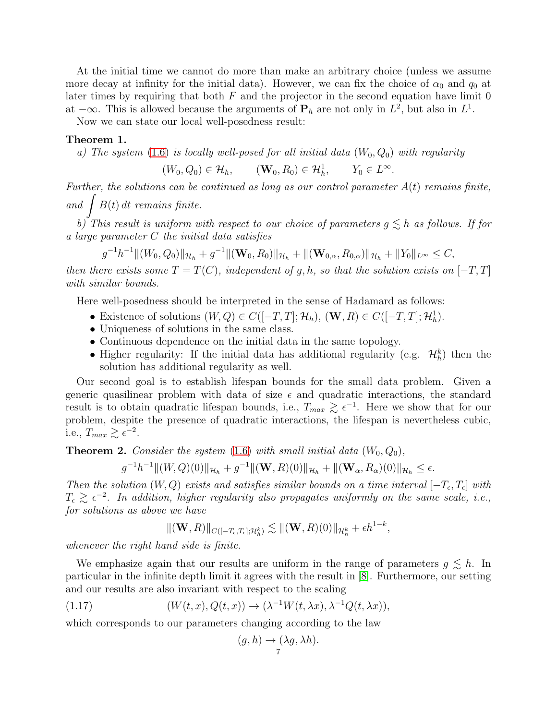At the initial time we cannot do more than make an arbitrary choice (unless we assume more decay at infinity for the initial data). However, we can fix the choice of  $\alpha_0$  and  $q_0$  at later times by requiring that both  $F$  and the projector in the second equation have limit  $0$ at  $-\infty$ . This is allowed because the arguments of  $P_h$  are not only in  $L^2$ , but also in  $L^1$ .

Now we can state our local well-posedness result:

# Theorem 1.

*a)* The system [\(1.6\)](#page-3-0) is locally well-posed for all initial data  $(W_0, Q_0)$  with regularity

$$
(W_0, Q_0) \in \mathcal{H}_h, \qquad (\mathbf{W}_0, R_0) \in \mathcal{H}_h^1, \qquad Y_0 \in L^{\infty}.
$$

*Further, the solutions can be continued as long as our control parameter* A(t) *remains finite,* and  $\int B(t) dt$  *remains finite.* 

*b*) This result is uniform with respect to our choice of parameters  $g \leq h$  as follows. If for *a large parameter* C *the initial data satisfies*

$$
g^{-1}h^{-1}\|(W_0,Q_0)\|_{\mathcal{H}_h}+g^{-1}\|(\mathbf{W}_0,R_0)\|_{\mathcal{H}_h}+\|(\mathbf{W}_{0,\alpha},R_{0,\alpha})\|_{\mathcal{H}_h}+\|Y_0\|_{L^{\infty}}\leq C,
$$

*then there exists some*  $T = T(C)$ *, independent of q, h, so that the solution exists on* [-T, T] *with similar bounds.*

Here well-posedness should be interpreted in the sense of Hadamard as follows:

- Existence of solutions  $(W, Q) \in C([-T, T]; \mathcal{H}_h)$ ,  $(\mathbf{W}, R) \in C([-T, T]; \mathcal{H}_h^1)$ .
- Uniqueness of solutions in the same class.
- Continuous dependence on the initial data in the same topology.
- Higher regularity: If the initial data has additional regularity (e.g.  $\mathcal{H}_h^k$ ) then the solution has additional regularity as well.

Our second goal is to establish lifespan bounds for the small data problem. Given a generic quasilinear problem with data of size  $\epsilon$  and quadratic interactions, the standard result is to obtain quadratic lifespan bounds, i.e.,  $T_{max} \gtrsim \epsilon^{-1}$ . Here we show that for our problem, despite the presence of quadratic interactions, the lifespan is nevertheless cubic, i.e.,  $T_{max} \gtrsim \epsilon^{-2}$ .

**Theorem 2.** *Consider the system* [\(1.6\)](#page-3-0) *with small initial data*  $(W_0, Q_0)$ *,* 

$$
g^{-1}h^{-1}\|(W,Q)(0)\|_{\mathcal{H}_h}+g^{-1}\|(W,R)(0)\|_{\mathcal{H}_h}+\|(W_\alpha,R_\alpha)(0)\|_{\mathcal{H}_h}\leq\epsilon.
$$

*Then the solution*  $(W, Q)$  *exists and satisfies similar bounds on a time interval*  $[-T_{\epsilon}, T_{\epsilon}]$  *with*  $T_{\epsilon} \gtrsim \epsilon^{-2}$ . In addition, higher regularity also propagates uniformly on the same scale, i.e., *for solutions as above we have*

$$
\|(\mathbf{W}, R)\|_{C([-T_{\epsilon}, T_{\epsilon}]; \mathcal{H}_{h}^{k})} \lesssim \|(\mathbf{W}, R)(0)\|_{\mathcal{H}_{h}^{k}} + \epsilon h^{1-k},
$$

*whenever the right hand side is finite.*

We emphasize again that our results are uniform in the range of parameters  $g \leq h$ . In particular in the infinite depth limit it agrees with the result in [\[8\]](#page-81-0). Furthermore, our setting and our results are also invariant with respect to the scaling

(1.17) 
$$
(W(t,x),Q(t,x)) \to (\lambda^{-1}W(t,\lambda x),\lambda^{-1}Q(t,\lambda x)),
$$

which corresponds to our parameters changing according to the law

$$
(g, h) \to (\lambda g, \lambda h).
$$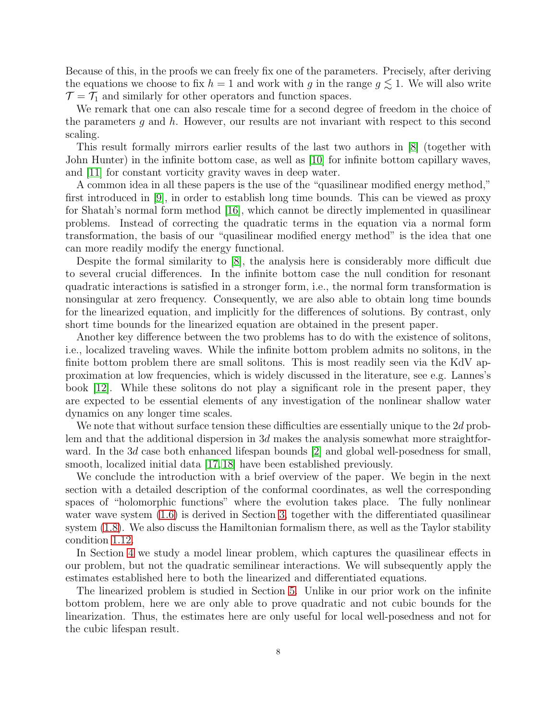Because of this, in the proofs we can freely fix one of the parameters. Precisely, after deriving the equations we choose to fix  $h = 1$  and work with g in the range  $g \leq 1$ . We will also write  $\mathcal{T} = \mathcal{T}_1$  and similarly for other operators and function spaces.

We remark that one can also rescale time for a second degree of freedom in the choice of the parameters  $g$  and  $h$ . However, our results are not invariant with respect to this second scaling.

This result formally mirrors earlier results of the last two authors in [\[8\]](#page-81-0) (together with John Hunter) in the infinite bottom case, as well as [\[10\]](#page-81-11) for infinite bottom capillary waves, and [\[11\]](#page-81-12) for constant vorticity gravity waves in deep water.

A common idea in all these papers is the use of the "quasilinear modified energy method," first introduced in [\[9\]](#page-81-13), in order to establish long time bounds. This can be viewed as proxy for Shatah's normal form method [\[16\]](#page-81-14), which cannot be directly implemented in quasilinear problems. Instead of correcting the quadratic terms in the equation via a normal form transformation, the basis of our "quasilinear modified energy method" is the idea that one can more readily modify the energy functional.

Despite the formal similarity to [\[8\]](#page-81-0), the analysis here is considerably more difficult due to several crucial differences. In the infinite bottom case the null condition for resonant quadratic interactions is satisfied in a stronger form, i.e., the normal form transformation is nonsingular at zero frequency. Consequently, we are also able to obtain long time bounds for the linearized equation, and implicitly for the differences of solutions. By contrast, only short time bounds for the linearized equation are obtained in the present paper.

Another key difference between the two problems has to do with the existence of solitons, i.e., localized traveling waves. While the infinite bottom problem admits no solitons, in the finite bottom problem there are small solitons. This is most readily seen via the KdV approximation at low frequencies, which is widely discussed in the literature, see e.g. Lannes's book [\[12\]](#page-81-6). While these solitons do not play a significant role in the present paper, they are expected to be essential elements of any investigation of the nonlinear shallow water dynamics on any longer time scales.

We note that without surface tension these difficulties are essentially unique to the  $2d$  problem and that the additional dispersion in  $3d$  makes the analysis somewhat more straightforward. In the 3d case both enhanced lifespan bounds [\[2\]](#page-80-5) and global well-posedness for small, smooth, localized initial data [\[17,](#page-81-15) [18\]](#page-81-16) have been established previously.

We conclude the introduction with a brief overview of the paper. We begin in the next section with a detailed description of the conformal coordinates, as well the corresponding spaces of "holomorphic functions" where the evolution takes place. The fully nonlinear water wave system  $(1.6)$  is derived in Section [3,](#page-12-0) together with the differentiated quasilinear system [\(1.8\)](#page-4-0). We also discuss the Hamiltonian formalism there, as well as the Taylor stability condition [1.12.](#page-5-0)

In Section [4](#page-20-0) we study a model linear problem, which captures the quasilinear effects in our problem, but not the quadratic semilinear interactions. We will subsequently apply the estimates established here to both the linearized and differentiated equations.

The linearized problem is studied in Section [5.](#page-24-0) Unlike in our prior work on the infinite bottom problem, here we are only able to prove quadratic and not cubic bounds for the linearization. Thus, the estimates here are only useful for local well-posedness and not for the cubic lifespan result.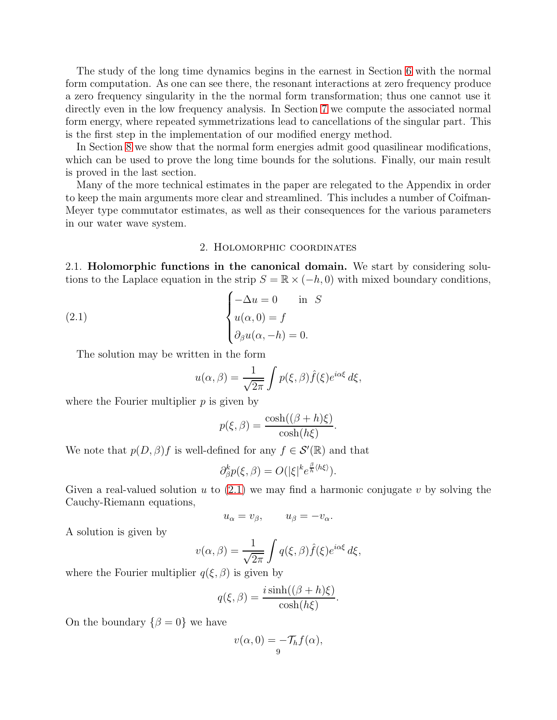The study of the long time dynamics begins in the earnest in Section [6](#page-29-0) with the normal form computation. As one can see there, the resonant interactions at zero frequency produce a zero frequency singularity in the the normal form transformation; thus one cannot use it directly even in the low frequency analysis. In Section [7](#page-35-0) we compute the associated normal form energy, where repeated symmetrizations lead to cancellations of the singular part. This is the first step in the implementation of our modified energy method.

In Section [8](#page-46-0) we show that the normal form energies admit good quasilinear modifications, which can be used to prove the long time bounds for the solutions. Finally, our main result is proved in the last section.

Many of the more technical estimates in the paper are relegated to the Appendix in order to keep the main arguments more clear and streamlined. This includes a number of Coifman-Meyer type commutator estimates, as well as their consequences for the various parameters in our water wave system.

## 2. Holomorphic coordinates

<span id="page-8-0"></span>2.1. Holomorphic functions in the canonical domain. We start by considering solutions to the Laplace equation in the strip  $S = \mathbb{R} \times (-h, 0)$  with mixed boundary conditions,

(2.1) 
$$
\begin{cases}\n-\Delta u = 0 & \text{in } S \\
u(\alpha, 0) = f \\
\partial_{\beta} u(\alpha, -h) = 0.\n\end{cases}
$$

The solution may be written in the form

<span id="page-8-1"></span>
$$
u(\alpha,\beta) = \frac{1}{\sqrt{2\pi}} \int p(\xi,\beta) \hat{f}(\xi) e^{i\alpha\xi} d\xi,
$$

where the Fourier multiplier  $p$  is given by

$$
p(\xi, \beta) = \frac{\cosh((\beta + h)\xi)}{\cosh(h\xi)}.
$$

We note that  $p(D, \beta) f$  is well-defined for any  $f \in \mathcal{S}'(\mathbb{R})$  and that

$$
\partial_{\beta}^{k}p(\xi,\beta)=O(|\xi|^{k}e^{\frac{\beta}{h}\langle h\xi\rangle}).
$$

Given a real-valued solution u to  $(2.1)$  we may find a harmonic conjugate v by solving the Cauchy-Riemann equations,

$$
u_{\alpha} = v_{\beta}, \qquad u_{\beta} = -v_{\alpha}.
$$

A solution is given by

$$
v(\alpha, \beta) = \frac{1}{\sqrt{2\pi}} \int q(\xi, \beta) \hat{f}(\xi) e^{i\alpha \xi} d\xi,
$$

where the Fourier multiplier  $q(\xi, \beta)$  is given by

$$
q(\xi, \beta) = \frac{i \sinh((\beta + h)\xi)}{\cosh(h\xi)}.
$$

On the boundary  $\{\beta = 0\}$  we have

$$
v(\alpha,0) = -\mathcal{T}_h f(\alpha),
$$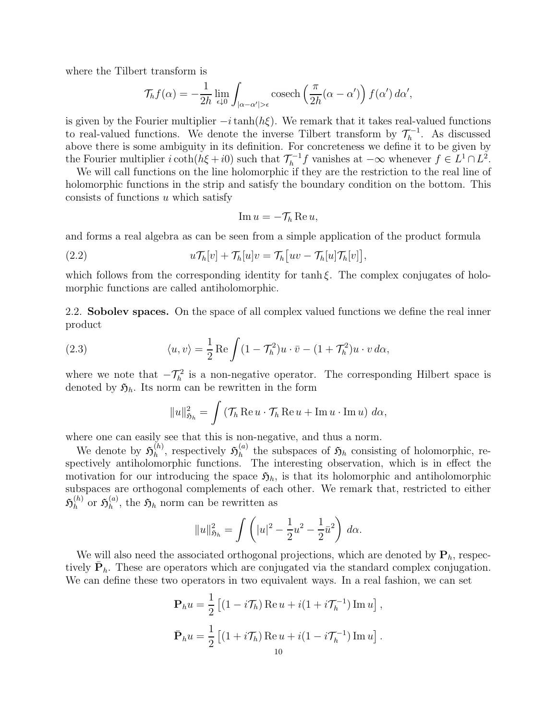where the Tilbert transform is

$$
\mathcal{T}_h f(\alpha) = -\frac{1}{2h} \lim_{\epsilon \downarrow 0} \int_{|\alpha - \alpha'| > \epsilon} \operatorname{cosech}\left(\frac{\pi}{2h}(\alpha - \alpha')\right) f(\alpha') d\alpha',
$$

is given by the Fourier multiplier  $-i$  tanh( $h\xi$ ). We remark that it takes real-valued functions to real-valued functions. We denote the inverse Tilbert transform by  $\mathcal{T}_h^{-1}$  $\bar{h}^{-1}$ . As discussed above there is some ambiguity in its definition. For concreteness we define it to be given by the Fourier multiplier  $i \coth(h\xi + i0)$  such that  $\mathcal{T}_h^{-1}$  $\sum_{h=1}^{-1} f$  vanishes at  $-\infty$  whenever  $f \in L^1 \cap L^2$ .

We will call functions on the line holomorphic if they are the restriction to the real line of holomorphic functions in the strip and satisfy the boundary condition on the bottom. This consists of functions u which satisfy

<span id="page-9-0"></span>
$$
\operatorname{Im} u = -\mathcal{T}_h \operatorname{Re} u,
$$

and forms a real algebra as can be seen from a simple application of the product formula

(2.2) 
$$
u\mathcal{T}_h[v] + \mathcal{T}_h[u]v = \mathcal{T}_h\big[uv - \mathcal{T}_h[u]\mathcal{T}_h[v]\big],
$$

which follows from the corresponding identity for tanh  $\xi$ . The complex conjugates of holomorphic functions are called antiholomorphic.

2.2. Sobolev spaces. On the space of all complex valued functions we define the real inner product

(2.3) 
$$
\langle u, v \rangle = \frac{1}{2} \operatorname{Re} \int (1 - \mathcal{T}_h^2) u \cdot \bar{v} - (1 + \mathcal{T}_h^2) u \cdot v \, d\alpha,
$$

where we note that  $-\mathcal{T}_h^2$  is a non-negative operator. The corresponding Hilbert space is denoted by  $\mathfrak{H}_h$ . Its norm can be rewritten in the form

$$
||u||_{\mathfrak{H}_h}^2 = \int (\mathcal{T}_h \operatorname{Re} u \cdot \mathcal{T}_h \operatorname{Re} u + \operatorname{Im} u \cdot \operatorname{Im} u) d\alpha,
$$

where one can easily see that this is non-negative, and thus a norm.

We denote by  $\mathfrak{H}_h^{(h)}$  $\binom{h}{h}$ , respectively  $\mathfrak{H}_h^{(a)}$  $\binom{a}{h}$  the subspaces of  $\mathfrak{H}_h$  consisting of holomorphic, respectively antiholomorphic functions. The interesting observation, which is in effect the motivation for our introducing the space  $\mathfrak{H}_h$ , is that its holomorphic and antiholomorphic subspaces are orthogonal complements of each other. We remark that, restricted to either  $\mathfrak{H}_h^{(h)}$  $_h^{(h)}$  or  $\mathfrak{H}_h^{(a)}$  $\binom{a}{h}$ , the  $\mathfrak{H}_h$  norm can be rewritten as

$$
||u||_{\mathfrak{H}_h}^2 = \int \left( |u|^2 - \frac{1}{2}u^2 - \frac{1}{2}\bar{u}^2 \right) d\alpha.
$$

We will also need the associated orthogonal projections, which are denoted by  $P_h$ , respectively  $\bar{P}_h$ . These are operators which are conjugated via the standard complex conjugation. We can define these two operators in two equivalent ways. In a real fashion, we can set

$$
\mathbf{P}_h u = \frac{1}{2} \left[ (1 - i \mathcal{T}_h) \operatorname{Re} u + i (1 + i \mathcal{T}_h^{-1}) \operatorname{Im} u \right],
$$
  

$$
\bar{\mathbf{P}}_h u = \frac{1}{2} \left[ (1 + i \mathcal{T}_h) \operatorname{Re} u + i (1 - i \mathcal{T}_h^{-1}) \operatorname{Im} u \right].
$$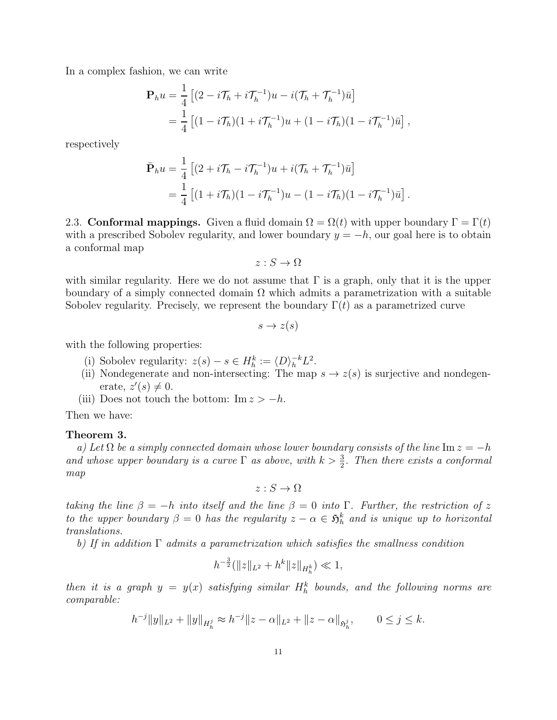In a complex fashion, we can write

$$
\mathbf{P}_h u = \frac{1}{4} \left[ (2 - i \mathcal{T}_h + i \mathcal{T}_h^{-1}) u - i (\mathcal{T}_h + \mathcal{T}_h^{-1}) \bar{u} \right]
$$
  
= 
$$
\frac{1}{4} \left[ (1 - i \mathcal{T}_h)(1 + i \mathcal{T}_h^{-1}) u + (1 - i \mathcal{T}_h)(1 - i \mathcal{T}_h^{-1}) \bar{u} \right],
$$

respectively

$$
\bar{\mathbf{P}}_h u = \frac{1}{4} \left[ (2 + i \mathcal{T}_h - i \mathcal{T}_h^{-1}) u + i (\mathcal{T}_h + \mathcal{T}_h^{-1}) \bar{u} \right]
$$
  
= 
$$
\frac{1}{4} \left[ (1 + i \mathcal{T}_h)(1 - i \mathcal{T}_h^{-1}) u - (1 - i \mathcal{T}_h)(1 - i \mathcal{T}_h^{-1}) \bar{u} \right]
$$

.

<span id="page-10-0"></span>2.3. Conformal mappings. Given a fluid domain  $\Omega = \Omega(t)$  with upper boundary  $\Gamma = \Gamma(t)$ with a prescribed Sobolev regularity, and lower boundary  $y = -h$ , our goal here is to obtain a conformal map

$$
z: S \to \Omega
$$

with similar regularity. Here we do not assume that  $\Gamma$  is a graph, only that it is the upper boundary of a simply connected domain  $\Omega$  which admits a parametrization with a suitable Sobolev regularity. Precisely, we represent the boundary  $\Gamma(t)$  as a parametrized curve

$$
s \to z(s)
$$

with the following properties:

- (i) Sobolev regularity:  $z(s) s \in H_h^k := \langle D \rangle_h^{-k} L^2$ .
- (ii) Nondegenerate and non-intersecting: The map  $s \to z(s)$  is surjective and nondegenerate,  $z'(s) \neq 0$ .
- (iii) Does not touch the bottom: Im  $z > -h$ .

Then we have:

# Theorem 3.

*a)* Let  $\Omega$  be a simply connected domain whose lower boundary consists of the line Im  $z = -h$ and whose upper boundary is a curve  $\Gamma$  as above, with  $k > \frac{3}{2}$ . Then there exists a conformal *map*

 $z: S \to \Omega$ 

*taking the line*  $\beta = -h$  *into itself and the line*  $\beta = 0$  *into* Γ. *Further, the restriction of* z *to the upper boundary*  $\beta = 0$  *has the regularity*  $z - \alpha \in \mathfrak{H}_h^k$  *and is unique up to horizontal translations.*

*b) If in addition* Γ *admits a parametrization which satisfies the smallness condition*

$$
h^{-\frac{3}{2}}(\|z\|_{L^{2}}+h^{k}\|z\|_{H_{h}^{k}})\ll 1,
$$

 $then$  *it is a graph*  $y = y(x)$  *satisfying similar*  $H_h^k$  *bounds, and the following norms are comparable:*

$$
h^{-j}||y||_{L^2} + ||y||_{H_h^j} \approx h^{-j}||z - \alpha||_{L^2} + ||z - \alpha||_{\mathfrak{H}_h^j}, \qquad 0 \le j \le k.
$$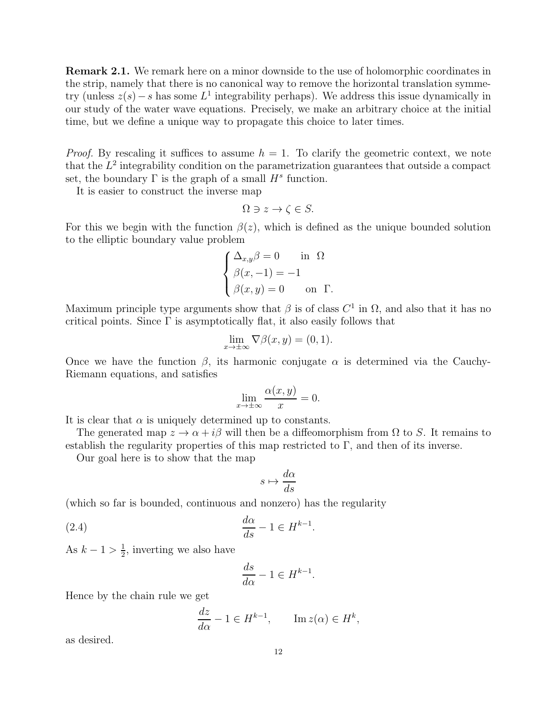Remark 2.1. We remark here on a minor downside to the use of holomorphic coordinates in the strip, namely that there is no canonical way to remove the horizontal translation symmetry (unless  $z(s) - s$  has some  $L^1$  integrability perhaps). We address this issue dynamically in our study of the water wave equations. Precisely, we make an arbitrary choice at the initial time, but we define a unique way to propagate this choice to later times.

*Proof.* By rescaling it suffices to assume  $h = 1$ . To clarify the geometric context, we note that the  $L^2$  integrability condition on the parametrization guarantees that outside a compact set, the boundary  $\Gamma$  is the graph of a small  $H^s$  function.

It is easier to construct the inverse map

$$
\Omega \ni z \to \zeta \in S.
$$

For this we begin with the function  $\beta(z)$ , which is defined as the unique bounded solution to the elliptic boundary value problem

$$
\begin{cases} \Delta_{x,y}\beta = 0 & \text{in } \Omega \\ \beta(x,-1) = -1 \\ \beta(x,y) = 0 & \text{on } \Gamma. \end{cases}
$$

Maximum principle type arguments show that  $\beta$  is of class  $C^1$  in  $\Omega$ , and also that it has no critical points. Since  $\Gamma$  is asymptotically flat, it also easily follows that

$$
\lim_{x \to \pm \infty} \nabla \beta(x, y) = (0, 1).
$$

Once we have the function  $\beta$ , its harmonic conjugate  $\alpha$  is determined via the Cauchy-Riemann equations, and satisfies

$$
\lim_{x \to \pm \infty} \frac{\alpha(x, y)}{x} = 0.
$$

It is clear that  $\alpha$  is uniquely determined up to constants.

The generated map  $z \to \alpha + i\beta$  will then be a diffeomorphism from  $\Omega$  to S. It remains to establish the regularity properties of this map restricted to  $\Gamma$ , and then of its inverse.

Our goal here is to show that the map

$$
s \mapsto \frac{d\alpha}{ds}
$$

(which so far is bounded, continuous and nonzero) has the regularity

$$
\frac{d\alpha}{ds} - 1 \in H^{k-1}.
$$

As  $k - 1 > \frac{1}{2}$  $\frac{1}{2}$ , inverting we also have

<span id="page-11-0"></span>
$$
\frac{ds}{d\alpha} - 1 \in H^{k-1}.
$$

Hence by the chain rule we get

$$
\frac{dz}{d\alpha} - 1 \in H^{k-1}, \qquad \text{Im}\, z(\alpha) \in H^k,
$$

as desired.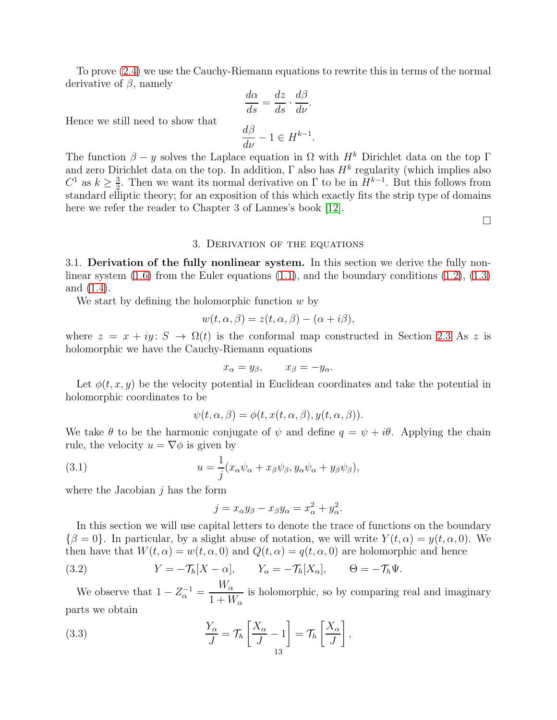To prove [\(2.4\)](#page-11-0) we use the Cauchy-Riemann equations to rewrite this in terms of the normal derivative of  $\beta$ , namely

$$
\frac{d\alpha}{ds} = \frac{dz}{ds} \cdot \frac{d\beta}{d\nu}.
$$

$$
\frac{d\beta}{d\nu} - 1 \in H^{k-1}
$$

.

Hence we still need to show that

The function  $\beta - y$  solves the Laplace equation in  $\Omega$  with  $H^k$  Dirichlet data on the top Γ and zero Dirichlet data on the top. In addition,  $\Gamma$  also has  $H^k$  regularity (which implies also  $C^1$  as  $k \geq \frac{3}{2}$  $\frac{3}{2}$ . Then we want its normal derivative on  $\Gamma$  to be in  $H^{k-1}$ . But this follows from standard elliptic theory; for an exposition of this which exactly fits the strip type of domains here we refer the reader to Chapter 3 of Lannes's book [\[12\]](#page-81-6).

 $\Box$ 

#### 3. Derivation of the equations

<span id="page-12-0"></span>3.1. Derivation of the fully nonlinear system. In this section we derive the fully nonlinear system  $(1.6)$  from the Euler equations  $(1.1)$ , and the boundary conditions  $(1.2)$ ,  $(1.3)$ and [\(1.4\)](#page-1-3).

We start by defining the holomorphic function  $w$  by

$$
w(t, \alpha, \beta) = z(t, \alpha, \beta) - (\alpha + i\beta),
$$

where  $z = x + iy \colon S \to \Omega(t)$  is the conformal map constructed in Section [2.3](#page-10-0) As z is holomorphic we have the Cauchy-Riemann equations

$$
x_\alpha = y_\beta, \qquad x_\beta = -y_\alpha.
$$

Let  $\phi(t, x, y)$  be the velocity potential in Euclidean coordinates and take the potential in holomorphic coordinates to be

$$
\psi(t, \alpha, \beta) = \phi(t, x(t, \alpha, \beta), y(t, \alpha, \beta)).
$$

We take  $\theta$  to be the harmonic conjugate of  $\psi$  and define  $q = \psi + i\theta$ . Applying the chain rule, the velocity  $u = \nabla \phi$  is given by

(3.1) 
$$
u = \frac{1}{j}(x_{\alpha}\psi_{\alpha} + x_{\beta}\psi_{\beta}, y_{\alpha}\psi_{\alpha} + y_{\beta}\psi_{\beta}),
$$

where the Jacobian  $j$  has the form

<span id="page-12-3"></span><span id="page-12-2"></span><span id="page-12-1"></span>
$$
j = x_{\alpha}y_{\beta} - x_{\beta}y_{\alpha} = x_{\alpha}^2 + y_{\alpha}^2.
$$

In this section we will use capital letters to denote the trace of functions on the boundary  $\{\beta = 0\}$ . In particular, by a slight abuse of notation, we will write  $Y(t, \alpha) = y(t, \alpha, 0)$ . We then have that  $W(t, \alpha) = w(t, \alpha, 0)$  and  $Q(t, \alpha) = q(t, \alpha, 0)$  are holomorphic and hence

(3.2) 
$$
Y = -\mathcal{T}_h[X - \alpha], \qquad Y_\alpha = -\mathcal{T}_h[X_\alpha], \qquad \Theta = -\mathcal{T}_h\Psi.
$$

We observe that  $1 - Z_{\alpha}^{-1} =$  $W_{\alpha}$  $1 + W_{\alpha}$ is holomorphic, so by comparing real and imaginary parts we obtain

(3.3) 
$$
\frac{Y_{\alpha}}{J} = \mathcal{T}_{h} \left[ \frac{X_{\alpha}}{J} - 1 \right] = \mathcal{T}_{h} \left[ \frac{X_{\alpha}}{J} \right],
$$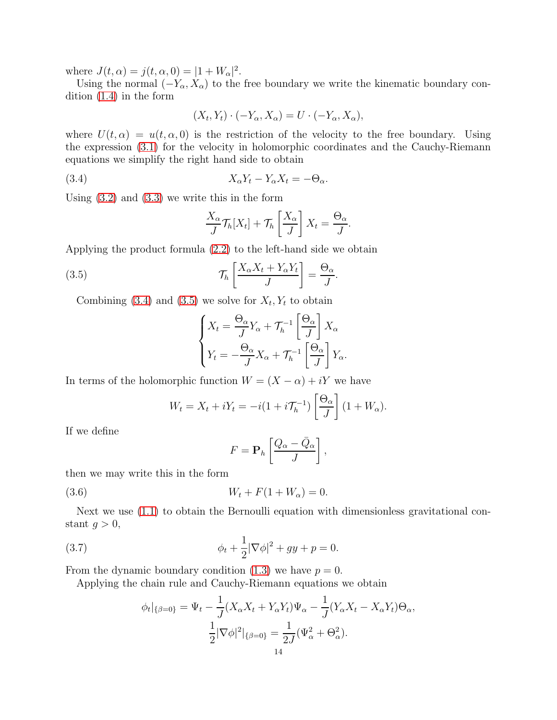where  $J(t, \alpha) = j(t, \alpha, 0) = |1 + W_{\alpha}|^2$ .

Using the normal  $(-Y_\alpha, X_\alpha)$  to the free boundary we write the kinematic boundary condition [\(1.4\)](#page-1-3) in the form

$$
(X_t, Y_t) \cdot (-Y_\alpha, X_\alpha) = U \cdot (-Y_\alpha, X_\alpha),
$$

where  $U(t, \alpha) = u(t, \alpha, 0)$  is the restriction of the velocity to the free boundary. Using the expression [\(3.1\)](#page-12-1) for the velocity in holomorphic coordinates and the Cauchy-Riemann equations we simplify the right hand side to obtain

(3.4) 
$$
X_{\alpha}Y_t - Y_{\alpha}X_t = -\Theta_{\alpha}.
$$

Using [\(3.2\)](#page-12-2) and [\(3.3\)](#page-12-3) we write this in the form

<span id="page-13-0"></span>
$$
\frac{X_{\alpha}}{J}\mathcal{T}_{h}[X_{t}]+\mathcal{T}_{h}\left[\frac{X_{\alpha}}{J}\right]X_{t}=\frac{\Theta_{\alpha}}{J}.
$$

Applying the product formula [\(2.2\)](#page-9-0) to the left-hand side we obtain

(3.5) 
$$
\mathcal{T}_h \left[ \frac{X_\alpha X_t + Y_\alpha Y_t}{J} \right] = \frac{\Theta_\alpha}{J}.
$$

Combining [\(3.4\)](#page-13-0) and [\(3.5\)](#page-13-1) we solve for  $X_t, Y_t$  to obtain

<span id="page-13-1"></span>
$$
\begin{cases} X_t = \frac{\Theta_{\alpha}}{J} Y_{\alpha} + \mathcal{T}_h^{-1} \left[ \frac{\Theta_{\alpha}}{J} \right] X_{\alpha} \\ Y_t = -\frac{\Theta_{\alpha}}{J} X_{\alpha} + \mathcal{T}_h^{-1} \left[ \frac{\Theta_{\alpha}}{J} \right] Y_{\alpha} .\end{cases}
$$

In terms of the holomorphic function  $W = (X - \alpha) + iY$  we have

$$
W_t = X_t + iY_t = -i(1 + i\mathcal{T}_h^{-1}) \left[\frac{\Theta_\alpha}{J}\right] (1 + W_\alpha).
$$

If we define

<span id="page-13-2"></span>
$$
F = \mathbf{P}_h \left[ \frac{Q_\alpha - \bar{Q}_\alpha}{J} \right],
$$

then we may write this in the form

(3.6) 
$$
W_t + F(1 + W_\alpha) = 0.
$$

Next we use [\(1.1\)](#page-1-0) to obtain the Bernoulli equation with dimensionless gravitational constant  $g > 0$ ,

(3.7) 
$$
\phi_t + \frac{1}{2} |\nabla \phi|^2 + gy + p = 0.
$$

From the dynamic boundary condition  $(1.3)$  we have  $p = 0$ .

Applying the chain rule and Cauchy-Riemann equations we obtain

<span id="page-13-3"></span>
$$
\phi_t|_{\{\beta=0\}} = \Psi_t - \frac{1}{J}(X_\alpha X_t + Y_\alpha Y_t)\Psi_\alpha - \frac{1}{J}(Y_\alpha X_t - X_\alpha Y_t)\Theta_\alpha,
$$

$$
\frac{1}{2}|\nabla\phi|^2|_{\{\beta=0\}} = \frac{1}{2J}(\Psi_\alpha^2 + \Theta_\alpha^2).
$$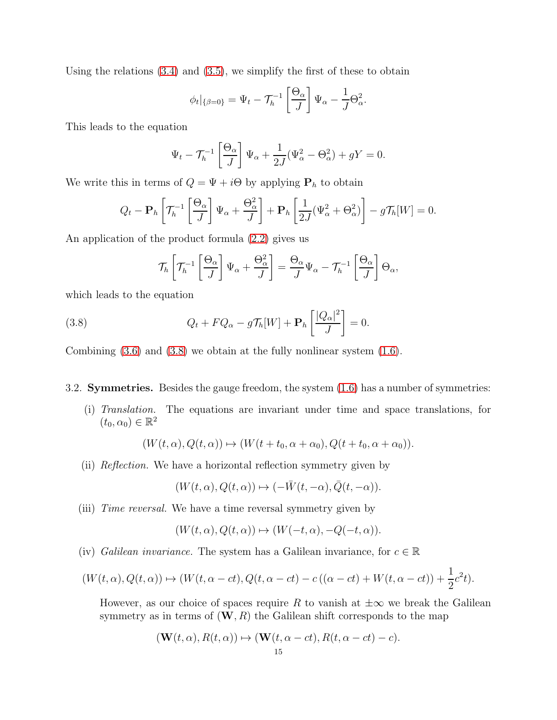Using the relations  $(3.4)$  and  $(3.5)$ , we simplify the first of these to obtain

$$
\phi_t|_{\{\beta=0\}} = \Psi_t - \mathcal{T}_h^{-1} \left[ \frac{\Theta_\alpha}{J} \right] \Psi_\alpha - \frac{1}{J} \Theta_\alpha^2.
$$

This leads to the equation

$$
\Psi_t - \mathcal{T}_h^{-1} \left[ \frac{\Theta_\alpha}{J} \right] \Psi_\alpha + \frac{1}{2J} (\Psi_\alpha^2 - \Theta_\alpha^2) + gY = 0.
$$

We write this in terms of  $Q = \Psi + i\Theta$  by applying  $P_h$  to obtain

$$
Q_t - \mathbf{P}_h \left[ \mathcal{T}_h^{-1} \left[ \frac{\Theta_\alpha}{J} \right] \Psi_\alpha + \frac{\Theta_\alpha^2}{J} \right] + \mathbf{P}_h \left[ \frac{1}{2J} (\Psi_\alpha^2 + \Theta_\alpha^2) \right] - g \mathcal{T}_h[W] = 0.
$$

An application of the product formula [\(2.2\)](#page-9-0) gives us

<span id="page-14-0"></span>
$$
\mathcal{T}_h \left[ \mathcal{T}_h^{-1} \left[ \frac{\Theta_\alpha}{J} \right] \Psi_\alpha + \frac{\Theta_\alpha^2}{J} \right] = \frac{\Theta_\alpha}{J} \Psi_\alpha - \mathcal{T}_h^{-1} \left[ \frac{\Theta_\alpha}{J} \right] \Theta_\alpha,
$$

which leads to the equation

(3.8) 
$$
Q_t + FQ_\alpha - g\mathcal{T}_h[W] + \mathbf{P}_h \left[ \frac{|Q_\alpha|^2}{J} \right] = 0.
$$

Combining  $(3.6)$  and  $(3.8)$  we obtain at the fully nonlinear system  $(1.6)$ .

#### 3.2. Symmetries. Besides the gauge freedom, the system [\(1.6\)](#page-3-0) has a number of symmetries:

(i) *Translation.* The equations are invariant under time and space translations, for  $(t_0, \alpha_0) \in \mathbb{R}^2$ 

$$
(W(t, \alpha), Q(t, \alpha)) \mapsto (W(t + t_0, \alpha + \alpha_0), Q(t + t_0, \alpha + \alpha_0)).
$$

(ii) *Reflection.* We have a horizontal reflection symmetry given by

$$
(W(t, \alpha), Q(t, \alpha)) \mapsto (-\bar{W}(t, -\alpha), \bar{Q}(t, -\alpha)).
$$

(iii) *Time reversal.* We have a time reversal symmetry given by

$$
(W(t, \alpha), Q(t, \alpha)) \mapsto (W(-t, \alpha), -Q(-t, \alpha)).
$$

(iv) *Galilean invariance*. The system has a Galilean invariance, for  $c \in \mathbb{R}$ 

$$
(W(t, \alpha), Q(t, \alpha)) \mapsto (W(t, \alpha - ct), Q(t, \alpha - ct) - c((\alpha - ct) + W(t, \alpha - ct)) + \frac{1}{2}c^2t).
$$

However, as our choice of spaces require R to vanish at  $\pm\infty$  we break the Galilean symmetry as in terms of  $(W, R)$  the Galilean shift corresponds to the map

$$
(\mathbf{W}(t,\alpha), R(t,\alpha)) \mapsto (\mathbf{W}(t,\alpha-ct), R(t,\alpha-ct)-c).
$$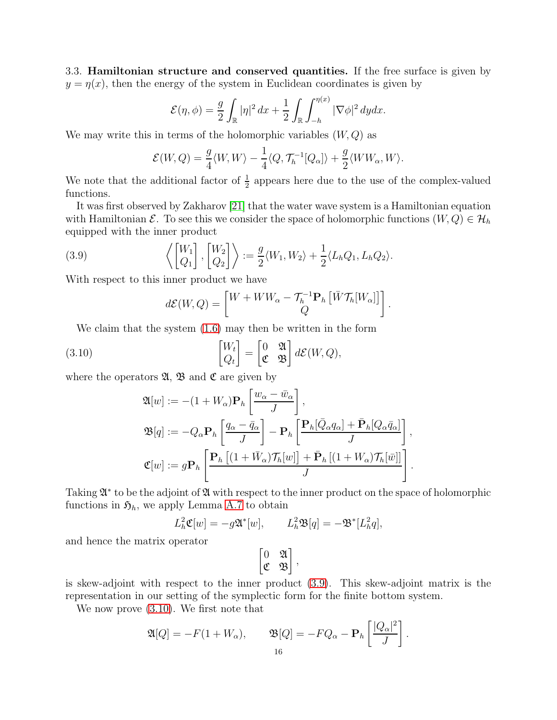3.3. Hamiltonian structure and conserved quantities. If the free surface is given by  $y = \eta(x)$ , then the energy of the system in Euclidean coordinates is given by

$$
\mathcal{E}(\eta,\phi) = \frac{g}{2} \int_{\mathbb{R}} |\eta|^2 dx + \frac{1}{2} \int_{\mathbb{R}} \int_{-h}^{\eta(x)} |\nabla \phi|^2 dy dx.
$$

We may write this in terms of the holomorphic variables  $(W, Q)$  as

$$
\mathcal{E}(W,Q) = \frac{g}{4}\langle W,W\rangle - \frac{1}{4}\langle Q,\mathcal{T}_h^{-1}[Q_\alpha]\rangle + \frac{g}{2}\langle WW_\alpha,W\rangle.
$$

We note that the additional factor of  $\frac{1}{2}$  appears here due to the use of the complex-valued functions.

It was first observed by Zakharov [\[21\]](#page-81-5) that the water wave system is a Hamiltonian equation with Hamiltonian  $\mathcal{E}$ . To see this we consider the space of holomorphic functions  $(W, Q) \in \mathcal{H}_h$ equipped with the inner product

(3.9) 
$$
\left\langle \begin{bmatrix} W_1 \\ Q_1 \end{bmatrix}, \begin{bmatrix} W_2 \\ Q_2 \end{bmatrix} \right\rangle := \frac{g}{2} \langle W_1, W_2 \rangle + \frac{1}{2} \langle L_h Q_1, L_h Q_2 \rangle.
$$

With respect to this inner product we have

<span id="page-15-1"></span><span id="page-15-0"></span>
$$
d\mathcal{E}(W,Q) = \begin{bmatrix} W + WW_{\alpha} - \mathcal{T}_h^{-1} \mathbf{P}_h \left[ \bar{W} \mathcal{T}_h[W_{\alpha}] \right] \\ Q \end{bmatrix}
$$

.

We claim that the system [\(1.6\)](#page-3-0) may then be written in the form

(3.10) 
$$
\begin{bmatrix} W_t \\ Q_t \end{bmatrix} = \begin{bmatrix} 0 & \mathfrak{A} \\ \mathfrak{C} & \mathfrak{B} \end{bmatrix} d\mathcal{E}(W, Q),
$$

where the operators  $\mathfrak{A}, \mathfrak{B}$  and  $\mathfrak{C}$  are given by

$$
\mathfrak{A}[w] := -(1 + W_{\alpha}) \mathbf{P}_h \left[ \frac{w_{\alpha} - \bar{w}_{\alpha}}{J} \right],
$$
  
\n
$$
\mathfrak{B}[q] := -Q_{\alpha} \mathbf{P}_h \left[ \frac{q_{\alpha} - \bar{q}_{\alpha}}{J} \right] - \mathbf{P}_h \left[ \frac{\mathbf{P}_h[\bar{Q}_{\alpha}q_{\alpha}] + \bar{\mathbf{P}}_h[Q_{\alpha}\bar{q}_{\alpha}]}{J} \right],
$$
  
\n
$$
\mathfrak{C}[w] := g \mathbf{P}_h \left[ \frac{\mathbf{P}_h \left[ (1 + \bar{W}_{\alpha}) \mathcal{T}_h[w] \right] + \bar{\mathbf{P}}_h \left[ (1 + W_{\alpha}) \mathcal{T}_h[\bar{w}] \right]}{J} \right].
$$

Taking  $\mathfrak{A}^*$  to be the adjoint of  $\mathfrak A$  with respect to the inner product on the space of holomorphic functions in  $\mathfrak{H}_h$ , we apply Lemma [A.7](#page-74-0) to obtain

$$
L_h^2 \mathfrak{C}[w] = -g\mathfrak{A}^*[w], \qquad L_h^2 \mathfrak{B}[q] = -\mathfrak{B}^*[L_h^2 q],
$$

and hence the matrix operator

$$
\begin{bmatrix} 0 & \mathfrak A \\ \mathfrak C & \mathfrak B \end{bmatrix},
$$

is skew-adjoint with respect to the inner product [\(3.9\)](#page-15-0). This skew-adjoint matrix is the representation in our setting of the symplectic form for the finite bottom system.

We now prove [\(3.10\)](#page-15-1). We first note that

$$
\mathfrak{A}[Q] = -F(1 + W_{\alpha}), \qquad \mathfrak{B}[Q] = -FQ_{\alpha} - \mathbf{P}_h \left[ \frac{|Q_{\alpha}|^2}{J} \right].
$$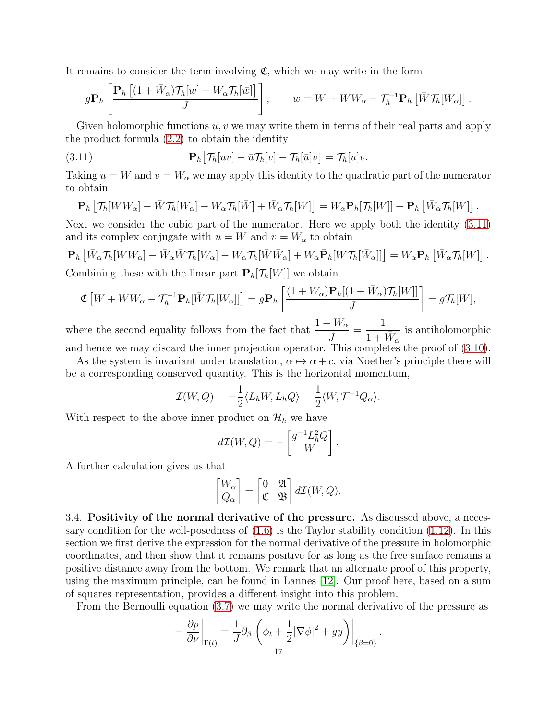It remains to consider the term involving  $\mathfrak{C}$ , which we may write in the form

$$
g\mathbf{P}_h\left[\frac{\mathbf{P}_h\left[(1+\bar{W}_\alpha)\mathcal{T}_h[w]-W_\alpha\mathcal{T}_h[\bar{w}]\right]}{J}\right], \qquad w=W+WW_\alpha-\mathcal{T}_h^{-1}\mathbf{P}_h\left[\bar{W}\mathcal{T}_h[W_\alpha]\right].
$$

Given holomorphic functions  $u, v$  we may write them in terms of their real parts and apply the product formula [\(2.2\)](#page-9-0) to obtain the identity

<span id="page-16-1"></span>(3.11) 
$$
\mathbf{P}_h \big[ \mathcal{T}_h [uv] - \bar{u} \mathcal{T}_h [v] - \mathcal{T}_h [\bar{u}] v \big] = \mathcal{T}_h [u] v.
$$

Taking  $u = W$  and  $v = W_{\alpha}$  we may apply this identity to the quadratic part of the numerator to obtain

$$
\mathbf{P}_h \left[ \mathcal{T}_h[WW_\alpha] - \bar{W} \mathcal{T}_h[W_\alpha] - W_\alpha \mathcal{T}_h[\bar{W}] + \bar{W}_\alpha \mathcal{T}_h[W] \right] = W_\alpha \mathbf{P}_h[\mathcal{T}_h[W]] + \mathbf{P}_h \left[ \bar{W}_\alpha \mathcal{T}_h[W] \right].
$$

Next we consider the cubic part of the numerator. Here we apply both the identity [\(3.11\)](#page-16-1) and its complex conjugate with  $u = W$  and  $v = W_\alpha$  to obtain

$$
\mathbf{P}_h\left[\bar{W}_\alpha\mathcal{T}_h[WW_\alpha] - \bar{W}_\alpha\bar{W}\mathcal{T}_h[W_\alpha] - W_\alpha\mathcal{T}_h[\bar{W}\bar{W}_\alpha] + W_\alpha\bar{\mathbf{P}}_h[W\mathcal{T}_h[\bar{W}_\alpha]]\right] = W_\alpha\mathbf{P}_h\left[\bar{W}_\alpha\mathcal{T}_h[W]\right].
$$
  
Combinian these with the linear part  $\mathbf{P}_h[\mathcal{T}_h[W]]$  are a  
hotic

Combining these with the linear part  $P_h[\mathcal{T}_h[W]]$  we obtain

$$
\mathfrak{C}\left[W + WW_{\alpha} - \mathcal{T}_{h}^{-1} \mathbf{P}_{h}[\bar{W}\mathcal{T}_{h}[W_{\alpha}]]\right] = g\mathbf{P}_{h}\left[\frac{(1 + W_{\alpha})\mathbf{P}_{h}[(1 + \bar{W}_{\alpha})\mathcal{T}_{h}[W]]}{J}\right] = g\mathcal{T}_{h}[W],
$$

where the second equality follows from the fact that  $\frac{1 + W_{\alpha}}{I}$ J = 1  $1 + \bar{W}_\alpha$ is antiholomorphic and hence we may discard the inner projection operator. This completes the proof of [\(3.10\)](#page-15-1).

As the system is invariant under translation,  $\alpha \mapsto \alpha + c$ , via Noether's principle there will be a corresponding conserved quantity. This is the horizontal momentum,

$$
\mathcal{I}(W,Q) = -\frac{1}{2}\langle L_h W, L_h Q \rangle = \frac{1}{2}\langle W, \mathcal{T}^{-1} Q_\alpha \rangle.
$$

With respect to the above inner product on  $\mathcal{H}_h$  we have

−

$$
d\mathcal{I}(W,Q) = -\begin{bmatrix} g^{-1}L_h^2 Q \\ W \end{bmatrix}.
$$

A further calculation gives us that

$$
\begin{bmatrix} W_{\alpha} \\ Q_{\alpha} \end{bmatrix} = \begin{bmatrix} 0 & \mathfrak{A} \\ \mathfrak{C} & \mathfrak{B} \end{bmatrix} d\mathcal{I}(W, Q).
$$

<span id="page-16-0"></span>3.4. Positivity of the normal derivative of the pressure. As discussed above, a necessary condition for the well-posedness of  $(1.6)$  is the Taylor stability condition  $(1.12)$ . In this section we first derive the expression for the normal derivative of the pressure in holomorphic coordinates, and then show that it remains positive for as long as the free surface remains a positive distance away from the bottom. We remark that an alternate proof of this property, using the maximum principle, can be found in Lannes [\[12\]](#page-81-6). Our proof here, based on a sum of squares representation, provides a different insight into this problem.

From the Bernoulli equation [\(3.7\)](#page-13-3) we may write the normal derivative of the pressure as

$$
\left.\frac{\partial p}{\partial \nu}\right|_{\Gamma(t)} = \frac{1}{J} \partial_\beta \left(\phi_t + \frac{1}{2}|\nabla \phi|^2 + gy\right)\right|_{\{\beta = 0\}}
$$

.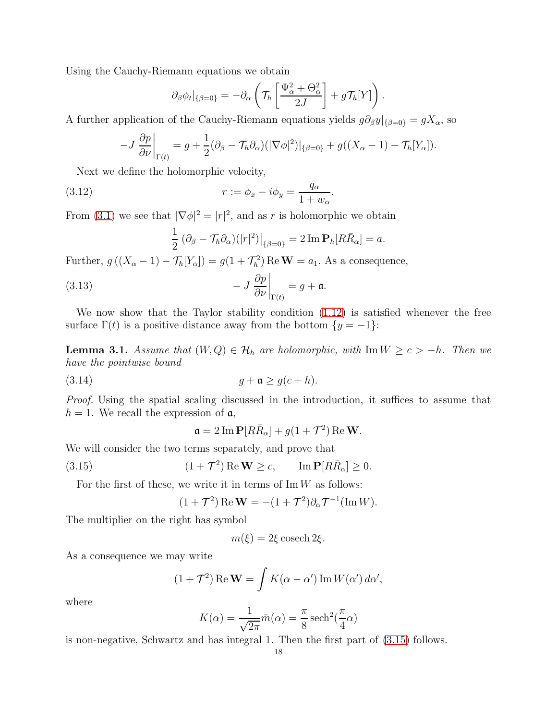Using the Cauchy-Riemann equations we obtain

$$
\partial_{\beta}\phi_t|_{\{\beta=0\}}=-\partial_{\alpha}\left(\mathcal{T}_h\left[\frac{\Psi_{\alpha}^2+\Theta_{\alpha}^2}{2J}\right]+g\mathcal{T}_h[Y]\right).
$$

A further application of the Cauchy-Riemann equations yields  $g\partial_\beta y|_{\{\beta=0\}} = gX_\alpha$ , so

$$
-J\frac{\partial p}{\partial \nu}\bigg|_{\Gamma(t)} = g + \frac{1}{2}(\partial_{\beta} - \mathcal{T}_h \partial_{\alpha})(|\nabla \phi|^2)|_{\{\beta=0\}} + g((X_{\alpha} - 1) - \mathcal{T}_h[Y_{\alpha}]).
$$

Next we define the holomorphic velocity,

(3.12) 
$$
r := \phi_x - i\phi_y = \frac{q_\alpha}{1 + w_\alpha}.
$$

From [\(3.1\)](#page-12-1) we see that  $|\nabla \phi|^2 = |r|^2$ , and as r is holomorphic we obtain

<span id="page-17-1"></span>
$$
\frac{1}{2} (\partial_{\beta} - \mathcal{T}_h \partial_{\alpha})(|r|^2)|_{\{\beta = 0\}} = 2 \operatorname{Im} \mathbf{P}_h [R\bar{R}_{\alpha}] = a.
$$

Further,  $g((X_{\alpha}-1)-\mathcal{T}_{h}[Y_{\alpha}])=g(1+\mathcal{T}_{h}^{2})$  Re  $\mathbf{W}=a_{1}$ . As a consequence,

(3.13) 
$$
-J\frac{\partial p}{\partial \nu}\bigg|_{\Gamma(t)} = g + \mathfrak{a}.
$$

We now show that the Taylor stability condition [\(1.12\)](#page-5-0) is satisfied whenever the free surface  $\Gamma(t)$  is a positive distance away from the bottom  $\{y = -1\}$ :

<span id="page-17-2"></span>**Lemma 3.1.** *Assume that*  $(W, Q) \in \mathcal{H}_h$  *are holomorphic, with* Im  $W \ge c > -h$ *. Then we have the pointwise bound*

(3.14) 
$$
g + \mathfrak{a} \ge g(c+h).
$$

*Proof.* Using the spatial scaling discussed in the introduction, it suffices to assume that  $h = 1$ . We recall the expression of  $\mathfrak{a}$ ,

 $\mathfrak{a} = 2 \operatorname{Im} \mathbf{P}[R\bar{R}_{\alpha}] + g(1+\mathcal{T}^2) \operatorname{Re} \mathbf{W}.$ 

We will consider the two terms separately, and prove that

(3.15) 
$$
(1 + \mathcal{T}^2) \operatorname{Re} \mathbf{W} \ge c, \qquad \operatorname{Im} \mathbf{P}[R\bar{R}_{\alpha}] \ge 0.
$$

For the first of these, we write it in terms of  $\text{Im } W$  as follows:

<span id="page-17-0"></span>
$$
(1+\mathcal{T}^2)\operatorname{Re}\mathbf{W} = -(1+\mathcal{T}^2)\partial_\alpha \mathcal{T}^{-1}(\operatorname{Im} W).
$$

The multiplier on the right has symbol

$$
m(\xi) = 2\xi \cosech 2\xi.
$$

As a consequence we may write

$$
(1+\mathcal{T}^2)\operatorname{Re}\mathbf{W} = \int K(\alpha - \alpha') \operatorname{Im} W(\alpha') d\alpha',
$$

where

$$
K(\alpha) = \frac{1}{\sqrt{2\pi}} \check{m}(\alpha) = \frac{\pi}{8} \operatorname{sech}^2(\frac{\pi}{4}\alpha)
$$

is non-negative, Schwartz and has integral 1. Then the first part of [\(3.15\)](#page-17-0) follows.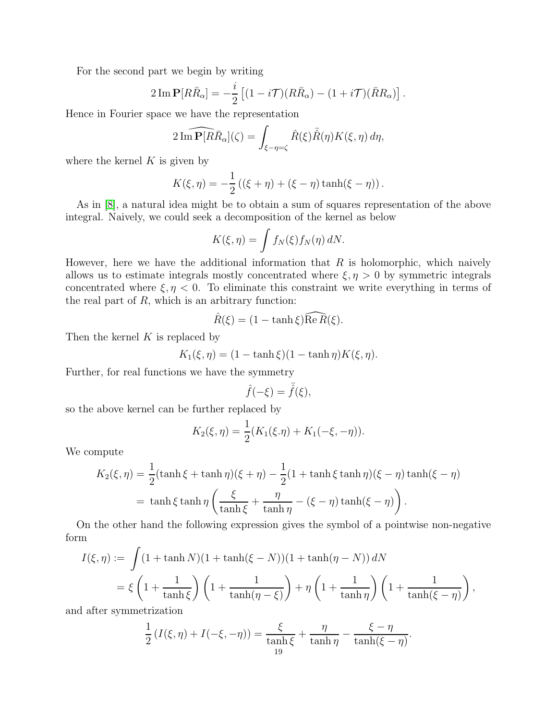For the second part we begin by writing

$$
2\,\mathrm{Im}\,\mathbf{P}[R\bar{R}_{\alpha}] = -\frac{i}{2}\left[ (1 - i\mathcal{T})(R\bar{R}_{\alpha}) - (1 + i\mathcal{T})(\bar{R}R_{\alpha}) \right].
$$

Hence in Fourier space we have the representation

$$
2 \widehat{\ln \mathbf{P}[R\bar{R}_{\alpha}]}(\zeta) = \int_{\xi - \eta = \zeta} \hat{R}(\xi) \bar{\hat{R}}(\eta) K(\xi, \eta) d\eta,
$$

where the kernel  $K$  is given by

$$
K(\xi, \eta) = -\frac{1}{2} ((\xi + \eta) + (\xi - \eta) \tanh(\xi - \eta)).
$$

As in [\[8\]](#page-81-0), a natural idea might be to obtain a sum of squares representation of the above integral. Naively, we could seek a decomposition of the kernel as below

$$
K(\xi, \eta) = \int f_N(\xi) f_N(\eta) dN.
$$

However, here we have the additional information that  $R$  is holomorphic, which naively allows us to estimate integrals mostly concentrated where  $\xi, \eta > 0$  by symmetric integrals concentrated where  $\xi, \eta < 0$ . To eliminate this constraint we write everything in terms of the real part of  $R$ , which is an arbitrary function:

$$
\hat{R}(\xi) = (1 - \tanh \xi) \widehat{\text{Re } R}(\xi).
$$

Then the kernel  $K$  is replaced by

$$
K_1(\xi, \eta) = (1 - \tanh \xi)(1 - \tanh \eta)K(\xi, \eta).
$$

Further, for real functions we have the symmetry

$$
\hat{f}(-\xi) = \bar{\hat{f}}(\xi),
$$

so the above kernel can be further replaced by

$$
K_2(\xi, \eta) = \frac{1}{2}(K_1(\xi \cdot \eta) + K_1(-\xi, -\eta)).
$$

We compute

$$
K_2(\xi, \eta) = \frac{1}{2} (\tanh \xi + \tanh \eta)(\xi + \eta) - \frac{1}{2} (1 + \tanh \xi \tanh \eta)(\xi - \eta) \tanh(\xi - \eta)
$$
  
=  $\tanh \xi \tanh \eta \left( \frac{\xi}{\tanh \xi} + \frac{\eta}{\tanh \eta} - (\xi - \eta) \tanh(\xi - \eta) \right).$ 

On the other hand the following expression gives the symbol of a pointwise non-negative form

$$
I(\xi, \eta) := \int (1 + \tanh N)(1 + \tanh(\xi - N))(1 + \tanh(\eta - N)) dN
$$
  
=  $\xi \left(1 + \frac{1}{\tanh \xi}\right) \left(1 + \frac{1}{\tanh(\eta - \xi)}\right) + \eta \left(1 + \frac{1}{\tanh \eta}\right) \left(1 + \frac{1}{\tanh(\xi - \eta)}\right),$ 

and after symmetrization

$$
\frac{1}{2}\left(I(\xi,\eta) + I(-\xi,-\eta)\right) = \frac{\xi}{\tanh\xi} + \frac{\eta}{\tanh\eta} - \frac{\xi-\eta}{\tanh(\xi-\eta)}
$$

.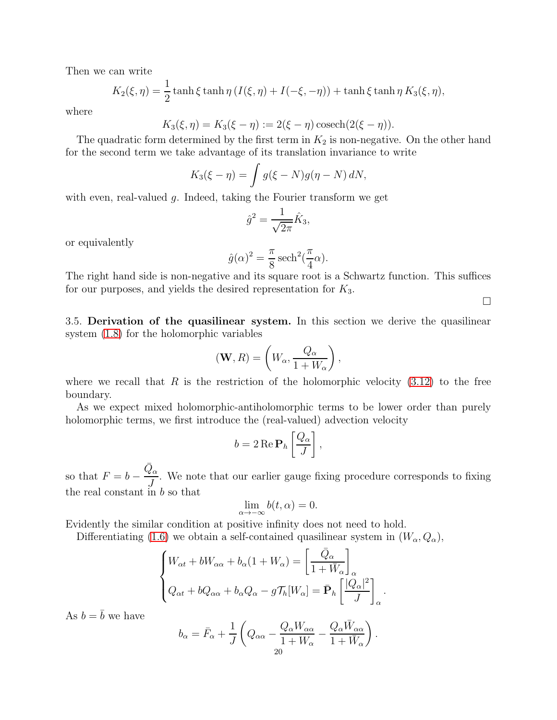Then we can write

$$
K_2(\xi, \eta) = \frac{1}{2} \tanh \xi \tanh \eta \left( I(\xi, \eta) + I(-\xi, -\eta) \right) + \tanh \xi \tanh \eta \, K_3(\xi, \eta),
$$

where

$$
K_3(\xi, \eta) = K_3(\xi - \eta) := 2(\xi - \eta) \operatorname{cosech}(2(\xi - \eta)).
$$

The quadratic form determined by the first term in  $K_2$  is non-negative. On the other hand for the second term we take advantage of its translation invariance to write

$$
K_3(\xi - \eta) = \int g(\xi - N)g(\eta - N) dN,
$$

with even, real-valued  $q$ . Indeed, taking the Fourier transform we get

$$
\hat{g}^2 = \frac{1}{\sqrt{2\pi}} \hat{K}_3,
$$

or equivalently

$$
\hat{g}(\alpha)^2 = \frac{\pi}{8} \operatorname{sech}^2(\frac{\pi}{4}\alpha).
$$

The right hand side is non-negative and its square root is a Schwartz function. This suffices for our purposes, and yields the desired representation for  $K_3$ .

 $\Box$ 

3.5. Derivation of the quasilinear system. In this section we derive the quasilinear system [\(1.8\)](#page-4-0) for the holomorphic variables

$$
(\mathbf{W}, R) = \left(W_{\alpha}, \frac{Q_{\alpha}}{1 + W_{\alpha}}\right),
$$

where we recall that R is the restriction of the holomorphic velocity  $(3.12)$  to the free boundary.

As we expect mixed holomorphic-antiholomorphic terms to be lower order than purely holomorphic terms, we first introduce the (real-valued) advection velocity

$$
b = 2 \operatorname{Re} \mathbf{P}_h \left[ \frac{Q_\alpha}{J} \right],
$$

so that  $F = b \bar{Q}_\alpha$ J . We note that our earlier gauge fixing procedure corresponds to fixing the real constant in  $b$  so that

$$
\lim_{\alpha \to -\infty} b(t, \alpha) = 0.
$$

Evidently the similar condition at positive infinity does not need to hold.

Differentiating [\(1.6\)](#page-3-0) we obtain a self-contained quasilinear system in  $(W_{\alpha}, Q_{\alpha})$ ,

$$
\begin{cases} W_{\alpha t} + bW_{\alpha \alpha} + b_{\alpha} (1 + W_{\alpha}) = \left[ \frac{\bar{Q}_{\alpha}}{1 + \bar{W}_{\alpha}} \right]_{\alpha} \\ Q_{\alpha t} + bQ_{\alpha \alpha} + b_{\alpha} Q_{\alpha} - g \mathcal{T}_{h} [W_{\alpha}] = \bar{\mathbf{P}}_{h} \left[ \frac{|Q_{\alpha}|^{2}}{J} \right]_{\alpha} .\end{cases}
$$

As  $b = \overline{b}$  we have

$$
b_{\alpha} = \bar{F}_{\alpha} + \frac{1}{J} \left( Q_{\alpha\alpha} - \frac{Q_{\alpha} W_{\alpha\alpha}}{1 + W_{\alpha}} - \frac{Q_{\alpha} \bar{W}_{\alpha\alpha}}{1 + \bar{W}_{\alpha}} \right).
$$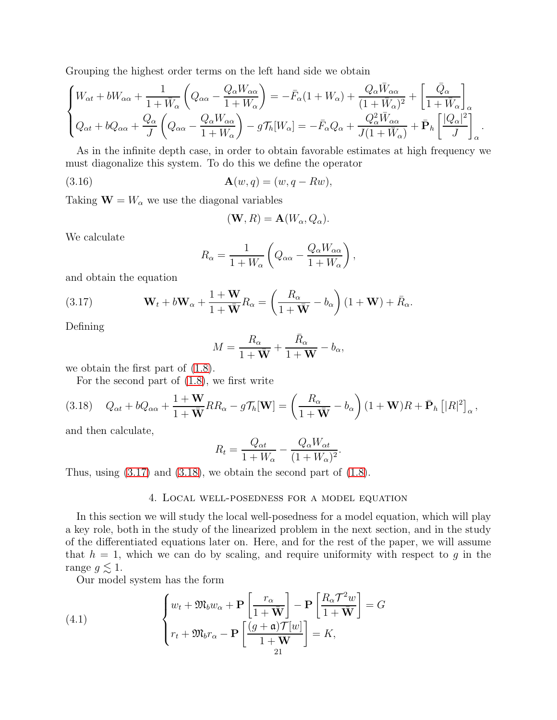Grouping the highest order terms on the left hand side we obtain

$$
\begin{cases} W_{\alpha t} + bW_{\alpha \alpha} + \frac{1}{1 + \bar{W}_{\alpha}} \left( Q_{\alpha \alpha} - \frac{Q_{\alpha} W_{\alpha \alpha}}{1 + W_{\alpha}} \right) = -\bar{F}_{\alpha} (1 + W_{\alpha}) + \frac{Q_{\alpha} \bar{W}_{\alpha \alpha}}{(1 + \bar{W}_{\alpha})^{2}} + \left[ \frac{\bar{Q}_{\alpha}}{1 + \bar{W}_{\alpha}} \right]_{\alpha} Q_{\alpha t} + bQ_{\alpha \alpha} + \frac{Q_{\alpha}}{J} \left( Q_{\alpha \alpha} - \frac{Q_{\alpha} W_{\alpha \alpha}}{1 + W_{\alpha}} \right) - g \mathcal{T}_{h} [W_{\alpha}] = -\bar{F}_{\alpha} Q_{\alpha} + \frac{Q_{\alpha}^{2} \bar{W}_{\alpha \alpha}}{J(1 + \bar{W}_{\alpha})} + \bar{\mathbf{P}}_{h} \left[ \frac{|Q_{\alpha}|^{2}}{J} \right]_{\alpha} .\end{cases}
$$

As in the infinite depth case, in order to obtain favorable estimates at high frequency we must diagonalize this system. To do this we define the operator

$$
\mathbf{A}(w,q) = (w, q - Rw),
$$

Taking  $\mathbf{W} = W_{\alpha}$  we use the diagonal variables

$$
(\mathbf{W}, R) = \mathbf{A}(W_{\alpha}, Q_{\alpha}).
$$

We calculate

$$
R_{\alpha} = \frac{1}{1 + W_{\alpha}} \left( Q_{\alpha \alpha} - \frac{Q_{\alpha} W_{\alpha \alpha}}{1 + W_{\alpha}} \right),
$$

and obtain the equation

(3.17) 
$$
\mathbf{W}_t + b\mathbf{W}_\alpha + \frac{1+\mathbf{W}}{1+\bar{\mathbf{W}}}R_\alpha = \left(\frac{R_\alpha}{1+\bar{\mathbf{W}}}-b_\alpha\right)(1+\mathbf{W}) + \bar{R}_\alpha.
$$

Defining

<span id="page-20-1"></span>
$$
M = \frac{R_{\alpha}}{1 + \bar{W}} + \frac{\bar{R}_{\alpha}}{1 + W} - b_{\alpha},
$$

we obtain the first part of [\(1.8\)](#page-4-0).

<span id="page-20-2"></span>For the second part of [\(1.8\)](#page-4-0), we first write

(3.18) 
$$
Q_{\alpha t} + bQ_{\alpha \alpha} + \frac{1 + \mathbf{W}}{1 + \bar{\mathbf{W}}}RR_{\alpha} - g\mathcal{T}_{h}[\mathbf{W}] = \left(\frac{R_{\alpha}}{1 + \bar{\mathbf{W}}} - b_{\alpha}\right)(1 + \mathbf{W})R + \bar{\mathbf{P}}_{h}[[R]^2]_{\alpha},
$$

and then calculate,

$$
R_t = \frac{Q_{\alpha t}}{1 + W_{\alpha}} - \frac{Q_{\alpha} W_{\alpha t}}{(1 + W_{\alpha})^2}.
$$

<span id="page-20-0"></span>Thus, using  $(3.17)$  and  $(3.18)$ , we obtain the second part of  $(1.8)$ .

# 4. Local well-posedness for a model equation

In this section we will study the local well-posedness for a model equation, which will play a key role, both in the study of the linearized problem in the next section, and in the study of the differentiated equations later on. Here, and for the rest of the paper, we will assume that  $h = 1$ , which we can do by scaling, and require uniformity with respect to g in the range  $g \leq 1$ .

<span id="page-20-3"></span>Our model system has the form

(4.1) 
$$
\begin{cases} w_t + \mathfrak{M}_b w_\alpha + \mathbf{P} \left[ \frac{r_\alpha}{1 + \bar{\mathbf{W}}} \right] - \mathbf{P} \left[ \frac{R_\alpha \mathcal{T}^2 w}{1 + \bar{\mathbf{W}}} \right] = G \\ r_t + \mathfrak{M}_b r_\alpha - \mathbf{P} \left[ \frac{(g + \mathfrak{a}) \mathcal{T} [w]}{1 + \mathbf{W}} \right] = K, \\ 21 \end{cases}
$$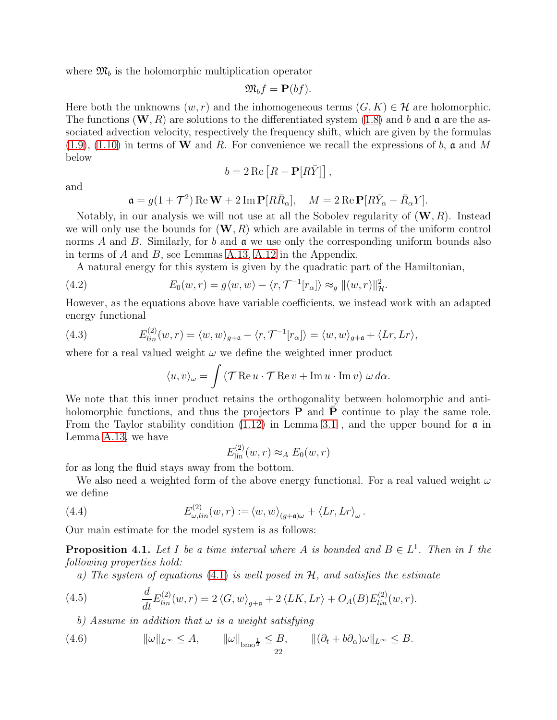where  $\mathfrak{M}_b$  is the holomorphic multiplication operator

$$
\mathfrak{M}_b f = \mathbf{P}(bf).
$$

Here both the unknowns  $(w, r)$  and the inhomogeneous terms  $(G, K) \in \mathcal{H}$  are holomorphic. The functions  $(\mathbf{W}, R)$  are solutions to the differentiated system [\(1.8\)](#page-4-0) and b and a are the associated advection velocity, respectively the frequency shift, which are given by the formulas  $(1.9)$ ,  $(1.10)$  in terms of W and R. For convenience we recall the expressions of b, a and M below

$$
b = 2 \operatorname{Re} \left[ R - \mathbf{P} [R \bar{Y}] \right],
$$

and

$$
\mathfrak{a} = g(1 + \mathcal{T}^2) \operatorname{Re} \mathbf{W} + 2 \operatorname{Im} \mathbf{P}[R\bar{R}_{\alpha}], \quad M = 2 \operatorname{Re} \mathbf{P}[R\bar{Y}_{\alpha} - \bar{R}_{\alpha}Y].
$$

Notably, in our analysis we will not use at all the Sobolev regularity of  $(W, R)$ . Instead we will only use the bounds for  $(\mathbf{W}, R)$  which are available in terms of the uniform control norms A and B. Similarly, for b and  $\alpha$  we use only the corresponding uniform bounds also in terms of  $A$  and  $B$ , see Lemmas [A.13,](#page-76-0) [A.12](#page-76-1) in the Appendix.

A natural energy for this system is given by the quadratic part of the Hamiltonian,

(4.2) 
$$
E_0(w,r) = g\langle w,w\rangle - \langle r,\mathcal{T}^{-1}[r_\alpha]\rangle \approx_g ||(w,r)||^2_{\mathcal{H}}.
$$

However, as the equations above have variable coefficients, we instead work with an adapted energy functional

(4.3) 
$$
E_{lin}^{(2)}(w,r) = \langle w, w \rangle_{g+\mathfrak{a}} - \langle r, \mathcal{T}^{-1}[r_{\alpha}] \rangle = \langle w, w \rangle_{g+\mathfrak{a}} + \langle Lr, Lr \rangle,
$$

where for a real valued weight  $\omega$  we define the weighted inner product

$$
\langle u, v \rangle_{\omega} = \int (\mathcal{T} \operatorname{Re} u \cdot \mathcal{T} \operatorname{Re} v + \operatorname{Im} u \cdot \operatorname{Im} v) \omega d\alpha.
$$

We note that this inner product retains the orthogonality between holomorphic and antiholomorphic functions, and thus the projectors  $P$  and  $P$  continue to play the same role. From the Taylor stability condition  $(1.12)$  in Lemma [3.1](#page-17-2), and the upper bound for  $\mathfrak{a}$  in Lemma [A.13,](#page-76-0) we have

$$
E_{\rm lin}^{(2)}(w,r) \approx_A E_0(w,r)
$$

for as long the fluid stays away from the bottom.

We also need a weighted form of the above energy functional. For a real valued weight  $\omega$ we define

(4.4) 
$$
E_{\omega,lin}^{(2)}(w,r) := \langle w, w \rangle_{(g+\mathfrak{a})\omega} + \langle Lr, Lr \rangle_{\omega}.
$$

Our main estimate for the model system is as follows:

<span id="page-21-1"></span>**Proposition 4.1.** Let  $I$  be a time interval where  $A$  is bounded and  $B \in L^1$ . Then in  $I$  the *following properties hold:*

*a) The system of equations* [\(4.1\)](#page-20-3) *is well posed in* H*, and satisfies the estimate*

(4.5) 
$$
\frac{d}{dt} E_{lin}^{(2)}(w,r) = 2 \langle G, w \rangle_{g+\mathfrak{a}} + 2 \langle LK, Lr \rangle + O_A(B) E_{lin}^{(2)}(w,r).
$$

<span id="page-21-0"></span>*b) Assume in addition that* ω *is a weight satisfying*

(4.6) 
$$
\|\omega\|_{L^{\infty}} \leq A, \qquad \|\omega\|_{\text{bmo}^{\frac{1}{2}}} \leq B, \qquad \|(\partial_t + b\partial_{\alpha})\omega\|_{L^{\infty}} \leq B.
$$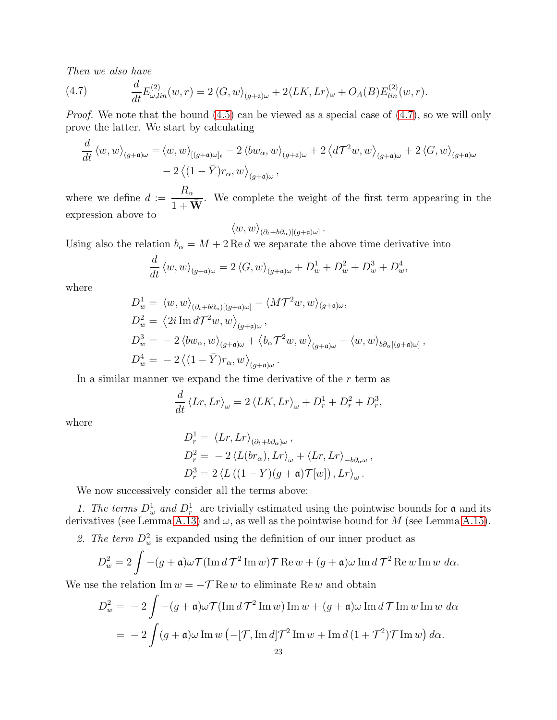*Then we also have*

<span id="page-22-0"></span>(4.7) 
$$
\frac{d}{dt} E_{\omega,lin}^{(2)}(w,r) = 2 \langle G, w \rangle_{(g+\mathfrak{a})\omega} + 2 \langle LK, Lr \rangle_{\omega} + O_A(B) E_{lin}^{(2)}(w,r).
$$

*Proof.* We note that the bound  $(4.5)$  can be viewed as a special case of  $(4.7)$ , so we will only prove the latter. We start by calculating

$$
\frac{d}{dt} \langle w, w \rangle_{(g+\mathfrak{a})\omega} = \langle w, w \rangle_{[(g+\mathfrak{a})\omega]_t} - 2 \langle bw_{\alpha}, w \rangle_{(g+\mathfrak{a})\omega} + 2 \langle d\mathcal{T}^2 w, w \rangle_{(g+\mathfrak{a})\omega} + 2 \langle G, w \rangle_{(g+\mathfrak{a})\omega}
$$

$$
- 2 \langle (1-\bar{Y})r_{\alpha}, w \rangle_{(g+\mathfrak{a})\omega},
$$

where we define  $d := \frac{R_{\alpha}}{1 + R_{\alpha}}$  $\frac{1}{1 + \bar{\mathbf{W}}}$ . We complete the weight of the first term appearing in the expression above to

$$
\langle w, w \rangle_{(\partial_t + b\partial_\alpha)[(g + \mathfrak{a})\omega]}
$$

.

Using also the relation  $b_{\alpha} = M + 2 \text{Re } d$  we separate the above time derivative into

$$
\frac{d}{dt}\langle w,w\rangle_{(g+\mathfrak{a})\omega} = 2\langle G,w\rangle_{(g+\mathfrak{a})\omega} + D_w^1 + D_w^2 + D_w^3 + D_w^4,
$$

where

$$
D_w^1 = \langle w, w \rangle_{(\partial_t + b\partial_\alpha)[(g+a)\omega]} - \langle M \mathcal{T}^2 w, w \rangle_{(g+a)\omega},
$$
  
\n
$$
D_w^2 = \langle 2i \operatorname{Im} d\mathcal{T}^2 w, w \rangle_{(g+a)\omega},
$$
  
\n
$$
D_w^3 = -2 \langle bw_\alpha, w \rangle_{(g+a)\omega} + \langle b_\alpha \mathcal{T}^2 w, w \rangle_{(g+a)\omega} - \langle w, w \rangle_{b\partial_\alpha[(g+a)\omega]},
$$
  
\n
$$
D_w^4 = -2 \langle (1 - \overline{Y})r_\alpha, w \rangle_{(g+a)\omega}.
$$

In a similar manner we expand the time derivative of the  $r$  term as

$$
\frac{d}{dt}\left\langle Lr, Lr\right\rangle_{\omega} = 2\left\langle LK, Lr\right\rangle_{\omega} + D_r^1 + D_r^2 + D_r^3,
$$

where

$$
D_r^1 = \langle Lr, Lr \rangle_{(\partial_t + b\partial_{\alpha})\omega},
$$
  
\n
$$
D_r^2 = -2 \langle L(br_\alpha), Lr \rangle_\omega + \langle Lr, Lr \rangle_{-b\partial_{\alpha}\omega},
$$
  
\n
$$
D_r^3 = 2 \langle L((1 - Y)(g + \mathfrak{a})\mathcal{T}[w]), Lr \rangle_\omega.
$$

We now successively consider all the terms above:

1. The terms  $D_w^1$  and  $D_r^1$  are trivially estimated using the pointwise bounds for **a** and its derivatives (see Lemma [A.13\)](#page-76-0) and  $\omega$ , as well as the pointwise bound for M (see Lemma [A.15\)](#page-79-0).

2. The term  $D_w^2$  is expanded using the definition of our inner product as

$$
D_w^2 = 2 \int -(g + \mathfrak{a}) \omega \mathcal{T}(\operatorname{Im} d \mathcal{T}^2 \operatorname{Im} w) \mathcal{T} \operatorname{Re} w + (g + \mathfrak{a}) \omega \operatorname{Im} d \mathcal{T}^2 \operatorname{Re} w \operatorname{Im} w \, d\alpha.
$$

We use the relation Im  $w = -T$  Rew to eliminate Rew and obtain

$$
D_w^2 = -2 \int -(g + \mathfrak{a}) \omega \mathcal{T}(\operatorname{Im} d \mathcal{T}^2 \operatorname{Im} w) \operatorname{Im} w + (g + \mathfrak{a}) \omega \operatorname{Im} d \mathcal{T} \operatorname{Im} w \operatorname{Im} w \, d\alpha
$$
  
= -2 \int (g + \mathfrak{a}) \omega \operatorname{Im} w \left( -[\mathcal{T}, \operatorname{Im} d] \mathcal{T}^2 \operatorname{Im} w + \operatorname{Im} d (1 + \mathcal{T}^2) \mathcal{T} \operatorname{Im} w \right) d\alpha.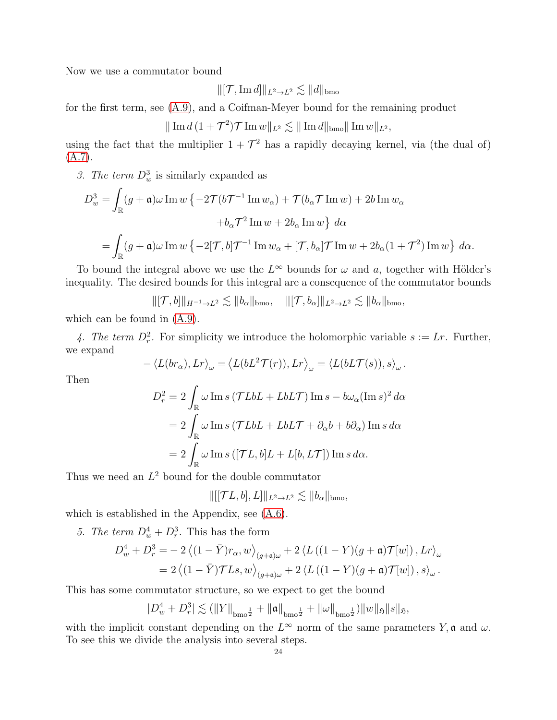Now we use a commutator bound

$$
\|[\mathcal{T},\operatorname{Im} d]\|_{L^2\to L^2}\lesssim \|d\|_{\text{bmo}}
$$

for the first term, see [\(A.9\)](#page-73-0), and a Coifman-Meyer bound for the remaining product

$$
\|\operatorname{Im} d (1+\mathcal{T}^2) \mathcal{T} \operatorname{Im} w\|_{L^2} \lesssim \|\operatorname{Im} d\|_{\text{bmo}} \|\operatorname{Im} w\|_{L^2},
$$

using the fact that the multiplier  $1 + \mathcal{T}^2$  has a rapidly decaying kernel, via (the dual of)  $(A.7).$  $(A.7).$ 

3. The term  $D_w^3$  is similarly expanded as

$$
D_w^3 = \int_{\mathbb{R}} (g + \mathfrak{a}) \omega \operatorname{Im} w \{-2\mathcal{T}(b\mathcal{T}^{-1} \operatorname{Im} w_{\alpha}) + \mathcal{T}(b_{\alpha} \mathcal{T} \operatorname{Im} w) + 2b \operatorname{Im} w_{\alpha} + b_{\alpha} \mathcal{T}^2 \operatorname{Im} w + 2b_{\alpha} \operatorname{Im} w \} d\alpha = \int_{\mathbb{R}} (g + \mathfrak{a}) \omega \operatorname{Im} w \{-2[\mathcal{T}, b]\mathcal{T}^{-1} \operatorname{Im} w_{\alpha} + [\mathcal{T}, b_{\alpha}]\mathcal{T} \operatorname{Im} w + 2b_{\alpha} (1 + \mathcal{T}^2) \operatorname{Im} w \} d\alpha.
$$

To bound the integral above we use the  $L^{\infty}$  bounds for  $\omega$  and a, together with Hölder's inequality. The desired bounds for this integral are a consequence of the commutator bounds

 $\|[T , b]\|_{H^{-1}\to L^2} \lesssim \|b_\alpha\|_{\text{bmo}}, \quad \|[T , b_\alpha]\|_{L^2\to L^2} \lesssim \|b_\alpha\|_{\text{bmo}},$ 

which can be found in [\(A.9\)](#page-73-0).

4. The term  $D_r^2$ . For simplicity we introduce the holomorphic variable  $s := Lr$ . Further, we expand

$$
-\langle L(br_{\alpha}), Lr \rangle_{\omega} = \langle L(bL^{2}T(r)), Lr \rangle_{\omega} = \langle L(bLT(s)), s \rangle_{\omega}.
$$

Then

$$
D_r^2 = 2 \int_{\mathbb{R}} \omega \operatorname{Im} s (\mathcal{T} L bL + L bL \mathcal{T}) \operatorname{Im} s - b\omega_\alpha (\operatorname{Im} s)^2 d\alpha
$$
  
= 
$$
2 \int_{\mathbb{R}} \omega \operatorname{Im} s (\mathcal{T} L bL + L bL \mathcal{T} + \partial_\alpha b + b\partial_\alpha) \operatorname{Im} s d\alpha
$$
  
= 
$$
2 \int_{\mathbb{R}} \omega \operatorname{Im} s ([\mathcal{T}L, b]L + L[b, L \mathcal{T}]) \operatorname{Im} s d\alpha.
$$

Thus we need an  $L^2$  bound for the double commutator

$$
\|[[\mathcal{T}L,b],L]\|_{L^2\to L^2}\lesssim\|b_{\alpha}\|_{\text{bmo}},
$$

which is established in the Appendix, see [\(A.6\)](#page-72-0).

5. The term  $D_w^4 + D_r^3$ . This has the form

$$
\begin{split} D_w^4 + D_r^3 &= -\,2\,\big\langle (1-\bar Y)r_\alpha,w\big\rangle_{(g+\mathfrak{a})\omega} + 2\,\big\langle L\left((1-Y)(g+\mathfrak{a})\mathcal{T}[w]\right),Lr\big\rangle_\omega \\ &= 2\,\big\langle (1-\bar Y)\mathcal{T}Ls,w\big\rangle_{(g+\mathfrak{a})\omega} + 2\,\big\langle L\left((1-Y)(g+\mathfrak{a})\mathcal{T}[w]\right),s\big\rangle_\omega\,. \end{split}
$$

This has some commutator structure, so we expect to get the bound

$$
|D_w^4 + D_r^3| \lesssim (||Y||_{bmo^{\frac{1}{2}}} + ||\mathfrak{a}||_{bmo^{\frac{1}{2}}} + ||\omega||_{bmo^{\frac{1}{2}}})||w||_{\mathfrak{H}}||s||_{\mathfrak{H}},
$$

with the implicit constant depending on the  $L^{\infty}$  norm of the same parameters Y, a and  $\omega$ . To see this we divide the analysis into several steps.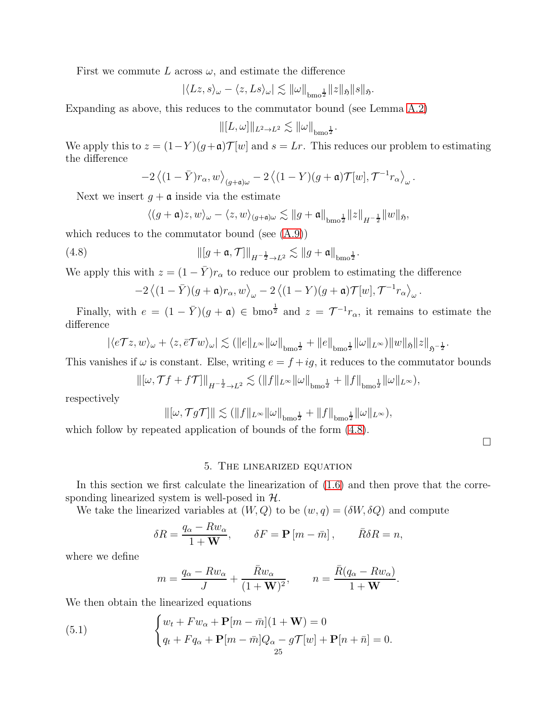First we commute L across  $\omega$ , and estimate the difference

$$
|\langle Lz, s\rangle_{\omega}-\langle z, Ls\rangle_{\omega}|\lesssim \|\omega\|_{\text{bmo}_2^{\frac{1}{2}}}\|z\|_{\mathfrak{H}}\|s\|_{\mathfrak{H}}.
$$

Expanding as above, this reduces to the commutator bound (see Lemma [A.2\)](#page-72-1)

$$
\|[L,\omega]\|_{L^2\to L^2}\lesssim \|\omega\|_{\text{bmo}^{\frac{1}{2}}}.
$$

We apply this to  $z = (1-Y)(g+\mathfrak{a})\mathcal{T}[w]$  and  $s = Lr$ . This reduces our problem to estimating the difference

$$
-2\left\langle (1-\bar{Y})r_{\alpha},w\right\rangle_{(g+\mathfrak{a})\omega}-2\left\langle (1-Y)(g+\mathfrak{a})\mathcal{T}[w],\mathcal{T}^{-1}r_{\alpha}\right\rangle_{\omega}.
$$

Next we insert  $q + \mathfrak{a}$  inside via the estimate

<span id="page-24-1"></span>
$$
\langle (g+\mathfrak{a})z,w\rangle_{\omega}-\langle z,w\rangle_{(g+\mathfrak{a})\omega}\lesssim||g+\mathfrak{a}||_{\text{bmo}^{\frac{1}{2}}}\|z\|_{H^{-\frac{1}{2}}}\|w\|_{\mathfrak{H}},
$$

.

which reduces to the commutator bound (see  $(A.9)$ )

(4.8) 
$$
\| [g + \mathfrak{a}, \mathcal{T}] \|_{H^{-\frac{1}{2}} \to L^2} \lesssim \| g + \mathfrak{a} \|_{b \text{mod}^{\frac{1}{2}}}
$$

We apply this with  $z = (1 - \bar{Y})r_{\alpha}$  to reduce our problem to estimating the difference

$$
-2\left\langle (1-\bar{Y})(g+\mathfrak{a})r_{\alpha},w\right\rangle_{\omega}-2\left\langle (1-Y)(g+\mathfrak{a})\mathcal{T}[w],\mathcal{T}^{-1}r_{\alpha}\right\rangle_{\omega}.
$$

Finally, with  $e = (1 - \bar{Y})(g + \mathfrak{a}) \in \text{bmo}^{\frac{1}{2}}$  and  $z = \mathcal{T}^{-1}r_{\alpha}$ , it remains to estimate the difference

$$
|\langle e\mathcal{T}z, w\rangle_{\omega} + \langle z, \bar{e}\mathcal{T}w\rangle_{\omega}| \lesssim (\|e\|_{L^{\infty}} \|\omega\|_{\text{bmo}^{\frac{1}{2}}} + \|e\|_{\text{bmo}^{\frac{1}{2}}} \|\omega\|_{L^{\infty}}) \|w\|_{\mathfrak{H}} \|z\|_{\mathfrak{H}^{-\frac{1}{2}}}.
$$

This vanishes if  $\omega$  is constant. Else, writing  $e = f + ig$ , it reduces to the commutator bounds

$$
\|[\omega, \mathcal{T}f + f\mathcal{T}]\|_{H^{-\frac{1}{2}} \to L^2} \lesssim (\|f\|_{L^\infty} \|\omega\|_{\text{bmo}^{\frac{1}{2}}} + \|f\|_{\text{bmo}^{\frac{1}{2}}} \|\omega\|_{L^\infty}),
$$

respectively

$$
\|[\omega, \mathcal{T} g \mathcal{T}]\| \lesssim (\|f\|_{L^\infty}\|\omega\|_{\mathrm{bmo}_2^\frac{1}{2}} + \|f\|_{\mathrm{bmo}_2^\frac{1}{2}}\|\omega\|_{L^\infty}),
$$

<span id="page-24-0"></span>which follow by repeated application of bounds of the form [\(4.8\)](#page-24-1).

 $\Box$ 

# 5. The linearized equation

In this section we first calculate the linearization of  $(1.6)$  and then prove that the corresponding linearized system is well-posed in H.

We take the linearized variables at  $(W, Q)$  to be  $(w, q) = (\delta W, \delta Q)$  and compute

$$
\delta R = \frac{q_{\alpha} - R w_{\alpha}}{1 + \mathbf{W}}, \qquad \delta F = \mathbf{P} [m - \bar{m}], \qquad \bar{R} \delta R = n,
$$

where we define

<span id="page-24-2"></span>
$$
m = \frac{q_{\alpha} - R w_{\alpha}}{J} + \frac{\bar{R} w_{\alpha}}{(1 + \mathbf{W})^2}, \qquad n = \frac{\bar{R}(q_{\alpha} - R w_{\alpha})}{1 + \mathbf{W}}.
$$

We then obtain the linearized equations

(5.1) 
$$
\begin{cases} w_t + Fw_\alpha + \mathbf{P}[m - \bar{m}](1 + \mathbf{W}) = 0 \\ q_t + Fq_\alpha + \mathbf{P}[m - \bar{m}]Q_\alpha - g\mathcal{T}[w] + \mathbf{P}[n + \bar{n}] = 0. \end{cases}
$$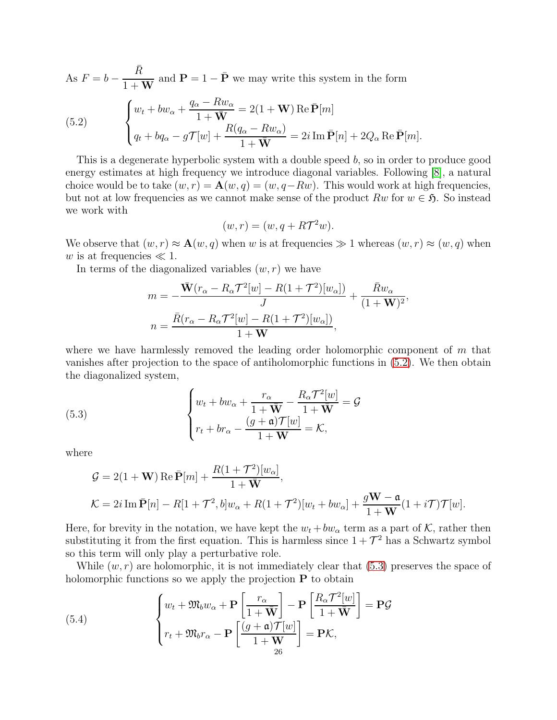As  $F = b \bar{R}$  $\frac{R}{1 + \mathbf{W}}$  and  $\mathbf{P} = 1 - \bar{\mathbf{P}}$  we may write this system in the form

<span id="page-25-0"></span>(5.2) 
$$
\begin{cases} w_t + bw_\alpha + \frac{q_\alpha - Rw_\alpha}{1 + \overline{W}} = 2(1 + W) \operatorname{Re} \overline{P}[m] \\ q_t + bq_\alpha - g\mathcal{T}[w] + \frac{R(q_\alpha - Rw_\alpha)}{1 + \overline{W}} = 2i \operatorname{Im} \overline{P}[n] + 2Q_\alpha \operatorname{Re} \overline{P}[m]. \end{cases}
$$

This is a degenerate hyperbolic system with a double speed b, so in order to produce good energy estimates at high frequency we introduce diagonal variables. Following [\[8\]](#page-81-0), a natural choice would be to take  $(w, r) = \mathbf{A}(w, q) = (w, q - Rw)$ . This would work at high frequencies, but not at low frequencies as we cannot make sense of the product Rw for  $w \in \mathfrak{H}$ . So instead we work with

$$
(w,r) = (w, q + R\mathcal{T}^2 w).
$$

We observe that  $(w, r) \approx \mathbf{A}(w, q)$  when w is at frequencies  $\gg 1$  whereas  $(w, r) \approx (w, q)$  when w is at frequencies  $\ll 1$ .

In terms of the diagonalized variables  $(w, r)$  we have

$$
m = -\frac{\bar{\mathbf{W}}(r_{\alpha} - R_{\alpha}\mathcal{T}^2[w] - R(1+\mathcal{T}^2)[w_{\alpha}])}{J} + \frac{\bar{R}w_{\alpha}}{(1+\mathbf{W})^2},
$$

$$
n = \frac{\bar{R}(r_{\alpha} - R_{\alpha}\mathcal{T}^2[w] - R(1+\mathcal{T}^2)[w_{\alpha}])}{1+\mathbf{W}},
$$

where we have harmlessly removed the leading order holomorphic component of m that vanishes after projection to the space of antiholomorphic functions in [\(5.2\)](#page-25-0). We then obtain the diagonalized system,

(5.3) 
$$
\begin{cases} w_t + bw_\alpha + \frac{r_\alpha}{1 + \bar{\mathbf{W}}} - \frac{R_\alpha \mathcal{T}^2[w]}{1 + \bar{\mathbf{W}}} = \mathcal{G} \\ r_t + br_\alpha - \frac{(g + \mathfrak{a})\mathcal{T}[w]}{1 + \bar{\mathbf{W}}} = \mathcal{K}, \end{cases}
$$

where

<span id="page-25-1"></span>
$$
G = 2(1 + \mathbf{W}) \operatorname{Re} \bar{\mathbf{P}}[m] + \frac{R(1 + \mathcal{T}^2)[w_\alpha]}{1 + \bar{\mathbf{W}}},
$$
  

$$
\mathcal{K} = 2i \operatorname{Im} \bar{\mathbf{P}}[n] - R[1 + \mathcal{T}^2, b]w_\alpha + R(1 + \mathcal{T}^2)[w_t + bw_\alpha] + \frac{g\mathbf{W} - \mathfrak{a}}{1 + \mathbf{W}}(1 + i\mathcal{T})\mathcal{T}[w].
$$

Here, for brevity in the notation, we have kept the  $w_t + bw_\alpha$  term as a part of K, rather then substituting it from the first equation. This is harmless since  $1 + \mathcal{T}^2$  has a Schwartz symbol so this term will only play a perturbative role.

While  $(w, r)$  are holomorphic, it is not immediately clear that  $(5.3)$  preserves the space of holomorphic functions so we apply the projection  $P$  to obtain

<span id="page-25-2"></span>(5.4) 
$$
\begin{cases} w_t + \mathfrak{M}_b w_\alpha + \mathbf{P} \left[ \frac{r_\alpha}{1 + \bar{\mathbf{W}}} \right] - \mathbf{P} \left[ \frac{R_\alpha \mathcal{T}^2[w]}{1 + \bar{\mathbf{W}}} \right] = \mathbf{P} \mathcal{G} \\ r_t + \mathfrak{M}_b r_\alpha - \mathbf{P} \left[ \frac{(g + \mathfrak{a}) \mathcal{T}[w]}{1 + \mathbf{W}} \right] = \mathbf{P} \mathcal{K}, \end{cases}
$$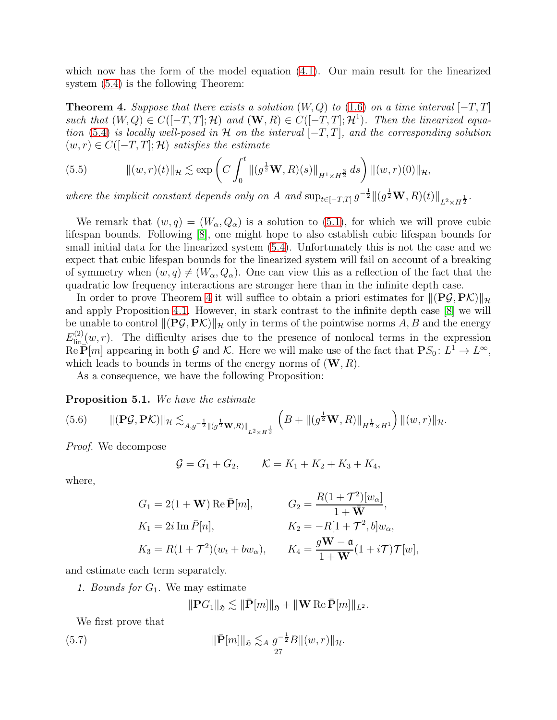which now has the form of the model equation  $(4.1)$ . Our main result for the linearized system [\(5.4\)](#page-25-2) is the following Theorem:

<span id="page-26-0"></span>**Theorem 4.** Suppose that there exists a solution  $(W,Q)$  to  $(1.6)$  on a time interval  $[-T, T]$ *such that*  $(W, Q) \in C([-T, T]; \mathcal{H})$  *and*  $(W, R) \in C([-T, T]; \mathcal{H}^1)$ *. Then the linearized equation* [\(5.4\)](#page-25-2) *is locally well-posed in*  $H$  *on the interval*  $[-T, T]$ *, and the corresponding solution*  $(w, r) \in C([-T, T]; \mathcal{H})$  *satisfies the estimate* 

(5.5) 
$$
\| (w,r)(t) \|_{\mathcal{H}} \lesssim \exp \left( C \int_0^t \| (g^{\frac{1}{2}} \mathbf{W}, R)(s) \|_{H^1 \times H^{\frac{3}{2}}} ds \right) \| (w,r)(0) \|_{\mathcal{H}},
$$

*where the implicit constant depends only on* A *and*  $\sup_{t\in[-T,T]} g^{-\frac{1}{2}} \|(g^{\frac{1}{2}}W, R)(t)\|_{L^2\times H^{\frac{1}{2}}}$ .

We remark that  $(w, q) = (W_{\alpha}, Q_{\alpha})$  is a solution to [\(5.1\)](#page-24-2), for which we will prove cubic lifespan bounds. Following [\[8\]](#page-81-0), one might hope to also establish cubic lifespan bounds for small initial data for the linearized system [\(5.4\)](#page-25-2). Unfortunately this is not the case and we expect that cubic lifespan bounds for the linearized system will fail on account of a breaking of symmetry when  $(w, q) \neq (W_{\alpha}, Q_{\alpha})$ . One can view this as a reflection of the fact that the quadratic low frequency interactions are stronger here than in the infinite depth case.

In order to prove Theorem [4](#page-26-0) it will suffice to obtain a priori estimates for  $\|P\mathcal{G}, P\mathcal{K}\|_{\mathcal{H}}$ and apply Proposition [4.1.](#page-21-1) However, in stark contrast to the infinite depth case [\[8\]](#page-81-0) we will be unable to control  $\left\Vert (\mathbf{P}\mathcal{G}, \mathbf{P}\mathcal{K})\right\Vert_{\mathcal{H}}$  only in terms of the pointwise norms A, B and the energy  $E_{\text{lin}}^{(2)}(w,r)$ . The difficulty arises due to the presence of nonlocal terms in the expression  $\widehat{\text{Re}}[\overline{P}[m]]$  appearing in both G and K. Here we will make use of the fact that  $PS_0: L^1 \to L^{\infty}$ , which leads to bounds in terms of the energy norms of  $(\mathbf{W}, R)$ .

As a consequence, we have the following Proposition:

Proposition 5.1. *We have the estimate*

<span id="page-26-2"></span>
$$
(5.6) \qquad \|(P\mathcal{G}, P\mathcal{K})\|_{\mathcal{H}} \lesssim_{A,g^{-\frac{1}{2}} \|(g^{\frac{1}{2}} \mathbf{W}, R)\|_{L^2 \times H^{\frac{1}{2}}}} \left(B + \|(g^{\frac{1}{2}} \mathbf{W}, R)\|_{H^{\frac{1}{2}} \times H^1}\right) \|(w, r)\|_{\mathcal{H}}.
$$

*Proof.* We decompose

$$
G = G_1 + G_2, \qquad \mathcal{K} = K_1 + K_2 + K_3 + K_4,
$$

where,

$$
G_1 = 2(1 + \mathbf{W}) \operatorname{Re} \bar{\mathbf{P}}[m], \qquad G_2 = \frac{R(1 + \mathcal{T}^2)[w_\alpha]}{1 + \bar{\mathbf{W}}},
$$
  
\n
$$
K_1 = 2i \operatorname{Im} \bar{P}[n], \qquad K_2 = -R[1 + \mathcal{T}^2, b]w_\alpha,
$$
  
\n
$$
K_3 = R(1 + \mathcal{T}^2)(w_t + bw_\alpha), \qquad K_4 = \frac{g\mathbf{W} - \mathfrak{a}}{1 + \mathbf{W}}(1 + i\mathcal{T})\mathcal{T}[w],
$$

and estimate each term separately.

1. Bounds for  $G_1$ . We may estimate

<span id="page-26-1"></span>
$$
\|\mathbf{P} G_1\|_{\mathfrak{H}} \lesssim \|\bar{\mathbf{P}}[m]\|_{\mathfrak{H}} + \|\mathbf{W}\operatorname{Re}\bar{\mathbf{P}}[m]\|_{L^2}.
$$

We first prove that

(5.7) 
$$
\|\bar{\mathbf{P}}[m]\|_{\mathfrak{H}} \lesssim_{A} g^{-\frac{1}{2}}B\|(w,r)\|_{\mathcal{H}}.
$$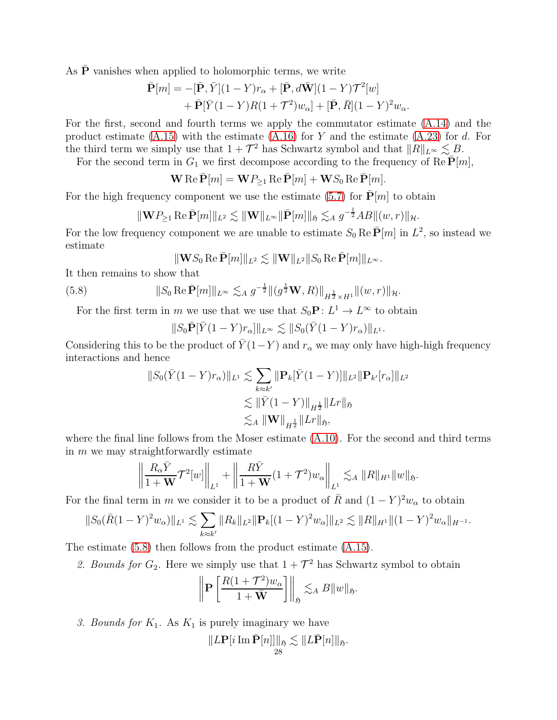As  $\bar{\mathbf{P}}$  vanishes when applied to holomorphic terms, we write

$$
\bar{\mathbf{P}}[m] = -[\bar{\mathbf{P}}, \bar{Y}](1 - Y)r_{\alpha} + [\bar{\mathbf{P}}, d\bar{\mathbf{W}}](1 - Y)\mathcal{T}^2[w] \n+ \bar{\mathbf{P}}[\bar{Y}(1 - Y)R(1 + \mathcal{T}^2)w_{\alpha}] + [\bar{\mathbf{P}}, \bar{R}](1 - Y)^2w_{\alpha}.
$$

For the first, second and fourth terms we apply the commutator estimate [\(A.14\)](#page-75-0) and the product estimate  $(A.15)$  with the estimate  $(A.16)$  for Y and the estimate  $(A.23)$  for d. For the third term we simply use that  $1 + \mathcal{T}^2$  has Schwartz symbol and that  $||R||_{L^{\infty}} \lesssim B$ .

For the second term in  $G_1$  we first decompose according to the frequency of Re  $\bar{P}[m]$ ,

$$
\mathbf{W}\operatorname{Re}\bar{\mathbf{P}}[m] = \mathbf{W}P_{\geq 1}\operatorname{Re}\bar{\mathbf{P}}[m] + \mathbf{W}S_0\operatorname{Re}\bar{\mathbf{P}}[m].
$$

For the high frequency component we use the estimate [\(5.7\)](#page-26-1) for  $\bar{P}[m]$  to obtain

$$
\|\mathbf{W} P_{\geq 1} \operatorname{Re} \bar{\mathbf{P}}[m]\|_{L^2} \lesssim \|\mathbf{W}\|_{L^{\infty}} \|\bar{\mathbf{P}}[m]\|_{\mathfrak{H}} \lesssim_A g^{-\frac{1}{2}}AB \|(w,r)\|_{\mathcal{H}}.
$$

For the low frequency component we are unable to estimate  $S_0 \text{Re } \bar{\mathbf{P}}[m]$  in  $L^2$ , so instead we estimate

<span id="page-27-0"></span>
$$
\|\mathbf{W} S_0 \operatorname{Re} \bar{\mathbf{P}}[m]\|_{L^2} \lesssim \|\mathbf{W}\|_{L^2} \|S_0 \operatorname{Re} \bar{\mathbf{P}}[m]\|_{L^\infty}.
$$

It then remains to show that

(5.8) 
$$
\|S_0 \operatorname{Re} \bar{\mathbf{P}}[m]\|_{L^{\infty}} \lesssim_A g^{-\frac{1}{2}} \|(g^{\frac{1}{2}} \mathbf{W}, R)\|_{H^{\frac{1}{2}} \times H^1} \|(w, r)\|_{\mathcal{H}}.
$$

For the first term in m we use that we use that  $S_0 \mathbf{P} : L^1 \to L^{\infty}$  to obtain

$$
||S_0\bar{P}[\bar{Y}(1-Y)r_\alpha]||_{L^\infty} \lesssim ||S_0(\bar{Y}(1-Y)r_\alpha)||_{L^1}.
$$

Considering this to be the product of  $\overline{Y}(1-Y)$  and  $r_\alpha$  we may only have high-high frequency interactions and hence

$$
||S_0(\bar{Y}(1-Y)r_\alpha)||_{L^1} \lesssim \sum_{k \approx k'} ||\mathbf{P}_k[\bar{Y}(1-Y)]||_{L^2} ||\mathbf{P}_{k'}[r_\alpha]||_{L^2}
$$
  

$$
\lesssim ||\bar{Y}(1-Y)||_{H^{\frac{1}{2}}} ||Lr||_{\mathfrak{H}}
$$
  

$$
\lesssim_A ||\mathbf{W}||_{H^{\frac{1}{2}}} ||Lr||_{\mathfrak{H}},
$$

where the final line follows from the Moser estimate [\(A.10\)](#page-73-2). For the second and third terms in m we may straightforwardly estimate

$$
\left\| \frac{R_{\alpha}\bar{Y}}{1 + \mathbf{W}} \mathcal{T}^2[w] \right\|_{L^1} + \left\| \frac{R\bar{Y}}{1 + \mathbf{W}} (1 + \mathcal{T}^2) w_{\alpha} \right\|_{L^1} \lesssim_A \|R\|_{H^1} \|w\|_{\mathfrak{H}}.
$$

For the final term in m we consider it to be a product of  $\overline{R}$  and  $(1 - Y)^2 w_{\alpha}$  to obtain

$$
||S_0(\bar{R}(1-Y)^2w_\alpha)||_{L^1} \lesssim \sum_{k \approx k'} ||R_k||_{L^2} ||\mathbf{P}_k[(1-Y)^2w_\alpha]||_{L^2} \lesssim ||R||_{H^1} ||(1-Y)^2w_\alpha||_{H^{-1}}.
$$

The estimate [\(5.8\)](#page-27-0) then follows from the product estimate [\(A.15\)](#page-75-1).

2. Bounds for  $G_2$ . Here we simply use that  $1 + \mathcal{T}^2$  has Schwartz symbol to obtain

$$
\left\| \mathbf{P} \left[ \frac{R(1+\mathcal{T}^2)w_{\alpha}}{1+\bar{\mathbf{W}}} \right] \right\|_{\mathfrak{H}} \lesssim_A B \|w\|_{\mathfrak{H}}.
$$

*3. Bounds for* K1*.* As K<sup>1</sup> is purely imaginary we have

$$
||L\mathbf{P}[i\mathop{\rm Im}\nolimits\bar{\mathbf{P}}[n]]||_{\mathfrak{H}}\lesssim ||L\bar{\mathbf{P}}[n]||_{\mathfrak{H}}.
$$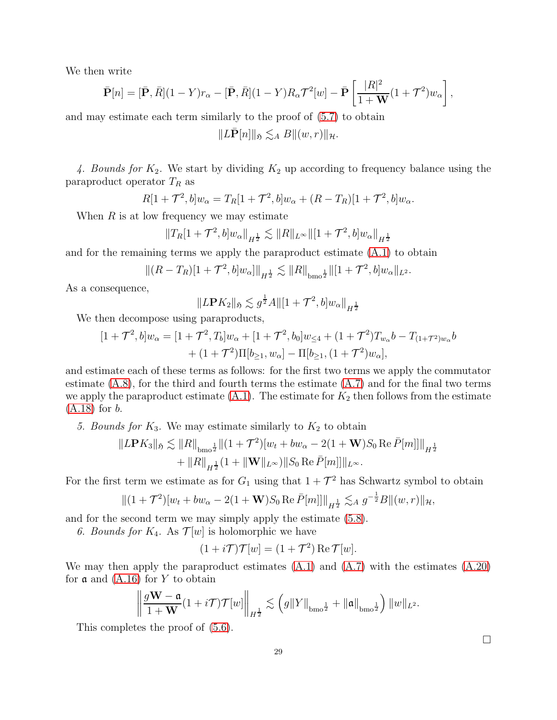We then write

$$
\bar{\mathbf{P}}[n] = [\bar{\mathbf{P}}, \bar{R}](1 - Y)r_{\alpha} - [\bar{\mathbf{P}}, \bar{R}](1 - Y)R_{\alpha}\mathcal{T}^2[w] - \bar{\mathbf{P}}\left[\frac{|R|^2}{1 + \mathbf{W}}(1 + \mathcal{T}^2)w_{\alpha}\right],
$$

and may estimate each term similarly to the proof of [\(5.7\)](#page-26-1) to obtain

$$
||L\bar{\mathbf{P}}[n]||_{\mathfrak{H}} \lesssim_{A} B||(w,r)||_{\mathcal{H}}.
$$

4. Bounds for  $K_2$ . We start by dividing  $K_2$  up according to frequency balance using the paraproduct operator  $T_R$  as

$$
R[1 + \mathcal{T}^{2}, b]w_{\alpha} = T_{R}[1 + \mathcal{T}^{2}, b]w_{\alpha} + (R - T_{R})[1 + \mathcal{T}^{2}, b]w_{\alpha}.
$$

When  $R$  is at low frequency we may estimate

$$
||T_R[1+\mathcal{T}^2,b]w_\alpha||_{H^{\frac{1}{2}}}\lesssim ||R||_{L^\infty}||[1+\mathcal{T}^2,b]w_\alpha||_{H^{\frac{1}{2}}}
$$

and for the remaining terms we apply the paraproduct estimate [\(A.1\)](#page-71-1) to obtain

$$
||(R - T_R)[1 + \mathcal{T}^2, b]w_\alpha]||_{H^{\frac{1}{2}}} \lesssim ||R||_{\text{bmo}^{\frac{1}{2}}} ||[1 + \mathcal{T}^2, b]w_\alpha||_{L^2}.
$$

As a consequence,

$$
||LPK_2||_{\mathfrak{H}} \lesssim g^{\frac{1}{2}}A ||[1+\mathcal{T}^2, b]w_{\alpha}||_{H^{\frac{1}{2}}}
$$

We then decompose using paraproducts,

$$
[1 + \mathcal{T}^2, b]w_{\alpha} = [1 + \mathcal{T}^2, T_b]w_{\alpha} + [1 + \mathcal{T}^2, b_0]w_{\leq 4} + (1 + \mathcal{T}^2)T_{w_{\alpha}}b - T_{(1 + \mathcal{T}^2)w_{\alpha}}b
$$
  
+ 
$$
(1 + \mathcal{T}^2)\Pi[b_{\geq 1}, w_{\alpha}] - \Pi[b_{\geq 1}, (1 + \mathcal{T}^2)w_{\alpha}],
$$

and estimate each of these terms as follows: for the first two terms we apply the commutator estimate  $(A.8)$ , for the third and fourth terms the estimate  $(A.7)$  and for the final two terms we apply the paraproduct estimate  $(A.1)$ . The estimate for  $K_2$  then follows from the estimate [\(A.18\)](#page-76-2) for b.

5. Bounds for  $K_3$ . We may estimate similarly to  $K_2$  to obtain

$$
||LPK_3||_5 \lesssim ||R||_{\text{bmo}_2^{\frac{1}{2}}} ||(1 + \mathcal{T}^2)[w_t + bw_\alpha - 2(1 + \mathbf{W})S_0 \text{ Re }\bar{P}[m]]||_{H^{\frac{1}{2}}} + ||R||_{H^{\frac{1}{2}}}(1 + ||\mathbf{W}||_{L^\infty})||S_0 \text{ Re }\bar{P}[m]]||_{L^\infty}.
$$

For the first term we estimate as for  $G_1$  using that  $1 + \mathcal{T}^2$  has Schwartz symbol to obtain

$$
\|(1+\mathcal{T}^2)[w_t+bw_\alpha-2(1+\mathbf{W})S_0\operatorname{Re}\bar{P}[m]]\|_{H^{\frac{1}{2}}}\lesssim_A g^{-\frac{1}{2}}B\|(w,r)\|_{\mathcal{H}},
$$

and for the second term we may simply apply the estimate [\(5.8\)](#page-27-0).

6. Bounds for  $K_4$ . As  $\mathcal{T}[w]$  is holomorphic we have

$$
(1 + i\mathcal{T})\mathcal{T}[w] = (1 + \mathcal{T}^2) \operatorname{Re} \mathcal{T}[w].
$$

We may then apply the paraproduct estimates  $(A.1)$  and  $(A.7)$  with the estimates  $(A.20)$ for  $\alpha$  and  $(A.16)$  for Y to obtain

$$
\left\|\frac{g\mathbf{W}-\mathfrak{a}}{1+\mathbf{W}}(1+i\mathcal{T})\mathcal{T}[w]\right\|_{H^{\frac{1}{2}}}\lesssim\left(g\|Y\|_{\text{bmo}^{\frac{1}{2}}}+\|\mathfrak{a}\|_{\text{bmo}^{\frac{1}{2}}}\right)\|w\|_{L^{2}}.
$$

This completes the proof of [\(5.6\)](#page-26-2).

 $\Box$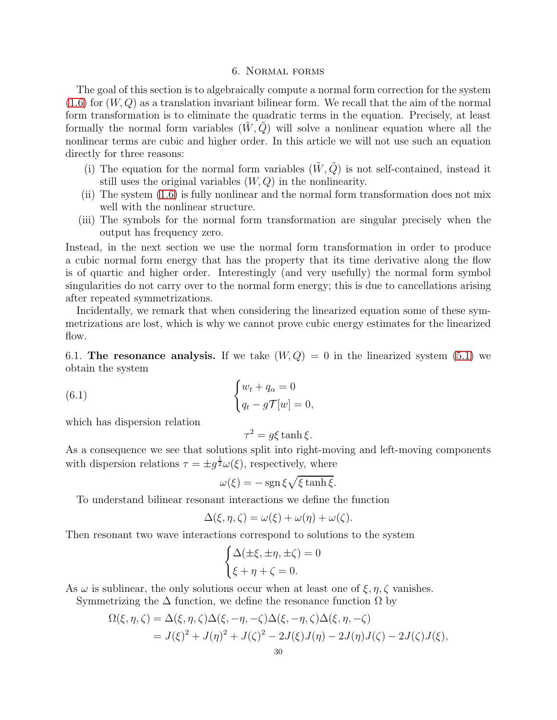## 6. Normal forms

<span id="page-29-0"></span>The goal of this section is to algebraically compute a normal form correction for the system  $(1.6)$  for  $(W,Q)$  as a translation invariant bilinear form. We recall that the aim of the normal form transformation is to eliminate the quadratic terms in the equation. Precisely, at least formally the normal form variables  $(W, Q)$  will solve a nonlinear equation where all the nonlinear terms are cubic and higher order. In this article we will not use such an equation directly for three reasons:

- (i) The equation for the normal form variables  $(\tilde{W}, \tilde{Q})$  is not self-contained, instead it still uses the original variables  $(W, Q)$  in the nonlinearity.
- (ii) The system [\(1.6\)](#page-3-0) is fully nonlinear and the normal form transformation does not mix well with the nonlinear structure.
- (iii) The symbols for the normal form transformation are singular precisely when the output has frequency zero.

Instead, in the next section we use the normal form transformation in order to produce a cubic normal form energy that has the property that its time derivative along the flow is of quartic and higher order. Interestingly (and very usefully) the normal form symbol singularities do not carry over to the normal form energy; this is due to cancellations arising after repeated symmetrizations.

Incidentally, we remark that when considering the linearized equation some of these symmetrizations are lost, which is why we cannot prove cubic energy estimates for the linearized flow.

6.1. The resonance analysis. If we take  $(W,Q) = 0$  in the linearized system [\(5.1\)](#page-24-2) we obtain the system

(6.1) 
$$
\begin{cases} w_t + q_\alpha = 0 \\ q_t - g\mathcal{T}[w] = 0, \end{cases}
$$

which has dispersion relation

$$
\tau^2 = g\xi \tanh \xi.
$$

As a consequence we see that solutions split into right-moving and left-moving components with dispersion relations  $\tau = \pm g^{\frac{1}{2}}\omega(\xi)$ , respectively, where

$$
\omega(\xi) = -\operatorname{sgn}\xi\sqrt{\xi\tanh\xi}.
$$

To understand bilinear resonant interactions we define the function

$$
\Delta(\xi, \eta, \zeta) = \omega(\xi) + \omega(\eta) + \omega(\zeta).
$$

Then resonant two wave interactions correspond to solutions to the system

$$
\begin{cases}\n\Delta(\pm\xi,\pm\eta,\pm\zeta) = 0 \\
\xi + \eta + \zeta = 0.\n\end{cases}
$$

As  $\omega$  is sublinear, the only solutions occur when at least one of  $\xi, \eta, \zeta$  vanishes.

Symmetrizing the  $\Delta$  function, we define the resonance function  $\Omega$  by

$$
\Omega(\xi, \eta, \zeta) = \Delta(\xi, \eta, \zeta)\Delta(\xi, -\eta, -\zeta)\Delta(\xi, -\eta, \zeta)\Delta(\xi, \eta, -\zeta)
$$
  
=  $J(\xi)^2 + J(\eta)^2 + J(\zeta)^2 - 2J(\xi)J(\eta) - 2J(\eta)J(\zeta) - 2J(\zeta)J(\xi),$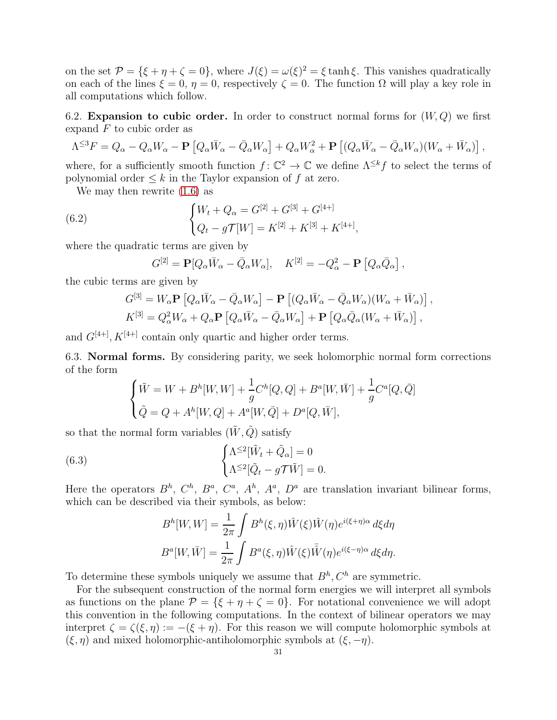on the set  $\mathcal{P} = {\xi + \eta + \zeta = 0}$ , where  $J(\xi) = \omega(\xi)^2 = \xi \tanh \xi$ . This vanishes quadratically on each of the lines  $\xi = 0$ ,  $\eta = 0$ , respectively  $\zeta = 0$ . The function  $\Omega$  will play a key role in all computations which follow.

6.2. Expansion to cubic order. In order to construct normal forms for  $(W, Q)$  we first expand  $F$  to cubic order as

$$
\Lambda^{\leq 3}F = Q_\alpha - Q_\alpha W_\alpha - \mathbf{P}\left[Q_\alpha \bar{W}_\alpha - \bar{Q}_\alpha W_\alpha\right] + Q_\alpha W_\alpha^2 + \mathbf{P}\left[(Q_\alpha \bar{W}_\alpha - \bar{Q}_\alpha W_\alpha)(W_\alpha + \bar{W}_\alpha)\right],
$$

where, for a sufficiently smooth function  $f: \mathbb{C}^2 \to \mathbb{C}$  we define  $\Lambda^{\leq k} f$  to select the terms of polynomial order  $\leq k$  in the Taylor expansion of f at zero.

We may then rewrite [\(1.6\)](#page-3-0) as

(6.2) 
$$
\begin{cases} W_t + Q_\alpha = G^{[2]} + G^{[3]} + G^{[4+]} \\ Q_t - g\mathcal{T}[W] = K^{[2]} + K^{[3]} + K^{[4+]}, \end{cases}
$$

where the quadratic terms are given by

$$
G^{[2]} = \mathbf{P}[Q_{\alpha}\bar{W}_{\alpha} - \bar{Q}_{\alpha}W_{\alpha}], \quad K^{[2]} = -Q_{\alpha}^{2} - \mathbf{P}[Q_{\alpha}\bar{Q}_{\alpha}],
$$

the cubic terms are given by

$$
G^{[3]} = W_{\alpha} \mathbf{P} \left[ Q_{\alpha} \bar{W}_{\alpha} - \bar{Q}_{\alpha} W_{\alpha} \right] - \mathbf{P} \left[ (Q_{\alpha} \bar{W}_{\alpha} - \bar{Q}_{\alpha} W_{\alpha}) (W_{\alpha} + \bar{W}_{\alpha}) \right],
$$
  

$$
K^{[3]} = Q_{\alpha}^2 W_{\alpha} + Q_{\alpha} \mathbf{P} \left[ Q_{\alpha} \bar{W}_{\alpha} - \bar{Q}_{\alpha} W_{\alpha} \right] + \mathbf{P} \left[ Q_{\alpha} \bar{Q}_{\alpha} (W_{\alpha} + \bar{W}_{\alpha}) \right],
$$

and  $G^{[4+]}$ ,  $K^{[4+]}$  contain only quartic and higher order terms.

6.3. Normal forms. By considering parity, we seek holomorphic normal form corrections of the form

$$
\begin{cases} \tilde{W} = W + B^h[W, W] + \frac{1}{g} C^h[Q, Q] + B^a[W, \bar{W}] + \frac{1}{g} C^a[Q, \bar{Q}] \\ \tilde{Q} = Q + A^h[W, Q] + A^a[W, \bar{Q}] + D^a[Q, \bar{W}], \end{cases}
$$

so that the normal form variables  $(\tilde{W}, \tilde{Q})$  satisfy

(6.3) 
$$
\begin{cases} \Lambda^{\leq 2} [\tilde{W}_t + \tilde{Q}_\alpha] = 0 \\ \Lambda^{\leq 2} [\tilde{Q}_t - g \mathcal{T} \tilde{W}] = 0. \end{cases}
$$

Here the operators  $B^h$ ,  $C^h$ ,  $B^a$ ,  $C^a$ ,  $A^h$ ,  $A^a$ ,  $D^a$  are translation invariant bilinear forms, which can be described via their symbols, as below:

$$
B^h[W, W] = \frac{1}{2\pi} \int B^h(\xi, \eta) \hat{W}(\xi) \hat{W}(\eta) e^{i(\xi + \eta)\alpha} d\xi d\eta
$$
  

$$
B^a[W, \bar{W}] = \frac{1}{2\pi} \int B^a(\xi, \eta) \hat{W}(\xi) \overline{\hat{W}}(\eta) e^{i(\xi - \eta)\alpha} d\xi d\eta.
$$

To determine these symbols uniquely we assume that  $B<sup>h</sup>, C<sup>h</sup>$  are symmetric.

For the subsequent construction of the normal form energies we will interpret all symbols as functions on the plane  $\mathcal{P} = {\xi + \eta + \zeta = 0}$ . For notational convenience we will adopt this convention in the following computations. In the context of bilinear operators we may interpret  $\zeta = \zeta(\xi, \eta) := -(\xi + \eta)$ . For this reason we will compute holomorphic symbols at  $(\xi, \eta)$  and mixed holomorphic-antiholomorphic symbols at  $(\xi, -\eta)$ .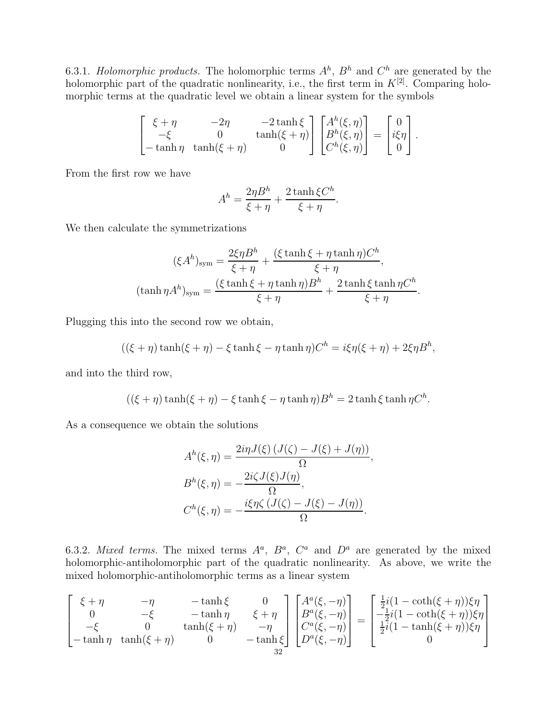6.3.1. *Holomorphic products*. The holomorphic terms  $A<sup>h</sup>$ ,  $B<sup>h</sup>$  and  $C<sup>h</sup>$  are generated by the holomorphic part of the quadratic nonlinearity, i.e., the first term in  $K^{[2]}$ . Comparing holomorphic terms at the quadratic level we obtain a linear system for the symbols

$$
\begin{bmatrix} \xi + \eta & -2\eta & -2\tanh\xi \\ -\xi & 0 & \tanh(\xi + \eta) \\ -\tanh\eta & \tanh(\xi + \eta) & 0 \end{bmatrix} \begin{bmatrix} A^h(\xi, \eta) \\ B^h(\xi, \eta) \\ C^h(\xi, \eta) \end{bmatrix} = \begin{bmatrix} 0 \\ i\xi\eta \\ 0 \end{bmatrix}.
$$

From the first row we have

$$
A^{h} = \frac{2\eta B^{h}}{\xi + \eta} + \frac{2\tanh\xi C^{h}}{\xi + \eta}.
$$

We then calculate the symmetrizations

$$
(\xi A^h)_{\text{sym}} = \frac{2\xi\eta B^h}{\xi + \eta} + \frac{(\xi \tanh \xi + \eta \tanh \eta)C^h}{\xi + \eta},
$$

$$
(\tanh \eta A^h)_{\text{sym}} = \frac{(\xi \tanh \xi + \eta \tanh \eta)B^h}{\xi + \eta} + \frac{2 \tanh \xi \tanh \eta C^h}{\xi + \eta}.
$$

Plugging this into the second row we obtain,

$$
((\xi + \eta) \tanh(\xi + \eta) - \xi \tanh \xi - \eta \tanh \eta)C^h = i\xi\eta(\xi + \eta) + 2\xi\eta B^h,
$$

and into the third row,

$$
((\xi + \eta) \tanh(\xi + \eta) - \xi \tanh\xi - \eta \tanh\eta)B^h = 2\tanh\xi \tanh\eta C^h.
$$

As a consequence we obtain the solutions

$$
A^{h}(\xi, \eta) = \frac{2i\eta J(\xi) (J(\zeta) - J(\xi) + J(\eta))}{\Omega},
$$

$$
B^{h}(\xi, \eta) = -\frac{2i\zeta J(\xi)J(\eta)}{\Omega},
$$

$$
C^{h}(\xi, \eta) = -\frac{i\xi\eta\zeta (J(\zeta) - J(\xi) - J(\eta))}{\Omega}.
$$

6.3.2. *Mixed terms*. The mixed terms  $A^a$ ,  $B^a$ ,  $C^a$  and  $D^a$  are generated by the mixed holomorphic-antiholomorphic part of the quadratic nonlinearity. As above, we write the mixed holomorphic-antiholomorphic terms as a linear system

$$
\begin{bmatrix}\n\xi + \eta & -\eta & -\tanh\xi & 0 \\
0 & -\xi & -\tanh\eta & \xi + \eta \\
-\xi & 0 & \tanh(\xi + \eta) & -\eta \\
-\tanh\eta & \tanh(\xi + \eta) & 0 & -\tanh\xi\n\end{bmatrix}\n\begin{bmatrix}\nA^a(\xi, -\eta) \\
B^a(\xi, -\eta) \\
C^a(\xi, -\eta) \\
D^a(\xi, -\eta)\n\end{bmatrix} = \begin{bmatrix}\n\frac{1}{2}i(1 - \coth(\xi + \eta))\xi\eta \\
-\frac{1}{2}i(1 - \coth(\xi + \eta))\xi\eta \\
\frac{1}{2}i(1 - \tanh(\xi + \eta))\xi\eta \\
0 & 0\n\end{bmatrix}
$$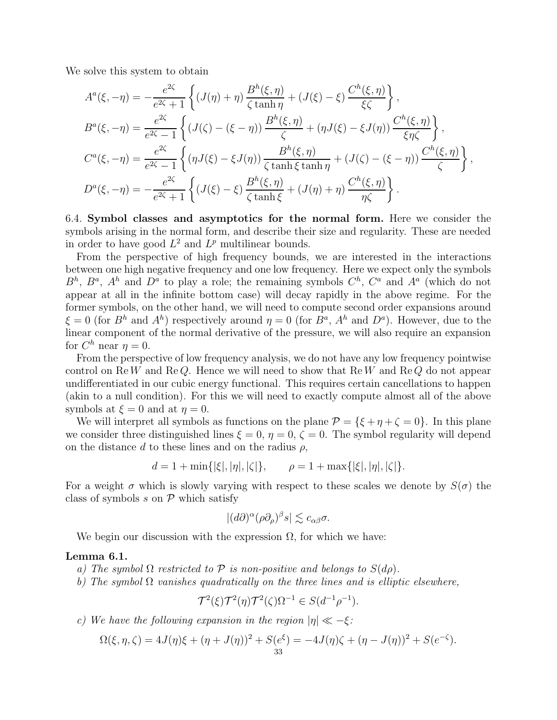We solve this system to obtain

$$
A^{a}(\xi, -\eta) = -\frac{e^{2\zeta}}{e^{2\zeta} + 1} \left\{ (J(\eta) + \eta) \frac{B^{h}(\xi, \eta)}{\zeta \tanh \eta} + (J(\xi) - \xi) \frac{C^{h}(\xi, \eta)}{\xi \zeta} \right\},
$$
  
\n
$$
B^{a}(\xi, -\eta) = \frac{e^{2\zeta}}{e^{2\zeta} - 1} \left\{ (J(\zeta) - (\xi - \eta)) \frac{B^{h}(\xi, \eta)}{\zeta} + (\eta J(\xi) - \xi J(\eta)) \frac{C^{h}(\xi, \eta)}{\xi \eta \zeta} \right\},
$$
  
\n
$$
C^{a}(\xi, -\eta) = \frac{e^{2\zeta}}{e^{2\zeta} - 1} \left\{ (\eta J(\xi) - \xi J(\eta)) \frac{B^{h}(\xi, \eta)}{\zeta \tanh \xi \tanh \eta} + (J(\zeta) - (\xi - \eta)) \frac{C^{h}(\xi, \eta)}{\zeta} \right\},
$$
  
\n
$$
D^{a}(\xi, -\eta) = -\frac{e^{2\zeta}}{e^{2\zeta} + 1} \left\{ (J(\xi) - \xi) \frac{B^{h}(\xi, \eta)}{\zeta \tanh \xi} + (J(\eta) + \eta) \frac{C^{h}(\xi, \eta)}{\eta \zeta} \right\}.
$$

6.4. Symbol classes and asymptotics for the normal form. Here we consider the symbols arising in the normal form, and describe their size and regularity. These are needed in order to have good  $L^2$  and  $L^p$  multilinear bounds.

From the perspective of high frequency bounds, we are interested in the interactions between one high negative frequency and one low frequency. Here we expect only the symbols  $B^h$ ,  $B^a$ ,  $A^h$  and  $D^a$  to play a role; the remaining symbols  $C^h$ ,  $C^a$  and  $A^a$  (which do not appear at all in the infinite bottom case) will decay rapidly in the above regime. For the former symbols, on the other hand, we will need to compute second order expansions around  $\xi = 0$  (for  $B^h$  and  $A^h$ ) respectively around  $\eta = 0$  (for  $B^a$ ,  $A^h$  and  $D^a$ ). However, due to the linear component of the normal derivative of the pressure, we will also require an expansion for  $C^h$  near  $\eta = 0$ .

From the perspective of low frequency analysis, we do not have any low frequency pointwise control on Re W and Re Q. Hence we will need to show that  $\text{Re }W$  and  $\text{Re }Q$  do not appear undifferentiated in our cubic energy functional. This requires certain cancellations to happen (akin to a null condition). For this we will need to exactly compute almost all of the above symbols at  $\xi = 0$  and at  $\eta = 0$ .

We will interpret all symbols as functions on the plane  $\mathcal{P} = {\xi + \eta + \zeta = 0}$ . In this plane we consider three distinguished lines  $\xi = 0$ ,  $\eta = 0$ ,  $\zeta = 0$ . The symbol regularity will depend on the distance d to these lines and on the radius  $\rho$ ,

$$
d = 1 + \min\{|\xi|, |\eta|, |\zeta|\}, \qquad \rho = 1 + \max\{|\xi|, |\eta|, |\zeta|\}.
$$

For a weight  $\sigma$  which is slowly varying with respect to these scales we denote by  $S(\sigma)$  the class of symbols s on  $P$  which satisfy

$$
|(d\partial)^{\alpha}(\rho\partial_{\rho})^{\beta}s| \lesssim c_{\alpha\beta}\sigma.
$$

We begin our discussion with the expression  $\Omega$ , for which we have:

#### Lemma 6.1.

- *a)* The symbol  $\Omega$  restricted to  $\mathcal P$  is non-positive and belongs to  $S(d\rho)$ .
- *b) The symbol* Ω *vanishes quadratically on the three lines and is elliptic elsewhere,*

$$
\mathcal{T}^2(\xi)\mathcal{T}^2(\eta)\mathcal{T}^2(\zeta)\Omega^{-1} \in S(d^{-1}\rho^{-1}).
$$

*c)* We have the following expansion in the region  $|\eta| \ll -\xi$ :

$$
\Omega(\xi, \eta, \zeta) = 4J(\eta)\xi + (\eta + J(\eta))^2 + S(e^{\xi}) = -4J(\eta)\zeta + (\eta - J(\eta))^2 + S(e^{-\zeta}).
$$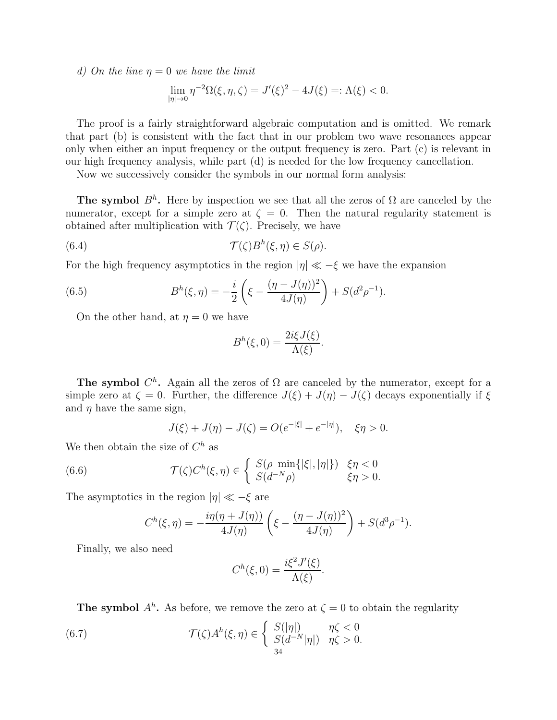*d) On the line* η = 0 *we have the limit*

$$
\lim_{|\eta| \to 0} \eta^{-2} \Omega(\xi, \eta, \zeta) = J'(\xi)^2 - 4J(\xi) =: \Lambda(\xi) < 0.
$$

The proof is a fairly straightforward algebraic computation and is omitted. We remark that part (b) is consistent with the fact that in our problem two wave resonances appear only when either an input frequency or the output frequency is zero. Part (c) is relevant in our high frequency analysis, while part (d) is needed for the low frequency cancellation.

Now we successively consider the symbols in our normal form analysis:

The symbol  $B<sup>h</sup>$ . Here by inspection we see that all the zeros of  $\Omega$  are canceled by the numerator, except for a simple zero at  $\zeta = 0$ . Then the natural regularity statement is obtained after multiplication with  $\mathcal{T}(\zeta)$ . Precisely, we have

(6.4) 
$$
\mathcal{T}(\zeta)B^h(\xi,\eta)\in S(\rho).
$$

For the high frequency asymptotics in the region  $|\eta| \ll -\xi$  we have the expansion

(6.5) 
$$
B^{h}(\xi, \eta) = -\frac{i}{2} \left( \xi - \frac{(\eta - J(\eta))^{2}}{4J(\eta)} \right) + S(d^{2}\rho^{-1}).
$$

On the other hand, at  $\eta = 0$  we have

$$
B^h(\xi,0) = \frac{2i\xi J(\xi)}{\Lambda(\xi)}.
$$

The symbol  $C<sup>h</sup>$ . Again all the zeros of  $\Omega$  are canceled by the numerator, except for a simple zero at  $\zeta = 0$ . Further, the difference  $J(\xi) + J(\eta) - J(\zeta)$  decays exponentially if  $\xi$ and  $\eta$  have the same sign,

$$
J(\xi) + J(\eta) - J(\zeta) = O(e^{-|\xi|} + e^{-|\eta|}), \quad \xi \eta > 0.
$$

We then obtain the size of  $C^h$  as

(6.6) 
$$
\mathcal{T}(\zeta)C^h(\xi,\eta) \in \left\{ \begin{array}{ll} S(\rho \min\{|\xi|,|\eta|\}) & \xi\eta < 0 \\ S(d^{-N}\rho) & \xi\eta > 0. \end{array} \right.
$$

The asymptotics in the region  $|\eta| \ll -\xi$  are

$$
C^{h}(\xi,\eta) = -\frac{i\eta(\eta + J(\eta))}{4J(\eta)} \left(\xi - \frac{(\eta - J(\eta))^{2}}{4J(\eta)}\right) + S(d^{3}\rho^{-1}).
$$

Finally, we also need

$$
C^h(\xi,0) = \frac{i\xi^2 J'(\xi)}{\Lambda(\xi)}.
$$

**The symbol**  $A^h$ . As before, we remove the zero at  $\zeta = 0$  to obtain the regularity

(6.7) 
$$
\mathcal{T}(\zeta)A^{h}(\xi,\eta) \in \left\{ \begin{array}{ll} S(|\eta|) & \eta\zeta < 0\\ S(d^{-N}|\eta|) & \eta\zeta > 0\\ 34 & \end{array} \right.
$$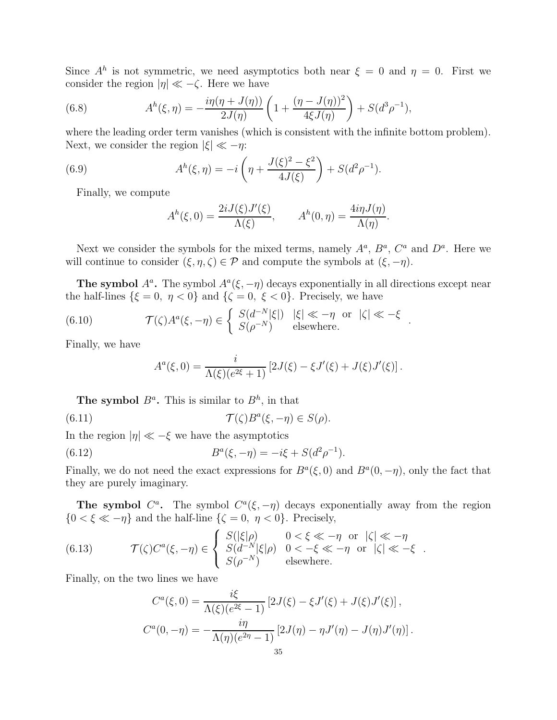Since  $A<sup>h</sup>$  is not symmetric, we need asymptotics both near  $\xi = 0$  and  $\eta = 0$ . First we consider the region  $|\eta| \ll -\zeta$ . Here we have

(6.8) 
$$
A^{h}(\xi,\eta) = -\frac{i\eta(\eta + J(\eta))}{2J(\eta)} \left(1 + \frac{(\eta - J(\eta))^{2}}{4\xi J(\eta)}\right) + S(d^{3}\rho^{-1}),
$$

where the leading order term vanishes (which is consistent with the infinite bottom problem). Next, we consider the region  $|\xi| \ll -\eta$ :

(6.9) 
$$
A^{h}(\xi, \eta) = -i \left( \eta + \frac{J(\xi)^{2} - \xi^{2}}{4J(\xi)} \right) + S(d^{2} \rho^{-1}).
$$

Finally, we compute

$$
Ah(\xi, 0) = \frac{2iJ(\xi)J'(\xi)}{\Lambda(\xi)}, \qquad Ah(0, \eta) = \frac{4i\eta J(\eta)}{\Lambda(\eta)}.
$$

Next we consider the symbols for the mixed terms, namely  $A^a$ ,  $B^a$ ,  $C^a$  and  $D^a$ . Here we will continue to consider  $(\xi, \eta, \zeta) \in \mathcal{P}$  and compute the symbols at  $(\xi, -\eta)$ .

The symbol  $A^a$ . The symbol  $A^a(\xi, -\eta)$  decays exponentially in all directions except near the half-lines  $\{\xi = 0, \eta < 0\}$  and  $\{\zeta = 0, \xi < 0\}$ . Precisely, we have

(6.10) 
$$
\mathcal{T}(\zeta)A^a(\xi,-\eta) \in \left\{ \begin{array}{ll} S(d^{-N}|\xi|) & |\xi| \ll -\eta \text{ or } |\zeta| \ll -\xi \\ S(\rho^{-N}) & \text{elsewhere.} \end{array} \right..
$$

Finally, we have

$$
A^{a}(\xi,0) = \frac{i}{\Lambda(\xi)(e^{2\xi}+1)} [2J(\xi) - \xi J'(\xi) + J(\xi)J'(\xi)].
$$

**The symbol**  $B^a$ . This is similar to  $B^h$ , in that

(6.11) 
$$
\mathcal{T}(\zeta)B^a(\xi,-\eta) \in S(\rho).
$$

In the region  $|\eta| \ll -\xi$  we have the asymptotics

(6.12) 
$$
B^{a}(\xi, -\eta) = -i\xi + S(d^{2}\rho^{-1}).
$$

Finally, we do not need the exact expressions for  $B^a(\xi,0)$  and  $B^a(0,-\eta)$ , only the fact that they are purely imaginary.

The symbol  $C^a$ . The symbol  $C^a(\xi, -\eta)$  decays exponentially away from the region  ${0 < \xi \ll -\eta}$  and the half-line  ${\zeta = 0, \eta < 0}$ . Precisely,

.

(6.13) 
$$
\mathcal{T}(\zeta)C^{a}(\xi,-\eta) \in \begin{cases} S(|\xi|\rho) & 0 < \xi \ll -\eta \text{ or } |\zeta| \ll -\eta \\ S(d^{-N}|\xi|\rho) & 0 < -\xi \ll -\eta \text{ or } |\zeta| \ll -\xi \\ S(\rho^{-N}) & \text{elsewhere.} \end{cases}
$$

Finally, on the two lines we have

$$
C^{a}(\xi,0) = \frac{i\xi}{\Lambda(\xi)(e^{2\xi}-1)} [2J(\xi) - \xi J'(\xi) + J(\xi)J'(\xi)],
$$
  

$$
C^{a}(0,-\eta) = -\frac{i\eta}{\Lambda(\eta)(e^{2\eta}-1)} [2J(\eta) - \eta J'(\eta) - J(\eta)J'(\eta)].
$$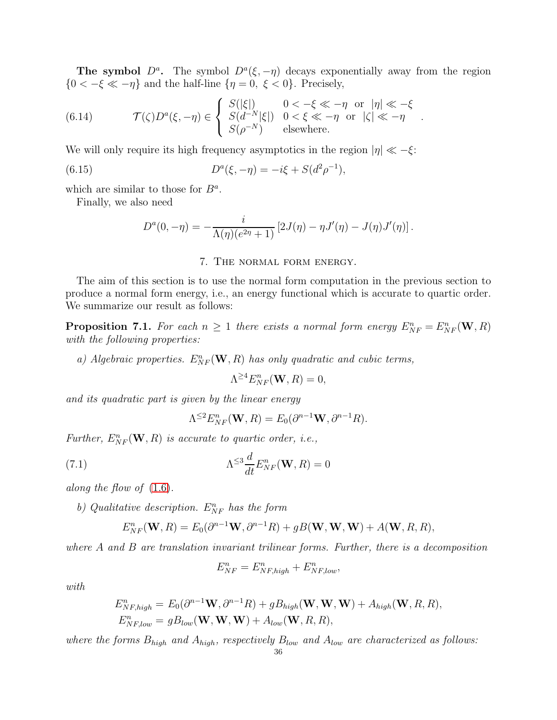The symbol  $D^a$ . The symbol  $D^a(\xi, -\eta)$  decays exponentially away from the region  ${0 < -\xi \ll -\eta}$  and the half-line  ${\eta = 0, \xi < 0}$ . Precisely,

.

(6.14) 
$$
\mathcal{T}(\zeta)D^a(\xi,-\eta) \in \begin{cases} S(|\xi|) & 0 < -\xi \ll -\eta \text{ or } |\eta| \ll -\xi \\ S(d^{-N}|\xi|) & 0 < \xi \ll -\eta \text{ or } |\zeta| \ll -\eta \\ S(\rho^{-N}) & \text{elsewhere.} \end{cases}
$$

We will only require its high frequency asymptotics in the region  $|\eta| \ll -\xi$ :

(6.15) 
$$
D^{a}(\xi, -\eta) = -i\xi + S(d^{2}\rho^{-1}),
$$

which are similar to those for  $B^a$ .

Finally, we also need

$$
D^{a}(0,-\eta) = -\frac{i}{\Lambda(\eta)(e^{2\eta}+1)} [2J(\eta) - \eta J'(\eta) - J(\eta)J'(\eta)].
$$

# 7. The normal form energy.

<span id="page-35-0"></span>The aim of this section is to use the normal form computation in the previous section to produce a normal form energy, i.e., an energy functional which is accurate to quartic order. We summarize our result as follows:

**Proposition 7.1.** For each  $n \geq 1$  there exists a normal form energy  $E_{NF}^n = E_{NF}^n(\mathbf{W}, R)$ *with the following properties:*

*a)* Algebraic properties.  $E_{NF}^n(\mathbf{W}, R)$  has only quadratic and cubic terms,

$$
\Lambda^{\geq 4} E_{NF}^n(\mathbf{W}, R) = 0,
$$

*and its quadratic part is given by the linear energy*

$$
\Lambda^{\leq 2} E_{NF}^n(\mathbf{W}, R) = E_0(\partial^{n-1} \mathbf{W}, \partial^{n-1} R).
$$

*Further,*  $E_{NF}^n(\mathbf{W}, R)$  *is accurate to quartic order, i.e.,* 

(7.1) 
$$
\Lambda^{\leq 3} \frac{d}{dt} E_{NF}^n(\mathbf{W}, R) = 0
$$

*along the flow of* [\(1.6\)](#page-3-0)*.*

b) Qualitative description.  $E_{NF}^n$  has the form

$$
E_{NF}^n(\mathbf{W}, R) = E_0(\partial^{n-1}\mathbf{W}, \partial^{n-1}R) + gB(\mathbf{W}, \mathbf{W}, \mathbf{W}) + A(\mathbf{W}, R, R),
$$

*where* A *and* B *are translation invariant trilinear forms. Further, there is a decomposition*

$$
E_{NF}^{n} = E_{NF,high}^{n} + E_{NF,low}^{n},
$$

*with*

$$
E_{NF,high}^{n} = E_0(\partial^{n-1} \mathbf{W}, \partial^{n-1} R) + g B_{high}(\mathbf{W}, \mathbf{W}, \mathbf{W}) + A_{high}(\mathbf{W}, R, R),
$$
  

$$
E_{NF,low}^{n} = g B_{low}(\mathbf{W}, \mathbf{W}, \mathbf{W}) + A_{low}(\mathbf{W}, R, R),
$$

*where the forms* Bhigh *and* Ahigh*, respectively* Blow *and* Alow *are characterized as follows:*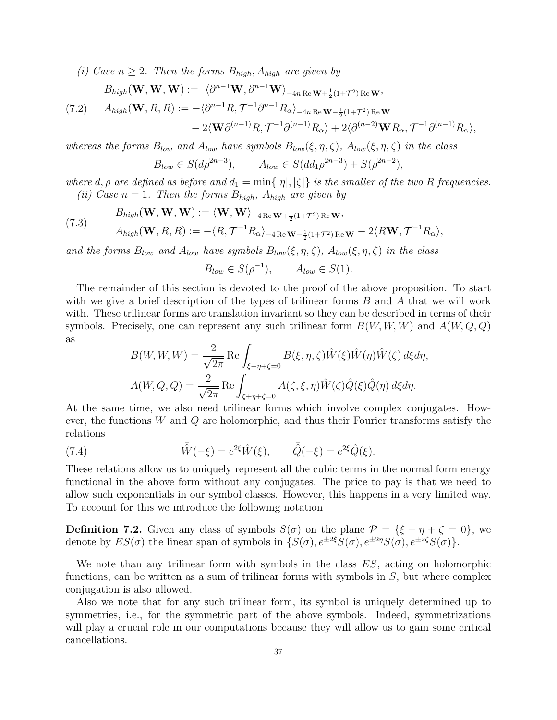<span id="page-36-1"></span>(i) Case 
$$
n \ge 2
$$
. Then the forms  $B_{high}$ ,  $A_{high}$  are given by  
\n
$$
B_{high}(\mathbf{W}, \mathbf{W}, \mathbf{W}) := \langle \partial^{n-1} \mathbf{W}, \partial^{n-1} \mathbf{W} \rangle_{-4n \operatorname{Re} \mathbf{W} + \frac{1}{2}(1+\mathcal{T}^2) \operatorname{Re} \mathbf{W}},
$$
\n(7.2)  $A_{high}(\mathbf{W}, R, R) := -\langle \partial^{n-1} R, \mathcal{T}^{-1} \partial^{n-1} R_{\alpha} \rangle_{-4n \operatorname{Re} \mathbf{W} - \frac{1}{2}(1+\mathcal{T}^2) \operatorname{Re} \mathbf{W}}$ 

 $-2\langle \mathbf{W}\partial^{(n-1)}R, \mathcal{T}^{-1}\partial^{(n-1)}R_{\alpha}\rangle + 2\langle \partial^{(n-2)}\mathbf{W}R_{\alpha}, \mathcal{T}^{-1}\partial^{(n-1)}R_{\alpha}\rangle,$ 

*whereas the forms*  $B_{low}$  *and*  $A_{low}$  *have symbols*  $B_{low}(\xi, \eta, \zeta)$ *,*  $A_{low}(\xi, \eta, \zeta)$  *in the class* 

$$
B_{low} \in S(d\rho^{2n-3}), \qquad A_{low} \in S(dd_1\rho^{2n-3}) + S(\rho^{2n-2}),
$$

*where* d,  $\rho$  are defined as before and  $d_1 = \min\{|\eta|, |\zeta|\}$  is the smaller of the two R frequencies. *(ii)* Case  $n = 1$ . Then the forms  $B_{high}$ ,  $A_{high}$  are given by

(7.3) 
$$
B_{high}(\mathbf{W}, \mathbf{W}, \mathbf{W}) := \langle \mathbf{W}, \mathbf{W} \rangle_{-4 \operatorname{Re} \mathbf{W} + \frac{1}{2}(1+\mathcal{T}^2) \operatorname{Re} \mathbf{W}},
$$

$$
A_{high}(\mathbf{W}, R, R) := -\langle R, \mathcal{T}^{-1} R_{\alpha} \rangle_{-4 \operatorname{Re} \mathbf{W} - \frac{1}{2}(1+\mathcal{T}^2) \operatorname{Re} \mathbf{W}} - 2 \langle R \mathbf{W}, \mathcal{T}^{-1} R_{\alpha} \rangle,
$$

*and the forms*  $B_{low}$  *and*  $A_{low}$  *have symbols*  $B_{low}(\xi, \eta, \zeta)$ *,*  $A_{low}(\xi, \eta, \zeta)$  *in the class* 

$$
B_{low} \in S(\rho^{-1}), \qquad A_{low} \in S(1).
$$

The remainder of this section is devoted to the proof of the above proposition. To start with we give a brief description of the types of trilinear forms  $B$  and  $A$  that we will work with. These trilinear forms are translation invariant so they can be described in terms of their symbols. Precisely, one can represent any such trilinear form  $B(W, W, W)$  and  $A(W, Q, Q)$ as

<span id="page-36-0"></span>
$$
B(W, W, W) = \frac{2}{\sqrt{2\pi}} \operatorname{Re} \int_{\xi + \eta + \zeta = 0} B(\xi, \eta, \zeta) \hat{W}(\xi) \hat{W}(\eta) \hat{W}(\zeta) d\xi d\eta,
$$
  

$$
A(W, Q, Q) = \frac{2}{\sqrt{2\pi}} \operatorname{Re} \int_{\xi + \eta + \zeta = 0} A(\zeta, \xi, \eta) \hat{W}(\zeta) \hat{Q}(\xi) \hat{Q}(\eta) d\xi d\eta.
$$

At the same time, we also need trilinear forms which involve complex conjugates. However, the functions  $W$  and  $Q$  are holomorphic, and thus their Fourier transforms satisfy the relations

(7.4) 
$$
\bar{\hat{W}}(-\xi) = e^{2\xi} \hat{W}(\xi), \qquad \bar{\hat{Q}}(-\xi) = e^{2\xi} \hat{Q}(\xi).
$$

These relations allow us to uniquely represent all the cubic terms in the normal form energy functional in the above form without any conjugates. The price to pay is that we need to allow such exponentials in our symbol classes. However, this happens in a very limited way. To account for this we introduce the following notation

**Definition 7.2.** Given any class of symbols  $S(\sigma)$  on the plane  $\mathcal{P} = {\xi + \eta + \zeta = 0}$ , we denote by  $ES(\sigma)$  the linear span of symbols in  $\{S(\sigma), e^{\pm 2\xi}S(\sigma), e^{\pm 2\eta}S(\sigma), e^{\pm 2\zeta}S(\sigma)\}.$ 

We note than any trilinear form with symbols in the class ES, acting on holomorphic functions, can be written as a sum of trilinear forms with symbols in  $S$ , but where complex conjugation is also allowed.

Also we note that for any such trilinear form, its symbol is uniquely determined up to symmetries, i.e., for the symmetric part of the above symbols. Indeed, symmetrizations will play a crucial role in our computations because they will allow us to gain some critical cancellations.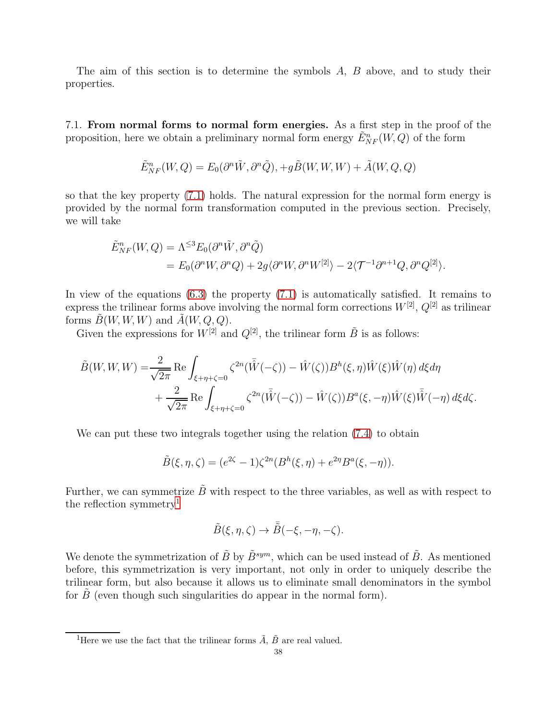The aim of this section is to determine the symbols A, B above, and to study their properties.

7.1. From normal forms to normal form energies. As a first step in the proof of the proposition, here we obtain a preliminary normal form energy  $\tilde{E}_{NF}^n(W,Q)$  of the form

$$
\tilde{E}_{NF}^n(W,Q) = E_0(\partial^n \tilde{W}, \partial^n \tilde{Q}), +g\tilde{B}(W,W,W) + \tilde{A}(W,Q,Q)
$$

so that the key property [\(7.1\)](#page-35-0) holds. The natural expression for the normal form energy is provided by the normal form transformation computed in the previous section. Precisely, we will take

$$
\tilde{E}_{NF}^n(W,Q) = \Lambda^{\leq 3} E_0(\partial^n \tilde{W}, \partial^n \tilde{Q})
$$
  
=  $E_0(\partial^n W, \partial^n Q) + 2g \langle \partial^n W, \partial^n W^{[2]} \rangle - 2 \langle \mathcal{T}^{-1} \partial^{n+1} Q, \partial^n Q^{[2]} \rangle.$ 

In view of the equations [\(6.3\)](#page-30-0) the property [\(7.1\)](#page-35-0) is automatically satisfied. It remains to express the trilinear forms above involving the normal form corrections  $W^{[2]}$ ,  $Q^{[2]}$  as trilinear forms  $B(W, W, W)$  and  $A(W, Q, Q)$ .

Given the expressions for  $W^{[2]}$  and  $Q^{[2]}$ , the trilinear form  $\tilde{B}$  is as follows:

$$
\tilde{B}(W,W,W) = \frac{2}{\sqrt{2\pi}} \operatorname{Re} \int_{\xi+\eta+\zeta=0} \zeta^{2n} (\bar{\hat{W}}(-\zeta)) - \hat{W}(\zeta)) B^{h}(\xi,\eta) \hat{W}(\xi) \hat{W}(\eta) d\xi d\eta \n+ \frac{2}{\sqrt{2\pi}} \operatorname{Re} \int_{\xi+\eta+\zeta=0} \zeta^{2n} (\bar{\hat{W}}(-\zeta)) - \hat{W}(\zeta)) B^{a}(\xi,-\eta) \hat{W}(\xi) \bar{\hat{W}}(-\eta) d\xi d\zeta.
$$

We can put these two integrals together using the relation [\(7.4\)](#page-36-0) to obtain

$$
\tilde{B}(\xi, \eta, \zeta) = (e^{2\zeta} - 1)\zeta^{2n}(B^h(\xi, \eta) + e^{2\eta}B^a(\xi, -\eta)).
$$

Further, we can symmetrize  $\tilde{B}$  with respect to the three variables, as well as with respect to the reflection symmetry<sup>[1](#page-37-0)</sup>

$$
\tilde{B}(\xi,\eta,\zeta)\to \bar{\tilde{B}}(-\xi,-\eta,-\zeta).
$$

We denote the symmetrization of  $\tilde{B}$  by  $\tilde{B}^{sym}$ , which can be used instead of  $\tilde{B}$ . As mentioned before, this symmetrization is very important, not only in order to uniquely describe the trilinear form, but also because it allows us to eliminate small denominators in the symbol for  $B$  (even though such singularities do appear in the normal form).

<span id="page-37-0"></span><sup>&</sup>lt;sup>1</sup>Here we use the fact that the trilinear forms  $\tilde{A}$ ,  $\tilde{B}$  are real valued.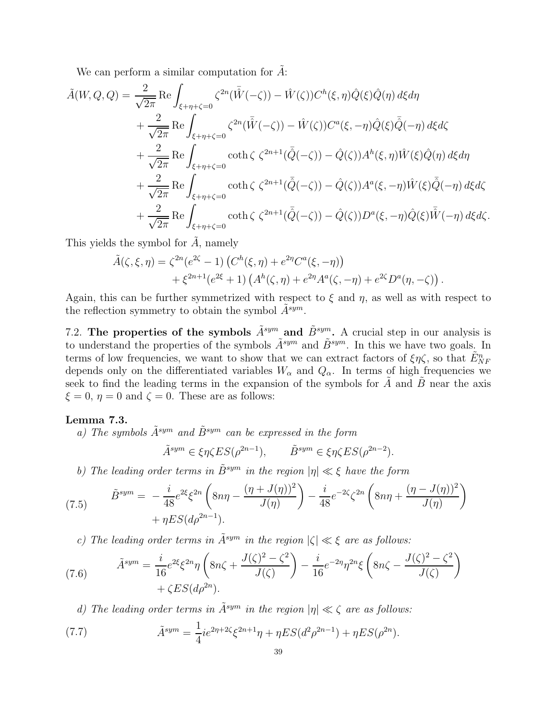We can perform a similar computation for  $A$ :

$$
\tilde{A}(W,Q,Q) = \frac{2}{\sqrt{2\pi}} \operatorname{Re} \int_{\xi+\eta+\zeta=0} \zeta^{2n} (\tilde{W}(-\zeta)) - \tilde{W}(\zeta) C^{h}(\xi,\eta) \hat{Q}(\xi) \hat{Q}(\eta) d\xi d\eta \n+ \frac{2}{\sqrt{2\pi}} \operatorname{Re} \int_{\xi+\eta+\zeta=0} \zeta^{2n} (\tilde{W}(-\zeta)) - \tilde{W}(\zeta) C^{a}(\xi,-\eta) \hat{Q}(\xi) \bar{\hat{Q}}(-\eta) d\xi d\zeta \n+ \frac{2}{\sqrt{2\pi}} \operatorname{Re} \int_{\xi+\eta+\zeta=0} \coth \zeta \zeta^{2n+1} (\bar{\hat{Q}}(-\zeta)) - \hat{Q}(\zeta) A^{h}(\xi,\eta) \hat{W}(\xi) \hat{Q}(\eta) d\xi d\eta \n+ \frac{2}{\sqrt{2\pi}} \operatorname{Re} \int_{\xi+\eta+\zeta=0} \coth \zeta \zeta^{2n+1} (\bar{\hat{Q}}(-\zeta)) - \hat{Q}(\zeta) A^{a}(\xi,-\eta) \hat{W}(\xi) \bar{\hat{Q}}(-\eta) d\xi d\zeta \n+ \frac{2}{\sqrt{2\pi}} \operatorname{Re} \int_{\xi+\eta+\zeta=0} \coth \zeta \zeta^{2n+1} (\bar{\hat{Q}}(-\zeta)) - \hat{Q}(\zeta) D^{a}(\xi,-\eta) \hat{Q}(\xi) \bar{\hat{W}}(-\eta) d\xi d\zeta.
$$

This yields the symbol for  $\tilde{A}$ , namely

$$
\tilde{A}(\zeta,\xi,\eta) = \zeta^{2n} (e^{2\zeta} - 1) \left( C^h(\xi,\eta) + e^{2\eta} C^a(\xi,-\eta) \right) \n+ \xi^{2n+1} (e^{2\xi} + 1) \left( A^h(\zeta,\eta) + e^{2\eta} A^a(\zeta,-\eta) + e^{2\zeta} D^a(\eta,-\zeta) \right).
$$

Again, this can be further symmetrized with respect to  $\xi$  and  $\eta$ , as well as with respect to the reflection symmetry to obtain the symbol  $\tilde{A}^{sym}$ .

7.2. The properties of the symbols  $\tilde{A}^{sym}$  and  $\tilde{B}^{sym}$ . A crucial step in our analysis is to understand the properties of the symbols  $\tilde{A}^{sym}$  and  $\tilde{B}^{sym}$ . In this we have two goals. In terms of low frequencies, we want to show that we can extract factors of  $\xi\eta\zeta$ , so that  $\tilde{E}_{NF}^n$ depends only on the differentiated variables  $W_{\alpha}$  and  $Q_{\alpha}$ . In terms of high frequencies we seek to find the leading terms in the expansion of the symbols for  $\tilde{A}$  and  $\tilde{B}$  near the axis  $\xi = 0, \eta = 0$  and  $\zeta = 0$ . These are as follows:

### Lemma 7.3.

*a)* The symbols  $\tilde{A}^{sym}$  and  $\tilde{B}^{sym}$  *can be expressed in the form* 

$$
\tilde{A}^{sym} \in \xi \eta \zeta ES(\rho^{2n-1}), \qquad \tilde{B}^{sym} \in \xi \eta \zeta ES(\rho^{2n-2}).
$$

*b)* The leading order terms in  $\tilde{B}^{sym}$  in the region  $|\eta| \ll \xi$  have the form

(7.5) 
$$
\tilde{B}^{sym} = -\frac{i}{48} e^{2\xi} \xi^{2n} \left( 8n\eta - \frac{(\eta + J(\eta))^2}{J(\eta)} \right) - \frac{i}{48} e^{-2\zeta} \zeta^{2n} \left( 8n\eta + \frac{(\eta - J(\eta))^2}{J(\eta)} \right) + \eta ES(d\rho^{2n-1}).
$$

*c)* The leading order terms in  $\tilde{A}^{sym}$  in the region  $|\zeta| \ll \xi$  are as follows:

(7.6) 
$$
\tilde{A}^{sym} = \frac{i}{16} e^{2\xi} \xi^{2n} \eta \left( 8n\zeta + \frac{J(\zeta)^2 - \zeta^2}{J(\zeta)} \right) - \frac{i}{16} e^{-2\eta} \eta^{2n} \xi \left( 8n\zeta - \frac{J(\zeta)^2 - \zeta^2}{J(\zeta)} \right) + \zeta ES(d\rho^{2n}).
$$

*d)* The leading order terms in  $\tilde{A}^{sym}$  in the region  $|\eta| \ll \zeta$  are as follows:

(7.7) 
$$
\tilde{A}^{sym} = \frac{1}{4} i e^{2\eta + 2\zeta} \xi^{2n+1} \eta + \eta ES(d^2 \rho^{2n-1}) + \eta ES(\rho^{2n}).
$$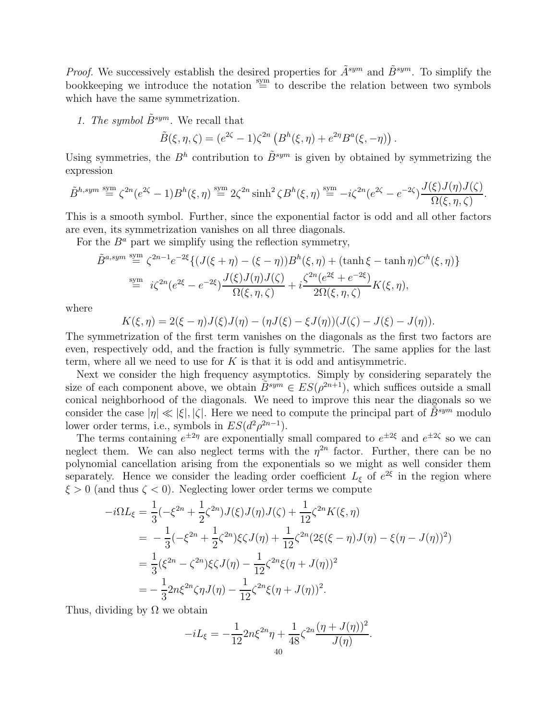*Proof.* We successively establish the desired properties for  $\tilde{A}^{sym}$  and  $\tilde{B}^{sym}$ . To simplify the bookkeeping we introduce the notation  $\stackrel{\text{sym}}{=}$  to describe the relation between two symbols which have the same symmetrization.

*1. The symbol*  $\tilde{B}^{sym}$ . We recall that

$$
\tilde{B}(\xi, \eta, \zeta) = (e^{2\zeta} - 1)\zeta^{2n} (B^h(\xi, \eta) + e^{2\eta} B^a(\xi, -\eta)).
$$

Using symmetries, the  $B^h$  contribution to  $\tilde{B}^{sym}$  is given by obtained by symmetrizing the expression

$$
\tilde{B}^{h,sym} \stackrel{\text{sym}}{=} \zeta^{2n} (e^{2\zeta} - 1) B^h(\xi, \eta) \stackrel{\text{sym}}{=} 2\zeta^{2n} \sinh^2 \zeta B^h(\xi, \eta) \stackrel{\text{sym}}{=} -i\zeta^{2n} (e^{2\zeta} - e^{-2\zeta}) \frac{J(\xi) J(\eta) J(\zeta)}{\Omega(\xi, \eta, \zeta)}.
$$

This is a smooth symbol. Further, since the exponential factor is odd and all other factors are even, its symmetrization vanishes on all three diagonals.

For the  $B^a$  part we simplify using the reflection symmetry,

$$
\tilde{B}^{a,sym} \stackrel{\text{sym}}{=} \zeta^{2n-1} e^{-2\xi} \{ (J(\xi + \eta) - (\xi - \eta)) B^h(\xi, \eta) + (\tanh \xi - \tanh \eta) C^h(\xi, \eta) \}
$$
  

$$
\stackrel{\text{sym}}{=} i\zeta^{2n} (e^{2\xi} - e^{-2\xi}) \frac{J(\xi) J(\eta) J(\zeta)}{\Omega(\xi, \eta, \zeta)} + i \frac{\zeta^{2n} (e^{2\xi} + e^{-2\xi})}{2\Omega(\xi, \eta, \zeta)} K(\xi, \eta),
$$

where

$$
K(\xi, \eta) = 2(\xi - \eta)J(\xi)J(\eta) - (\eta J(\xi) - \xi J(\eta))(J(\zeta) - J(\xi) - J(\eta)).
$$

The symmetrization of the first term vanishes on the diagonals as the first two factors are even, respectively odd, and the fraction is fully symmetric. The same applies for the last term, where all we need to use for  $K$  is that it is odd and antisymmetric.

Next we consider the high frequency asymptotics. Simply by considering separately the size of each component above, we obtain  $\tilde{B}^{sym} \in ES(\rho^{2n+1})$ , which suffices outside a small conical neighborhood of the diagonals. We need to improve this near the diagonals so we consider the case  $|\eta| \ll |\xi|, |\zeta|$ . Here we need to compute the principal part of  $\tilde{B}^{sym}$  modulo lower order terms, i.e., symbols in  $ES(d^2\rho^{2n-1})$ .

The terms containing  $e^{\pm 2\eta}$  are exponentially small compared to  $e^{\pm 2\xi}$  and  $e^{\pm 2\zeta}$  so we can neglect them. We can also neglect terms with the  $\eta^{2n}$  factor. Further, there can be no polynomial cancellation arising from the exponentials so we might as well consider them separately. Hence we consider the leading order coefficient  $L_{\xi}$  of  $e^{2\xi}$  in the region where  $\xi > 0$  (and thus  $\zeta < 0$ ). Neglecting lower order terms we compute

$$
-i\Omega L_{\xi} = \frac{1}{3}(-\xi^{2n} + \frac{1}{2}\zeta^{2n})J(\xi)J(\eta)J(\zeta) + \frac{1}{12}\zeta^{2n}K(\xi,\eta)
$$
  
=  $-\frac{1}{3}(-\xi^{2n} + \frac{1}{2}\zeta^{2n})\xi\zeta J(\eta) + \frac{1}{12}\zeta^{2n}(2\xi(\xi-\eta)J(\eta) - \xi(\eta-J(\eta))^2)$   
=  $\frac{1}{3}(\xi^{2n} - \zeta^{2n})\xi\zeta J(\eta) - \frac{1}{12}\zeta^{2n}\xi(\eta+J(\eta))^2$   
=  $-\frac{1}{3}2n\xi^{2n}\zeta\eta J(\eta) - \frac{1}{12}\zeta^{2n}\xi(\eta+J(\eta))^2$ .

Thus, dividing by  $\Omega$  we obtain

$$
-iL_{\xi} = -\frac{1}{12}2n\xi^{2n}\eta + \frac{1}{48}\zeta^{2n}\frac{(\eta + J(\eta))^2}{J(\eta)}.
$$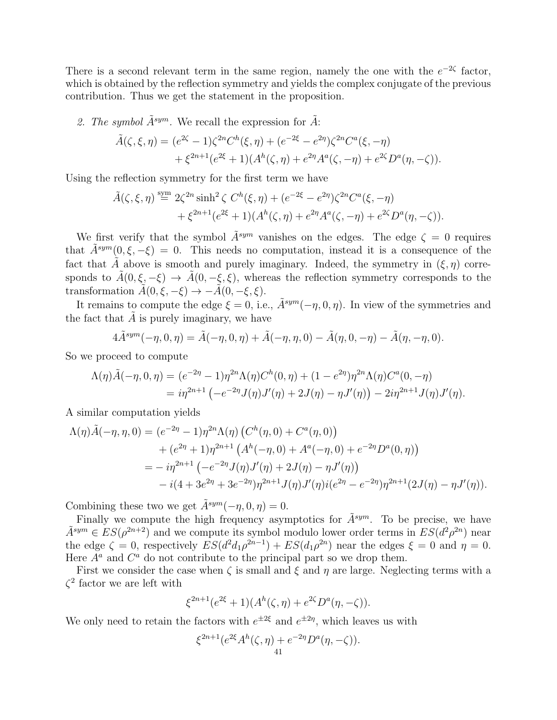There is a second relevant term in the same region, namely the one with the  $e^{-2\zeta}$  factor, which is obtained by the reflection symmetry and yields the complex conjugate of the previous contribution. Thus we get the statement in the proposition.

2. The symbol  $\tilde{A}^{sym}$ . We recall the expression for  $\tilde{A}$ :

$$
\tilde{A}(\zeta,\xi,\eta) = (e^{2\zeta} - 1)\zeta^{2n}C^h(\xi,\eta) + (e^{-2\zeta} - e^{2\eta})\zeta^{2n}C^a(\xi,-\eta) \n+ \xi^{2n+1}(e^{2\zeta} + 1)(A^h(\zeta,\eta) + e^{2\eta}A^a(\zeta,-\eta) + e^{2\zeta}D^a(\eta,-\zeta)).
$$

Using the reflection symmetry for the first term we have

$$
\tilde{A}(\zeta,\xi,\eta) \stackrel{\text{sym}}{=} 2\zeta^{2n} \sinh^2 \zeta \ C^h(\xi,\eta) + (e^{-2\xi} - e^{2\eta})\zeta^{2n} C^a(\xi,-\eta) \n+ \xi^{2n+1} (e^{2\xi} + 1) (A^h(\zeta,\eta) + e^{2\eta} A^a(\zeta,-\eta) + e^{2\zeta} D^a(\eta,-\zeta)).
$$

We first verify that the symbol  $\tilde{A}^{sym}$  vanishes on the edges. The edge  $\zeta = 0$  requires that  $\tilde{A}^{sym}(0,\xi,-\xi) = 0$ . This needs no computation, instead it is a consequence of the fact that  $\tilde{A}$  above is smooth and purely imaginary. Indeed, the symmetry in  $(\xi, \eta)$  corresponds to  $\tilde{A}(0,\xi,-\xi) \to \tilde{A}(0,-\xi,\xi)$ , whereas the reflection symmetry corresponds to the transformation  $\tilde{A}(0, \xi, -\xi) \rightarrow -\tilde{A}(0, -\xi, \xi)$ .

It remains to compute the edge  $\xi = 0$ , i.e.,  $\tilde{A}^{sym}(-\eta, 0, \eta)$ . In view of the symmetries and the fact that  $A$  is purely imaginary, we have

$$
4\tilde{A}^{sym}(-\eta,0,\eta) = \tilde{A}(-\eta,0,\eta) + \tilde{A}(-\eta,\eta,0) - \tilde{A}(\eta,0,-\eta) - \tilde{A}(\eta,-\eta,0).
$$

So we proceed to compute

$$
\Lambda(\eta)\tilde{A}(-\eta,0,\eta) = (e^{-2\eta} - 1)\eta^{2n}\Lambda(\eta)C^h(0,\eta) + (1 - e^{2\eta})\eta^{2n}\Lambda(\eta)C^a(0,-\eta)
$$
  
=  $i\eta^{2n+1}(-e^{-2\eta}J(\eta)J'(\eta) + 2J(\eta) - \eta J'(\eta)) - 2i\eta^{2n+1}J(\eta)J'(\eta).$ 

A similar computation yields

$$
\Lambda(\eta)\tilde{A}(-\eta,\eta,0) = (e^{-2\eta} - 1)\eta^{2n}\Lambda(\eta) \left(C^h(\eta,0) + C^a(\eta,0)\right) \n+ (e^{2\eta} + 1)\eta^{2n+1} \left(A^h(-\eta,0) + A^a(-\eta,0) + e^{-2\eta}D^a(0,\eta)\right) \n= -i\eta^{2n+1} \left(-e^{-2\eta}J(\eta)J'(\eta) + 2J(\eta) - \eta J'(\eta)\right) \n- i(4 + 3e^{2\eta} + 3e^{-2\eta})\eta^{2n+1}J(\eta)J'(\eta)i(e^{2\eta} - e^{-2\eta})\eta^{2n+1}(2J(\eta) - \eta J'(\eta)).
$$

Combining these two we get  $\tilde{A}^{sym}(-\eta, 0, \eta) = 0$ .

Finally we compute the high frequency asymptotics for  $\tilde{A}^{sym}$ . To be precise, we have  $\tilde{A}^{sym} \in ES(\rho^{2n+2})$  and we compute its symbol modulo lower order terms in  $ES(d^2\rho^{2n})$  near the edge  $\zeta = 0$ , respectively  $ES(d^2d_1\rho^{2n-1}) + ES(d_1\rho^{2n})$  near the edges  $\xi = 0$  and  $\eta = 0$ . Here  $A^a$  and  $C^a$  do not contribute to the principal part so we drop them.

First we consider the case when  $\zeta$  is small and  $\xi$  and  $\eta$  are large. Neglecting terms with a  $\zeta^2$  factor we are left with

$$
\xi^{2n+1}(e^{2\xi}+1)(A^h(\zeta,\eta)+e^{2\zeta}D^a(\eta,-\zeta)).
$$

We only need to retain the factors with  $e^{\pm 2\xi}$  and  $e^{\pm 2\eta}$ , which leaves us with

$$
\xi^{2n+1}(e^{2\xi}A^h(\zeta,\eta) + e^{-2\eta}D^a(\eta,-\zeta)).
$$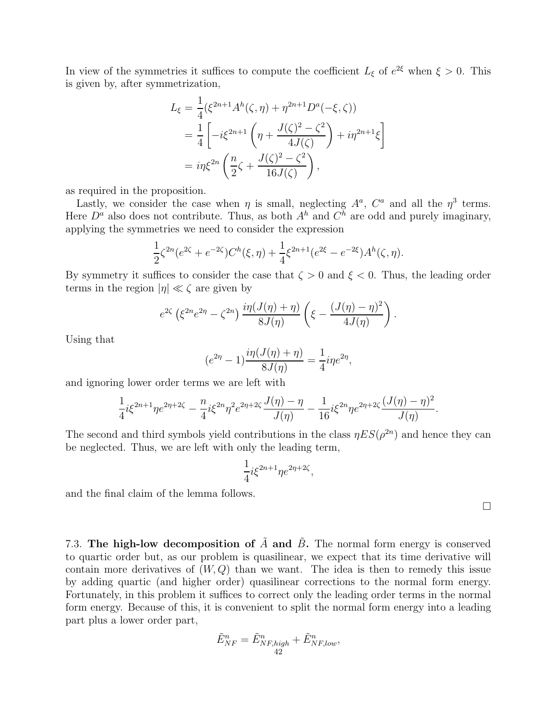In view of the symmetries it suffices to compute the coefficient  $L_{\xi}$  of  $e^{2\xi}$  when  $\xi > 0$ . This is given by, after symmetrization,

$$
L_{\xi} = \frac{1}{4} (\xi^{2n+1} A^h(\zeta, \eta) + \eta^{2n+1} D^a(-\xi, \zeta))
$$
  
= 
$$
\frac{1}{4} \left[ -i \xi^{2n+1} \left( \eta + \frac{J(\zeta)^2 - \zeta^2}{4J(\zeta)} \right) + i \eta^{2n+1} \xi \right]
$$
  
= 
$$
i \eta \xi^{2n} \left( \frac{n}{2} \zeta + \frac{J(\zeta)^2 - \zeta^2}{16J(\zeta)} \right),
$$

as required in the proposition.

Lastly, we consider the case when  $\eta$  is small, neglecting  $A^a$ ,  $C^a$  and all the  $\eta^3$  terms. Here  $D^a$  also does not contribute. Thus, as both  $A^h$  and  $C^h$  are odd and purely imaginary, applying the symmetries we need to consider the expression

$$
\frac{1}{2}\zeta^{2n}(e^{2\zeta}+e^{-2\zeta})C^h(\xi,\eta)+\frac{1}{4}\xi^{2n+1}(e^{2\xi}-e^{-2\xi})A^h(\zeta,\eta).
$$

By symmetry it suffices to consider the case that  $\zeta > 0$  and  $\xi < 0$ . Thus, the leading order terms in the region  $|\eta| \ll \zeta$  are given by

$$
e^{2\zeta} \left(\xi^{2n} e^{2\eta} - \zeta^{2n}\right) \frac{i\eta(J(\eta) + \eta)}{8J(\eta)} \left(\xi - \frac{(J(\eta) - \eta)^2}{4J(\eta)}\right).
$$

Using that

$$
(e^{2\eta} - 1)\frac{i\eta(J(\eta) + \eta)}{8J(\eta)} = \frac{1}{4}i\eta e^{2\eta},
$$

and ignoring lower order terms we are left with

$$
\frac{1}{4}i\xi^{2n+1}\eta e^{2\eta+2\zeta} - \frac{n}{4}i\xi^{2n}\eta^2 e^{2\eta+2\zeta}\frac{J(\eta)-\eta}{J(\eta)} - \frac{1}{16}i\xi^{2n}\eta e^{2\eta+2\zeta}\frac{(J(\eta)-\eta)^2}{J(\eta)}.
$$

The second and third symbols yield contributions in the class  $\eta ES(\rho^{2n})$  and hence they can be neglected. Thus, we are left with only the leading term,

$$
\frac{1}{4}i\xi^{2n+1}\eta e^{2\eta+2\zeta},
$$

and the final claim of the lemma follows.

 $\Box$ 

7.3. The high-low decomposition of  $\tilde{A}$  and  $\tilde{B}$ . The normal form energy is conserved to quartic order but, as our problem is quasilinear, we expect that its time derivative will contain more derivatives of  $(W, Q)$  than we want. The idea is then to remedy this issue by adding quartic (and higher order) quasilinear corrections to the normal form energy. Fortunately, in this problem it suffices to correct only the leading order terms in the normal form energy. Because of this, it is convenient to split the normal form energy into a leading part plus a lower order part,

$$
\tilde{E}_{NF}^n = \tilde{E}_{NF,high}^n + \tilde{E}_{NF,low}^n,
$$
  

$$
42
$$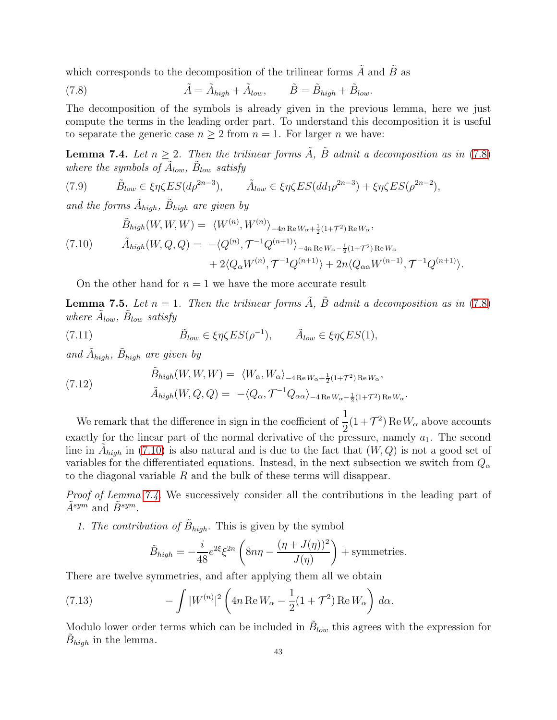which corresponds to the decomposition of the trilinear forms  $\tilde{A}$  and  $\tilde{B}$  as

<span id="page-42-0"></span>(7.8) 
$$
\tilde{A} = \tilde{A}_{high} + \tilde{A}_{low}, \qquad \tilde{B} = \tilde{B}_{high} + \tilde{B}_{low}.
$$

The decomposition of the symbols is already given in the previous lemma, here we just compute the terms in the leading order part. To understand this decomposition it is useful to separate the generic case  $n \geq 2$  from  $n = 1$ . For larger n we have:

<span id="page-42-2"></span>**Lemma 7.4.** Let  $n \geq 2$ . Then the trilinear forms  $\tilde{A}$ ,  $\tilde{B}$  admit a decomposition as in [\(7.8\)](#page-42-0) where the symbols of  $\tilde{A}_{low}$ ,  $\tilde{B}_{low}$  satisfy

(7.9) 
$$
\tilde{B}_{low} \in \xi \eta \zeta ES(d\rho^{2n-3}), \qquad \tilde{A}_{low} \in \xi \eta \zeta ES(d d_1 \rho^{2n-3}) + \xi \eta \zeta ES(\rho^{2n-2}),
$$

and the forms  $\tilde{A}_{high}$ ,  $\tilde{B}_{high}$  are given by

<span id="page-42-1"></span>
$$
\tilde{B}_{high}(W, W, W) = \langle W^{(n)}, W^{(n)} \rangle_{-4n \operatorname{Re} W_{\alpha} + \frac{1}{2}(1+\mathcal{T}^2) \operatorname{Re} W_{\alpha}},
$$

(7.10) 
$$
\tilde{A}_{high}(W,Q,Q) = -\langle Q^{(n)}, \mathcal{T}^{-1}Q^{(n+1)} \rangle_{-4n \operatorname{Re} W_{\alpha} - \frac{1}{2}(1+\mathcal{T}^2) \operatorname{Re} W_{\alpha}} + 2\langle Q_{\alpha}W^{(n)}, \mathcal{T}^{-1}Q^{(n+1)} \rangle + 2n\langle Q_{\alpha\alpha}W^{(n-1)}, \mathcal{T}^{-1}Q^{(n+1)} \rangle.
$$

On the other hand for  $n = 1$  we have the more accurate result

<span id="page-42-3"></span>**Lemma 7.5.** Let  $n = 1$ . Then the trilinear forms  $\tilde{A}$ ,  $\tilde{B}$  admit a decomposition as in [\(7.8\)](#page-42-0)  $where \tilde{A}_{low}, \tilde{B}_{low} satisfy$ 

(7.11) 
$$
\tilde{B}_{low} \in \xi \eta \zeta ES(\rho^{-1}), \qquad \tilde{A}_{low} \in \xi \eta \zeta ES(1),
$$

and  $\tilde{A}_{high}$ ,  $\tilde{B}_{high}$  are given by

(7.12) 
$$
\tilde{B}_{high}(W, W, W) = \langle W_{\alpha}, W_{\alpha} \rangle_{-4 \operatorname{Re} W_{\alpha} + \frac{1}{2}(1+\mathcal{T}^2) \operatorname{Re} W_{\alpha}},
$$

$$
\tilde{A}_{high}(W, Q, Q) = -\langle Q_{\alpha}, \mathcal{T}^{-1} Q_{\alpha \alpha} \rangle_{-4 \operatorname{Re} W_{\alpha} - \frac{1}{2}(1+\mathcal{T}^2) \operatorname{Re} W_{\alpha}}.
$$

We remark that the difference in sign in the coefficient of  $\frac{1}{2}$  $\frac{1}{2}(1+\mathcal{T}^2)$  Re  $W_\alpha$  above accounts exactly for the linear part of the normal derivative of the pressure, namely  $a_1$ . The second line in  $\tilde{A}_{high}$  in [\(7.10\)](#page-42-1) is also natural and is due to the fact that  $(W, Q)$  is not a good set of variables for the differentiated equations. Instead, in the next subsection we switch from  $Q_{\alpha}$ to the diagonal variable  $R$  and the bulk of these terms will disappear.

*Proof of Lemma [7.4.](#page-42-2)* We successively consider all the contributions in the leading part of  $\tilde{A}^{sym}$  and  $\tilde{B}^{sym}$ .

*1. The contribution of*  $\tilde{B}_{high}$ . This is given by the symbol

$$
\tilde{B}_{high} = -\frac{i}{48} e^{2\xi} \xi^{2n} \left( 8n\eta - \frac{(\eta + J(\eta))^2}{J(\eta)} \right) + \text{symmetries.}
$$

There are twelve symmetries, and after applying them all we obtain

(7.13) 
$$
-\int |W^{(n)}|^2 \left(4n \operatorname{Re} W_{\alpha} - \frac{1}{2}(1+\mathcal{T}^2) \operatorname{Re} W_{\alpha}\right) d\alpha.
$$

Modulo lower order terms which can be included in  $\tilde{B}_{low}$  this agrees with the expression for  $\tilde{B}_{high}$  in the lemma.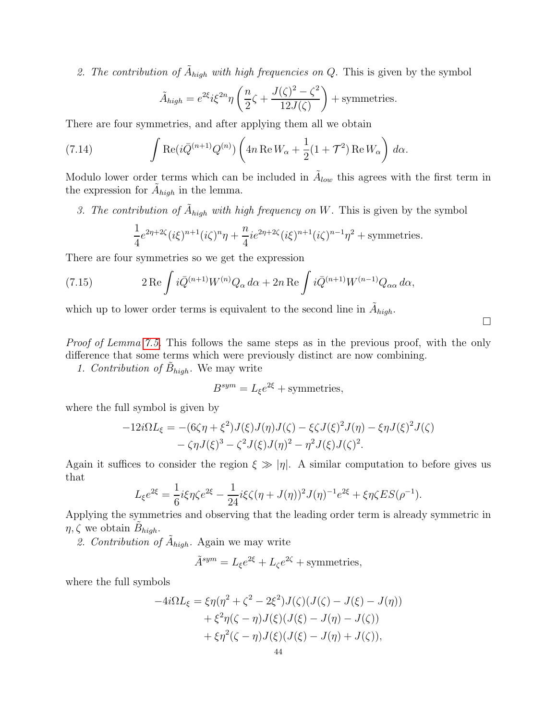2. The contribution of  $\tilde{A}_{high}$  with high frequencies on Q. This is given by the symbol

$$
\tilde{A}_{high} = e^{2\xi} i \xi^{2n} \eta \left( \frac{n}{2} \zeta + \frac{J(\zeta)^2 - \zeta^2}{12J(\zeta)} \right) + \text{symmetries.}
$$

There are four symmetries, and after applying them all we obtain

(7.14) 
$$
\int \operatorname{Re}(i\bar{Q}^{(n+1)}Q^{(n)})\left(4n\operatorname{Re}W_{\alpha}+\frac{1}{2}(1+\mathcal{T}^{2})\operatorname{Re}W_{\alpha}\right) d\alpha.
$$

Modulo lower order terms which can be included in  $\tilde{A}_{low}$  this agrees with the first term in the expression for  $\tilde{A}_{high}$  in the lemma.

3. The contribution of  $\tilde{A}_{high}$  with high frequency on W. This is given by the symbol

$$
\frac{1}{4}e^{2\eta+2\zeta}(i\xi)^{n+1}(i\zeta)^n\eta + \frac{n}{4}ie^{2\eta+2\zeta}(i\xi)^{n+1}(i\zeta)^{n-1}\eta^2 + \text{symmetries.}
$$

There are four symmetries so we get the expression

(7.15) 
$$
2 \operatorname{Re} \int i \bar{Q}^{(n+1)} W^{(n)} Q_{\alpha} d\alpha + 2n \operatorname{Re} \int i \bar{Q}^{(n+1)} W^{(n-1)} Q_{\alpha\alpha} d\alpha,
$$

which up to lower order terms is equivalent to the second line in  $\tilde{A}_{high}$ .

*Proof of Lemma [7.5.](#page-42-3)* This follows the same steps as in the previous proof, with the only difference that some terms which were previously distinct are now combining.

 $\Box$ 

1. Contribution of  $\tilde{B}_{high}$ . We may write

$$
B^{sym} = L_{\xi}e^{2\xi} + \text{symmetries},
$$

where the full symbol is given by

$$
-12i\Omega L_{\xi} = -(6\zeta\eta + \xi^2)J(\xi)J(\eta)J(\zeta) - \xi\zeta J(\xi)^2J(\eta) - \xi\eta J(\xi)^2J(\zeta) - \zeta\eta J(\xi)^3 - \zeta^2 J(\xi)J(\eta)^2 - \eta^2 J(\xi)J(\zeta)^2.
$$

Again it suffices to consider the region  $\xi \gg |\eta|$ . A similar computation to before gives us that

$$
L_{\xi}e^{2\xi} = \frac{1}{6}i\xi\eta\zeta e^{2\xi} - \frac{1}{24}i\xi\zeta(\eta + J(\eta))^2J(\eta)^{-1}e^{2\xi} + \xi\eta\zeta ES(\rho^{-1}).
$$

Applying the symmetries and observing that the leading order term is already symmetric in  $\eta, \zeta$  we obtain  $\tilde{B}_{high}$ .

2. Contribution of  $\tilde{A}_{high}$ . Again we may write

$$
\tilde{A}^{sym} = L_{\xi}e^{2\xi} + L_{\zeta}e^{2\zeta} + \text{symmetries},
$$

where the full symbols

$$
-4i\Omega L_{\xi} = \xi \eta (\eta^2 + \zeta^2 - 2\xi^2) J(\zeta) (J(\zeta) - J(\xi) - J(\eta)) + \xi^2 \eta (\zeta - \eta) J(\xi) (J(\xi) - J(\eta) - J(\zeta)) + \xi \eta^2 (\zeta - \eta) J(\xi) (J(\xi) - J(\eta) + J(\zeta)),
$$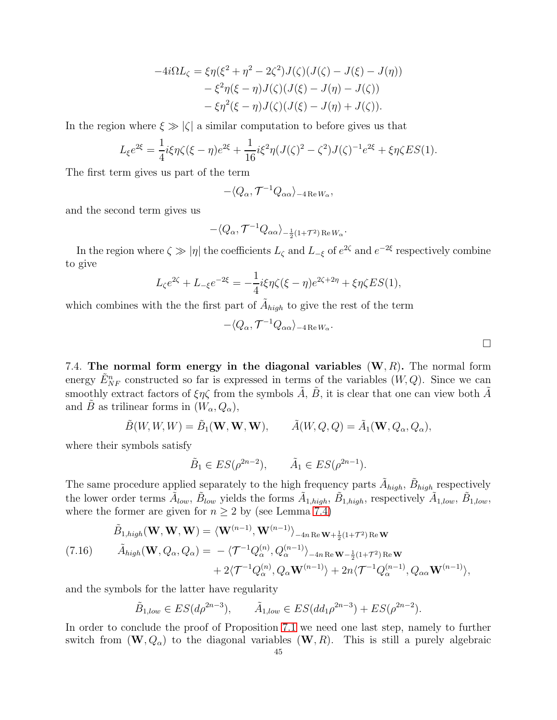$$
-4i\Omega L_{\zeta} = \xi \eta (\xi^2 + \eta^2 - 2\zeta^2) J(\zeta) (J(\zeta) - J(\xi) - J(\eta))
$$
  

$$
- \xi^2 \eta (\xi - \eta) J(\zeta) (J(\xi) - J(\eta) - J(\zeta))
$$
  

$$
- \xi \eta^2 (\xi - \eta) J(\zeta) (J(\xi) - J(\eta) + J(\zeta)).
$$

In the region where  $\xi \gg |\zeta|$  a similar computation to before gives us that

$$
L_{\xi}e^{2\xi} = \frac{1}{4}i\xi\eta\zeta(\xi-\eta)e^{2\xi} + \frac{1}{16}i\xi^2\eta(J(\zeta)^2 - \zeta^2)J(\zeta)^{-1}e^{2\xi} + \xi\eta\zeta ES(1).
$$

The first term gives us part of the term

$$
-\langle Q_\alpha, \mathcal{T}^{-1} Q_{\alpha\alpha} \rangle_{-4 \operatorname{Re} W_\alpha},
$$

and the second term gives us

$$
-\langle Q_\alpha, \mathcal{T}^{-1} Q_{\alpha\alpha} \rangle_{-\frac{1}{2}(1+\mathcal{T}^2) \operatorname{Re} W_{\alpha}}.
$$

In the region where  $\zeta \gg |\eta|$  the coefficients  $L_{\zeta}$  and  $L_{-\xi}$  of  $e^{2\zeta}$  and  $e^{-2\xi}$  respectively combine to give

$$
L_{\zeta}e^{2\zeta} + L_{-\xi}e^{-2\xi} = -\frac{1}{4}i\xi\eta\zeta(\xi - \eta)e^{2\zeta + 2\eta} + \xi\eta\zeta ES(1),
$$

which combines with the the first part of  $\tilde{A}_{high}$  to give the rest of the term

$$
-\langle Q_{\alpha}, \mathcal{T}^{-1}Q_{\alpha\alpha}\rangle_{-4\operatorname{Re}W_{\alpha}}.
$$

7.4. The normal form energy in the diagonal variables  $(W, R)$ . The normal form energy  $\tilde{E}_{NF}^n$  constructed so far is expressed in terms of the variables  $(W, Q)$ . Since we can smoothly extract factors of  $\xi \eta \zeta$  from the symbols  $\tilde{A}$ ,  $\tilde{B}$ , it is clear that one can view both  $\tilde{A}$ and B as trilinear forms in  $(W_{\alpha}, Q_{\alpha}),$ 

$$
\tilde{B}(W, W, W) = \tilde{B}_1(\mathbf{W}, \mathbf{W}, \mathbf{W}), \qquad \tilde{A}(W, Q, Q) = \tilde{A}_1(\mathbf{W}, Q_\alpha, Q_\alpha),
$$

where their symbols satisfy

$$
\tilde{B}_1 \in ES(\rho^{2n-2}), \qquad \tilde{A}_1 \in ES(\rho^{2n-1}).
$$

The same procedure applied separately to the high frequency parts  $\tilde{A}_{high}$ ,  $\tilde{B}_{high}$  respectively the lower order terms  $\tilde{A}_{low}$ ,  $\tilde{B}_{low}$  yields the forms  $\tilde{A}_{1,high}$ ,  $\tilde{B}_{1,high}$ , respectively  $\tilde{A}_{1,low}$ ,  $\tilde{B}_{1,low}$ , where the former are given for  $n \geq 2$  by (see Lemma [7.4\)](#page-42-2)

$$
\tilde{B}_{1,high}(\mathbf{W}, \mathbf{W}, \mathbf{W}) = \langle \mathbf{W}^{(n-1)}, \mathbf{W}^{(n-1)} \rangle_{-4n \operatorname{Re} \mathbf{W} + \frac{1}{2}(1+\mathcal{T}^2) \operatorname{Re} \mathbf{W}}
$$
\n
$$
(7.16) \qquad \tilde{A}_{high}(\mathbf{W}, Q_{\alpha}, Q_{\alpha}) = -\langle \mathcal{T}^{-1} Q_{\alpha}^{(n)}, Q_{\alpha}^{(n-1)} \rangle_{-4n \operatorname{Re} \mathbf{W} - \frac{1}{2}(1+\mathcal{T}^2) \operatorname{Re} \mathbf{W}}
$$
\n
$$
+ 2 \langle \mathcal{T}^{-1} Q_{\alpha}^{(n)}, Q_{\alpha} \mathbf{W}^{(n-1)} \rangle + 2n \langle \mathcal{T}^{-1} Q_{\alpha}^{(n-1)}, Q_{\alpha \alpha} \mathbf{W}^{(n-1)} \rangle,
$$

and the symbols for the latter have regularity

$$
\tilde{B}_{1,low} \in ES(d\rho^{2n-3}), \qquad \tilde{A}_{1,low} \in ES(dd_1\rho^{2n-3}) + ES(\rho^{2n-2}).
$$

In order to conclude the proof of Proposition [7.1](#page-35-1) we need one last step, namely to further switch from  $(\mathbf{W}, Q_{\alpha})$  to the diagonal variables  $(\mathbf{W}, R)$ . This is still a purely algebraic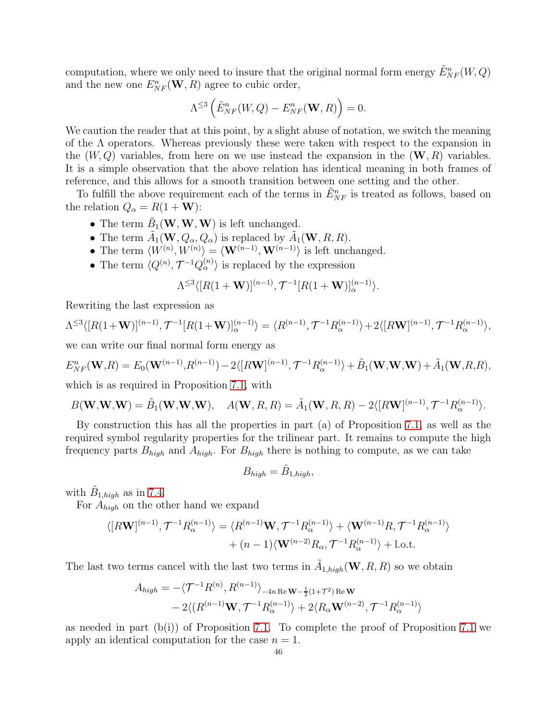computation, where we only need to insure that the original normal form energy  $\tilde{E}^n_{NF}(W,Q)$ and the new one  $E_{NF}^n(\mathbf{W}, R)$  agree to cubic order,

$$
\Lambda^{\leq 3}\left(\tilde{E}_{NF}^n(W,Q)-E_{NF}^n(\mathbf{W},R)\right)=0.
$$

We caution the reader that at this point, by a slight abuse of notation, we switch the meaning of the  $\Lambda$  operators. Whereas previously these were taken with respect to the expansion in the  $(W, Q)$  variables, from here on we use instead the expansion in the  $(W, R)$  variables. It is a simple observation that the above relation has identical meaning in both frames of reference, and this allows for a smooth transition between one setting and the other.

To fulfill the above requirement each of the terms in  $\tilde{E}_{NF}^n$  is treated as follows, based on the relation  $Q_{\alpha} = R(1 + \mathbf{W})$ :

- The term  $\tilde{B}_1(\mathbf{W}, \mathbf{W}, \mathbf{W})$  is left unchanged.
- The term  $\tilde{A}_1(\mathbf{W}, Q_\alpha, Q_\alpha)$  is replaced by  $\tilde{A}_1(\mathbf{W}, R, R)$ .
- The term  $\langle W^{(n)}, W^{(n)} \rangle = \langle \mathbf{W}^{(n-1)}, \mathbf{W}^{(n-1)} \rangle$  is left unchanged.
- The term  $\langle Q^{(n)}, \mathcal{T}^{-1}Q_{\alpha}^{(n)} \rangle$  is replaced by the expression

$$
\Lambda^{\leq 3} \langle [R(1 + \mathbf{W})]^{(n-1)}, \mathcal{T}^{-1} [R(1 + \mathbf{W})]_{\alpha}^{(n-1)} \rangle.
$$

Rewriting the last expression as

$$
\Lambda^{\leq 3}\langle [R(1+\mathbf{W})]^{(n-1)}, \mathcal{T}^{-1}[R(1+\mathbf{W})]_{\alpha}^{(n-1)} \rangle = \langle R^{(n-1)}, \mathcal{T}^{-1}R_{\alpha}^{(n-1)} \rangle + 2\langle [R\mathbf{W}]^{(n-1)}, \mathcal{T}^{-1}R_{\alpha}^{(n-1)} \rangle,
$$

we can write our final normal form energy as

$$
E_{NF}^{n}(\mathbf{W},R) = E_0(\mathbf{W}^{(n-1)},R^{(n-1)}) - 2\langle[R\mathbf{W}]^{(n-1)},\mathcal{T}^{-1}R_{\alpha}^{(n-1)}\rangle + \tilde{B}_1(\mathbf{W},\mathbf{W},\mathbf{W}) + \tilde{A}_1(\mathbf{W},R,R),
$$

which is as required in Proposition [7.1,](#page-35-1) with

$$
B(\mathbf{W},\mathbf{W},\mathbf{W})=\tilde{B}_1(\mathbf{W},\mathbf{W},\mathbf{W}),\quad A(\mathbf{W},R,R)=\tilde{A}_1(\mathbf{W},R,R)-2\langle[R\mathbf{W}]^{(n-1)},\mathcal{T}^{-1}R_{\alpha}^{(n-1)}\rangle.
$$

By construction this has all the properties in part (a) of Proposition [7.1,](#page-35-1) as well as the required symbol regularity properties for the trilinear part. It remains to compute the high frequency parts  $B_{high}$  and  $A_{high}$ . For  $B_{high}$  there is nothing to compute, as we can take

$$
B_{high} = \tilde{B}_{1,high},
$$

with  $\tilde{B}_{1,high}$  as in [7.4.](#page-42-2)

For  $A_{high}$  on the other hand we expand

$$
\langle [R\mathbf{W}]^{(n-1)}, \mathcal{T}^{-1}R_{\alpha}^{(n-1)} \rangle = \langle R^{(n-1)}\mathbf{W}, \mathcal{T}^{-1}R_{\alpha}^{(n-1)} \rangle + \langle \mathbf{W}^{(n-1)}R, \mathcal{T}^{-1}R_{\alpha}^{(n-1)} \rangle
$$

$$
+ (n-1)\langle \mathbf{W}^{(n-2)}R_{\alpha}, \mathcal{T}^{-1}R_{\alpha}^{(n-1)} \rangle + \text{l.o.t.}
$$

The last two terms cancel with the last two terms in  $\tilde{A}_{1,high}(\mathbf{W}, R, R)$  so we obtain

$$
A_{high} = -\langle \mathcal{T}^{-1} R^{(n)}, R^{(n-1)} \rangle_{-4n \operatorname{Re} \mathbf{W} - \frac{1}{2}(1+\mathcal{T}^2) \operatorname{Re} \mathbf{W}}
$$
  
- 2\langle (R^{(n-1)}\mathbf{W}, \mathcal{T}^{-1} R\_{\alpha}^{(n-1)} \rangle + 2 \langle R\_{\alpha} \mathbf{W}^{(n-2)}, \mathcal{T}^{-1} R\_{\alpha}^{(n-1)} \rangle

as needed in part  $(b(i))$  of Proposition [7.1.](#page-35-1) To complete the proof of Proposition [7.1](#page-35-1) we apply an identical computation for the case  $n = 1$ .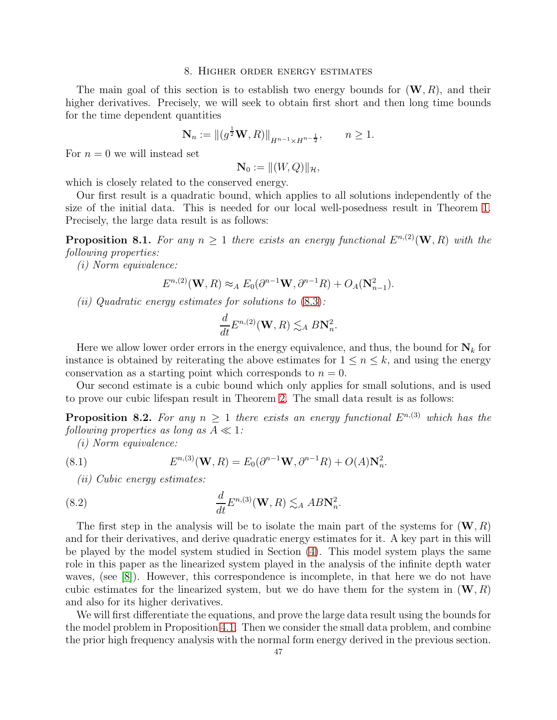#### 8. Higher order energy estimates

The main goal of this section is to establish two energy bounds for  $(\mathbf{W}, R)$ , and their higher derivatives. Precisely, we will seek to obtain first short and then long time bounds for the time dependent quantities

$$
\mathbf{N}_n := \| (g^{\frac{1}{2}} \mathbf{W}, R) \|_{H^{n-1} \times H^{n-\frac{1}{2}}}, \qquad n \ge 1.
$$

For  $n = 0$  we will instead set

$$
\mathbf{N}_0 := ||(W,Q)||_{\mathcal{H}},
$$

which is closely related to the conserved energy.

Our first result is a quadratic bound, which applies to all solutions independently of the size of the initial data. This is needed for our local well-posedness result in Theorem [1.](#page-6-0) Precisely, the large data result is as follows:

<span id="page-46-0"></span>**Proposition 8.1.** For any  $n \geq 1$  there exists an energy functional  $E^{n,(2)}(\mathbf{W}, R)$  with the *following properties:*

*(i) Norm equivalence:*

$$
E^{n,(2)}(\mathbf{W},R) \approx_A E_0(\partial^{n-1}\mathbf{W},\partial^{n-1}R) + O_A(\mathbf{N}_{n-1}^2).
$$

*(ii) Quadratic energy estimates for solutions to* [\(8.3\)](#page-47-0)*:*

$$
\frac{d}{dt}E^{n,(2)}(\mathbf{W},R)\lesssim_A B\mathbf{N}_n^2.
$$

Here we allow lower order errors in the energy equivalence, and thus, the bound for  $N_k$  for instance is obtained by reiterating the above estimates for  $1 \leq n \leq k$ , and using the energy conservation as a starting point which corresponds to  $n = 0$ .

Our second estimate is a cubic bound which only applies for small solutions, and is used to prove our cubic lifespan result in Theorem [2.](#page-6-1) The small data result is as follows:

<span id="page-46-1"></span>**Proposition 8.2.** For any  $n \geq 1$  there exists an energy functional  $E^{n,(3)}$  which has the *following properties as long as*  $A \ll 1$ :

*(i) Norm equivalence:*

(8.1) 
$$
E^{n,(3)}(\mathbf{W},R) = E_0(\partial^{n-1}\mathbf{W},\partial^{n-1}R) + O(A)\mathbf{N}_n^2.
$$

<span id="page-46-3"></span><span id="page-46-2"></span>*(ii) Cubic energy estimates:*

(8.2) 
$$
\frac{d}{dt}E^{n,(3)}(\mathbf{W},R)\lesssim_A AB\mathbf{N}_n^2.
$$

The first step in the analysis will be to isolate the main part of the systems for  $(\mathbf{W}, R)$ and for their derivatives, and derive quadratic energy estimates for it. A key part in this will be played by the model system studied in Section [\(4\)](#page-20-0). This model system plays the same role in this paper as the linearized system played in the analysis of the infinite depth water waves, (see [\[8\]](#page-81-0)). However, this correspondence is incomplete, in that here we do not have cubic estimates for the linearized system, but we do have them for the system in  $(\mathbf{W}, R)$ and also for its higher derivatives.

We will first differentiate the equations, and prove the large data result using the bounds for the model problem in Proposition [4.1.](#page-21-0) Then we consider the small data problem, and combine the prior high frequency analysis with the normal form energy derived in the previous section.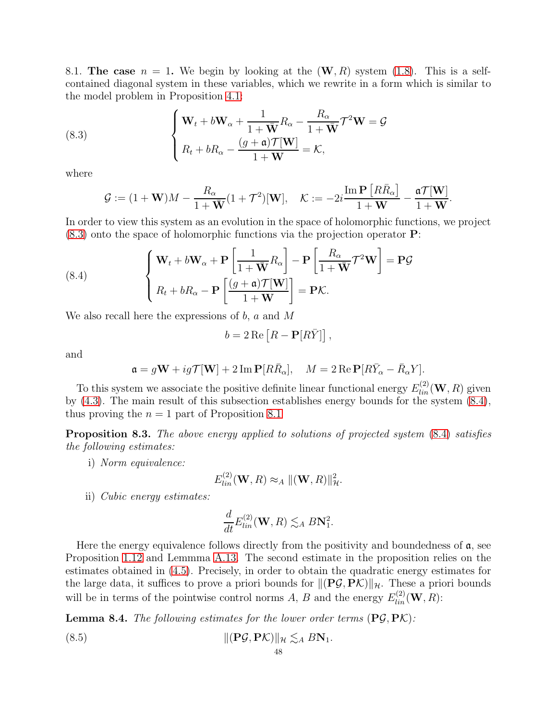8.1. The case  $n = 1$ . We begin by looking at the  $(W, R)$  system [\(1.8\)](#page-4-0). This is a selfcontained diagonal system in these variables, which we rewrite in a form which is similar to the model problem in Proposition [4.1:](#page-21-0)

(8.3) 
$$
\begin{cases} \mathbf{W}_t + b\mathbf{W}_\alpha + \frac{1}{1+\bar{\mathbf{W}}}R_\alpha - \frac{R_\alpha}{1+\bar{\mathbf{W}}}\mathcal{T}^2\mathbf{W} = \mathcal{G} \\ R_t + bR_\alpha - \frac{(g+\mathfrak{a})\mathcal{T}[\mathbf{W}]}{1+\mathbf{W}} = \mathcal{K}, \end{cases}
$$

where

<span id="page-47-0"></span>
$$
\mathcal{G} := (1 + \mathbf{W})M - \frac{R_{\alpha}}{1 + \bar{\mathbf{W}}}(1 + \mathcal{T}^{2})[\mathbf{W}], \quad \mathcal{K} := -2i \frac{\text{Im} \mathbf{P}\left[R\bar{R}_{\alpha}\right]}{1 + \mathbf{W}} - \frac{\mathfrak{a} \mathcal{T}[\mathbf{W}]}{1 + \mathbf{W}}.
$$

In order to view this system as an evolution in the space of holomorphic functions, we project [\(8.3\)](#page-47-0) onto the space of holomorphic functions via the projection operator P:

<span id="page-47-1"></span>(8.4) 
$$
\begin{cases} \mathbf{W}_{t} + b\mathbf{W}_{\alpha} + \mathbf{P} \left[ \frac{1}{1 + \bar{\mathbf{W}}} R_{\alpha} \right] - \mathbf{P} \left[ \frac{R_{\alpha}}{1 + \bar{\mathbf{W}}} \mathcal{T}^{2} \mathbf{W} \right] = \mathbf{P} \mathcal{G} \\ R_{t} + bR_{\alpha} - \mathbf{P} \left[ \frac{(g + \mathfrak{a})\mathcal{T}[\mathbf{W}]}{1 + \mathbf{W}} \right] = \mathbf{P} \mathcal{K}. \end{cases}
$$

We also recall here the expressions of  $b$ ,  $a$  and  $M$ 

$$
b = 2 \operatorname{Re} \left[ R - \mathbf{P} [R \bar{Y}] \right],
$$

and

$$
\mathfrak{a} = g\mathbf{W} + ig\mathcal{T}[\mathbf{W}] + 2\operatorname{Im} \mathbf{P}[R\bar{R}_{\alpha}], \quad M = 2\operatorname{Re} \mathbf{P}[R\bar{Y}_{\alpha} - \bar{R}_{\alpha}Y].
$$

To this system we associate the positive definite linear functional energy  $E_{lin}^{(2)}(\mathbf{W}, R)$  given by [\(4.3\)](#page-21-1). The main result of this subsection establishes energy bounds for the system [\(8.4\)](#page-47-1), thus proving the  $n = 1$  part of Proposition [8.1](#page-46-0)

Proposition 8.3. *The above energy applied to solutions of projected system* [\(8.4\)](#page-47-1) *satisfies the following estimates:*

i) *Norm equivalence:*

$$
E_{lin}^{(2)}(\mathbf{W},R) \approx_A ||(\mathbf{W},R)||^2_{\mathcal{H}}.
$$

ii) *Cubic energy estimates:*

$$
\frac{d}{dt}E_{lin}^{(2)}(\mathbf{W},R)\lesssim_A B\mathbf{N}_1^2.
$$

Here the energy equivalence follows directly from the positivity and boundedness of  $\mathfrak{a}$ , see Proposition [1.12](#page-5-0) and Lemmma [A.13.](#page-76-0) The second estimate in the proposition relies on the estimates obtained in [\(4.5\)](#page-21-2). Precisely, in order to obtain the quadratic energy estimates for the large data, it suffices to prove a priori bounds for  $\| (P\mathcal{G}, P\mathcal{K}) \|_{\mathcal{H}}$ . These a priori bounds will be in terms of the pointwise control norms A, B and the energy  $E_{lin}^{(2)}(\mathbf{W}, R)$ :

<span id="page-47-2"></span>Lemma 8.4. *The following estimates for the lower order terms* (PG, PK)*:*

(8.5) 
$$
\|(\mathbf{P}\mathcal{G}, \mathbf{P}\mathcal{K})\|_{\mathcal{H}} \lesssim_{A} B\mathbf{N}_{1}.
$$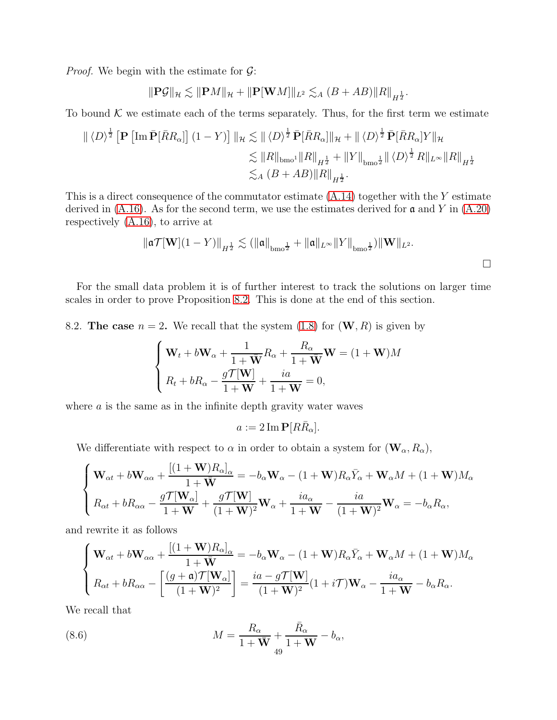*Proof.* We begin with the estimate for  $\mathcal{G}$ :

$$
\|\mathbf{P}\mathcal{G}\|_{\mathcal{H}} \lesssim \|\mathbf{P}M\|_{\mathcal{H}} + \|\mathbf{P}[\mathbf{W}M]\|_{L^2} \lesssim_A (B + AB)\|R\|_{H^{\frac{1}{2}}}.
$$

To bound  $K$  we estimate each of the terms separately. Thus, for the first term we estimate

$$
\| \langle D \rangle^{\frac{1}{2}} \left[ \mathbf{P} \left[ \operatorname{Im} \bar{\mathbf{P}} [\bar{R} R_{\alpha}] \right] (1 - Y) \right] \|_{\mathcal{H}} \lesssim \| \langle D \rangle^{\frac{1}{2}} \bar{\mathbf{P}} [\bar{R} R_{\alpha}] \|_{\mathcal{H}} + \| \langle D \rangle^{\frac{1}{2}} \bar{\mathbf{P}} [\bar{R} R_{\alpha}] Y \|_{\mathcal{H}} \lesssim \| R \|_{\text{bmo}^1} \| R \|_{H^{\frac{1}{2}}} + \| Y \|_{\text{bmo}^{\frac{1}{2}}} \| \langle D \rangle^{\frac{1}{2}} R \|_{L^{\infty}} \| R \|_{H^{\frac{1}{2}}} \lesssim_A (B + AB) \| R \|_{H^{\frac{1}{2}}}.
$$

This is a direct consequence of the commutator estimate [\(A.14\)](#page-75-0) together with the Y estimate derived in  $(A.16)$ . As for the second term, we use the estimates derived for  $\mathfrak a$  and Y in  $(A.20)$ respectively [\(A.16\)](#page-75-1), to arrive at

$$
\|\mathfrak{a}\mathcal{T}[\mathbf{W}](1-Y)\|_{H^{\frac{1}{2}}} \lesssim (\|\mathfrak{a}\|_{\text{bmo}^{\frac{1}{2}}} + \|\mathfrak{a}\|_{L^{\infty}} \|Y\|_{\text{bmo}^{\frac{1}{2}}}) \|\mathbf{W}\|_{L^{2}}.
$$

For the small data problem it is of further interest to track the solutions on larger time scales in order to prove Proposition [8.2.](#page-46-1) This is done at the end of this section.

8.2. The case  $n = 2$ . We recall that the system [\(1.8\)](#page-4-0) for  $(\mathbf{W}, R)$  is given by

$$
\begin{cases} \mathbf{W}_t + b\mathbf{W}_\alpha + \frac{1}{1+\bar{\mathbf{W}}}R_\alpha + \frac{R_\alpha}{1+\bar{\mathbf{W}}}\mathbf{W} = (1+\mathbf{W})M\\ R_t + bR_\alpha - \frac{g\mathcal{T}[\mathbf{W}]}{1+\mathbf{W}} + \frac{ia}{1+\mathbf{W}} = 0, \end{cases}
$$

where  $a$  is the same as in the infinite depth gravity water waves

 $a := 2 \operatorname{Im} \mathbf{P}[R\bar{R}_{\alpha}].$ 

We differentiate with respect to  $\alpha$  in order to obtain a system for  $(\mathbf{W}_{\alpha}, R_{\alpha})$ ,

$$
\begin{cases}\n\mathbf{W}_{\alpha t} + b\mathbf{W}_{\alpha\alpha} + \frac{\left[ (1 + \mathbf{W})R_{\alpha} \right]_{\alpha}}{1 + \bar{\mathbf{W}}} = -b_{\alpha}\mathbf{W}_{\alpha} - (1 + \mathbf{W})R_{\alpha}\bar{Y}_{\alpha} + \mathbf{W}_{\alpha}M + (1 + \mathbf{W})M_{\alpha} \\
R_{\alpha t} + bR_{\alpha\alpha} - \frac{g\mathcal{T}[\mathbf{W}_{\alpha}]}{1 + \mathbf{W}} + \frac{g\mathcal{T}[\mathbf{W}]}{(1 + \mathbf{W})^2}\mathbf{W}_{\alpha} + \frac{ia_{\alpha}}{1 + \mathbf{W}} - \frac{ia}{(1 + \mathbf{W})^2}\mathbf{W}_{\alpha} = -b_{\alpha}R_{\alpha},\n\end{cases}
$$

and rewrite it as follows

$$
\begin{cases}\n\mathbf{W}_{\alpha t} + b\mathbf{W}_{\alpha\alpha} + \frac{\left[ (1 + \mathbf{W})R_{\alpha} \right]_{\alpha}}{1 + \bar{\mathbf{W}}}\n= -b_{\alpha}\mathbf{W}_{\alpha} - (1 + \mathbf{W})R_{\alpha}\bar{Y}_{\alpha} + \mathbf{W}_{\alpha}M + (1 + \mathbf{W})M_{\alpha} \\
R_{\alpha t} + bR_{\alpha\alpha} - \left[ \frac{(g + \mathfrak{a})\mathcal{T}[\mathbf{W}_{\alpha}]}{(1 + \mathbf{W})^2} \right] = \frac{ia - g\mathcal{T}[\mathbf{W}]}{(1 + \mathbf{W})^2}(1 + i\mathcal{T})\mathbf{W}_{\alpha} - \frac{ia_{\alpha}}{1 + \mathbf{W}} - b_{\alpha}R_{\alpha}.\n\end{cases}
$$

We recall that

<span id="page-48-0"></span>(8.6) 
$$
M = \frac{R_{\alpha}}{1 + \bar{\mathbf{W}}} + \frac{\bar{R}_{\alpha}}{1 + \mathbf{W}} - b_{\alpha},
$$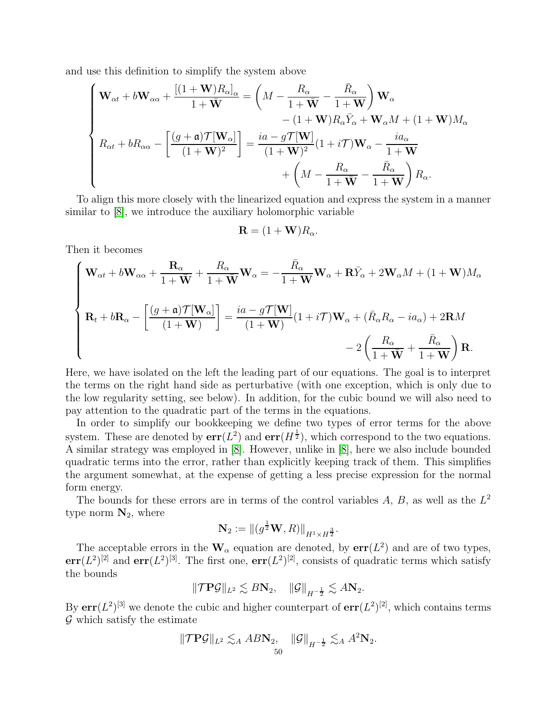and use this definition to simplify the system above

$$
\begin{cases}\n\mathbf{W}_{\alpha t} + b\mathbf{W}_{\alpha\alpha} + \frac{\left[ (1 + \mathbf{W}) R_{\alpha} \right]_{\alpha}}{1 + \bar{\mathbf{W}}} = \left( M - \frac{R_{\alpha}}{1 + \bar{\mathbf{W}}} - \frac{\bar{R}_{\alpha}}{1 + \mathbf{W}} \right) \mathbf{W}_{\alpha} \\
- (1 + \mathbf{W}) R_{\alpha} \bar{Y}_{\alpha} + \mathbf{W}_{\alpha} M + (1 + \mathbf{W}) M_{\alpha} \\
R_{\alpha t} + bR_{\alpha\alpha} - \left[ \frac{(g + \mathfrak{a}) \mathcal{T}[\mathbf{W}_{\alpha}]}{(1 + \mathbf{W})^2} \right] = \frac{i a - g \mathcal{T}[\mathbf{W}]}{(1 + \mathbf{W})^2} (1 + i \mathcal{T}) \mathbf{W}_{\alpha} - \frac{i a_{\alpha}}{1 + \mathbf{W}} \\
+ \left( M - \frac{R_{\alpha}}{1 + \bar{\mathbf{W}}} - \frac{\bar{R}_{\alpha}}{1 + \mathbf{W}} \right) R_{\alpha}.\n\end{cases}
$$

To align this more closely with the linearized equation and express the system in a manner similar to [\[8\]](#page-81-0), we introduce the auxiliary holomorphic variable

$$
\mathbf{R} = (1 + \mathbf{W})R_{\alpha}.
$$

Then it becomes

$$
\begin{cases}\n\mathbf{W}_{\alpha t} + b\mathbf{W}_{\alpha\alpha} + \frac{\mathbf{R}_{\alpha}}{1 + \bar{\mathbf{W}}} + \frac{R_{\alpha}}{1 + \bar{\mathbf{W}}}\mathbf{W}_{\alpha} = -\frac{\bar{R}_{\alpha}}{1 + \mathbf{W}}\mathbf{W}_{\alpha} + \mathbf{R}\bar{Y}_{\alpha} + 2\mathbf{W}_{\alpha}M + (1 + \mathbf{W})M_{\alpha} \\
\mathbf{R}_{t} + b\mathbf{R}_{\alpha} - \left[\frac{(g + \mathfrak{a})\mathcal{T}[\mathbf{W}_{\alpha}]}{(1 + \mathbf{W})}\right] = \frac{ia - g\mathcal{T}[\mathbf{W}]}{(1 + \mathbf{W})}(1 + i\mathcal{T})\mathbf{W}_{\alpha} + (\bar{R}_{\alpha}R_{\alpha} - ia_{\alpha}) + 2\mathbf{R}M \\
&- 2\left(\frac{R_{\alpha}}{1 + \bar{\mathbf{W}}} + \frac{\bar{R}_{\alpha}}{1 + \mathbf{W}}\right)\mathbf{R}.\n\end{cases}
$$

Here, we have isolated on the left the leading part of our equations. The goal is to interpret the terms on the right hand side as perturbative (with one exception, which is only due to the low regularity setting, see below). In addition, for the cubic bound we will also need to pay attention to the quadratic part of the terms in the equations.

In order to simplify our bookkeeping we define two types of error terms for the above system. These are denoted by  $err(L^2)$  and  $err(H^{\frac{1}{2}})$ , which correspond to the two equations. A similar strategy was employed in [\[8\]](#page-81-0). However, unlike in [\[8\]](#page-81-0), here we also include bounded quadratic terms into the error, rather than explicitly keeping track of them. This simplifies the argument somewhat, at the expense of getting a less precise expression for the normal form energy.

The bounds for these errors are in terms of the control variables  $A, B$ , as well as the  $L^2$ type norm  $N_2$ , where

$$
\mathbf{N}_2 := \left\| (g^{\frac{1}{2}} \mathbf{W}, R) \right\|_{H^1 \times H^{\frac{3}{2}}}.
$$

The acceptable errors in the  $\mathbf{W}_{\alpha}$  equation are denoted, by  $err(L^2)$  and are of two types,  $err(L^2)^{[2]}$  and  $err(L^2)^{[3]}$ . The first one,  $err(L^2)^{[2]}$ , consists of quadratic terms which satisfy the bounds

$$
\|\mathcal{T}\mathbf{P}\mathcal{G}\|_{L^2} \lesssim B\mathbf{N}_2, \quad \|\mathcal{G}\|_{H^{-\frac{1}{2}}} \lesssim A\mathbf{N}_2.
$$

By  $err(L^2)^{[3]}$  we denote the cubic and higher counterpart of  $err(L^2)^{[2]}$ , which contains terms  $\mathcal G$  which satisfy the estimate

$$
\|\mathcal{T}\mathbf{P}\mathcal{G}\|_{L^2} \lesssim_A AB\mathbf{N}_2, \quad \|\mathcal{G}\|_{H^{-\frac{1}{2}}} \lesssim_A A^2\mathbf{N}_2.
$$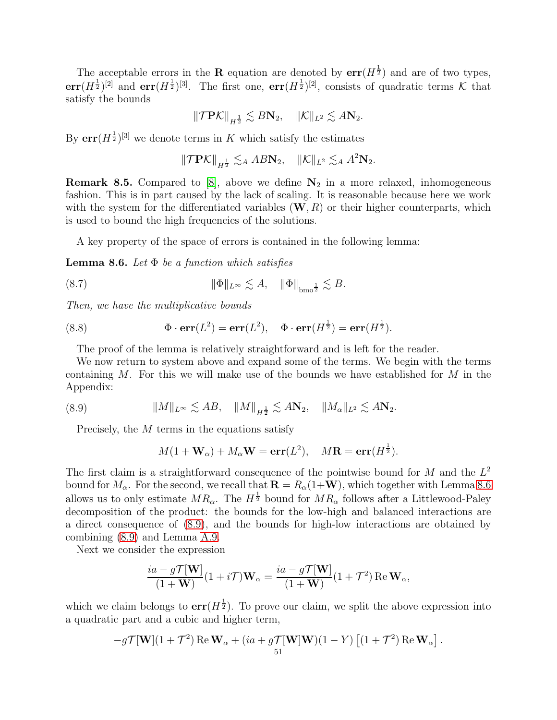The acceptable errors in the **R** equation are denoted by  $err(H^{\frac{1}{2}})$  and are of two types,  $err(H^{\frac{1}{2}})^{[2]}$  and  $err(H^{\frac{1}{2}})^{[3]}$ . The first one,  $err(H^{\frac{1}{2}})^{[2]}$ , consists of quadratic terms K that satisfy the bounds

$$
\|\mathcal{T} \mathbf{P} \mathcal{K}\|_{H^{\frac{1}{2}}} \lesssim B\mathbf{N}_2, \quad \|\mathcal{K}\|_{L^2} \lesssim A\mathbf{N}_2.
$$

By  $err(H^{\frac{1}{2}})^{[3]}$  we denote terms in K which satisfy the estimates

$$
\|\mathcal{T}P\mathcal{K}\|_{H^{\frac{1}{2}}} \lesssim_A AB\mathbf{N}_2, \quad \|\mathcal{K}\|_{L^2} \lesssim_A A^2\mathbf{N}_2.
$$

**Remark 8.5.** Compared to [\[8\]](#page-81-0), above we define  $N_2$  in a more relaxed, inhomogeneous fashion. This is in part caused by the lack of scaling. It is reasonable because here we work with the system for the differentiated variables  $(\mathbf{W}, R)$  or their higher counterparts, which is used to bound the high frequencies of the solutions.

A key property of the space of errors is contained in the following lemma:

<span id="page-50-0"></span>Lemma 8.6. *Let* Φ *be a function which satisfies*

$$
\|\Phi\|_{L^{\infty}} \lesssim A, \quad \|\Phi\|_{\text{bmo}_2^{\frac{1}{2}}} \lesssim B.
$$

*Then, we have the multiplicative bounds*

(8.8) 
$$
\Phi \cdot \mathbf{err}(L^2) = \mathbf{err}(L^2), \quad \Phi \cdot \mathbf{err}(H^{\frac{1}{2}}) = \mathbf{err}(H^{\frac{1}{2}}).
$$

The proof of the lemma is relatively straightforward and is left for the reader.

We now return to system above and expand some of the terms. We begin with the terms containing  $M$ . For this we will make use of the bounds we have established for  $M$  in the Appendix:

(8.9) 
$$
||M||_{L^{\infty}} \lesssim AB, \quad ||M||_{H^{\frac{1}{2}}} \lesssim A\mathbf{N}_2, \quad ||M_{\alpha}||_{L^2} \lesssim A\mathbf{N}_2.
$$

Precisely, the M terms in the equations satisfy

<span id="page-50-1"></span>
$$
M(1+\mathbf{W}_{\alpha})+M_{\alpha}\mathbf{W}=\mathbf{err}(L^2),\quad M\mathbf{R}=\mathbf{err}(H^{\frac{1}{2}}).
$$

The first claim is a straightforward consequence of the pointwise bound for  $M$  and the  $L^2$ bound for  $M_{\alpha}$ . For the second, we recall that  $\mathbf{R} = R_{\alpha}(1+\mathbf{W})$ , which together with Lemma [8.6](#page-50-0) allows us to only estimate  $MR_{\alpha}$ . The  $H^{\frac{1}{2}}$  bound for  $MR_{\alpha}$  follows after a Littlewood-Paley decomposition of the product: the bounds for the low-high and balanced interactions are a direct consequence of [\(8.9\)](#page-50-1), and the bounds for high-low interactions are obtained by combining [\(8.9\)](#page-50-1) and Lemma [A.9.](#page-73-0)

Next we consider the expression

$$
\frac{ia - g\mathcal{T}[\mathbf{W}]}{(1 + \mathbf{W})}(1 + i\mathcal{T})\mathbf{W}_{\alpha} = \frac{ia - g\mathcal{T}[\mathbf{W}]}{(1 + \mathbf{W})}(1 + \mathcal{T}^2) \operatorname{Re}\mathbf{W}_{\alpha},
$$

which we claim belongs to  $err(H^{\frac{1}{2}})$ . To prove our claim, we split the above expression into a quadratic part and a cubic and higher term,

$$
-g\mathcal{T}[\mathbf{W}](1+\mathcal{T}^2)\operatorname{Re}\mathbf{W}_{\alpha} + (ia+g\mathcal{T}[\mathbf{W}]\mathbf{W})(1-Y)\left[(1+\mathcal{T}^2)\operatorname{Re}\mathbf{W}_{\alpha}\right].
$$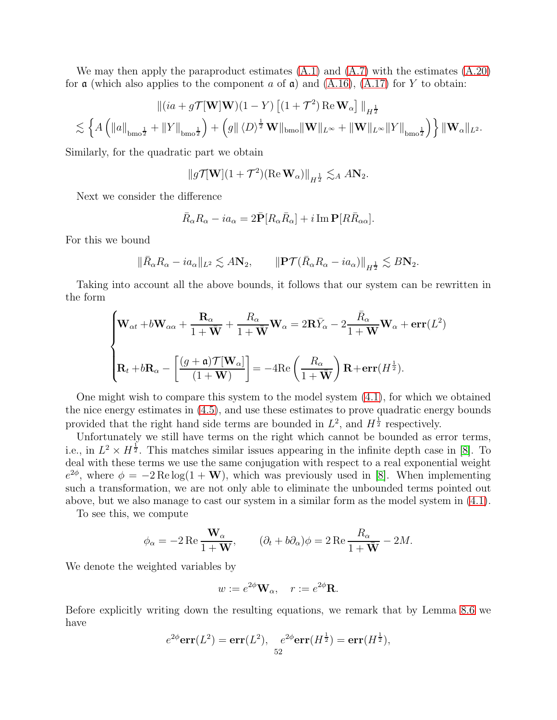We may then apply the paraproduct estimates [\(A.1\)](#page-71-0) and [\(A.7\)](#page-73-1) with the estimates [\(A.20\)](#page-76-1) for  $\alpha$  (which also applies to the component a of  $\alpha$ ) and [\(A.16\)](#page-75-1), [\(A.17\)](#page-75-2) for Y to obtain:

$$
\| (ia + g\mathcal{T}[\mathbf{W}]\mathbf{W})(1 - Y) \left[ (1 + \mathcal{T}^2) \operatorname{Re} \mathbf{W}_{\alpha} \right] \|_{H^{\frac{1}{2}}} \n\lesssim \left\{ A \left( \|a\|_{\text{bmo}^{\frac{1}{2}}} + \|Y\|_{\text{bmo}^{\frac{1}{2}}} \right) + \left( g \|\langle D \rangle^{\frac{1}{2}} \mathbf{W} \|_{\text{bmo}} \|\mathbf{W}\|_{L^{\infty}} + \|\mathbf{W}\|_{L^{\infty}} \|Y\|_{\text{bmo}^{\frac{1}{2}}} \right) \right\} \|\mathbf{W}_{\alpha}\|_{L^{2}}.
$$

Similarly, for the quadratic part we obtain

$$
\|g\mathcal{T}[\mathbf{W}](1+\mathcal{T}^2)(\text{Re}\,\mathbf{W}_{\alpha})\|_{H^{\frac{1}{2}}} \lesssim_A A\mathbf{N}_2.
$$

Next we consider the difference

$$
\bar{R}_{\alpha}R_{\alpha} - ia_{\alpha} = 2\bar{\mathbf{P}}[R_{\alpha}\bar{R}_{\alpha}] + i \operatorname{Im} \mathbf{P}[R\bar{R}_{\alpha\alpha}].
$$

For this we bound

$$
\|\bar{R}_{\alpha}R_{\alpha}-ia_{\alpha}\|_{L^{2}} \lesssim A\mathbf{N}_{2}, \qquad \|\mathbf{P}\mathcal{T}(\bar{R}_{\alpha}R_{\alpha}-ia_{\alpha})\|_{H^{\frac{1}{2}}}\lesssim B\mathbf{N}_{2}.
$$

Taking into account all the above bounds, it follows that our system can be rewritten in the form

$$
\begin{cases}\n\mathbf{W}_{\alpha t} + b\mathbf{W}_{\alpha\alpha} + \frac{\mathbf{R}_{\alpha}}{1 + \bar{\mathbf{W}}} + \frac{R_{\alpha}}{1 + \bar{\mathbf{W}}}\mathbf{W}_{\alpha} = 2\mathbf{R}\bar{Y}_{\alpha} - 2\frac{\bar{R}_{\alpha}}{1 + \mathbf{W}}\mathbf{W}_{\alpha} + \mathbf{err}(L^{2}) \\
\mathbf{R}_{t} + b\mathbf{R}_{\alpha} - \left[\frac{(g + \mathfrak{a})\mathcal{T}[\mathbf{W}_{\alpha}]}{(1 + \mathbf{W})}\right] = -4\mathrm{Re}\left(\frac{R_{\alpha}}{1 + \bar{\mathbf{W}}}\right)\mathbf{R} + \mathbf{err}(H^{\frac{1}{2}}).\n\end{cases}
$$

One might wish to compare this system to the model system [\(4.1\)](#page-20-1), for which we obtained the nice energy estimates in [\(4.5\)](#page-21-2), and use these estimates to prove quadratic energy bounds provided that the right hand side terms are bounded in  $L^2$ , and  $H^{\frac{1}{2}}$  respectively.

Unfortunately we still have terms on the right which cannot be bounded as error terms, i.e., in  $L^2 \times H^{\frac{1}{2}}$ . This matches similar issues appearing in the infinite depth case in [\[8\]](#page-81-0). To deal with these terms we use the same conjugation with respect to a real exponential weight  $e^{2\phi}$ , where  $\phi = -2 \text{Re} \log(1 + \mathbf{W})$ , which was previously used in [\[8\]](#page-81-0). When implementing such a transformation, we are not only able to eliminate the unbounded terms pointed out above, but we also manage to cast our system in a similar form as the model system in [\(4.1\)](#page-20-1).

To see this, we compute

$$
\phi_{\alpha} = -2 \operatorname{Re} \frac{\mathbf{W}_{\alpha}}{1 + \mathbf{W}}, \qquad (\partial_t + b\partial_{\alpha})\phi = 2 \operatorname{Re} \frac{R_{\alpha}}{1 + \bar{\mathbf{W}}} - 2M.
$$

We denote the weighted variables by

$$
w := e^{2\phi} \mathbf{W}_{\alpha}, \quad r := e^{2\phi} \mathbf{R}.
$$

Before explicitly writing down the resulting equations, we remark that by Lemma [8.6](#page-50-0) we have

$$
e^{2\phi}\mathbf{err}(L^2) = \mathbf{err}(L^2), \quad e^{2\phi}\mathbf{err}(H^{\frac{1}{2}}) = \mathbf{err}(H^{\frac{1}{2}}),
$$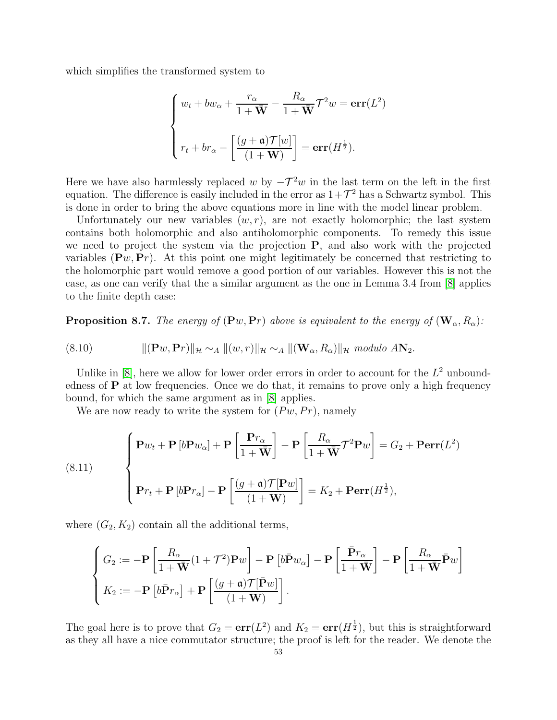which simplifies the transformed system to

$$
\begin{cases} w_t + bw_\alpha + \frac{r_\alpha}{1 + \bar{\mathbf{W}}} - \frac{R_\alpha}{1 + \bar{\mathbf{W}}} \mathcal{T}^2 w = \mathbf{err}(L^2) \\ r_t + br_\alpha - \left[ \frac{(g + \mathfrak{a})\mathcal{T}[w]}{(1 + \mathbf{W})} \right] = \mathbf{err}(H^{\frac{1}{2}}). \end{cases}
$$

Here we have also harmlessly replaced w by  $-\mathcal{T}^2w$  in the last term on the left in the first equation. The difference is easily included in the error as  $1+\mathcal{T}^2$  has a Schwartz symbol. This is done in order to bring the above equations more in line with the model linear problem.

Unfortunately our new variables  $(w, r)$ , are not exactly holomorphic; the last system contains both holomorphic and also antiholomorphic components. To remedy this issue we need to project the system via the projection P, and also work with the projected variables  $(Pw, Pr)$ . At this point one might legitimately be concerned that restricting to the holomorphic part would remove a good portion of our variables. However this is not the case, as one can verify that the a similar argument as the one in Lemma 3.4 from [\[8\]](#page-81-0) applies to the finite depth case:

**Proposition 8.7.** *The energy of*  $(\mathbf{P}w, \mathbf{P}r)$  *above is equivalent to the energy of*  $(\mathbf{W}_{\alpha}, R_{\alpha})$ *:* 

(8.10) 
$$
\|(\mathbf{P} w, \mathbf{P} r)\|_{\mathcal{H}} \sim_A \| (w, r) \|_{\mathcal{H}} \sim_A \| (\mathbf{W}_{\alpha}, R_{\alpha}) \|_{\mathcal{H}} \text{ modulo } A\mathbf{N}_2.
$$

Unlike in  $[8]$ , here we allow for lower order errors in order to account for the  $L^2$  unboundedness of  $P$  at low frequencies. Once we do that, it remains to prove only a high frequency bound, for which the same argument as in [\[8\]](#page-81-0) applies.

We are now ready to write the system for  $(P_w, Pr)$ , namely

(8.11) 
$$
\begin{cases}\n\mathbf{P}w_t + \mathbf{P}[b\mathbf{P}w_{\alpha}] + \mathbf{P}\left[\frac{\mathbf{P}r_{\alpha}}{1 + \bar{\mathbf{W}}}\right] - \mathbf{P}\left[\frac{R_{\alpha}}{1 + \bar{\mathbf{W}}}\mathcal{T}^2\mathbf{P}w\right] = G_2 + \mathbf{P} \mathbf{err}(L^2) \\
\mathbf{P}r_t + \mathbf{P}[b\mathbf{P}r_{\alpha}] - \mathbf{P}\left[\frac{(g + \mathfrak{a})\mathcal{T}[\mathbf{P}w]}{(1 + \mathbf{W})}\right] = K_2 + \mathbf{P} \mathbf{err}(H^{\frac{1}{2}}),\n\end{cases}
$$

where  $(G_2, K_2)$  contain all the additional terms,

$$
\begin{cases}\nG_2 := -\mathbf{P} \left[ \frac{R_\alpha}{1 + \bar{\mathbf{W}}} (1 + \mathcal{T}^2) \mathbf{P} w \right] - \mathbf{P} \left[ b \bar{\mathbf{P}} w_\alpha \right] - \mathbf{P} \left[ \frac{\bar{\mathbf{P}} r_\alpha}{1 + \bar{\mathbf{W}}} \right] - \mathbf{P} \left[ \frac{R_\alpha}{1 + \bar{\mathbf{W}}} \bar{\mathbf{P}} w \right] \\
K_2 := -\mathbf{P} \left[ b \bar{\mathbf{P}} r_\alpha \right] + \mathbf{P} \left[ \frac{(g + \mathfrak{a}) \mathcal{T}[\bar{\mathbf{P}} w]}{(1 + \mathbf{W})} \right].\n\end{cases}
$$

The goal here is to prove that  $G_2 = err(L^2)$  and  $K_2 = err(H^{\frac{1}{2}})$ , but this is straightforward as they all have a nice commutator structure; the proof is left for the reader. We denote the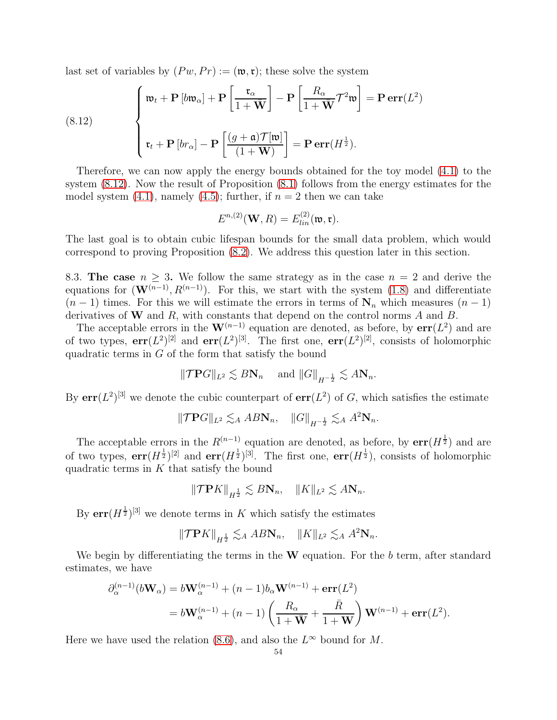last set of variables by  $(Pw, Pr) := (\mathfrak{w}, \mathfrak{r})$ ; these solve the system

<span id="page-53-0"></span>(8.12) 
$$
\begin{cases} \mathfrak{w}_t + \mathbf{P}[b\mathfrak{w}_{\alpha}] + \mathbf{P}\left[\frac{\mathfrak{r}_{\alpha}}{1 + \bar{\mathbf{W}}}\right] - \mathbf{P}\left[\frac{R_{\alpha}}{1 + \bar{\mathbf{W}}}\mathcal{T}^2\mathfrak{w}\right] = \mathbf{P}\operatorname{err}(L^2) \\ \mathfrak{r}_t + \mathbf{P}[b\mathfrak{r}_{\alpha}] - \mathbf{P}\left[\frac{(g + \mathfrak{a})\mathcal{T}[\mathfrak{w}]}{(1 + \mathbf{W})}\right] = \mathbf{P}\operatorname{err}(H^{\frac{1}{2}}). \end{cases}
$$

Therefore, we can now apply the energy bounds obtained for the toy model [\(4.1\)](#page-20-1) to the system [\(8.12\)](#page-53-0). Now the result of Proposition [\(8.1\)](#page-46-0) follows from the energy estimates for the model system  $(4.1)$ , namely  $(4.5)$ ; further, if  $n = 2$  then we can take

$$
E^{n,(2)}(\mathbf{W},R) = E_{lin}^{(2)}(\mathfrak{w},\mathfrak{r}).
$$

The last goal is to obtain cubic lifespan bounds for the small data problem, which would correspond to proving Proposition [\(8.2\)](#page-46-1). We address this question later in this section.

8.3. The case  $n \geq 3$ . We follow the same strategy as in the case  $n = 2$  and derive the equations for  $(\mathbf{W}^{(n-1)}, R^{(n-1)})$ . For this, we start with the system [\(1.8\)](#page-4-0) and differentiate  $(n-1)$  times. For this we will estimate the errors in terms of  $N_n$  which measures  $(n-1)$ derivatives of  $W$  and  $R$ , with constants that depend on the control norms  $A$  and  $B$ .

The acceptable errors in the  $\mathbf{W}^{(n-1)}$  equation are denoted, as before, by  $err(L^2)$  and are of two types,  $err(L^2)^{[2]}$  and  $err(L^2)^{[3]}$ . The first one,  $err(L^2)^{[2]}$ , consists of holomorphic quadratic terms in G of the form that satisfy the bound

$$
\|\mathcal{T}\mathbf{P} G\|_{L^2} \lesssim B\mathbf{N}_n \quad \text{ and } \|G\|_{H^{-\frac{1}{2}}} \lesssim A\mathbf{N}_n.
$$

By  $err(L^2)^{[3]}$  we denote the cubic counterpart of  $err(L^2)$  of G, which satisfies the estimate

$$
\|\mathcal{T}\mathbf{P} G\|_{L^2} \lesssim_A AB\mathbf{N}_n, \quad \|G\|_{H^{-\frac{1}{2}}} \lesssim_A A^2\mathbf{N}_n.
$$

The acceptable errors in the  $R^{(n-1)}$  equation are denoted, as before, by  $err(H^{\frac{1}{2}})$  and are of two types,  $err(H^{\frac{1}{2}})^{[2]}$  and  $err(H^{\frac{1}{2}})^{[3]}$ . The first one,  $err(H^{\frac{1}{2}})$ , consists of holomorphic quadratic terms in  $K$  that satisfy the bound

$$
\|\mathcal{T} \mathbf{P} K\|_{H^{\frac{1}{2}}} \lesssim B\mathbf{N}_n, \quad \|K\|_{L^2} \lesssim A\mathbf{N}_n.
$$

By  $err(H^{\frac{1}{2}})^{[3]}$  we denote terms in K which satisfy the estimates

$$
\|\mathcal{T}\mathbf{P}K\|_{H^{\frac{1}{2}}} \lesssim_A AB\mathbf{N}_n, \quad \|K\|_{L^2} \lesssim_A A^2\mathbf{N}_n.
$$

We begin by differentiating the terms in the  $W$  equation. For the b term, after standard estimates, we have

$$
\partial_{\alpha}^{(n-1)}(b\mathbf{W}_{\alpha}) = b\mathbf{W}_{\alpha}^{(n-1)} + (n-1)b_{\alpha}\mathbf{W}^{(n-1)} + \mathbf{err}(L^{2})
$$

$$
= b\mathbf{W}_{\alpha}^{(n-1)} + (n-1)\left(\frac{R_{\alpha}}{1+\bar{\mathbf{W}}} + \frac{\bar{R}}{1+\mathbf{W}}\right)\mathbf{W}^{(n-1)} + \mathbf{err}(L^{2}).
$$

Here we have used the relation [\(8.6\)](#page-48-0), and also the  $L^{\infty}$  bound for M.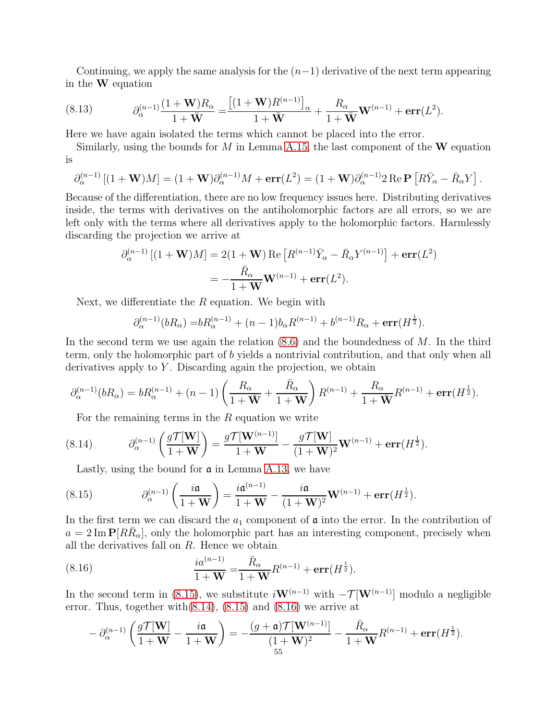Continuing, we apply the same analysis for the  $(n-1)$  derivative of the next term appearing in the  $\bf{W}$  equation

(8.13) 
$$
\partial_{\alpha}^{(n-1)} \frac{(1+\mathbf{W})R_{\alpha}}{1+\bar{\mathbf{W}}} = \frac{[(1+\mathbf{W})R^{(n-1)}]_{\alpha}}{1+\bar{\mathbf{W}}} + \frac{R_{\alpha}}{1+\bar{\mathbf{W}}} \mathbf{W}^{(n-1)} + \mathbf{err}(L^2).
$$

Here we have again isolated the terms which cannot be placed into the error.

Similarly, using the bounds for  $M$  in Lemma [A.15,](#page-79-0) the last component of the  $\bf{W}$  equation is

$$
\partial_{\alpha}^{(n-1)}[(1+\mathbf{W})M] = (1+\mathbf{W})\partial_{\alpha}^{(n-1)}M + \mathbf{err}(L^2) = (1+\mathbf{W})\partial_{\alpha}^{(n-1)}2 \operatorname{Re} \mathbf{P}\left[R\bar{Y}_{\alpha} - \bar{R}_{\alpha}Y\right].
$$

Because of the differentiation, there are no low frequency issues here. Distributing derivatives inside, the terms with derivatives on the antiholomorphic factors are all errors, so we are left only with the terms where all derivatives apply to the holomorphic factors. Harmlessly discarding the projection we arrive at

$$
\partial_{\alpha}^{(n-1)}\left[(1+\mathbf{W})M\right] = 2(1+\mathbf{W})\operatorname{Re}\left[R^{(n-1)}\bar{Y}_{\alpha} - \bar{R}_{\alpha}Y^{(n-1)}\right] + \operatorname{err}(L^2)
$$

$$
= -\frac{\bar{R}_{\alpha}}{1+\mathbf{W}}\mathbf{W}^{(n-1)} + \operatorname{err}(L^2).
$$

Next, we differentiate the  $R$  equation. We begin with

$$
\partial_{\alpha}^{(n-1)}(bR_{\alpha}) = bR_{\alpha}^{(n-1)} + (n-1)b_{\alpha}R^{(n-1)} + b^{(n-1)}R_{\alpha} + \mathbf{err}(H^{\frac{1}{2}}).
$$

In the second term we use again the relation  $(8.6)$  and the boundedness of M. In the third term, only the holomorphic part of b yields a nontrivial contribution, and that only when all derivatives apply to  $Y$ . Discarding again the projection, we obtain

$$
\partial_{\alpha}^{(n-1)}(bR_{\alpha}) = bR_{\alpha}^{(n-1)} + (n-1)\left(\frac{R_{\alpha}}{1+\bar{\mathbf{W}}} + \frac{\bar{R}_{\alpha}}{1+\mathbf{W}}\right)R^{(n-1)} + \frac{R_{\alpha}}{1+\bar{\mathbf{W}}}R^{(n-1)} + \mathbf{err}(H^{\frac{1}{2}}).
$$

<span id="page-54-1"></span>For the remaining terms in the  $R$  equation we write

(8.14) 
$$
\partial_{\alpha}^{(n-1)}\left(\frac{g\mathcal{T}[\mathbf{W}]}{1+\mathbf{W}}\right) = \frac{g\mathcal{T}[\mathbf{W}^{(n-1)}]}{1+\mathbf{W}} - \frac{g\mathcal{T}[\mathbf{W}]}{(1+\mathbf{W})^2}\mathbf{W}^{(n-1)} + \mathbf{err}(H^{\frac{1}{2}}).
$$

<span id="page-54-0"></span>Lastly, using the bound for a in Lemma [A.13,](#page-76-0) we have

(8.15) 
$$
\partial_{\alpha}^{(n-1)}\left(\frac{i\mathfrak{a}}{1+\mathbf{W}}\right) = \frac{i\mathfrak{a}^{(n-1)}}{1+\mathbf{W}} - \frac{i\mathfrak{a}}{(1+\mathbf{W})^2}\mathbf{W}^{(n-1)} + \mathbf{err}(H^{\frac{1}{2}}).
$$

In the first term we can discard the  $a_1$  component of  $\alpha$  into the error. In the contribution of  $a = 2 \text{Im } \mathbf{P}[R\overline{R}_{\alpha}],$  only the holomorphic part has an interesting component, precisely when all the derivatives fall on R. Hence we obtain

(8.16) 
$$
\frac{ia^{(n-1)}}{1+\mathbf{W}} = \frac{\bar{R}_{\alpha}}{1+\mathbf{W}} R^{(n-1)} + \mathbf{err}(H^{\frac{1}{2}}).
$$

In the second term in [\(8.15\)](#page-54-0), we substitute  $i\mathbf{W}^{(n-1)}$  with  $-\mathcal{T}[\mathbf{W}^{(n-1)}]$  modulo a negligible error. Thus, together with $(8.14)$ ,  $(8.15)$  and  $(8.16)$  we arrive at

<span id="page-54-2"></span>
$$
-\partial_\alpha^{(n-1)}\left(\frac{g\mathcal{T}[\mathbf{W}]}{1+\mathbf{W}}-\frac{i\mathfrak{a}}{1+\mathbf{W}}\right)=-\frac{(g+\mathfrak{a})\mathcal{T}[\mathbf{W}^{(n-1)}]}{(1+\mathbf{W})^2}-\frac{\bar{R}_\alpha}{1+\mathbf{W}}R^{(n-1)}+\mathrm{err}(H^\frac{1}{2}).
$$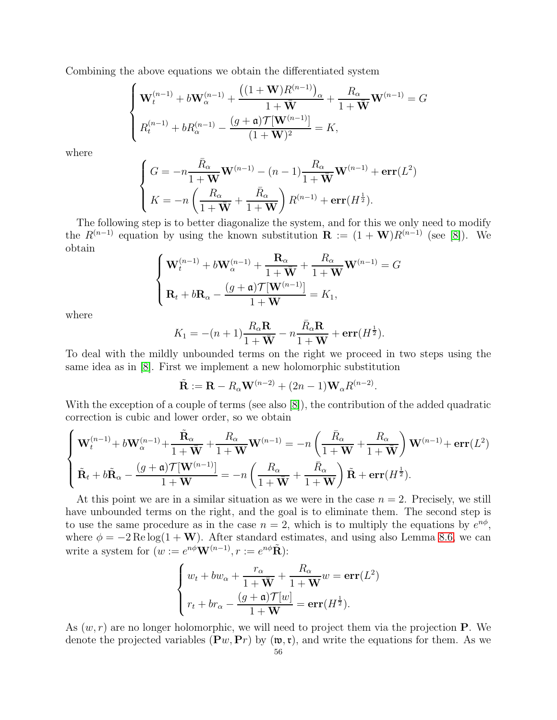Combining the above equations we obtain the differentiated system

$$
\begin{cases} \mathbf{W}_{t}^{(n-1)} + b\mathbf{W}_{\alpha}^{(n-1)} + \frac{((1+\mathbf{W})R^{(n-1)})_{\alpha}}{1+\bar{\mathbf{W}}} + \frac{R_{\alpha}}{1+\bar{\mathbf{W}}} \mathbf{W}^{(n-1)} = G \\ R_{t}^{(n-1)} + bR_{\alpha}^{(n-1)} - \frac{(g+\mathfrak{a})\mathcal{T}[\mathbf{W}^{(n-1)}]}{(1+\mathbf{W})^{2}} = K, \end{cases}
$$

where

$$
\begin{cases}\nG = -n\frac{\bar{R}_{\alpha}}{1 + \mathbf{W}}\mathbf{W}^{(n-1)} - (n-1)\frac{R_{\alpha}}{1 + \mathbf{W}}\mathbf{W}^{(n-1)} + \mathbf{err}(L^2) \\
K = -n\left(\frac{R_{\alpha}}{1 + \mathbf{W}} + \frac{\bar{R}_{\alpha}}{1 + \mathbf{W}}\right)R^{(n-1)} + \mathbf{err}(H^{\frac{1}{2}}).\n\end{cases}
$$

The following step is to better diagonalize the system, and for this we only need to modify the  $R^{(n-1)}$  equation by using the known substitution  $\mathbf{R} := (1 + \mathbf{W})R^{(n-1)}$  (see [\[8\]](#page-81-0)). We obtain

$$
\begin{cases} \mathbf{W}_t^{(n-1)} + b\mathbf{W}_{\alpha}^{(n-1)} + \frac{\mathbf{R}_{\alpha}}{1 + \bar{\mathbf{W}}} + \frac{R_{\alpha}}{1 + \mathbf{W}}\mathbf{W}^{(n-1)} = G \\ \mathbf{R}_t + b\mathbf{R}_{\alpha} - \frac{(g + \mathfrak{a})\mathcal{T}[\mathbf{W}^{(n-1)}]}{1 + \mathbf{W}} = K_1, \end{cases}
$$

where

$$
K_1 = -(n+1)\frac{R_\alpha \mathbf{R}}{1+\bar{\mathbf{W}}} - n\frac{\bar{R}_\alpha \mathbf{R}}{1+\mathbf{W}} + \mathbf{err}(H^{\frac{1}{2}}).
$$

To deal with the mildly unbounded terms on the right we proceed in two steps using the same idea as in [\[8\]](#page-81-0). First we implement a new holomorphic substitution

$$
\tilde{\mathbf{R}} := \mathbf{R} - R_{\alpha} \mathbf{W}^{(n-2)} + (2n - 1) \mathbf{W}_{\alpha} R^{(n-2)}.
$$

With the exception of a couple of terms (see also [\[8\]](#page-81-0)), the contribution of the added quadratic correction is cubic and lower order, so we obtain

$$
\begin{cases}\n\mathbf{W}_{t}^{(n-1)} + b\mathbf{W}_{\alpha}^{(n-1)} + \frac{\tilde{\mathbf{R}}_{\alpha}}{1 + \bar{\mathbf{W}}} + \frac{R_{\alpha}}{1 + \mathbf{W}}\mathbf{W}^{(n-1)} = -n\left(\frac{\bar{R}_{\alpha}}{1 + \mathbf{W}} + \frac{R_{\alpha}}{1 + \bar{\mathbf{W}}}\right)\mathbf{W}^{(n-1)} + \mathbf{err}(L^{2}) \\
\tilde{\mathbf{R}}_{t} + b\tilde{\mathbf{R}}_{\alpha} - \frac{(g + \mathfrak{a})\mathcal{T}[\mathbf{W}^{(n-1)}]}{1 + \mathbf{W}} = -n\left(\frac{R_{\alpha}}{1 + \bar{\mathbf{W}}} + \frac{\bar{R}_{\alpha}}{1 + \mathbf{W}}\right)\tilde{\mathbf{R}} + \mathbf{err}(H^{\frac{1}{2}}).\n\end{cases}
$$

At this point we are in a similar situation as we were in the case  $n = 2$ . Precisely, we still have unbounded terms on the right, and the goal is to eliminate them. The second step is to use the same procedure as in the case  $n = 2$ , which is to multiply the equations by  $e^{n\phi}$ , where  $\phi = -2 \text{ Re log}(1 + W)$ . After standard estimates, and using also Lemma [8.6,](#page-50-0) we can write a system for  $(w := e^{n\phi} \mathbf{W}^{(n-1)}, r := e^{n\phi} \tilde{\mathbf{R}})$ :

$$
\begin{cases} w_t + bw_\alpha + \frac{r_\alpha}{1 + \bar{W}} + \frac{R_\alpha}{1 + W} w = \mathbf{err}(L^2) \\ r_t + br_\alpha - \frac{(g + \mathfrak{a})\mathcal{T}[w]}{1 + W} = \mathbf{err}(H^{\frac{1}{2}}). \end{cases}
$$

As  $(w, r)$  are no longer holomorphic, we will need to project them via the projection **P**. We denote the projected variables  $(\mathbf{P}w, \mathbf{P}r)$  by  $(\mathfrak{w}, \mathfrak{r})$ , and write the equations for them. As we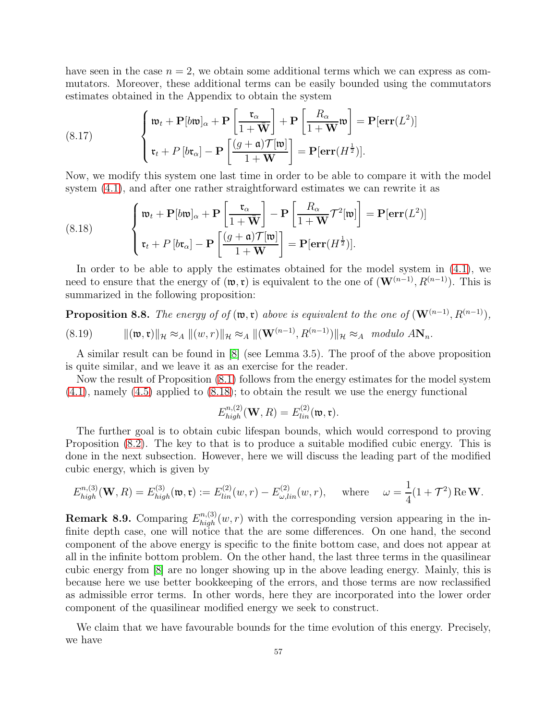have seen in the case  $n = 2$ , we obtain some additional terms which we can express as commutators. Moreover, these additional terms can be easily bounded using the commutators estimates obtained in the Appendix to obtain the system

<span id="page-56-1"></span>(8.17) 
$$
\begin{cases} \mathfrak{w}_t + \mathbf{P}[b\mathfrak{w}]_{\alpha} + \mathbf{P}\left[\frac{\mathfrak{r}_{\alpha}}{1 + \bar{\mathbf{W}}}\right] + \mathbf{P}\left[\frac{R_{\alpha}}{1 + \mathbf{W}}\mathfrak{w}\right] = \mathbf{P}[\text{err}(L^2)] \\ \mathfrak{r}_t + P[b\mathfrak{r}_{\alpha}] - \mathbf{P}\left[\frac{(g + \mathfrak{a})\mathcal{T}[\mathfrak{w}]}{1 + \mathbf{W}}\right] = \mathbf{P}[\text{err}(H^{\frac{1}{2}})]. \end{cases}
$$

Now, we modify this system one last time in order to be able to compare it with the model system [\(4.1\)](#page-20-1), and after one rather straightforward estimates we can rewrite it as

<span id="page-56-0"></span>(8.18) 
$$
\begin{cases} \mathfrak{w}_t + \mathbf{P}[b\mathfrak{w}]_{\alpha} + \mathbf{P}\left[\frac{\mathfrak{r}_{\alpha}}{1 + \bar{\mathbf{W}}}\right] - \mathbf{P}\left[\frac{R_{\alpha}}{1 + \mathbf{W}}\mathcal{T}^2[\mathfrak{w}]\right] = \mathbf{P}[\text{err}(L^2)] \\ \mathfrak{r}_t + P[b\mathfrak{r}_{\alpha}] - \mathbf{P}\left[\frac{(g + \mathfrak{a})\mathcal{T}[\mathfrak{w}]}{1 + \mathbf{W}}\right] = \mathbf{P}[\text{err}(H^{\frac{1}{2}})]. \end{cases}
$$

In order to be able to apply the estimates obtained for the model system in [\(4.1\)](#page-20-1), we need to ensure that the energy of  $(\mathfrak{w},\mathfrak{r})$  is equivalent to the one of  $(\mathbf{W}^{(n-1)}, R^{(n-1)})$ . This is summarized in the following proposition:

**Proposition 8.8.** *The energy of of*  $(\mathfrak{w}, \mathfrak{r})$  *above is equivalent to the one of*  $(\mathbf{W}^{(n-1)}, R^{(n-1)})$ *,* (8.19)  $\|\|\mathbf{w}, \mathbf{r}\|\|_{\mathcal{H}} \approx_{A} \|(w, r)\|_{\mathcal{H}} \approx_{A} \|\mathbf{W}^{(n-1)}, R^{(n-1)}\|\|_{\mathcal{H}} \approx_{A} \text{ modulo } A\mathbf{N}_{n}.$ 

A similar result can be found in [\[8\]](#page-81-0) (see Lemma 3.5). The proof of the above proposition is quite similar, and we leave it as an exercise for the reader.

Now the result of Proposition [\(8.1\)](#page-46-0) follows from the energy estimates for the model system [\(4.1\)](#page-20-1), namely [\(4.5\)](#page-21-2) applied to [\(8.18\)](#page-56-0); to obtain the result we use the energy functional

$$
E_{high}^{n,(2)}(\mathbf{W},R) = E_{lin}^{(2)}(\mathfrak{w},\mathfrak{r}).
$$

The further goal is to obtain cubic lifespan bounds, which would correspond to proving Proposition [\(8.2\)](#page-46-1). The key to that is to produce a suitable modified cubic energy. This is done in the next subsection. However, here we will discuss the leading part of the modified cubic energy, which is given by

$$
E_{high}^{n,(3)}(\mathbf{W},R) = E_{high}^{(3)}(\mathfrak{w},\mathfrak{r}) := E_{lin}^{(2)}(w,r) - E_{\omega,lin}^{(2)}(w,r), \quad \text{where} \quad \omega = \frac{1}{4}(1+\mathcal{T}^2) \operatorname{Re} \mathbf{W}.
$$

**Remark 8.9.** Comparing  $E_{high}^{n,(3)}(w,r)$  with the corresponding version appearing in the infinite depth case, one will notice that the are some differences. On one hand, the second component of the above energy is specific to the finite bottom case, and does not appear at all in the infinite bottom problem. On the other hand, the last three terms in the quasilinear cubic energy from [\[8\]](#page-81-0) are no longer showing up in the above leading energy. Mainly, this is because here we use better bookkeeping of the errors, and those terms are now reclassified as admissible error terms. In other words, here they are incorporated into the lower order component of the quasilinear modified energy we seek to construct.

We claim that we have favourable bounds for the time evolution of this energy. Precisely, we have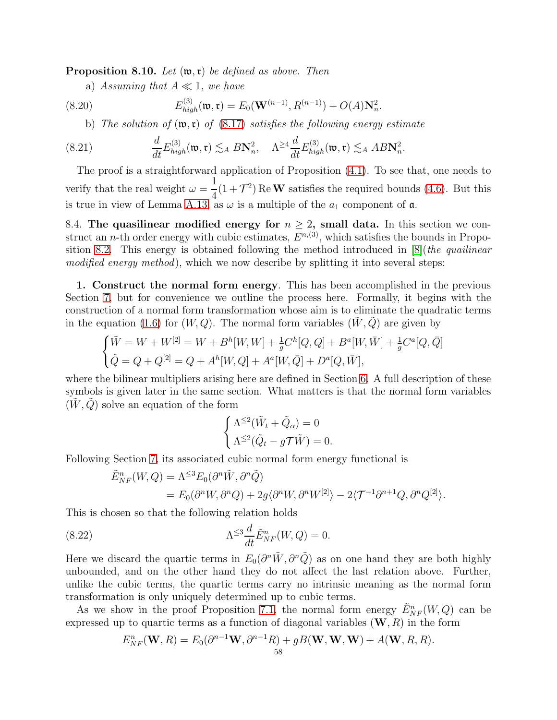<span id="page-57-0"></span>Proposition 8.10. *Let* (w,r) *be defined as above. Then*

a) *Assuming that*  $A \ll 1$ *, we have* 

(8.20) 
$$
E_{high}^{(3)}(\mathfrak{w}, \mathfrak{r}) = E_0(\mathbf{W}^{(n-1)}, R^{(n-1)}) + O(A)\mathbf{N}_n^2.
$$

b) *The solution of* (w,r) *of* [\(8.17\)](#page-56-1) *satisfies the following energy estimate*

(8.21) 
$$
\frac{d}{dt} E_{high}^{(3)}(\mathfrak{w}, \mathfrak{r}) \lesssim_A B\mathbf{N}_n^2, \quad \Lambda^{\geq 4} \frac{d}{dt} E_{high}^{(3)}(\mathfrak{w}, \mathfrak{r}) \lesssim_A A B\mathbf{N}_n^2.
$$

The proof is a straightforward application of Proposition [\(4.1\)](#page-21-0). To see that, one needs to verify that the real weight  $\omega =$ 1  $\frac{1}{4}(1+\mathcal{T}^2)$  Re **W** satisfies the required bounds [\(4.6\)](#page-21-3). But this is true in view of Lemma [A.13,](#page-76-0) as  $\omega$  is a multiple of the  $a_1$  component of  $\mathfrak{a}$ .

8.4. The quasilinear modified energy for  $n \geq 2$ , small data. In this section we construct an n-th order energy with cubic estimates,  $E^{n,(3)}$ , which satisfies the bounds in Proposition [8.2.](#page-46-1) This energy is obtained following the method introduced in [\[8\]](#page-81-0)(*the quailinear modified energy method*), which we now describe by splitting it into several steps:

1. Construct the normal form energy. This has been accomplished in the previous Section [7,](#page-35-2) but for convenience we outline the process here. Formally, it begins with the construction of a normal form transformation whose aim is to eliminate the quadratic terms in the equation [\(1.6\)](#page-3-0) for  $(W, Q)$ . The normal form variables  $(W, Q)$  are given by

$$
\begin{cases} \tilde{W} = W + W^{[2]} = W + B^h[W, W] + \frac{1}{g} C^h[Q, Q] + B^a[W, \bar{W}] + \frac{1}{g} C^a[Q, \bar{Q}] \\ \tilde{Q} = Q + Q^{[2]} = Q + A^h[W, Q] + A^a[W, \bar{Q}] + D^a[Q, \bar{W}], \end{cases}
$$

where the bilinear multipliers arising here are defined in Section [6.](#page-29-0) A full description of these symbols is given later in the same section. What matters is that the normal form variables  $(W, \tilde{Q})$  solve an equation of the form

<span id="page-57-1"></span>
$$
\begin{cases}\n\Lambda^{\leq 2}(\tilde{W}_t + \tilde{Q}_\alpha) = 0 \\
\Lambda^{\leq 2}(\tilde{Q}_t - g\mathcal{T}\tilde{W}) = 0.\n\end{cases}
$$

Following Section [7,](#page-35-2) its associated cubic normal form energy functional is

$$
\tilde{E}_{NF}^{n}(W,Q) = \Lambda^{\leq 3} E_0(\partial^n \tilde{W}, \partial^n \tilde{Q})
$$
  
=  $E_0(\partial^n W, \partial^n Q) + 2g \langle \partial^n W, \partial^n W^{[2]} \rangle - 2 \langle \mathcal{T}^{-1} \partial^{n+1} Q, \partial^n Q^{[2]} \rangle.$ 

This is chosen so that the following relation holds

(8.22) 
$$
\Lambda^{\leq 3} \frac{d}{dt} \tilde{E}_{NF}^n(W, Q) = 0.
$$

Here we discard the quartic terms in  $E_0(\partial^n \tilde{W}, \partial^n \tilde{Q})$  as on one hand they are both highly unbounded, and on the other hand they do not affect the last relation above. Further, unlike the cubic terms, the quartic terms carry no intrinsic meaning as the normal form transformation is only uniquely determined up to cubic terms.

As we show in the proof Proposition [7.1,](#page-35-1) the normal form energy  $\tilde{E}_{NF}^n(W,Q)$  can be expressed up to quartic terms as a function of diagonal variables  $(\mathbf{W}, R)$  in the form

$$
E_{NF}^n(\mathbf{W}, R) = E_0(\partial^{n-1}\mathbf{W}, \partial^{n-1}R) + gB(\mathbf{W}, \mathbf{W}, \mathbf{W}) + A(\mathbf{W}, R, R).
$$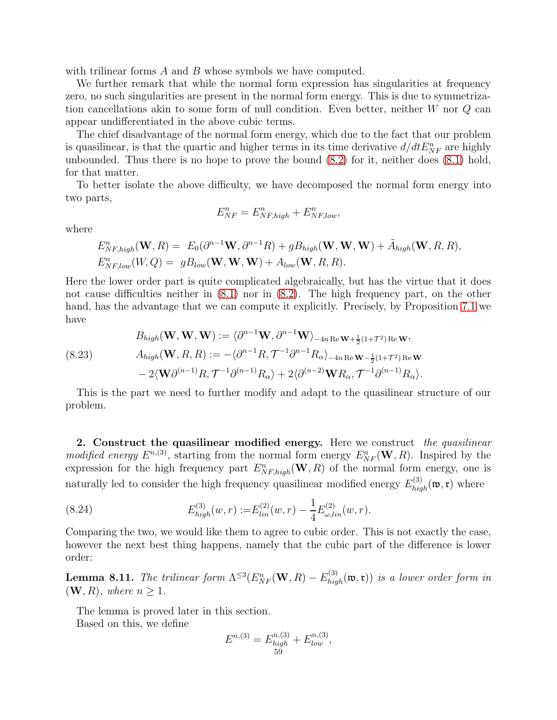with trilinear forms A and B whose symbols we have computed.

We further remark that while the normal form expression has singularities at frequency zero, no such singularities are present in the normal form energy. This is due to symmetrization cancellations akin to some form of null condition. Even better, neither W nor Q can appear undifferentiated in the above cubic terms.

The chief disadvantage of the normal form energy, which due to the fact that our problem is quasilinear, is that the quartic and higher terms in its time derivative  $d/dt E_{NF}^n$  are highly unbounded. Thus there is no hope to prove the bound [\(8.2\)](#page-46-2) for it, neither does [\(8.1\)](#page-46-3) hold, for that matter.

To better isolate the above difficulty, we have decomposed the normal form energy into two parts,

$$
E_{NF}^n = E_{NF,high}^n + E_{NF,low}^n,
$$

where

$$
E_{NF,high}^{n}(\mathbf{W},R) = E_0(\partial^{n-1}\mathbf{W},\partial^{n-1}R) + gB_{high}(\mathbf{W},\mathbf{W},\mathbf{W}) + \tilde{A}_{high}(\mathbf{W},R,R),
$$
  

$$
E_{NF,low}^{n}(W,Q) = gB_{low}(\mathbf{W},\mathbf{W},\mathbf{W}) + A_{low}(\mathbf{W},R,R).
$$

Here the lower order part is quite complicated algebraically, but has the virtue that it does not cause difficulties neither in [\(8.1\)](#page-46-3) nor in [\(8.2\)](#page-46-2). The high frequency part, on the other hand, has the advantage that we can compute it explicitly. Precisely, by Proposition [7.1](#page-35-1) we have

(8.23)  
\n
$$
B_{high}(\mathbf{W}, \mathbf{W}, \mathbf{W}) := \langle \partial^{n-1} \mathbf{W}, \partial^{n-1} \mathbf{W} \rangle_{-4n \operatorname{Re} \mathbf{W} + \frac{1}{2}(1+\mathcal{T}^2) \operatorname{Re} \mathbf{W}},
$$
\n
$$
A_{high}(\mathbf{W}, R, R) := -\langle \partial^{n-1} R, \mathcal{T}^{-1} \partial^{n-1} R_{\alpha} \rangle_{-4n \operatorname{Re} \mathbf{W} - \frac{1}{2}(1+\mathcal{T}^2) \operatorname{Re} \mathbf{W}} - 2 \langle \mathbf{W} \partial^{(n-1)} R, \mathcal{T}^{-1} \partial^{(n-1)} R_{\alpha} \rangle + 2 \langle \partial^{(n-2)} \mathbf{W} R_{\alpha}, \mathcal{T}^{-1} \partial^{(n-1)} R_{\alpha} \rangle.
$$

This is the part we need to further modify and adapt to the quasilinear structure of our problem.

2. Construct the quasilinear modified energy. Here we construct *the quasilinear* modified energy  $E^{n,(3)}$ , starting from the normal form energy  $E_{NF}^n(\mathbf{W}, R)$ . Inspired by the expression for the high frequency part  $E_{NF,high}^n(\mathbf{W}, R)$  of the normal form energy, one is naturally led to consider the high frequency quasilinear modified energy  $E_{high}^{(3)}(\mathfrak{w},\mathfrak{r})$  where

(8.24) 
$$
E_{high}^{(3)}(w,r) := E_{lin}^{(2)}(w,r) - \frac{1}{4} E_{\omega,lin}^{(2)}(w,r).
$$

Comparing the two, we would like them to agree to cubic order. This is not exactly the case, however the next best thing happens, namely that the cubic part of the difference is lower order:

<span id="page-58-0"></span>**Lemma 8.11.** The trilinear form  $\Lambda^{\leq 3}(E_{NF}^n(\mathbf{W}, R) - E_{high}^{(3)}(\mathfrak{w}, \mathfrak{r}))$  is a lower order form in  $(W, R)$ *, where*  $n \geq 1$ *.* 

The lemma is proved later in this section.

Based on this, we define

$$
E^{n,(3)} = E^{n,(3)}_{high} + E^{n,(3)}_{low},
$$
  
59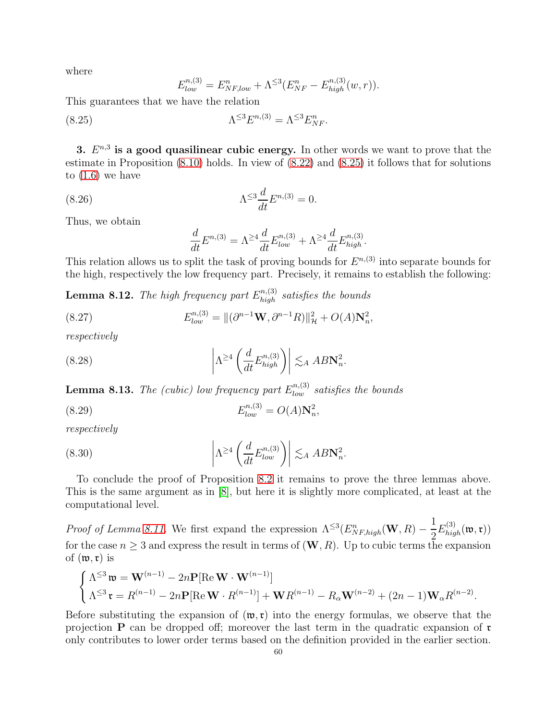where

<span id="page-59-0"></span>
$$
E_{low}^{n,(3)} = E_{NF,low}^n + \Lambda^{\leq 3} (E_{NF}^n - E_{high}^{n,(3)}(w,r)).
$$

This guarantees that we have the relation

(8.25) 
$$
\Lambda^{\leq 3} E^{n, (3)} = \Lambda^{\leq 3} E_{NF}^n.
$$

3.  $E^{n,3}$  is a good quasilinear cubic energy. In other words we want to prove that the estimate in Proposition [\(8.10\)](#page-57-0) holds. In view of [\(8.22\)](#page-57-1) and [\(8.25\)](#page-59-0) it follows that for solutions to  $(1.6)$  we have

$$
\Lambda^{\leq 3} \frac{d}{dt} E^{n,(3)} = 0.
$$

Thus, we obtain

<span id="page-59-6"></span><span id="page-59-5"></span>
$$
\frac{d}{dt}E^{n,(3)} = \Lambda^{\geq 4}\frac{d}{dt}E^{n,(3)}_{low} + \Lambda^{\geq 4}\frac{d}{dt}E^{n,(3)}_{high}.
$$

This relation allows us to split the task of proving bounds for  $E^{n,(3)}$  into separate bounds for the high, respectively the low frequency part. Precisely, it remains to establish the following:

<span id="page-59-1"></span>**Lemma 8.12.** The high frequency part  $E_{high}^{n,(3)}$  satisfies the bounds

(8.27) 
$$
E_{low}^{n,(3)} = ||(\partial^{n-1} \mathbf{W}, \partial^{n-1} R)||_{\mathcal{H}}^2 + O(A) \mathbf{N}_n^2,
$$

*respectively*

(8.28) 
$$
\left|\Lambda^{\geq 4}\left(\frac{d}{dt}E_{high}^{n,(3)}\right)\right| \lesssim_A AB\mathbf{N}_n^2.
$$

<span id="page-59-2"></span>**Lemma 8.13.** The (cubic) low frequency part  $E_{low}^{n,(3)}$  satisfies the bounds

(8.29) 
$$
E_{low}^{n,(3)} = O(A) \mathbf{N}_n^2,
$$

*respectively*

(8.30) 
$$
\left|\Lambda^{\geq 4}\left(\frac{d}{dt}E_{low}^{n,(3)}\right)\right| \lesssim_A AB\mathbf{N}_n^2
$$

To conclude the proof of Proposition [8.2](#page-46-1) it remains to prove the three lemmas above. This is the same argument as in [\[8\]](#page-81-0), but here it is slightly more complicated, at least at the computational level.

<span id="page-59-4"></span><span id="page-59-3"></span>.

*Proof of Lemma [8.11.](#page-58-0)* We first expand the expression  $\Lambda^{\leq 3}(E_{NF,high}^n(\mathbf{W}, R) - \frac{1}{2})$ 2  $E^{(3)}_{high}(\frak w,\frak r))$ for the case  $n \geq 3$  and express the result in terms of  $(\mathbf{W}, R)$ . Up to cubic terms the expansion of  $(\mathfrak{w},\mathfrak{r})$  is

$$
\begin{cases}\n\Lambda^{\leq 3} \mathfrak{w} = \mathbf{W}^{(n-1)} - 2n \mathbf{P} [\text{Re } \mathbf{W} \cdot \mathbf{W}^{(n-1)}] \\
\Lambda^{\leq 3} \mathfrak{r} = R^{(n-1)} - 2n \mathbf{P} [\text{Re } \mathbf{W} \cdot R^{(n-1)}] + \mathbf{W} R^{(n-1)} - R_{\alpha} \mathbf{W}^{(n-2)} + (2n - 1) \mathbf{W}_{\alpha} R^{(n-2)}.\n\end{cases}
$$

Before substituting the expansion of  $(\mathfrak{w}, \mathfrak{r})$  into the energy formulas, we observe that the projection  $P$  can be dropped off; moreover the last term in the quadratic expansion of  $r$ only contributes to lower order terms based on the definition provided in the earlier section.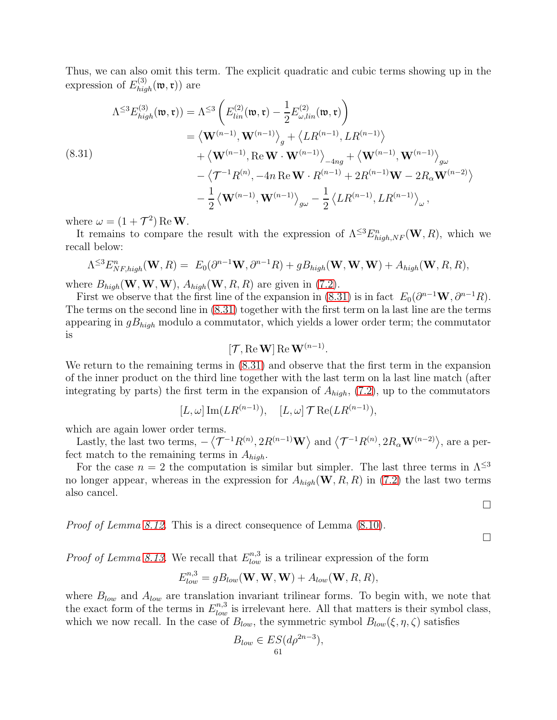Thus, we can also omit this term. The explicit quadratic and cubic terms showing up in the expression of  $E_{high}^{(3)}(\mathfrak{w}, \mathfrak{r})$  are

<span id="page-60-0"></span>
$$
\Lambda^{\leq 3} E_{high}^{(3)}(\mathfrak{w}, \mathfrak{r})) = \Lambda^{\leq 3} \left( E_{lin}^{(2)}(\mathfrak{w}, \mathfrak{r}) - \frac{1}{2} E_{\omega, lin}^{(2)}(\mathfrak{w}, \mathfrak{r}) \right)
$$
  
=  $\langle \mathbf{W}^{(n-1)}, \mathbf{W}^{(n-1)} \rangle_g + \langle LR^{(n-1)}, LR^{(n-1)} \rangle$   
+  $\langle \mathbf{W}^{(n-1)}, \text{Re } \mathbf{W} \cdot \mathbf{W}^{(n-1)} \rangle_{-4ng} + \langle \mathbf{W}^{(n-1)}, \mathbf{W}^{(n-1)} \rangle_{g\omega}$   
-  $\langle \mathcal{T}^{-1} R^{(n)}, -4n \text{ Re } \mathbf{W} \cdot R^{(n-1)} + 2R^{(n-1)} \mathbf{W} - 2R_{\alpha} \mathbf{W}^{(n-2)} \rangle$   
-  $\frac{1}{2} \langle \mathbf{W}^{(n-1)}, \mathbf{W}^{(n-1)} \rangle_{g\omega} - \frac{1}{2} \langle LR^{(n-1)}, LR^{(n-1)} \rangle_{\omega},$ 

where  $\omega = (1 + \mathcal{T}^2) \operatorname{Re} \mathbf{W}$ .

It remains to compare the result with the expression of  $\Lambda^{\leq 3} E^n_{high,NF}(\mathbf{W}, R)$ , which we recall below:

$$
\Lambda^{\leq 3} E_{NF, high}^n(\mathbf{W}, R) = E_0(\partial^{n-1} \mathbf{W}, \partial^{n-1} R) + g B_{high}(\mathbf{W}, \mathbf{W}, \mathbf{W}) + A_{high}(\mathbf{W}, R, R),
$$

where  $B_{high}(\mathbf{W}, \mathbf{W}, \mathbf{W})$ ,  $A_{high}(\mathbf{W}, R, R)$  are given in [\(7.2\)](#page-36-1).

First we observe that the first line of the expansion in [\(8.31\)](#page-60-0) is in fact  $E_0(\partial^{n-1} \mathbf{W}, \partial^{n-1} R)$ . The terms on the second line in [\(8.31\)](#page-60-0) together with the first term on la last line are the terms appearing in  $gB_{high}$  modulo a commutator, which yields a lower order term; the commutator is

$$
[\mathcal{T}, \text{Re}\,\mathbf{W}] \,\text{Re}\,\mathbf{W}^{(n-1)}.
$$

We return to the remaining terms in  $(8.31)$  and observe that the first term in the expansion of the inner product on the third line together with the last term on la last line match (after integrating by parts) the first term in the expansion of  $A_{high}$ , [\(7.2\)](#page-36-1), up to the commutators

$$
[L, \omega] \operatorname{Im}(LR^{(n-1)}), \quad [L, \omega] \mathcal{T} \operatorname{Re}(LR^{(n-1)}),
$$

which are again lower order terms.

Lastly, the last two terms,  $-\langle \mathcal{T}^{-1}R^{(n)}, 2R^{(n-1)}\mathbf{W} \rangle$  and  $\langle \mathcal{T}^{-1}R^{(n)}, 2R_{\alpha}\mathbf{W}^{(n-2)} \rangle$ , are a perfect match to the remaining terms in  $A_{high}$ .

For the case  $n = 2$  the computation is similar but simpler. The last three terms in  $\Lambda^{\leq 3}$ no longer appear, whereas in the expression for  $A_{high}(\mathbf{W}, R, R)$  in [\(7.2\)](#page-36-1) the last two terms also cancel.

 $\Box$ 

 $\Box$ 

*Proof of Lemma [8.12.](#page-59-1)* This is a direct consequence of Lemma [\(8.10\)](#page-57-0).

*Proof of Lemma [8.13.](#page-59-2)* We recall that  $E_{low}^{n,3}$  is a trilinear expression of the form

$$
E_{low}^{n,3} = gB_{low}(\mathbf{W}, \mathbf{W}, \mathbf{W}) + A_{low}(\mathbf{W}, R, R),
$$

where  $B_{low}$  and  $A_{low}$  are translation invariant trilinear forms. To begin with, we note that the exact form of the terms in  $E_{low}^{n,3}$  is irrelevant here. All that matters is their symbol class, which we now recall. In the case of  $B_{low}$ , the symmetric symbol  $B_{low}(\xi, \eta, \zeta)$  satisfies

$$
B_{low} \in ES(d\rho^{2n-3}),
$$
  
61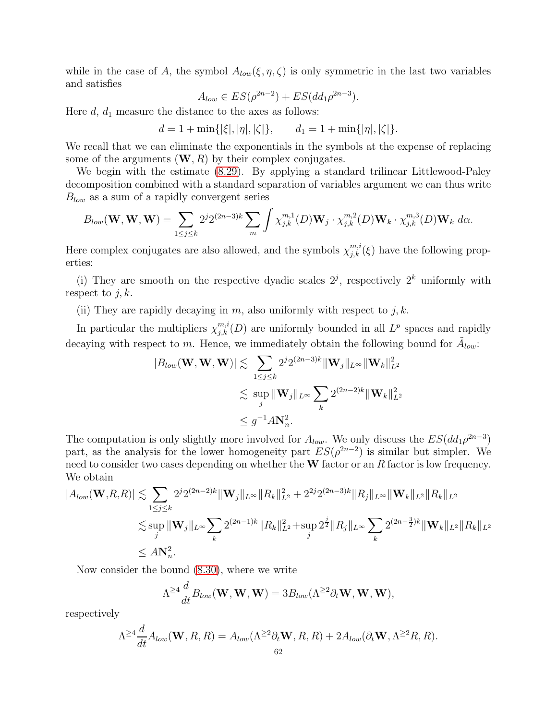while in the case of A, the symbol  $A_{low}(\xi, \eta, \zeta)$  is only symmetric in the last two variables and satisfies

$$
A_{low} \in ES(\rho^{2n-2}) + ES(dd_1\rho^{2n-3}).
$$

Here  $d, d_1$  measure the distance to the axes as follows:

 $d = 1 + \min{\{\vert \xi \vert, \vert \eta \vert, \vert \zeta \vert\}}, \qquad d_1 = 1 + \min{\{\vert \eta \vert, \vert \zeta \vert\}}.$ 

We recall that we can eliminate the exponentials in the symbols at the expense of replacing some of the arguments  $(W, R)$  by their complex conjugates.

We begin with the estimate [\(8.29\)](#page-59-3). By applying a standard trilinear Littlewood-Paley decomposition combined with a standard separation of variables argument we can thus write  $B_{low}$  as a sum of a rapidly convergent series

$$
B_{low}(\mathbf{W}, \mathbf{W}, \mathbf{W}) = \sum_{1 \le j \le k} 2^{j} 2^{(2n-3)k} \sum_{m} \int \chi_{j,k}^{m,1}(D) \mathbf{W}_{j} \cdot \chi_{j,k}^{m,2}(D) \mathbf{W}_{k} \cdot \chi_{j,k}^{m,3}(D) \mathbf{W}_{k} \, d\alpha.
$$

Here complex conjugates are also allowed, and the symbols  $\chi_{j,k}^{m,i}(\xi)$  have the following properties:

(i) They are smooth on the respective dyadic scales  $2^j$ , respectively  $2^k$  uniformly with respect to  $j, k$ .

(ii) They are rapidly decaying in m, also uniformly with respect to  $j, k$ .

In particular the multipliers  $\chi_{j,k}^{m,i}(D)$  are uniformly bounded in all  $L^p$  spaces and rapidly decaying with respect to m. Hence, we immediately obtain the following bound for  $\tilde{A}_{low}$ :

$$
|B_{low}(\mathbf{W}, \mathbf{W}, \mathbf{W})| \lesssim \sum_{1 \leq j \leq k} 2^{j} 2^{(2n-3)k} \|\mathbf{W}_{j}\|_{L^{\infty}} \|\mathbf{W}_{k}\|_{L^{2}}^{2}
$$
  

$$
\lesssim \sup_{j} \|\mathbf{W}_{j}\|_{L^{\infty}} \sum_{k} 2^{(2n-2)k} \|\mathbf{W}_{k}\|_{L^{2}}^{2}
$$
  

$$
\leq g^{-1} A \mathbf{N}_{n}^{2}.
$$

The computation is only slightly more involved for  $A_{low}$ . We only discuss the  $ES(dd_1\rho^{2n-3})$ part, as the analysis for the lower homogeneity part  $ES(\rho^{2n-2})$  is similar but simpler. We need to consider two cases depending on whether the  $W$  factor or an R factor is low frequency. We obtain

$$
|A_{low}(\mathbf{W}, R, R)| \lesssim \sum_{1 \le j \le k} 2^{j} 2^{(2n-2)k} \|\mathbf{W}_{j}\|_{L^{\infty}} \|R_{k}\|_{L^{2}}^{2} + 2^{2j} 2^{(2n-3)k} \|R_{j}\|_{L^{\infty}} \|\mathbf{W}_{k}\|_{L^{2}} \|R_{k}\|_{L^{2}}\lesssim \sup_{j} \|\mathbf{W}_{j}\|_{L^{\infty}} \sum_{k} 2^{(2n-1)k} \|R_{k}\|_{L^{2}}^{2} + \sup_{j} 2^{\frac{j}{2}} \|R_{j}\|_{L^{\infty}} \sum_{k} 2^{(2n-\frac{3}{2})k} \|\mathbf{W}_{k}\|_{L^{2}} \|R_{k}\|_{L^{2}}\leq A \mathbf{N}_{n}^{2}.
$$

Now consider the bound [\(8.30\)](#page-59-4), where we write

$$
\Lambda^{\geq 4} \frac{d}{dt} B_{low}(\mathbf{W}, \mathbf{W}, \mathbf{W}) = 3 B_{low}(\Lambda^{\geq 2} \partial_t \mathbf{W}, \mathbf{W}, \mathbf{W}),
$$

respectively

$$
\Lambda^{\geq 4} \frac{d}{dt} A_{low}(\mathbf{W}, R, R) = A_{low}(\Lambda^{\geq 2} \partial_t \mathbf{W}, R, R) + 2 A_{low}(\partial_t \mathbf{W}, \Lambda^{\geq 2} R, R).
$$
62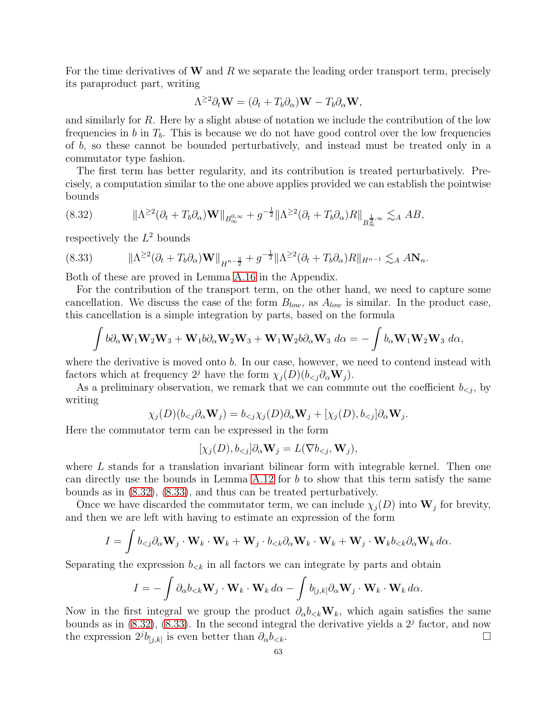For the time derivatives of  $W$  and R we separate the leading order transport term, precisely its paraproduct part, writing

$$
\Lambda^{\geq 2}\partial_t \mathbf{W} = (\partial_t + T_b \partial_\alpha) \mathbf{W} - T_b \partial_\alpha \mathbf{W},
$$

and similarly for R. Here by a slight abuse of notation we include the contribution of the low frequencies in b in  $T<sub>b</sub>$ . This is because we do not have good control over the low frequencies of b, so these cannot be bounded perturbatively, and instead must be treated only in a commutator type fashion.

The first term has better regularity, and its contribution is treated perturbatively. Precisely, a computation similar to the one above applies provided we can establish the pointwise bounds

<span id="page-62-0"></span>(8.32) 
$$
\|\Lambda^{\geq 2}(\partial_t + T_b\partial_\alpha)\mathbf{W}\|_{B^{0,\infty}_{\infty}} + g^{-\frac{1}{2}}\|\Lambda^{\geq 2}(\partial_t + T_b\partial_\alpha)R\|_{B^{1}_{\infty}} \lesssim_A AB,
$$

respectively the  $L^2$  bounds

<span id="page-62-1"></span>(8.33) 
$$
\|\Lambda^{\geq 2}(\partial_t + T_b\partial_\alpha)\mathbf{W}\|_{H^{n-\frac{3}{2}}} + g^{-\frac{1}{2}}\|\Lambda^{\geq 2}(\partial_t + T_b\partial_\alpha)R\|_{H^{n-1}} \lesssim_A A\mathbf{N}_n.
$$

Both of these are proved in Lemma [A.16](#page-79-1) in the Appendix.

For the contribution of the transport term, on the other hand, we need to capture some cancellation. We discuss the case of the form  $B_{low}$ , as  $A_{low}$  is similar. In the product case, this cancellation is a simple integration by parts, based on the formula

$$
\int b\partial_{\alpha}\mathbf{W}_1\mathbf{W}_2\mathbf{W}_3 + \mathbf{W}_1b\partial_{\alpha}\mathbf{W}_2\mathbf{W}_3 + \mathbf{W}_1\mathbf{W}_2b\partial_{\alpha}\mathbf{W}_3 d\alpha = -\int b_{\alpha}\mathbf{W}_1\mathbf{W}_2\mathbf{W}_3 d\alpha,
$$

where the derivative is moved onto  $b$ . In our case, however, we need to contend instead with factors which at frequency 2<sup>j</sup> have the form  $\chi_i(D)(b_{\leq i}\partial_\alpha \mathbf{W}_i)$ .

As a preliminary observation, we remark that we can commute out the coefficient  $b_{\leq j}$ , by writing

$$
\chi_j(D)(b_{
$$

Here the commutator term can be expressed in the form

$$
[\chi_j(D), b_{
$$

where L stands for a translation invariant bilinear form with integrable kernel. Then one can directly use the bounds in Lemma [A.12](#page-76-2) for b to show that this term satisfy the same bounds as in [\(8.32\)](#page-62-0), [\(8.33\)](#page-62-1), and thus can be treated perturbatively.

Once we have discarded the commutator term, we can include  $\chi_j(D)$  into  $\mathbf{W}_j$  for brevity, and then we are left with having to estimate an expression of the form

$$
I = \int b_{< j} \partial_\alpha \mathbf{W}_j \cdot \mathbf{W}_k \cdot \mathbf{W}_k + \mathbf{W}_j \cdot b_{< k} \partial_\alpha \mathbf{W}_k \cdot \mathbf{W}_k + \mathbf{W}_j \cdot \mathbf{W}_k b_{< k} \partial_\alpha \mathbf{W}_k d\alpha.
$$

Separating the expression  $b_{< k}$  in all factors we can integrate by parts and obtain

$$
I = -\int \partial_{\alpha} b_{< k} \mathbf{W}_j \cdot \mathbf{W}_k \cdot \mathbf{W}_k d\alpha - \int b_{[j,k]} \partial_{\alpha} \mathbf{W}_j \cdot \mathbf{W}_k \cdot \mathbf{W}_k d\alpha.
$$

Now in the first integral we group the product  $\partial_{\alpha}b_{< k}\mathbf{W}_k$ , which again satisfies the same bounds as in  $(8.32)$ ,  $(8.33)$ . In the second integral the derivative yields a  $2<sup>j</sup>$  factor, and now the expression  $2^{j}b_{[j,k]}$  is even better than  $\partial_{\alpha}b_{< k}$ .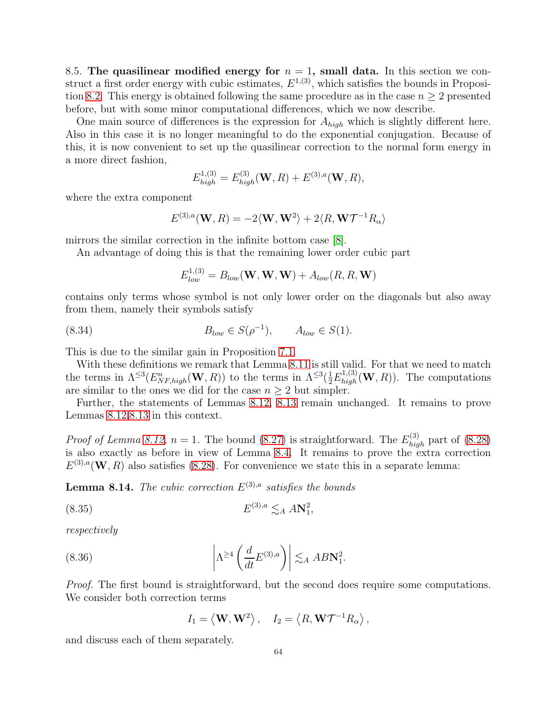8.5. The quasilinear modified energy for  $n = 1$ , small data. In this section we construct a first order energy with cubic estimates,  $E^{1,(3)}$ , which satisfies the bounds in Proposi-tion [8.2.](#page-46-1) This energy is obtained following the same procedure as in the case  $n > 2$  presented before, but with some minor computational differences, which we now describe.

One main source of differences is the expression for  $A_{high}$  which is slightly different here. Also in this case it is no longer meaningful to do the exponential conjugation. Because of this, it is now convenient to set up the quasilinear correction to the normal form energy in a more direct fashion,

$$
E_{high}^{1,(3)} = E_{high}^{(3)}(\mathbf{W}, R) + E^{(3),a}(\mathbf{W}, R),
$$

where the extra component

$$
E^{(3),a}(\mathbf{W},R) = -2\langle \mathbf{W}, \mathbf{W}^2 \rangle + 2\langle R, \mathbf{W}\mathcal{T}^{-1}R_{\alpha} \rangle
$$

mirrors the similar correction in the infinite bottom case [\[8\]](#page-81-0).

An advantage of doing this is that the remaining lower order cubic part

<span id="page-63-0"></span>
$$
E_{low}^{1,(3)} = B_{low}(\mathbf{W}, \mathbf{W}, \mathbf{W}) + A_{low}(R, R, \mathbf{W})
$$

contains only terms whose symbol is not only lower order on the diagonals but also away from them, namely their symbols satisfy

(8.34) 
$$
B_{low} \in S(\rho^{-1}), \qquad A_{low} \in S(1).
$$

This is due to the similar gain in Proposition [7.1.](#page-35-1)

With these definitions we remark that Lemma [8.11](#page-58-0) is still valid. For that we need to match the terms in  $\Lambda^{\leq 3}(E_{NF,high}^n(\mathbf{W}, R))$  to the terms in  $\Lambda^{\leq 3}(\frac{1}{2}E_{high}^{1,(3)}(\mathbf{W}, R))$ . The computations are similar to the ones we did for the case  $n \geq 2$  but simpler.

Further, the statements of Lemmas [8.12,](#page-59-1) [8.13](#page-59-2) remain unchanged. It remains to prove Lemmas [8.12](#page-59-1)[,8.13](#page-59-2) in this context.

*Proof of Lemma [8.12,](#page-59-1)*  $n = 1$ . The bound [\(8.27\)](#page-59-5) is straightforward. The  $E_{high}^{(3)}$  part of [\(8.28\)](#page-59-6) is also exactly as before in view of Lemma [8.4.](#page-47-2) It remains to prove the extra correction  $E^{(3),a}(\mathbf{W}, R)$  also satisfies [\(8.28\)](#page-59-6). For convenience we state this in a separate lemma:

Lemma 8.14. *The cubic correction*  $E^{(3),a}$  *satisfies the bounds* 

$$
(8.35) \t\t\t E^{(3),a} \lesssim_A A\mathbf{N}_1^2,
$$

*respectively*

(8.36) 
$$
\left|\Lambda^{\geq 4}\left(\frac{d}{dt}E^{(3),a}\right)\right| \lesssim_A AB\mathbf{N}_1^2.
$$

*Proof.* The first bound is straightforward, but the second does require some computations. We consider both correction terms

$$
I_1 = \langle \mathbf{W}, \mathbf{W}^2 \rangle, \quad I_2 = \langle R, \mathbf{W} \mathcal{T}^{-1} R_{\alpha} \rangle,
$$

and discuss each of them separately.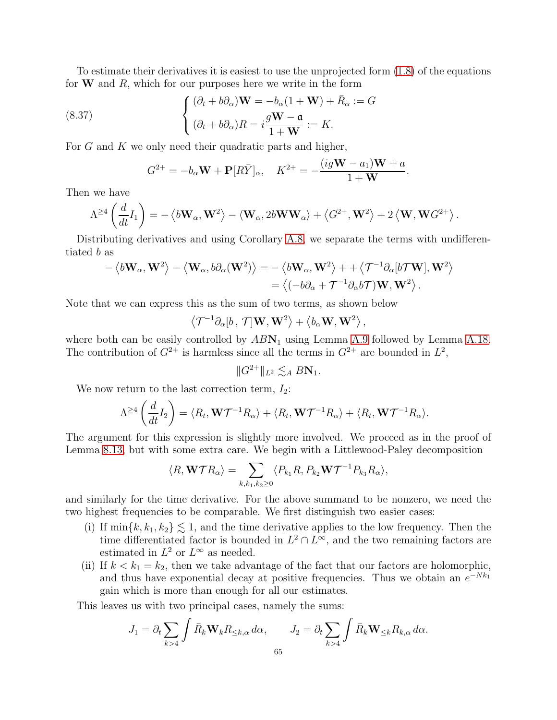To estimate their derivatives it is easiest to use the unprojected form [\(1.8\)](#page-4-0) of the equations for  $W$  and  $R$ , which for our purposes here we write in the form

(8.37) 
$$
\begin{cases} (\partial_t + b\partial_\alpha)\mathbf{W} = -b_\alpha(1+\mathbf{W}) + \bar{R}_\alpha := G \\ (\partial_t + b\partial_\alpha)R = i\frac{g\mathbf{W} - \mathfrak{a}}{1+\mathbf{W}} := K. \end{cases}
$$

For  $G$  and  $K$  we only need their quadratic parts and higher,

$$
G^{2+} = -b_{\alpha}\mathbf{W} + \mathbf{P}[R\bar{Y}]_{\alpha}, \quad K^{2+} = -\frac{(ig\mathbf{W} - a_1)\mathbf{W} + a}{1 + \mathbf{W}}.
$$

Then we have

$$
\Lambda^{\geq 4}\left(\frac{d}{dt}I_1\right) = -\left\langle b\mathbf{W}_{\alpha}, \mathbf{W}^2\right\rangle - \left\langle \mathbf{W}_{\alpha}, 2b\mathbf{W}\mathbf{W}_{\alpha} \right\rangle + \left\langle G^{2+}, \mathbf{W}^2 \right\rangle + 2\left\langle \mathbf{W}, \mathbf{W}G^{2+}\right\rangle.
$$

Distributing derivatives and using Corollary [A.8,](#page-74-0) we separate the terms with undifferentiated b as

$$
-\langle b\mathbf{W}_{\alpha}, \mathbf{W}^2 \rangle - \langle \mathbf{W}_{\alpha}, b\partial_{\alpha}(\mathbf{W}^2) \rangle = -\langle b\mathbf{W}_{\alpha}, \mathbf{W}^2 \rangle + + \langle \mathcal{T}^{-1}\partial_{\alpha}[b\mathcal{T}\mathbf{W}], \mathbf{W}^2 \rangle = \langle (-b\partial_{\alpha} + \mathcal{T}^{-1}\partial_{\alpha}b\mathcal{T})\mathbf{W}, \mathbf{W}^2 \rangle.
$$

Note that we can express this as the sum of two terms, as shown below

$$
\langle \mathcal{T}^{-1}\partial_{\alpha}[b, \mathcal{T}]\mathbf{W}, \mathbf{W}^2 \rangle + \langle b_{\alpha}\mathbf{W}, \mathbf{W}^2 \rangle
$$

where both can be easily controlled by  $ABN_1$  using Lemma [A.9](#page-73-0) followed by Lemma [A.18.](#page-76-3) The contribution of  $G^{2+}$  is harmless since all the terms in  $G^{2+}$  are bounded in  $L^2$ ,

$$
||G^{2+}||_{L^2} \lesssim_A BN_1.
$$

We now return to the last correction term,  $I_2$ :

$$
\Lambda^{\geq 4}\left(\frac{d}{dt}I_2\right) = \langle R_t, \mathbf{W}\mathcal{T}^{-1}R_{\alpha}\rangle + \langle R_t, \mathbf{W}\mathcal{T}^{-1}R_{\alpha}\rangle + \langle R_t, \mathbf{W}\mathcal{T}^{-1}R_{\alpha}\rangle.
$$

The argument for this expression is slightly more involved. We proceed as in the proof of Lemma [8.13,](#page-59-2) but with some extra care. We begin with a Littlewood-Paley decomposition

$$
\langle R, \mathbf{W} \mathcal{T} R_{\alpha} \rangle = \sum_{k,k_1,k_2 \geq 0} \langle P_{k_1} R, P_{k_2} \mathbf{W} \mathcal{T}^{-1} P_{k_3} R_{\alpha} \rangle,
$$

and similarly for the time derivative. For the above summand to be nonzero, we need the two highest frequencies to be comparable. We first distinguish two easier cases:

- (i) If  $\min\{k, k_1, k_2\} \lesssim 1$ , and the time derivative applies to the low frequency. Then the time differentiated factor is bounded in  $L^2 \cap L^{\infty}$ , and the two remaining factors are estimated in  $L^2$  or  $L^{\infty}$  as needed.
- (ii) If  $k < k_1 = k_2$ , then we take advantage of the fact that our factors are holomorphic, and thus have exponential decay at positive frequencies. Thus we obtain an  $e^{-Nk_1}$ gain which is more than enough for all our estimates.

This leaves us with two principal cases, namely the sums:

$$
J_1 = \partial_t \sum_{k>4} \int \bar{R}_k \mathbf{W}_k R_{\leq k,\alpha} \, d\alpha, \qquad J_2 = \partial_t \sum_{k>4} \int \bar{R}_k \mathbf{W}_{\leq k} R_{k,\alpha} \, d\alpha.
$$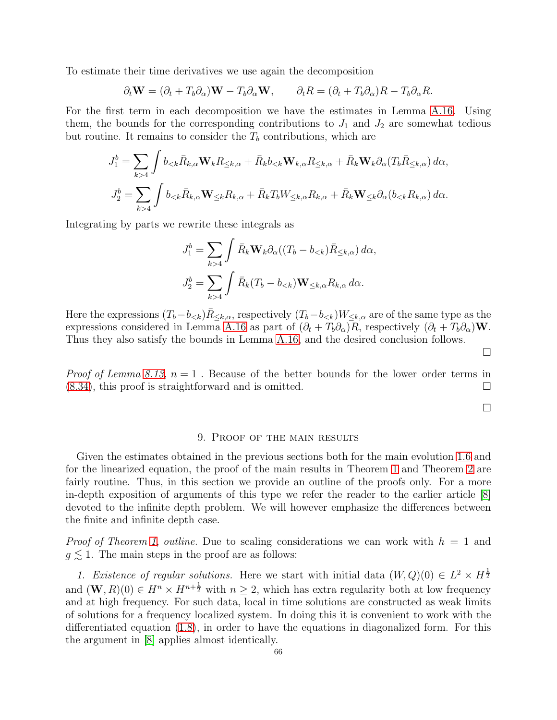To estimate their time derivatives we use again the decomposition

$$
\partial_t \mathbf{W} = (\partial_t + T_b \partial_\alpha) \mathbf{W} - T_b \partial_\alpha \mathbf{W}, \qquad \partial_t R = (\partial_t + T_b \partial_\alpha) R - T_b \partial_\alpha R.
$$

For the first term in each decomposition we have the estimates in Lemma [A.16.](#page-79-1) Using them, the bounds for the corresponding contributions to  $J_1$  and  $J_2$  are somewhat tedious but routine. It remains to consider the  $T<sub>b</sub>$  contributions, which are

$$
J_1^b = \sum_{k>4} \int b_{< k} \bar{R}_{k,\alpha} \mathbf{W}_k R_{\leq k,\alpha} + \bar{R}_k b_{< k} \mathbf{W}_{k,\alpha} R_{\leq k,\alpha} + \bar{R}_k \mathbf{W}_k \partial_\alpha (T_b \bar{R}_{\leq k,\alpha}) d\alpha,
$$
  

$$
J_2^b = \sum_{k>4} \int b_{< k} \bar{R}_{k,\alpha} \mathbf{W}_{\leq k} R_{k,\alpha} + \bar{R}_k T_b W_{\leq k,\alpha} R_{k,\alpha} + \bar{R}_k \mathbf{W}_{\leq k} \partial_\alpha (b_{< k} R_{k,\alpha}) d\alpha.
$$

Integrating by parts we rewrite these integrals as

$$
J_1^b = \sum_{k>4} \int \bar{R}_k \mathbf{W}_k \partial_\alpha ((T_b - b_{< k}) \bar{R}_{\leq k, \alpha}) d\alpha,
$$
  

$$
J_2^b = \sum_{k>4} \int \bar{R}_k (T_b - b_{< k}) \mathbf{W}_{\leq k, \alpha} R_{k, \alpha} d\alpha.
$$

Here the expressions  $(T_b-b_{< k})\bar{R}_{< k,\alpha}$ , respectively  $(T_b-b_{< k})W_{< k,\alpha}$  are of the same type as the expressions considered in Lemma [A.16](#page-79-1) as part of  $(\partial_t + T_b \partial_\alpha)R$ , respectively  $(\partial_t + T_b \partial_\alpha)$ **W**. Thus they also satisfy the bounds in Lemma [A.16,](#page-79-1) and the desired conclusion follows.

*Proof of Lemma [8.13,](#page-59-2)*  $n = 1$ . Because of the better bounds for the lower order terms in  $(8.34)$ , this proof is straightforward and is omitted.

 $\Box$ 

 $\Box$ 

### 9. Proof of the main results

Given the estimates obtained in the previous sections both for the main evolution [1.6](#page-3-0) and for the linearized equation, the proof of the main results in Theorem [1](#page-6-0) and Theorem [2](#page-6-1) are fairly routine. Thus, in this section we provide an outline of the proofs only. For a more in-depth exposition of arguments of this type we refer the reader to the earlier article [\[8\]](#page-81-0) devoted to the infinite depth problem. We will however emphasize the differences between the finite and infinite depth case.

*Proof of Theorem [1,](#page-6-0) outline.* Due to scaling considerations we can work with  $h = 1$  and  $g \lesssim 1$ . The main steps in the proof are as follows:

1. Existence of regular solutions. Here we start with initial data  $(W, Q)(0) \in L^2 \times H^{\frac{1}{2}}$ and  $(\mathbf{W}, R)(0) \in H^n \times H^{n + \frac{1}{2}}$  with  $n \geq 2$ , which has extra regularity both at low frequency and at high frequency. For such data, local in time solutions are constructed as weak limits of solutions for a frequency localized system. In doing this it is convenient to work with the differentiated equation [\(1.8\)](#page-4-0), in order to have the equations in diagonalized form. For this the argument in [\[8\]](#page-81-0) applies almost identically.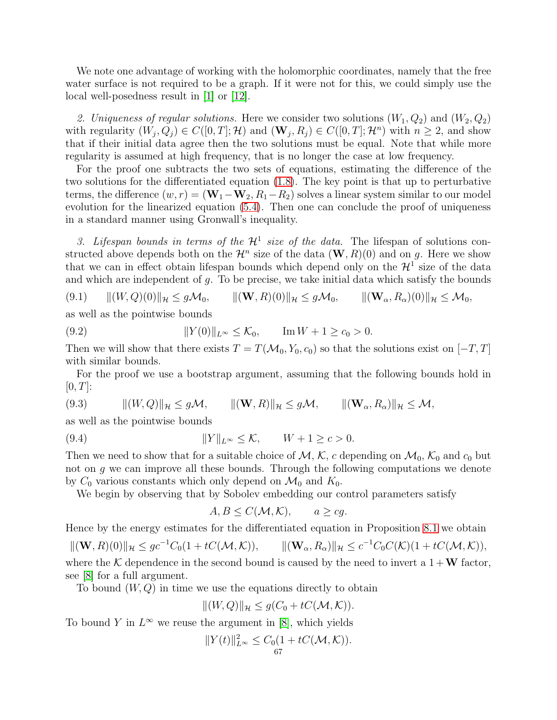We note one advantage of working with the holomorphic coordinates, namely that the free water surface is not required to be a graph. If it were not for this, we could simply use the local well-posedness result in [\[1\]](#page-80-0) or [\[12\]](#page-81-1).

2. Uniqueness of regular solutions. Here we consider two solutions  $(W_1, Q_2)$  and  $(W_2, Q_2)$ with regularity  $(W_j, Q_j) \in C([0, T]; \mathcal{H})$  and  $(\mathbf{W}_j, R_j) \in C([0, T]; \mathcal{H}^n)$  with  $n \geq 2$ , and show that if their initial data agree then the two solutions must be equal. Note that while more regularity is assumed at high frequency, that is no longer the case at low frequency.

For the proof one subtracts the two sets of equations, estimating the difference of the two solutions for the differentiated equation [\(1.8\)](#page-4-0). The key point is that up to perturbative terms, the difference  $(w, r) = (\mathbf{W}_1 - \mathbf{W}_2, R_1 - R_2)$  solves a linear system similar to our model evolution for the linearized equation [\(5.4\)](#page-25-0). Then one can conclude the proof of uniqueness in a standard manner using Gronwall's inequality.

3. Lifespan bounds in terms of the  $\mathcal{H}^1$  size of the data. The lifespan of solutions constructed above depends both on the  $\mathcal{H}^n$  size of the data  $(\mathbf{W}, R)(0)$  and on g. Here we show that we can in effect obtain lifespan bounds which depend only on the  $\mathcal{H}^1$  size of the data and which are independent of  $g$ . To be precise, we take initial data which satisfy the bounds

<span id="page-66-0"></span>
$$
(9.1) \qquad ||(W,Q)(0)||_{\mathcal{H}} \leq g\mathcal{M}_0, \qquad ||(\mathbf{W},R)(0)||_{\mathcal{H}} \leq g\mathcal{M}_0, \qquad ||(\mathbf{W}_{\alpha},R_{\alpha})(0)||_{\mathcal{H}} \leq \mathcal{M}_0,
$$

as well as the pointwise bounds

(9.2) 
$$
||Y(0)||_{L^{\infty}} \leq \mathcal{K}_0, \qquad \text{Im } W + 1 \geq c_0 > 0.
$$

Then we will show that there exists  $T = T(\mathcal{M}_0, Y_0, c_0)$  so that the solutions exist on  $[-T, T]$ with similar bounds.

For the proof we use a bootstrap argument, assuming that the following bounds hold in  $[0, T]$ :

(9.3) 
$$
\|(W,Q)\|_{\mathcal{H}} \leq g\mathcal{M}, \qquad \|(W,R)\|_{\mathcal{H}} \leq g\mathcal{M}, \qquad \|(W_{\alpha},R_{\alpha})\|_{\mathcal{H}} \leq \mathcal{M},
$$

as well as the pointwise bounds

(9.4) 
$$
||Y||_{L^{\infty}} \leq \mathcal{K}, \qquad W + 1 \geq c > 0.
$$

Then we need to show that for a suitable choice of  $M$ ,  $K$ , c depending on  $\mathcal{M}_0$ ,  $\mathcal{K}_0$  and  $c_0$  but not on g we can improve all these bounds. Through the following computations we denote by  $C_0$  various constants which only depend on  $\mathcal{M}_0$  and  $K_0$ .

We begin by observing that by Sobolev embedding our control parameters satisfy

$$
A, B \le C(\mathcal{M}, \mathcal{K}), \qquad a \ge cg.
$$

Hence by the energy estimates for the differentiated equation in Proposition [8.1](#page-46-0) we obtain

$$
\|(\mathbf{W}, R)(0)\|_{\mathcal{H}} \leq g c^{-1} C_0 (1 + tC(\mathcal{M}, \mathcal{K})), \qquad \|(\mathbf{W}_{\alpha}, R_{\alpha})\|_{\mathcal{H}} \leq c^{-1} C_0 C(\mathcal{K}) (1 + tC(\mathcal{M}, \mathcal{K})),
$$

where the K dependence in the second bound is caused by the need to invert a  $1 + W$  factor, see [\[8\]](#page-81-0) for a full argument.

To bound  $(W, Q)$  in time we use the equations directly to obtain

$$
||(W,Q)||_{\mathcal{H}} \leq g(C_0 + tC(\mathcal{M},\mathcal{K})).
$$

To bound Y in  $L^{\infty}$  we reuse the argument in [\[8\]](#page-81-0), which yields

$$
||Y(t)||_{L^{\infty}}^2 \leq C_0(1 + tC(\mathcal{M}, \mathcal{K})).
$$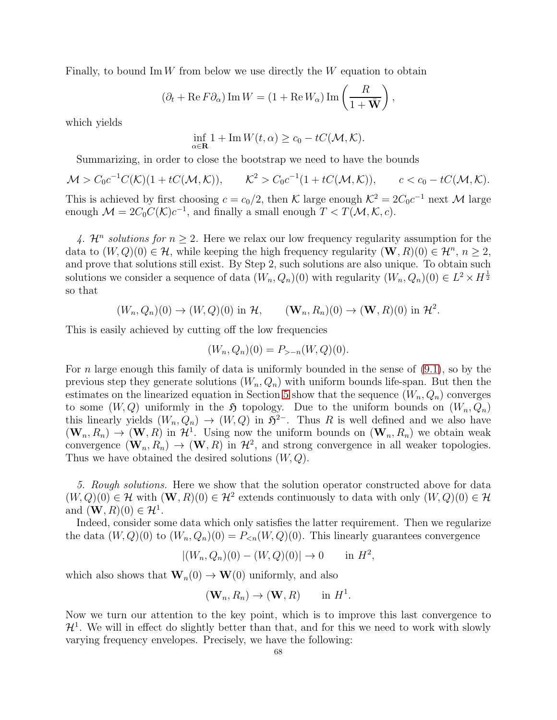Finally, to bound  $\text{Im } W$  from below we use directly the W equation to obtain

$$
(\partial_t + \text{Re}\,F\partial_\alpha)\,\text{Im}\,W = (1 + \text{Re}\,W_\alpha)\,\text{Im}\left(\frac{R}{1 + \bar{\mathbf{W}}}\right),\,
$$

which yields

$$
\inf_{\alpha \in \mathbf{R}} 1 + \operatorname{Im} W(t, \alpha) \ge c_0 - tC(\mathcal{M}, \mathcal{K}).
$$

Summarizing, in order to close the bootstrap we need to have the bounds

 $M > C_0 c^{-1} C(K) (1 + tC(M, K)), \qquad K^2 > C_0 c^{-1} (1 + tC(M, K)), \qquad c < c_0 - tC(M, K).$ 

This is achieved by first choosing  $c = c_0/2$ , then K large enough  $K^2 = 2C_0c^{-1}$  next M large enough  $\mathcal{M} = 2C_0 C(\mathcal{K})c^{-1}$ , and finally a small enough  $T < T(\mathcal{M}, \mathcal{K}, c)$ .

4.  $\mathcal{H}^n$  solutions for  $n \geq 2$ . Here we relax our low frequency regularity assumption for the data to  $(W, Q)(0) \in \mathcal{H}$ , while keeping the high frequency regularity  $(\mathbf{W}, R)(0) \in \mathcal{H}^n$ ,  $n \geq 2$ , and prove that solutions still exist. By Step 2, such solutions are also unique. To obtain such solutions we consider a sequence of data  $(W_n, Q_n)(0)$  with regularity  $(W_n, Q_n)(0) \in L^2 \times H^{\frac{1}{2}}$ so that

$$
(W_n, Q_n)(0) \to (W, Q)(0) \text{ in } \mathcal{H}, \qquad (\mathbf{W}_n, R_n)(0) \to (\mathbf{W}, R)(0) \text{ in } \mathcal{H}^2.
$$

This is easily achieved by cutting off the low frequencies

$$
(W_n, Q_n)(0) = P_{-n}(W, Q)(0).
$$

For *n* large enough this family of data is uniformly bounded in the sense of  $(9.1)$ , so by the previous step they generate solutions  $(W_n, Q_n)$  with uniform bounds life-span. But then the estimates on the linearized equation in Section [5](#page-24-0) show that the sequence  $(W_n, Q_n)$  converges to some  $(W, Q)$  uniformly in the  $\mathfrak H$  topology. Due to the uniform bounds on  $(W_n, Q_n)$ this linearly yields  $(W_n, Q_n) \to (W, Q)$  in  $\mathfrak{H}^{2-}$ . Thus R is well defined and we also have  $(\mathbf{W}_n, R_n) \to (\mathbf{W}, R)$  in  $\mathcal{H}^1$ . Using now the uniform bounds on  $(\mathbf{W}_n, R_n)$  we obtain weak convergence  $(\mathbf{W}_n, R_n) \to (\mathbf{W}, R)$  in  $\mathcal{H}^2$ , and strong convergence in all weaker topologies. Thus we have obtained the desired solutions  $(W, Q)$ .

*5. Rough solutions.* Here we show that the solution operator constructed above for data  $(W, Q)(0) \in \mathcal{H}$  with  $(\mathbf{W}, R)(0) \in \mathcal{H}^2$  extends continuously to data with only  $(W, Q)(0) \in \mathcal{H}$ and  $(\mathbf{W}, R)(0) \in \mathcal{H}^1$ .

Indeed, consider some data which only satisfies the latter requirement. Then we regularize the data  $(W, Q)(0)$  to  $(W_n, Q_n)(0) = P_{\leq n}(W, Q)(0)$ . This linearly guarantees convergence

$$
|(W_n, Q_n)(0) - (W, Q)(0)| \to 0 \quad \text{in } H^2,
$$

which also shows that  $\mathbf{W}_n(0) \to \mathbf{W}(0)$  uniformly, and also

$$
(\mathbf{W}_n, R_n) \to (\mathbf{W}, R) \quad \text{in } H^1.
$$

Now we turn our attention to the key point, which is to improve this last convergence to  $\mathcal{H}^1$ . We will in effect do slightly better than that, and for this we need to work with slowly varying frequency envelopes. Precisely, we have the following: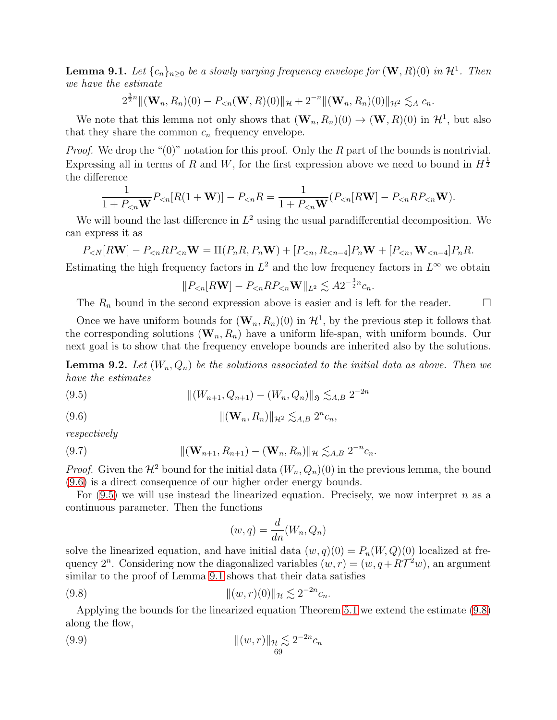<span id="page-68-2"></span>**Lemma 9.1.** Let  $\{c_n\}_{n\geq 0}$  be a slowly varying frequency envelope for  $(\mathbf{W}, R)(0)$  in  $\mathcal{H}^1$ . Then *we have the estimate*

$$
2^{\frac{3}{2}n} \|(W_n, R_n)(0) - P_{\leq n}(\mathbf{W}, R)(0) \|_{\mathcal{H}} + 2^{-n} \|(\mathbf{W}_n, R_n)(0)\|_{\mathcal{H}^2} \lesssim_A c_n.
$$

We note that this lemma not only shows that  $(\mathbf{W}_n, R_n)(0) \to (\mathbf{W}, R)(0)$  in  $\mathcal{H}^1$ , but also that they share the common  $c_n$  frequency envelope.

*Proof.* We drop the "(0)" notation for this proof. Only the R part of the bounds is nontrivial. Expressing all in terms of R and W, for the first expression above we need to bound in  $H^{\frac{1}{2}}$ the difference

$$
\frac{1}{1+P_{\leq n}\mathbf{W}}P_{\leq n}[R(1+\mathbf{W})]-P_{\leq n}R=\frac{1}{1+P_{\leq n}\mathbf{W}}(P_{\leq n}[R\mathbf{W}]-P_{\leq n}RP_{\leq n}\mathbf{W}).
$$

We will bound the last difference in  $L^2$  using the usual paradifferential decomposition. We can express it as

$$
P_{\leq N}[R\mathbf{W}] - P_{\leq n}RP_{\leq n}\mathbf{W} = \Pi(P_nR, P_n\mathbf{W}) + [P_{\leq n}, R_{\leq n-4}]P_n\mathbf{W} + [P_{\leq n}, \mathbf{W}_{\leq n-4}]P_nR.
$$

Estimating the high frequency factors in  $L^2$  and the low frequency factors in  $L^{\infty}$  we obtain

<span id="page-68-1"></span>
$$
||P_{\le n}[R\mathbf{W}] - P_{\le n}RP_{\le n}\mathbf{W}||_{L^2} \lesssim A2^{-\frac{3}{2}n}c_n.
$$

The  $R_n$  bound in the second expression above is easier and is left for the reader.  $\Box$ 

Once we have uniform bounds for  $(\mathbf{W}_n, R_n)(0)$  in  $\mathcal{H}^1$ , by the previous step it follows that the corresponding solutions  $(\mathbf{W}_n, R_n)$  have a uniform life-span, with uniform bounds. Our next goal is to show that the frequency envelope bounds are inherited also by the solutions.

**Lemma 9.2.** Let  $(W_n, Q_n)$  be the solutions associated to the initial data as above. Then we *have the estimates*

(9.5) 
$$
||(W_{n+1}, Q_{n+1}) - (W_n, Q_n)||_{\mathfrak{H}} \lesssim_{A,B} 2^{-2n}
$$

(9.6)  $\|(W_n, R_n)\|_{\mathcal{H}^2} \lesssim_{A,B} 2^n c_n,$ 

*respectively*

(9.7) 
$$
\|(\mathbf{W}_{n+1}, R_{n+1}) - (\mathbf{W}_n, R_n)\|_{\mathcal{H}} \lesssim_{A,B} 2^{-n} c_n.
$$

*Proof.* Given the  $\mathcal{H}^2$  bound for the initial data  $(W_n, Q_n)(0)$  in the previous lemma, the bound [\(9.6\)](#page-68-0) is a direct consequence of our higher order energy bounds.

For  $(9.5)$  we will use instead the linearized equation. Precisely, we now interpret n as a continuous parameter. Then the functions

<span id="page-68-5"></span><span id="page-68-4"></span><span id="page-68-3"></span><span id="page-68-0"></span>
$$
(w, q) = \frac{d}{dn}(W_n, Q_n)
$$

solve the linearized equation, and have initial data  $(w, q)(0) = P_n(W, Q)(0)$  localized at frequency  $2^n$ . Considering now the diagonalized variables  $(w, r) = (w, q + RT^2w)$ , an argument similar to the proof of Lemma [9.1](#page-68-2) shows that their data satisfies

(9.8) 
$$
\|(w,r)(0)\|_{\mathcal{H}} \lesssim 2^{-2n}c_n.
$$

Applying the bounds for the linearized equation Theorem [5.1](#page-26-0) we extend the estimate [\(9.8\)](#page-68-3) along the flow,

(9.9) 
$$
\|(w,r)\|_{\mathcal{H}} \lesssim 2^{-2n}c_n
$$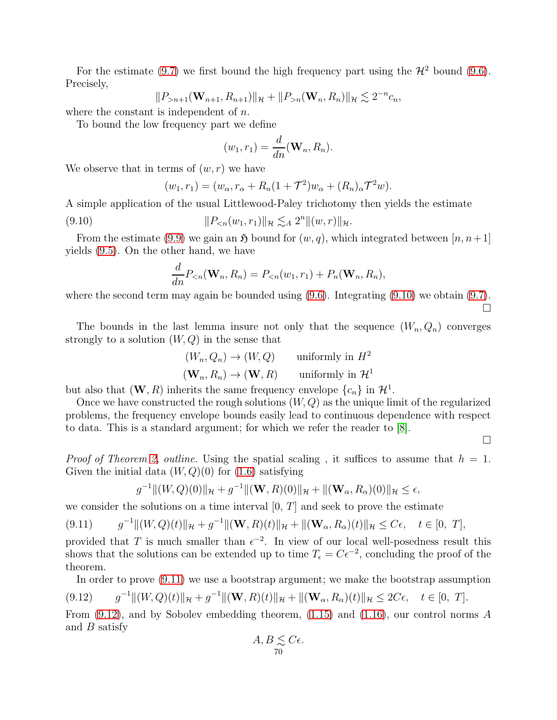For the estimate [\(9.7\)](#page-68-4) we first bound the high frequency part using the  $\mathcal{H}^2$  bound [\(9.6\)](#page-68-0). Precisely,

$$
||P_{>n+1}(\mathbf{W}_{n+1}, R_{n+1})||_{\mathcal{H}} + ||P_{>n}(\mathbf{W}_n, R_n)||_{\mathcal{H}} \lesssim 2^{-n}c_n,
$$

where the constant is independent of  $n$ .

To bound the low frequency part we define

$$
(w_1, r_1) = \frac{d}{dn}(\mathbf{W}_n, R_n).
$$

We observe that in terms of  $(w, r)$  we have

<span id="page-69-0"></span>
$$
(w_1, r_1) = (w_\alpha, r_\alpha + R_n(1 + \mathcal{T}^2)w_\alpha + (R_n)_\alpha \mathcal{T}^2 w).
$$

A simple application of the usual Littlewood-Paley trichotomy then yields the estimate

(9.10) 
$$
||P_{\leq n}(w_1,r_1)||_{\mathcal{H}} \lesssim_A 2^n ||(w,r)||_{\mathcal{H}}.
$$

From the estimate [\(9.9\)](#page-68-5) we gain an  $\mathfrak H$  bound for  $(w, q)$ , which integrated between  $[n, n+1]$ yields [\(9.5\)](#page-68-1). On the other hand, we have

$$
\frac{d}{dn}P_{< n}(\mathbf{W}_n, R_n) = P_{< n}(w_1, r_1) + P_n(\mathbf{W}_n, R_n),
$$

where the second term may again be bounded using [\(9.6\)](#page-68-0). Integrating [\(9.10\)](#page-69-0) we obtain [\(9.7\)](#page-68-4).

The bounds in the last lemma insure not only that the sequence  $(W_n, Q_n)$  converges strongly to a solution  $(W, Q)$  in the sense that

$$
(W_n, Q_n) \to (W, Q) \qquad \text{uniformly in } H^2
$$

$$
(\mathbf{W}_n, R_n) \to (\mathbf{W}, R) \qquad \text{uniformly in } H^1
$$

but also that  $(\mathbf{W}, R)$  inherits the same frequency envelope  $\{c_n\}$  in  $\mathcal{H}^1$ .

Once we have constructed the rough solutions  $(W, Q)$  as the unique limit of the regularized problems, the frequency envelope bounds easily lead to continuous dependence with respect to data. This is a standard argument; for which we refer the reader to [\[8\]](#page-81-0).

 $\Box$ 

 $\Box$ 

*Proof of Theorem [2,](#page-6-1) outline.* Using the spatial scaling, it suffices to assume that  $h = 1$ . Given the initial data  $(W, Q)(0)$  for  $(1.6)$  satisfying

<span id="page-69-1"></span>
$$
g^{-1}||(W,Q)(0)||_{\mathcal{H}} + g^{-1}||(\mathbf{W},R)(0)||_{\mathcal{H}} + ||(\mathbf{W}_{\alpha},R_{\alpha})(0)||_{\mathcal{H}} \leq \epsilon,
$$

we consider the solutions on a time interval  $[0, T]$  and seek to prove the estimate

$$
(9.11) \t g^{-1}||(W,Q)(t)||_{\mathcal{H}} + g^{-1}||(\mathbf{W},R)(t)||_{\mathcal{H}} + ||(\mathbf{W}_{\alpha},R_{\alpha})(t)||_{\mathcal{H}} \leq C\epsilon, \quad t \in [0, T],
$$

provided that T is much smaller than  $\epsilon^{-2}$ . In view of our local well-posedness result this shows that the solutions can be extended up to time  $T_{\epsilon} = C\epsilon^{-2}$ , concluding the proof of the theorem.

<span id="page-69-2"></span>In order to prove [\(9.11\)](#page-69-1) we use a bootstrap argument; we make the bootstrap assumption −1|(TTT D)(c)|| . ||(TTT D)(c)||

$$
(9.12) \t g^{-1}||(W,Q)(t)||_{\mathcal{H}} + g^{-1}||(W,R)(t)||_{\mathcal{H}} + ||(W_{\alpha},R_{\alpha})(t)||_{\mathcal{H}} \leq 2C\epsilon, \quad t \in [0, T].
$$

From [\(9.12\)](#page-69-2), and by Sobolev embedding theorem, [\(1.15\)](#page-5-1) and [\(1.16\)](#page-5-2), our control norms A and B satisfy

$$
A, B \underset{70}{\leq} C\epsilon.
$$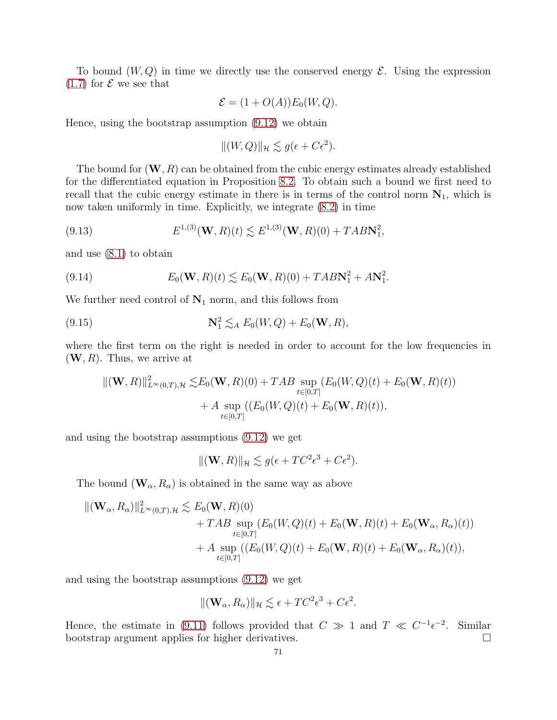To bound  $(W, Q)$  in time we directly use the conserved energy  $\mathcal{E}$ . Using the expression  $(1.7)$  for  $\mathcal E$  we see that

$$
\mathcal{E} = (1 + O(A))E_0(W, Q).
$$

Hence, using the bootstrap assumption [\(9.12\)](#page-69-2) we obtain

$$
||(W,Q)||_{\mathcal{H}} \lesssim g(\epsilon + C\epsilon^2).
$$

The bound for  $(\mathbf{W}, R)$  can be obtained from the cubic energy estimates already established for the differentiated equation in Proposition [8.2.](#page-46-1) To obtain such a bound we first need to recall that the cubic energy estimate in there is in terms of the control norm  $N_1$ , which is now taken uniformly in time. Explicitly, we integrate [\(8.2\)](#page-46-2) in time

(9.13) 
$$
E^{1,(3)}(\mathbf{W},R)(t) \lesssim E^{1,(3)}(\mathbf{W},R)(0) + TAB\mathbf{N}_1^2,
$$

and use [\(8.1\)](#page-46-3) to obtain

(9.14) 
$$
E_0(\mathbf{W}, R)(t) \lesssim E_0(\mathbf{W}, R)(0) + TAB\mathbf{N}_1^2 + A\mathbf{N}_1^2.
$$

We further need control of  $N_1$  norm, and this follows from

(9.15) 
$$
\mathbf{N}_1^2 \lesssim_A E_0(W, Q) + E_0(\mathbf{W}, R),
$$

where the first term on the right is needed in order to account for the low frequencies in  $(W, R)$ . Thus, we arrive at

$$
\|(\mathbf{W}, R)\|_{L^{\infty}(0,T), \mathcal{H}}^2 \lesssim E_0(\mathbf{W}, R)(0) + TAB \sup_{t \in [0,T]} (E_0(W, Q)(t) + E_0(\mathbf{W}, R)(t))
$$
  
+  $A \sup_{t \in [0,T]} ((E_0(W, Q)(t) + E_0(\mathbf{W}, R)(t)),$ 

and using the bootstrap assumptions [\(9.12\)](#page-69-2) we get

$$
\|(\mathbf{W}, R)\|_{\mathcal{H}} \lesssim g(\epsilon + TC^2\epsilon^3 + C\epsilon^2).
$$

The bound  $(\mathbf{W}_{\alpha}, R_{\alpha})$  is obtained in the same way as above

$$
\begin{aligned} ||(\mathbf{W}_{\alpha}, R_{\alpha})||_{L^{\infty}(0,T), \mathcal{H}}^{2} &\lesssim E_{0}(\mathbf{W}, R)(0) \\ &+ TAB \sup_{t\in[0,T]} (E_{0}(W, Q)(t) + E_{0}(\mathbf{W}, R)(t) + E_{0}(\mathbf{W}_{\alpha}, R_{\alpha})(t)) \\ &+ A \sup_{t\in[0,T]} ((E_{0}(W, Q)(t) + E_{0}(\mathbf{W}, R)(t) + E_{0}(\mathbf{W}_{\alpha}, R_{\alpha})(t)), \end{aligned}
$$

and using the bootstrap assumptions [\(9.12\)](#page-69-2) we get

$$
\|(\mathbf{W}_{\alpha}, R_{\alpha})\|_{\mathcal{H}} \lesssim \epsilon + TC^2 \epsilon^3 + C\epsilon^2.
$$

Hence, the estimate in [\(9.11\)](#page-69-1) follows provided that  $C \gg 1$  and  $T \ll C^{-1} \epsilon^{-2}$ . Similar bootstrap argument applies for higher derivatives.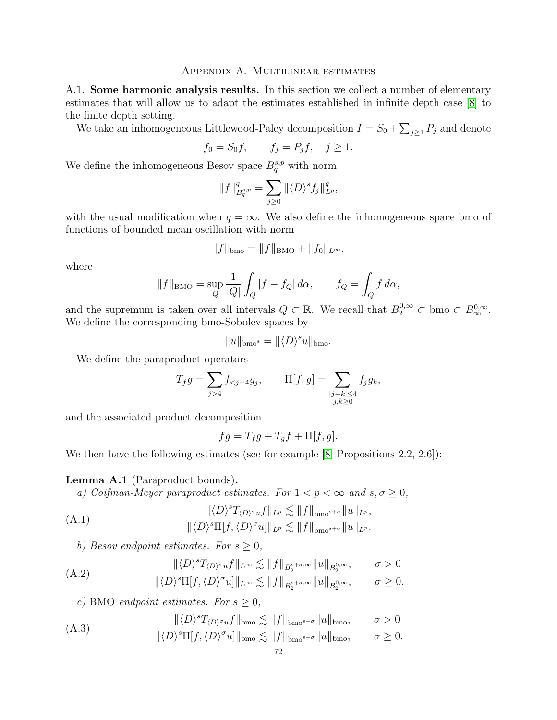# Appendix A. Multilinear estimates

A.1. Some harmonic analysis results. In this section we collect a number of elementary estimates that will allow us to adapt the estimates established in infinite depth case [\[8\]](#page-81-0) to the finite depth setting.

We take an inhomogeneous Littlewood-Paley decomposition  $I = S_0 + \sum_{j\geq 1} P_j$  and denote

$$
f_0 = S_0 f, \qquad f_j = P_j f, \quad j \ge 1.
$$

We define the inhomogeneous Besov space  $B_q^{s,p}$  with norm

$$
||f||_{B_q^{s,p}}^q = \sum_{j\geq 0} ||\langle D \rangle^s f_j||_{L^p}^q,
$$

with the usual modification when  $q = \infty$ . We also define the inhomogeneous space bmo of functions of bounded mean oscillation with norm

$$
||f||_{bmo} = ||f||_{BMO} + ||f_0||_{L^{\infty}},
$$

where

$$
||f||_{\text{BMO}} = \sup_{Q} \frac{1}{|Q|} \int_{Q} |f - f_{Q}| \, d\alpha, \qquad f_{Q} = \int_{Q} f \, d\alpha,
$$

and the supremum is taken over all intervals  $Q \subset \mathbb{R}$ . We recall that  $B_2^{0,\infty} \subset \text{bmo} \subset B_{\infty}^{0,\infty}$ . We define the corresponding bmo-Sobolev spaces by

$$
||u||_{\text{bmo}^s} = ||\langle D \rangle^s u||_{\text{bmo}}.
$$

We define the paraproduct operators

$$
T_f g = \sum_{j>4} f_{
$$

and the associated product decomposition

<span id="page-71-0"></span>
$$
fg = T_f g + T_g f + \Pi[f, g].
$$

We then have the following estimates (see for example [\[8,](#page-81-0) Propositions 2.2, 2.6]):

# Lemma A.1 (Paraproduct bounds).

*a)* Coifman-Meyer paraproduct estimates. For  $1 < p < \infty$  and  $s, \sigma \ge 0$ ,

$$
||\langle D \rangle^s T_{\langle D \rangle^\sigma u} f||_{L^p} \lesssim ||f||_{bmo^{s+\sigma}} ||u||_{L^p},
$$
  

$$
||\langle D \rangle^s \Pi[f, \langle D \rangle^\sigma u]||_{L^p} \lesssim ||f||_{bmo^{s+\sigma}} ||u||_{L^p}.
$$

*b)* Besov endpoint estimates. For  $s \geq 0$ ,

$$
\| \langle D \rangle^s T_{\langle D \rangle^\sigma u} f \|_{L^\infty} \lesssim \| f \|_{B_2^{s+\sigma,\infty}} \| u \|_{B_2^{0,\infty}}, \qquad \sigma > 0
$$
  

$$
\| \langle D \rangle^s \Pi[f, \langle D \rangle^\sigma u] \|_{L^\infty} \lesssim \| f \|_{B_2^{s+\sigma,\infty}} \| u \|_{B_2^{0,\infty}}, \qquad \sigma \ge 0.
$$

*c*) BMO *endpoint estimates. For*  $s \geq 0$ *,* 

$$
\| \langle D \rangle^s T_{\langle D \rangle^\sigma u} f \|_{b \text{mo}} \lesssim \| f \|_{b \text{mo}^{s+\sigma}} \| u \|_{b \text{mo}}, \qquad \sigma > 0
$$

$$
\|\langle D\rangle^s \Pi[f, \langle D\rangle^\sigma u]\|_{\text{bmo}} \lesssim \|f\|_{\text{bmo}^{s+\sigma}} \|u\|_{\text{bmo}}, \qquad \sigma \ge 0.
$$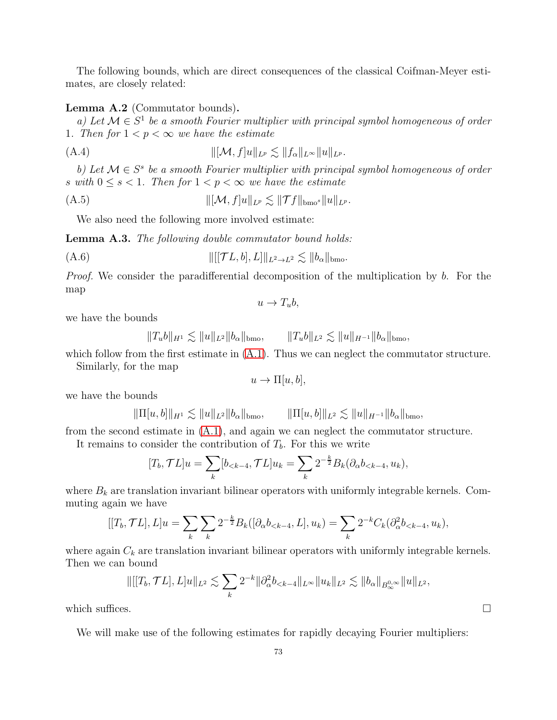The following bounds, which are direct consequences of the classical Coifman-Meyer estimates, are closely related:

## Lemma A.2 (Commutator bounds).

*a*) Let  $\mathcal{M} \in S^1$  be a smooth Fourier multiplier with principal symbol homogeneous of order 1*. Then for*  $1 < p < \infty$  *we have the estimate* 

(A.4) 
$$
\|[\mathcal{M}, f]u\|_{L^p} \lesssim \|f_{\alpha}\|_{L^{\infty}} \|u\|_{L^p}.
$$

*b*) Let  $M \in S^s$  be a smooth Fourier multiplier with principal symbol homogeneous of order s with  $0 \le s \le 1$ . Then for  $1 \le p \le \infty$  we have the estimate

$$
||[\mathcal{M}, f]u||_{L^p} \lesssim ||\mathcal{T}f||_{\text{bmo}^s}||u||_{L^p}.
$$

We also need the following more involved estimate:

Lemma A.3. *The following double commutator bound holds:*

(A.6) 
$$
\|[[\mathcal{T}L, b], L]\|_{L^2 \to L^2} \lesssim \|b_{\alpha}\|_{b\text{mo}}.
$$

*Proof.* We consider the paradifferential decomposition of the multiplication by b. For the map

 $u \to T_u b$ ,

we have the bounds

 $||T_u b||_{H^1} \lesssim ||u||_{L^2} ||b_{\alpha}||_{bmo},$   $||T_u b||_{L^2} \lesssim ||u||_{H^{-1}} ||b_{\alpha}||_{bmo},$ 

which follow from the first estimate in  $(A.1)$ . Thus we can neglect the commutator structure.

Similarly, for the map

$$
u \to \Pi[u, b],
$$

we have the bounds

$$
\|\Pi[u,b]\|_{H^1} \lesssim \|u\|_{L^2} \|b_{\alpha}\|_{\text{bmo}}, \qquad \|\Pi[u,b]\|_{L^2} \lesssim \|u\|_{H^{-1}} \|b_{\alpha}\|_{\text{bmo}},
$$

from the second estimate in [\(A.1\)](#page-71-0), and again we can neglect the commutator structure.

It remains to consider the contribution of  $T<sub>b</sub>$ . For this we write

$$
[T_b, \mathcal{T}L]u = \sum_{k} [b_{< k-4}, \mathcal{T}L]u_k = \sum_{k} 2^{-\frac{k}{2}} B_k(\partial_{\alpha} b_{< k-4}, u_k),
$$

where  $B_k$  are translation invariant bilinear operators with uniformly integrable kernels. Commuting again we have

$$
[[T_b, \mathcal{T}L], L]u = \sum_{k} \sum_{k} 2^{-\frac{k}{2}} B_k([\partial_{\alpha}b_{< k-4}, L], u_k) = \sum_{k} 2^{-k} C_k(\partial_{\alpha}^2 b_{< k-4}, u_k),
$$

where again  $C_k$  are translation invariant bilinear operators with uniformly integrable kernels. Then we can bound

$$
\|[[T_b, \mathcal{T}L], L]u\|_{L^2} \lesssim \sum_k 2^{-k} \|\partial_{\alpha}^2 b_{< k-4}\|_{L^\infty} \|u_k\|_{L^2} \lesssim \|b_{\alpha}\|_{B_{\infty}^{0,\infty}} \|u\|_{L^2},
$$

which suffices.  $\Box$ 

We will make use of the following estimates for rapidly decaying Fourier multipliers: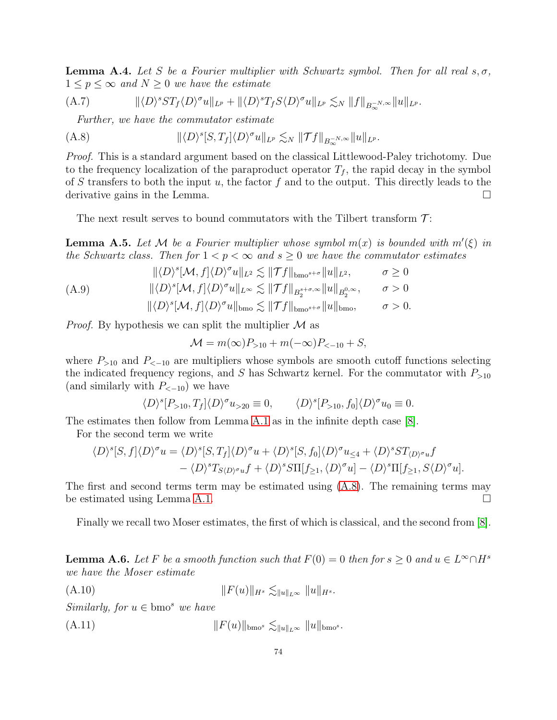<span id="page-73-3"></span>**Lemma A.4.** Let S be a Fourier multiplier with Schwartz symbol. Then for all real  $s, \sigma$ ,  $1 \leq p \leq \infty$  and  $N \geq 0$  we have the estimate

(A.7) 
$$
\|\langle D \rangle^s ST_f \langle D \rangle^{\sigma} u\|_{L^p} + \|\langle D \rangle^s T_f S \langle D \rangle^{\sigma} u\|_{L^p} \lesssim_N \|f\|_{B_{\infty}^{-N,\infty}} \|u\|_{L^p}.
$$

<span id="page-73-2"></span><span id="page-73-0"></span>*Further, we have the commutator estimate*

$$
(A.8) \t\t ||\langle D \rangle^{s} [S, T_{f}] \langle D \rangle^{\sigma} u||_{L^{p}} \lesssim_{N} ||\mathcal{T}f||_{B_{\infty}^{-N,\infty}} ||u||_{L^{p}}.
$$

*Proof.* This is a standard argument based on the classical Littlewood-Paley trichotomy. Due to the frequency localization of the paraproduct operator  $T_f$ , the rapid decay in the symbol of S transfers to both the input u, the factor  $f$  and to the output. This directly leads to the derivative gains in the Lemma.

The next result serves to bound commutators with the Tilbert transform  $\mathcal{T}$ :

**Lemma A.5.** Let M be a Fourier multiplier whose symbol  $m(x)$  is bounded with  $m'(\xi)$  in *the Schwartz class. Then for*  $1 < p < \infty$  *and*  $s \geq 0$  *we have the commutator estimates* 

$$
\| \langle D \rangle^{s} [\mathcal{M}, f] \langle D \rangle^{\sigma} u \|_{L^{2}} \lesssim \| \mathcal{T} f \|_{bmo^{s+\sigma}} \| u \|_{L^{2}}, \qquad \sigma \ge 0
$$
  
(A.9) 
$$
\| \langle D \rangle^{s} [\mathcal{M}, f] \langle D \rangle^{\sigma} u \|_{L^{\infty}} \lesssim \| \mathcal{T} f \|_{B_{2}^{s+\sigma,\infty}} \| u \|_{B_{2}^{0,\infty}}, \qquad \sigma > 0
$$

$$
\| \langle D \rangle^{s} [\mathcal{M}, f] \langle D \rangle^{\sigma} u \|_{bmo} \lesssim \| \mathcal{T} f \|_{bmo^{s+\sigma}} \| u \|_{bmo}, \qquad \sigma > 0.
$$

*Proof.* By hypothesis we can split the multiplier  $\mathcal M$  as

<span id="page-73-1"></span>
$$
M = m(\infty)P_{> 10} + m(-\infty)P_{<-10} + S,
$$

where  $P_{>10}$  and  $P_{<-10}$  are multipliers whose symbols are smooth cutoff functions selecting the indicated frequency regions, and S has Schwartz kernel. For the commutator with  $P_{>10}$ (and similarly with  $P_{\leq -10}$ ) we have

$$
\langle D \rangle^s [P_{>10}, T_f] \langle D \rangle^{\sigma} u_{>20} \equiv 0, \qquad \langle D \rangle^s [P_{>10}, f_0] \langle D \rangle^{\sigma} u_0 \equiv 0.
$$

The estimates then follow from Lemma [A.1](#page-71-1) as in the infinite depth case [\[8\]](#page-81-0).

For the second term we write

$$
\langle D \rangle^s [S, f] \langle D \rangle^{\sigma} u = \langle D \rangle^s [S, T_f] \langle D \rangle^{\sigma} u + \langle D \rangle^s [S, f_0] \langle D \rangle^{\sigma} u_{\leq 4} + \langle D \rangle^s S T_{\langle D \rangle^{\sigma} u} f - \langle D \rangle^s T_{S\langle D \rangle^{\sigma} u} f + \langle D \rangle^s S \Pi [f_{\geq 1}, \langle D \rangle^{\sigma} u] - \langle D \rangle^s \Pi [f_{\geq 1}, S \langle D \rangle^{\sigma} u].
$$

The first and second terms term may be estimated using [\(A.8\)](#page-73-0). The remaining terms may be estimated using Lemma [A.1.](#page-71-1)

Finally we recall two Moser estimates, the first of which is classical, and the second from [\[8\]](#page-81-0).

**Lemma A.6.** Let F be a smooth function such that  $F(0) = 0$  then for  $s \ge 0$  and  $u \in L^{\infty} \cap H^{s}$ *we have the Moser estimate*

$$
(A.10) \t\t\t\t ||F(u)||_{H^s} \lesssim_{||u||_{L^{\infty}}} ||u||_{H^s}.
$$

*Similarly, for*  $u \in b \text{mo}^s$  *we have* 

(A.11)  $||F(u)||_{bmo^s} \le ||u||_{L∞} ||u||_{bmo^s}.$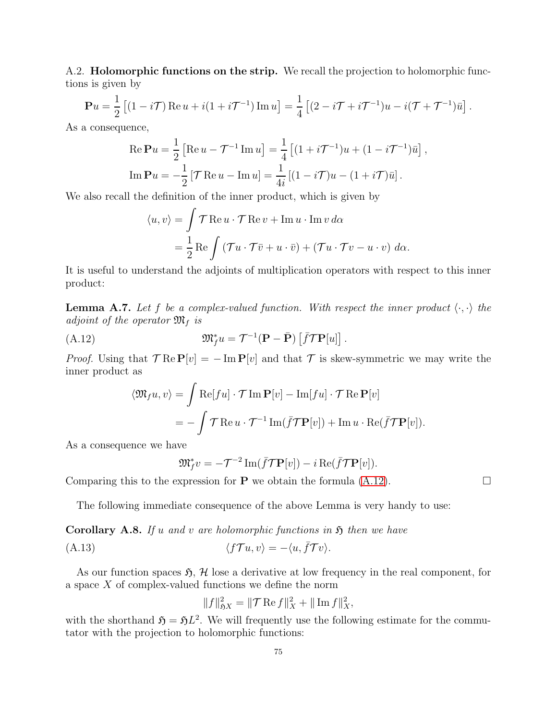A.2. Holomorphic functions on the strip. We recall the projection to holomorphic functions is given by

$$
\mathbf{P}u = \frac{1}{2} \left[ (1 - i \mathcal{T}) \operatorname{Re} u + i (1 + i \mathcal{T}^{-1}) \operatorname{Im} u \right] = \frac{1}{4} \left[ (2 - i \mathcal{T} + i \mathcal{T}^{-1}) u - i (\mathcal{T} + \mathcal{T}^{-1}) \bar{u} \right].
$$

As a consequence,

Re 
$$
\mathbf{P} u = \frac{1}{2} [\text{Re } u - \mathcal{T}^{-1} \text{Im } u] = \frac{1}{4} [(1 + i\mathcal{T}^{-1})u + (1 - i\mathcal{T}^{-1})\bar{u}],
$$
  
\nIm  $\mathbf{P} u = -\frac{1}{2} [\mathcal{T} \text{Re } u - \text{Im } u] = \frac{1}{4i} [(1 - i\mathcal{T})u - (1 + i\mathcal{T})\bar{u}].$ 

We also recall the definition of the inner product, which is given by

$$
\langle u, v \rangle = \int \mathcal{T} \operatorname{Re} u \cdot \mathcal{T} \operatorname{Re} v + \operatorname{Im} u \cdot \operatorname{Im} v \, d\alpha
$$

$$
= \frac{1}{2} \operatorname{Re} \int (\mathcal{T} u \cdot \mathcal{T} \overline{v} + u \cdot \overline{v}) + (\mathcal{T} u \cdot \mathcal{T} v - u \cdot v) \, d\alpha.
$$

It is useful to understand the adjoints of multiplication operators with respect to this inner product:

**Lemma A.7.** Let f be a complex-valued function. With respect the inner product  $\langle \cdot, \cdot \rangle$  the *adjoint of the operator*  $\mathfrak{M}_f$  *is* 

(A.12) 
$$
\mathfrak{M}_{f}^{*}u = \mathcal{T}^{-1}(\mathbf{P} - \bar{\mathbf{P}}) \left[ \bar{f}\mathcal{T}\mathbf{P}[u] \right].
$$

*Proof.* Using that  $\mathcal{T} \text{Re} \mathbf{P}[v] = -\text{Im} \mathbf{P}[v]$  and that  $\mathcal{T}$  is skew-symmetric we may write the inner product as

<span id="page-74-0"></span>
$$
\langle \mathfrak{M}_{f} u, v \rangle = \int \mathrm{Re}[fu] \cdot \mathcal{T} \mathrm{Im} \, \mathbf{P}[v] - \mathrm{Im}[fu] \cdot \mathcal{T} \mathrm{Re} \, \mathbf{P}[v]
$$

$$
= - \int \mathcal{T} \mathrm{Re} \, u \cdot \mathcal{T}^{-1} \mathrm{Im}(\bar{f} \mathcal{T} \mathbf{P}[v]) + \mathrm{Im} \, u \cdot \mathrm{Re}(\bar{f} \mathcal{T} \mathbf{P}[v]).
$$

As a consequence we have

$$
\mathfrak{M}_{f}^{*}v = -\mathcal{T}^{-2}\operatorname{Im}(\bar{f}\mathcal{T}\mathbf{P}[v]) - i \operatorname{Re}(\bar{f}\mathcal{T}\mathbf{P}[v]).
$$

Comparing this to the expression for **P** we obtain the formula  $(A.12)$ .

The following immediate consequence of the above Lemma is very handy to use:

**Corollary A.8.** If u and v are holomorphic functions in  $\mathfrak{H}$  then we have (A.13)  $\langle f \mathcal{T} u, v \rangle = -\langle u, \overline{f} \mathcal{T} v \rangle.$ 

As our function spaces  $\mathfrak{H}, \mathcal{H}$  lose a derivative at low frequency in the real component, for a space X of complex-valued functions we define the norm

$$
||f||_{\mathfrak{H}X}^2 = ||\mathcal{T} \operatorname{Re} f||_X^2 + ||\operatorname{Im} f||_X^2,
$$

with the shorthand  $\mathfrak{H} = \mathfrak{H}L^2$ . We will frequently use the following estimate for the commutator with the projection to holomorphic functions: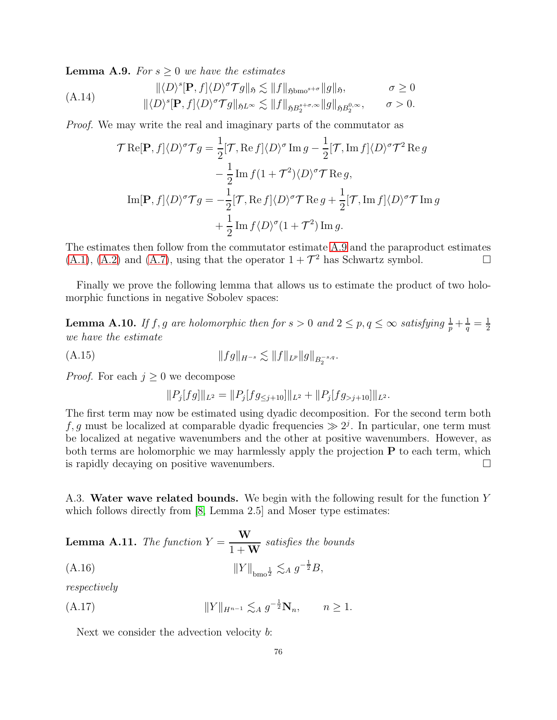**Lemma A.9.** *For*  $s \geq 0$  *we have the estimates* 

$$
\| \langle D \rangle^{s} [\mathbf{P}, f] \langle D \rangle^{\sigma} \mathcal{T} g \|_{\mathfrak{H}} \lesssim \| f \|_{\mathfrak{H}\text{bmo}^{s+\sigma}} \| g \|_{\mathfrak{H}}, \qquad \sigma \ge 0
$$
  

$$
\| \langle D \rangle^{s} [\mathbf{P}, f] \langle D \rangle^{\sigma} \mathcal{T} g \|_{\mathfrak{H}L^{\infty}} \lesssim \| f \|_{\mathfrak{H}B_{2}^{s+\sigma,\infty}} \| g \|_{\mathfrak{H}B_{2}^{0,\infty}}, \qquad \sigma > 0.
$$

*Proof.* We may write the real and imaginary parts of the commutator as

<span id="page-75-0"></span>
$$
\mathcal{T} \operatorname{Re}[\mathbf{P}, f] \langle D \rangle^{\sigma} \mathcal{T} g = \frac{1}{2} [\mathcal{T}, \operatorname{Re} f] \langle D \rangle^{\sigma} \operatorname{Im} g - \frac{1}{2} [\mathcal{T}, \operatorname{Im} f] \langle D \rangle^{\sigma} \mathcal{T}^{2} \operatorname{Re} g
$$

$$
- \frac{1}{2} \operatorname{Im} f (1 + \mathcal{T}^{2}) \langle D \rangle^{\sigma} \mathcal{T} \operatorname{Re} g,
$$

$$
\operatorname{Im}[\mathbf{P}, f] \langle D \rangle^{\sigma} \mathcal{T} g = -\frac{1}{2} [\mathcal{T}, \operatorname{Re} f] \langle D \rangle^{\sigma} \mathcal{T} \operatorname{Re} g + \frac{1}{2} [\mathcal{T}, \operatorname{Im} f] \langle D \rangle^{\sigma} \mathcal{T} \operatorname{Im} g
$$

$$
+ \frac{1}{2} \operatorname{Im} f \langle D \rangle^{\sigma} (1 + \mathcal{T}^{2}) \operatorname{Im} g.
$$

The estimates then follow from the commutator estimate [A.9](#page-73-1) and the paraproduct estimates  $(A.1)$ ,  $(A.2)$  and  $(A.7)$ , using that the operator  $1 + \mathcal{T}^2$  has Schwartz symbol.

Finally we prove the following lemma that allows us to estimate the product of two holomorphic functions in negative Sobolev spaces:

**Lemma A.10.** If f, g are holomorphic then for  $s > 0$  and  $2 \le p, q \le \infty$  satisfying  $\frac{1}{p} + \frac{1}{q} = \frac{1}{2}$ 2 *we have the estimate*

(A.15)  $||fg||_{H^{-s}} \lesssim ||f||_{L^p} ||g||_{B_2^{-s,q}}.$ 

*Proof.* For each  $j \geq 0$  we decompose

$$
||P_j[fg]||_{L^2} = ||P_j[fg_{\leq j+10}]||_{L^2} + ||P_j[fg_{>j+10}]||_{L^2}.
$$

The first term may now be estimated using dyadic decomposition. For the second term both f, g must be localized at comparable dyadic frequencies  $\gg 2^j$ . In particular, one term must be localized at negative wavenumbers and the other at positive wavenumbers. However, as both terms are holomorphic we may harmlessly apply the projection  $P$  to each term, which is rapidly decaying on positive wavenumbers.

A.3. Water wave related bounds. We begin with the following result for the function Y which follows directly from [\[8,](#page-81-0) Lemma 2.5] and Moser type estimates:

**Lemma A.11.** *The function*  $Y =$ W  $\frac{W}{1 + W}$  satisfies the bounds (A.16)  $||Y||_{\text{bmo}_2^{\frac{1}{2}}} \lesssim_A g^{-\frac{1}{2}}B,$ 

<span id="page-75-1"></span>*respectively*

(A.17) 
$$
||Y||_{H^{n-1}} \lesssim_A g^{-\frac{1}{2}} N_n, \qquad n \ge 1.
$$

Next we consider the advection velocity b: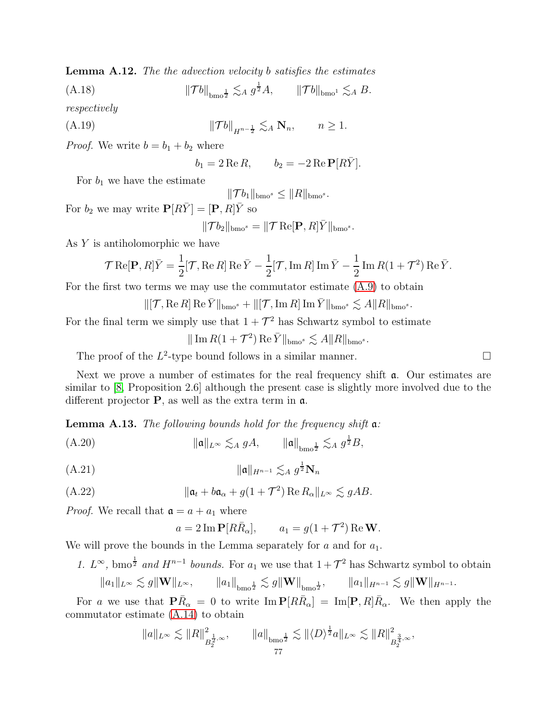Lemma A.12. *The the advection velocity* b *satisfies the estimates*

<span id="page-76-0"></span>(A.18) 
$$
\|\mathcal{T}b\|_{\text{bmo}^{\frac{1}{2}}} \lesssim_A g^{\frac{1}{2}}A, \qquad \|\mathcal{T}b\|_{\text{bmo}^1} \lesssim_A B.
$$

*respectively*

$$
||\mathcal{T}b||_{H^{n-\frac{1}{2}}} \lesssim_A \mathbf{N}_n, \qquad n \ge 1.
$$

*Proof.* We write  $b = b_1 + b_2$  where

<span id="page-76-4"></span>
$$
b_1 = 2 \operatorname{Re} R, \qquad b_2 = -2 \operatorname{Re} \mathbf{P}[R\bar{Y}].
$$

For  $b_1$  we have the estimate

$$
\|\mathcal{T}b_1\|_{\mathrm{bmo}^s}\leq\|R\|_{\mathrm{bmo}^s}.
$$

For  $b_2$  we may write  $\mathbf{P}[R\bar{Y}] = [\mathbf{P}, R]\bar{Y}$  so

$$
\|\mathcal{T}b_2\|_{\text{bmo}^s} = \|\mathcal{T} \text{Re}[\mathbf{P}, R]\bar{Y}\|_{\text{bmo}^s}.
$$

As Y is antiholomorphic we have

$$
\mathcal{T}\operatorname{Re}[\mathbf{P},R]\bar{Y} = \frac{1}{2}[\mathcal{T},\operatorname{Re}R]\operatorname{Re}\bar{Y} - \frac{1}{2}[\mathcal{T},\operatorname{Im}R]\operatorname{Im}\bar{Y} - \frac{1}{2}\operatorname{Im}R(1+\mathcal{T}^2)\operatorname{Re}\bar{Y}.
$$

For the first two terms we may use the commutator estimate  $(A.9)$  to obtain

$$
\|[\mathcal{T}, \operatorname{Re} R] \operatorname{Re} \bar{Y}\|_{\operatorname{bmo}^s} + \|[\mathcal{T}, \operatorname{Im} R] \operatorname{Im} \bar{Y}\|_{\operatorname{bmo}^s} \lesssim A \|R\|_{\operatorname{bmo}^s}.
$$

For the final term we simply use that  $1 + \mathcal{T}^2$  has Schwartz symbol to estimate

$$
\|\operatorname{Im} R(1+\mathcal{T}^2)\operatorname{Re}\bar{Y}\|_{\text{bmo}^s}\lesssim A\|R\|_{\text{bmo}^s}.
$$

The proof of the  $L^2$ -type bound follows in a similar manner.

Next we prove a number of estimates for the real frequency shift  $\alpha$ . Our estimates are similar to [\[8,](#page-81-0) Proposition 2.6] although the present case is slightly more involved due to the different projector  $P$ , as well as the extra term in  $\alpha$ .

Lemma A.13. *The following bounds hold for the frequency shift* a*:*

(A.20)  $\|\mathfrak{a}\|_{L^{\infty}} \lesssim_{A} gA, \qquad \|\mathfrak{a}\|_{\text{bmo}_2^{\frac{1}{2}}} \lesssim_{A} g^{\frac{1}{2}}B,$ 

$$
||\mathfrak{a}||_{H^{n-1}} \lesssim_A g^{\frac{1}{2}} \mathbf{N}_n
$$

$$
(A.22) \t\t\t ||\mathfrak{a}_t + b\mathfrak{a}_\alpha + g(1+\mathcal{T}^2) \operatorname{Re} R_\alpha||_{L^\infty} \lesssim gAB.
$$

*Proof.* We recall that  $a = a + a_1$  where

<span id="page-76-3"></span><span id="page-76-2"></span><span id="page-76-1"></span>
$$
a = 2 \operatorname{Im} \mathbf{P}[R\bar{R}_{\alpha}],
$$
  $a_1 = g(1 + \mathcal{T}^2) \operatorname{Re} \mathbf{W}.$ 

We will prove the bounds in the Lemma separately for  $a$  and for  $a_1$ .

*1.*  $L^{\infty}$ , bmo<sup> $\frac{1}{2}$ </sup> and  $H^{n-1}$  bounds. For a<sub>1</sub> we use that 1 +  $\mathcal{T}^2$  has Schwartz symbol to obtain

$$
||a_1||_{L^{\infty}} \lesssim g||\mathbf{W}||_{L^{\infty}}, \qquad ||a_1||_{\text{bmo}^{\frac{1}{2}}} \lesssim g||\mathbf{W}||_{\text{bmo}^{\frac{1}{2}}}, \qquad ||a_1||_{H^{n-1}} \lesssim g||\mathbf{W}||_{H^{n-1}}.
$$

For a we use that  $\mathbf{P}\bar{R}_{\alpha} = 0$  to write  $\text{Im } \mathbf{P}[R\bar{R}_{\alpha}] = \text{Im}[\mathbf{P},R]\bar{R}_{\alpha}$ . We then apply the commutator estimate [\(A.14\)](#page-75-0) to obtain

$$
||a||_{L^{\infty}} \lesssim ||R||_{B^{\frac{1}{2},\infty}}^2, \qquad ||a||_{\text{bmo}^{\frac{1}{2}}} \lesssim ||\langle D \rangle^{\frac{1}{2}} a||_{L^{\infty}} \lesssim ||R||_{B^{\frac{3}{4},\infty}}^2,
$$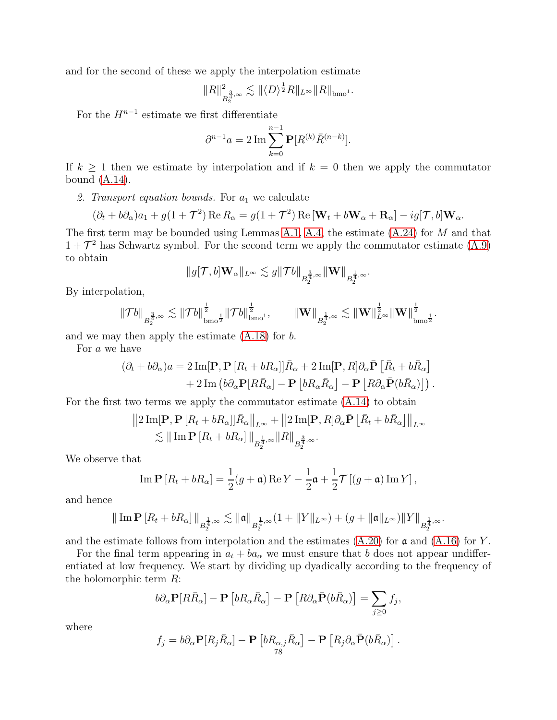and for the second of these we apply the interpolation estimate

$$
||R||_{B^{\frac{3}{4},\infty}_{2}}^{2} \lesssim ||\langle D \rangle^{\frac{1}{2}}R||_{L^{\infty}}||R||_{bmo^{1}}.
$$

For the  $H^{n-1}$  estimate we first differentiate

$$
\partial^{n-1} a = 2 \operatorname{Im} \sum_{k=0}^{n-1} \mathbf{P}[R^{(k)} \bar{R}^{(n-k)}].
$$

If  $k \geq 1$  then we estimate by interpolation and if  $k = 0$  then we apply the commutator bound [\(A.14\)](#page-75-0).

2. Transport equation bounds. For  $a_1$  we calculate

$$
(\partial_t + b\partial_\alpha)a_1 + g(1+\mathcal{T}^2)\operatorname{Re} R_\alpha = g(1+\mathcal{T}^2)\operatorname{Re}[\mathbf{W}_t + b\mathbf{W}_\alpha + \mathbf{R}_\alpha] - ig[\mathcal{T}, b]\mathbf{W}_\alpha.
$$

The first term may be bounded using Lemmas [A.1,](#page-71-1) [A.4,](#page-73-3) the estimate [\(A.24\)](#page-79-0) for M and that  $1 + \mathcal{T}^2$  has Schwartz symbol. For the second term we apply the commutator estimate [\(A.9\)](#page-73-1) to obtain

$$
\|g[\mathcal T,b]\mathbf W_\alpha\|_{L^\infty}\lesssim g\|\mathcal Tb\|_{B_2^{\frac{3}{4},\infty}}\|\mathbf W\|_{B_2^{\frac{1}{4},\infty}}.
$$

By interpolation,

$$
\|{\mathcal T} b\|_{B^{\frac{3}{4},\infty}_2}\lesssim \|{\mathcal T} b\|_{\text{\rm bmo}}^{\frac{1}{2}}\|{\mathcal T} b\|_{\text{\rm bmo}^1}^{\frac{1}{2}},\qquad \|{\bf W}\|_{B^{\frac{1}{4},\infty}_2}\lesssim \|{\bf W}\|_{L^\infty}^{\frac{1}{2}}\|{\bf W}\|_{\text{\rm bmo}^{\frac{1}{2}}}^{\frac{1}{2}}.
$$

and we may then apply the estimate  $(A.18)$  for b.

For a we have

$$
(\partial_t + b\partial_\alpha)a = 2\,\text{Im}[\mathbf{P}, \mathbf{P}[R_t + bR_\alpha]]\bar{R}_\alpha + 2\,\text{Im}[\mathbf{P}, R]\partial_\alpha\bar{\mathbf{P}}[\bar{R}_t + b\bar{R}_\alpha] + 2\,\text{Im}\left(b\partial_\alpha\mathbf{P}[R\bar{R}_\alpha] - \mathbf{P}[bR_\alpha\bar{R}_\alpha] - \mathbf{P}[R\partial_\alpha\bar{\mathbf{P}}(b\bar{R}_\alpha)]\right).
$$

For the first two terms we apply the commutator estimate [\(A.14\)](#page-75-0) to obtain

$$
||2 \operatorname{Im}[\mathbf{P}, \mathbf{P}[R_t + bR_{\alpha}]]\bar{R}_{\alpha}||_{L^{\infty}} + ||2 \operatorname{Im}[\mathbf{P}, R]\partial_{\alpha}\bar{\mathbf{P}}[\bar{R}_t + b\bar{R}_{\alpha}]]||_{L^{\infty}}
$$
  
\$\leq\$ || Im  $\mathbf{P}[R_t + bR_{\alpha}]||_{B_2^{\frac{1}{4},\infty}} ||R||_{B_2^{\frac{3}{4},\infty}}.$ 

We observe that

Im 
$$
\mathbf{P}[R_t + bR_\alpha] = \frac{1}{2}(g + \mathfrak{a}) \operatorname{Re} Y - \frac{1}{2}\mathfrak{a} + \frac{1}{2}\mathcal{T}[(g + \mathfrak{a}) \operatorname{Im} Y],
$$

and hence

$$
\|\operatorname{Im} \mathbf{P}\left[R_t + b R_\alpha\right]\|_{B_2^{\frac{1}{4},\infty}} \lesssim \|\mathfrak{a}\|_{B_2^{\frac{1}{4},\infty}} (1 + \|Y\|_{L^\infty}) + (g + \|\mathfrak{a}\|_{L^\infty}) \|Y\|_{B_2^{\frac{1}{4},\infty}}.
$$

and the estimate follows from interpolation and the estimates  $(A.20)$  for  $\alpha$  and  $(A.16)$  for Y.

For the final term appearing in  $a_t + ba_\alpha$  we must ensure that b does not appear undifferentiated at low frequency. We start by dividing up dyadically according to the frequency of the holomorphic term R:

$$
b\partial_{\alpha} \mathbf{P}[R\bar{R}_{\alpha}] - \mathbf{P}[bR_{\alpha}\bar{R}_{\alpha}] - \mathbf{P}[R\partial_{\alpha} \bar{\mathbf{P}}(b\bar{R}_{\alpha})] = \sum_{j\geq 0} f_j,
$$

where

$$
f_j = b\partial_\alpha \mathbf{P}[R_j \bar{R}_\alpha] - \mathbf{P}\left[bR_{\alpha,j}\bar{R}_\alpha\right] - \mathbf{P}\left[R_j\partial_\alpha \bar{\mathbf{P}}(b\bar{R}_\alpha)\right].
$$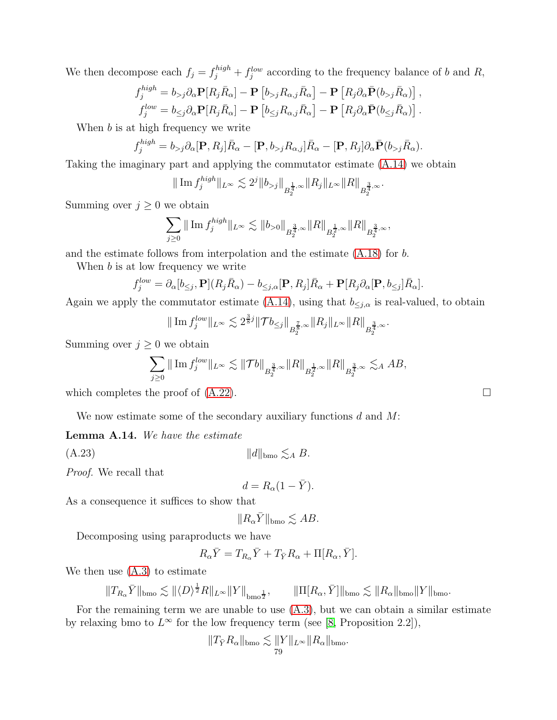We then decompose each  $f_j = f_j^{high} + f_j^{low}$  according to the frequency balance of b and R,

$$
f_j^{high} = b_{>j} \partial_\alpha \mathbf{P}[R_j \bar{R}_\alpha] - \mathbf{P}[b_{>j} R_{\alpha,j} \bar{R}_\alpha] - \mathbf{P}[R_j \partial_\alpha \bar{\mathbf{P}}(b_{>j} \bar{R}_\alpha)],
$$
  

$$
f_j^{low} = b_{\leq j} \partial_\alpha \mathbf{P}[R_j \bar{R}_\alpha] - \mathbf{P}[b_{\leq j} R_{\alpha,j} \bar{R}_\alpha] - \mathbf{P}[R_j \partial_\alpha \bar{\mathbf{P}}(b_{\leq j} \bar{R}_\alpha)].
$$

When b is at high frequency we write

$$
f_j^{high} = b_{>j} \partial_\alpha [\mathbf{P}, R_j] \bar{R}_\alpha - [\mathbf{P}, b_{>j} R_{\alpha,j}] \bar{R}_\alpha - [\mathbf{P}, R_j] \partial_\alpha \bar{\mathbf{P}} (b_{>j} \bar{R}_\alpha).
$$

Taking the imaginary part and applying the commutator estimate [\(A.14\)](#page-75-0) we obtain

$$
\|\operatorname{Im} f_j^{high}\|_{L^{\infty}} \lesssim 2^j \|b_{>j}\|_{B_2^{\frac{1}{4},\infty}} \|R_j\|_{L^{\infty}} \|R\|_{B_2^{\frac{3}{4},\infty}}.
$$

Summing over  $j \geq 0$  we obtain

$$
\sum_{j\geq 0} \|\operatorname{Im} f_j^{high}\|_{L^{\infty}} \lesssim \|b_{>0}\|_{B_2^{\frac{3}{4},\infty}} \|R\|_{B_2^{\frac{1}{2},\infty}} \|R\|_{B_2^{\frac{3}{4},\infty}},
$$

and the estimate follows from interpolation and the estimate [\(A.18\)](#page-76-0) for b.

When b is at low frequency we write

$$
f_j^{low} = \partial_{\alpha} [b_{\leq j}, \mathbf{P}] (R_j \bar{R}_{\alpha}) - b_{\leq j, \alpha} [\mathbf{P}, R_j] \bar{R}_{\alpha} + \mathbf{P} [R_j \partial_{\alpha} [\mathbf{P}, b_{\leq j}] \bar{R}_{\alpha}].
$$

Again we apply the commutator estimate [\(A.14\)](#page-75-0), using that  $b_{\le j,\alpha}$  is real-valued, to obtain

$$
\|\operatorname{Im} f_j^{low}\|_{L^{\infty}} \lesssim 2^{\frac{3}{8}j} \|\mathcal{T} b_{\leq j}\|_{B_2^{\frac{7}{8},\infty}} \|R_j\|_{L^{\infty}} \|R\|_{B_2^{\frac{3}{4},\infty}}.
$$

Summing over  $j \geq 0$  we obtain

$$
\sum_{j\geq 0} \|\operatorname{Im} f_j^{low}\|_{L^{\infty}} \lesssim \|\mathcal{T}b\|_{B_2^{\frac{3}{4},\infty}} \|R\|_{B_2^{\frac{1}{2},\infty}} \|R\|_{B_2^{\frac{3}{4},\infty}} \lesssim_A AB,
$$

which completes the proof of  $(A.22)$ .

We now estimate some of the secondary auxiliary functions  $d$  and  $M$ :

Lemma A.14. *We have the estimate*

 $\|d\|_{\text{bmo}} \lesssim_A B.$ 

*Proof.* We recall that

<span id="page-78-0"></span>
$$
d = R_{\alpha}(1 - \bar{Y}).
$$

As a consequence it suffices to show that

$$
||R_{\alpha}\bar{Y}||_{\text{bmo}} \lesssim AB.
$$

Decomposing using paraproducts we have

$$
R_{\alpha}\bar{Y} = T_{R_{\alpha}}\bar{Y} + T_{\bar{Y}}R_{\alpha} + \Pi[R_{\alpha}, \bar{Y}].
$$

We then use [\(A.3\)](#page-71-3) to estimate

$$
||T_{R_{\alpha}}\bar{Y}||_{\text{bmo}} \lesssim ||\langle D \rangle^{\frac{1}{2}} R ||_{L^{\infty}} ||Y||_{\text{bmo}^{\frac{1}{2}}}, \qquad ||\Pi[R_{\alpha}, \bar{Y}]||_{\text{bmo}} \lesssim ||R_{\alpha}||_{\text{bmo}} ||Y||_{\text{bmo}}.
$$

For the remaining term we are unable to use  $(A.3)$ , but we can obtain a similar estimate by relaxing bmo to  $L^{\infty}$  for the low frequency term (see [\[8,](#page-81-0) Proposition 2.2]),

$$
||T_{\bar{Y}}R_{\alpha}||_{\text{bmo}} \lesssim ||Y||_{L^{\infty}}||R_{\alpha}||_{\text{bmo}}.
$$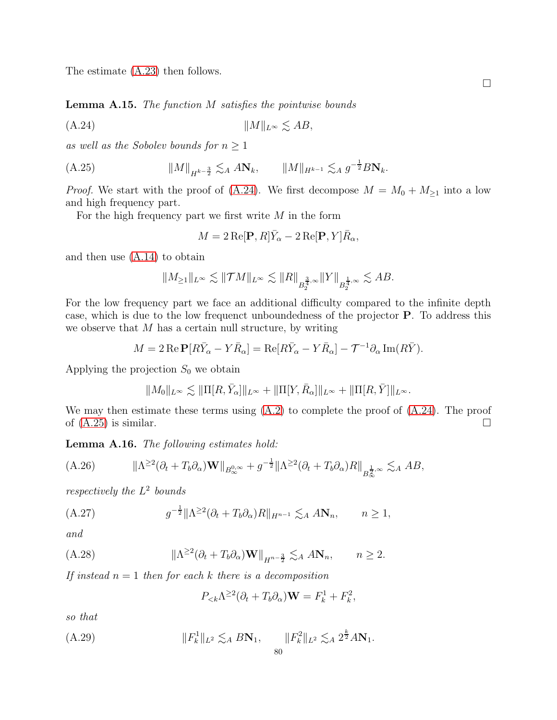The estimate [\(A.23\)](#page-78-0) then follows.

Lemma A.15. *The function* M *satisfies the pointwise bounds*

(A.24) kMkL<sup>∞</sup> . AB,

*as well as the Sobolev bounds for*  $n \geq 1$ 

(A.25) 
$$
||M||_{H^{k-\frac{3}{2}}} \lesssim_A A\mathbf{N}_k, \qquad ||M||_{H^{k-1}} \lesssim_A g^{-\frac{1}{2}} B\mathbf{N}_k.
$$

*Proof.* We start with the proof of [\(A.24\)](#page-79-0). We first decompose  $M = M_0 + M_{\geq 1}$  into a low and high frequency part.

For the high frequency part we first write  $M$  in the form

<span id="page-79-1"></span><span id="page-79-0"></span>
$$
M = 2\operatorname{Re}[\mathbf{P}, R]\bar{Y}_{\alpha} - 2\operatorname{Re}[\mathbf{P}, Y]\bar{R}_{\alpha},
$$

and then use [\(A.14\)](#page-75-0) to obtain

$$
||M_{\geq 1}||_{L^{\infty}} \lesssim ||\mathcal{T}M||_{L^{\infty}} \lesssim ||R||_{B^{\frac{3}{4},\infty}_{2}}||Y||_{B^{\frac{1}{4},\infty}_{2}} \lesssim AB.
$$

For the low frequency part we face an additional difficulty compared to the infinite depth case, which is due to the low frequenct unboundedness of the projector P. To address this we observe that  $M$  has a certain null structure, by writing

$$
M = 2 \operatorname{Re} \mathbf{P}[R\bar{Y}_{\alpha} - Y\bar{R}_{\alpha}] = \operatorname{Re}[R\bar{Y}_{\alpha} - Y\bar{R}_{\alpha}] - \mathcal{T}^{-1}\partial_{\alpha}\operatorname{Im}(R\bar{Y}).
$$

Applying the projection  $S_0$  we obtain

$$
||M_0||_{L^{\infty}} \lesssim ||\Pi[R, \bar{Y}_{\alpha}]||_{L^{\infty}} + ||\Pi[Y, \bar{R}_{\alpha}]||_{L^{\infty}} + ||\Pi[R, \bar{Y}]\|_{L^{\infty}}.
$$

We may then estimate these terms using  $(A.2)$  to complete the proof of  $(A.24)$ . The proof of  $(A.25)$  is similar.

Lemma A.16. *The following estimates hold:*

$$
(A.26) \t\t ||\Lambda^{\geq 2}(\partial_t + T_b \partial_\alpha) \mathbf{W}||_{B^{0,\infty}_{\infty}} + g^{-\frac{1}{2}} ||\Lambda^{\geq 2}(\partial_t + T_b \partial_\alpha) R||_{B^{\frac{1}{2},\infty}_{\infty}} \lesssim_A AB,
$$

*respectively the* L 2 *bounds*

(A.27) 
$$
g^{-\frac{1}{2}} \|\Lambda^{\geq 2}(\partial_t + T_b \partial_\alpha)R\|_{H^{n-1}} \lesssim_A A\mathbf{N}_n, \qquad n \geq 1,
$$

*and*

(A.28) 
$$
\|\Lambda^{\geq 2}(\partial_t + T_b \partial_\alpha)\mathbf{W}\|_{H^{n-\frac{3}{2}}} \lesssim_A A\mathbf{N}_n, \qquad n \geq 2.
$$

*If instead* n = 1 *then for each* k *there is a decomposition*

$$
P_{< k} \Lambda^{\geq 2} (\partial_t + T_b \partial_\alpha) \mathbf{W} = F_k^1 + F_k^2,
$$

*so that*

(A.29) 
$$
||F_k^1||_{L^2} \lesssim_A B\mathbf{N}_1, \qquad ||F_k^2||_{L^2} \lesssim_A 2^{\frac{k}{2}} A\mathbf{N}_1.
$$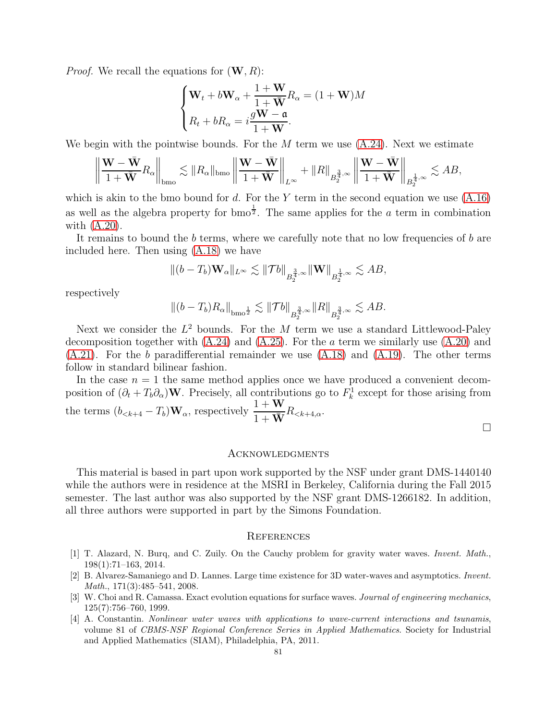*Proof.* We recall the equations for  $(\mathbf{W}, R)$ :

$$
\begin{cases} \mathbf{W}_t + b\mathbf{W}_\alpha + \frac{1 + \mathbf{W}}{1 + \bar{\mathbf{W}}} R_\alpha = (1 + \mathbf{W})M \\ R_t + bR_\alpha = i\frac{g\mathbf{W} - \mathfrak{a}}{1 + \mathbf{W}}. \end{cases}
$$

We begin with the pointwise bounds. For the  $M$  term we use  $(A.24)$ . Next we estimate

$$
\left\|\frac{\mathbf{W}-\bar{\mathbf{W}}}{1+\bar{\mathbf{W}}}R_\alpha\right\|_{\text{bmo}} \lesssim \|R_\alpha\|_{\text{bmo}} \left\|\frac{\mathbf{W}-\bar{\mathbf{W}}}{1+\bar{\mathbf{W}}}\right\|_{L^\infty} + \|R\|_{B_2^{\frac{3}{4},\infty}} \left\|\frac{\mathbf{W}-\bar{\mathbf{W}}}{1+\bar{\mathbf{W}}}\right\|_{B_2^{\frac{1}{4},\infty}} \lesssim AB,
$$

which is akin to the bmo bound for d. For the Y term in the second equation we use  $(A.16)$ as well as the algebra property for bmo<sup> $\frac{1}{2}$ </sup>. The same applies for the *a* term in combination with [\(A.20\)](#page-76-1).

It remains to bound the b terms, where we carefully note that no low frequencies of b are included here. Then using [\(A.18\)](#page-76-0) we have

$$
\|(b-T_b)\mathbf{W}_{\alpha}\|_{L^{\infty}} \lesssim \|\mathcal{T}b\|_{B_2^{\frac{3}{4},\infty}} \|\mathbf{W}\|_{B_2^{\frac{1}{4},\infty}} \lesssim AB,
$$

respectively

$$
||(b-T_b)R_{\alpha}\|_{\text{bmo}^{\frac{1}{2}}}\lesssim \|{\mathcal{T}} b\|_{B_2^{\frac{3}{4},\infty}}\|R\|_{B_2^{\frac{3}{4},\infty}}\lesssim AB.
$$

Next we consider the  $L^2$  bounds. For the M term we use a standard Littlewood-Paley decomposition together with  $(A.24)$  and  $(A.25)$ . For the a term we similarly use  $(A.20)$  and  $(A.21)$ . For the b paradifferential remainder we use  $(A.18)$  and  $(A.19)$ . The other terms follow in standard bilinear fashion.

In the case  $n = 1$  the same method applies once we have produced a convenient decomposition of  $(\partial_t + T_b \partial_\alpha)$ W. Precisely, all contributions go to  $F_k^1$  except for those arising from the terms  $(b_{< k+4} - T_b)\mathbf{W}_{\alpha}$ , respectively  $\frac{1 + \mathbf{W}}{1 + \bar{\mathbf{W}}}R_{< k+4,\alpha}$ .

 $\Box$ 

## **ACKNOWLEDGMENTS**

This material is based in part upon work supported by the NSF under grant DMS-1440140 while the authors were in residence at the MSRI in Berkeley, California during the Fall 2015 semester. The last author was also supported by the NSF grant DMS-1266182. In addition, all three authors were supported in part by the Simons Foundation.

## **REFERENCES**

- [1] T. Alazard, N. Burq, and C. Zuily. On the Cauchy problem for gravity water waves. Invent. Math., 198(1):71–163, 2014.
- [2] B. Alvarez-Samaniego and D. Lannes. Large time existence for 3D water-waves and asymptotics. Invent. Math., 171(3):485–541, 2008.
- [3] W. Choi and R. Camassa. Exact evolution equations for surface waves. Journal of engineering mechanics, 125(7):756–760, 1999.
- [4] A. Constantin. Nonlinear water waves with applications to wave-current interactions and tsunamis, volume 81 of CBMS-NSF Regional Conference Series in Applied Mathematics. Society for Industrial and Applied Mathematics (SIAM), Philadelphia, PA, 2011.